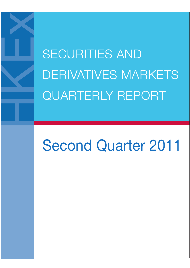SECURITIES AND DERIVATIVES MARKETS QUARTERLY REPORT

# Second Quarter 2011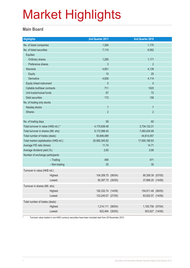#### **Main Board**

| <b>Highlights</b>                       | 2nd Quarter 2011   |  | 2nd Quarter 2010   |  |
|-----------------------------------------|--------------------|--|--------------------|--|
| No. of listed companies                 | 1,284              |  | 1,170              |  |
| No. of listed securities                | 7,110              |  | 6,562              |  |
| Equities                                |                    |  |                    |  |
| Ordinary shares                         | 1,285              |  | 1,171              |  |
| Preference shares                       | 3                  |  | $\overline{2}$     |  |
| <b>Warrants</b>                         | 4,851              |  | 4,139              |  |
| Equity                                  | 15                 |  | 25                 |  |
| Derivative                              | 4,836              |  | 4,114              |  |
| Equity linked instrument                | $\theta$           |  | $\theta$           |  |
| Callable bull/bear contracts            | 711                |  | 1020               |  |
| Unit trusts/mutual funds                | 87                 |  | 72                 |  |
| Debt securities                         | 173                |  | 158                |  |
| No. of trading only stocks              |                    |  |                    |  |
| Nasdaq stocks                           | $\overline{7}$     |  | $\overline{7}$     |  |
| <b>iShares</b>                          | $\overline{2}$     |  | $\overline{2}$     |  |
|                                         |                    |  |                    |  |
| No. of trading days                     | 59                 |  | 60                 |  |
| Total turnover in value (HK\$ mil.) *   | 4,175,836.48       |  | 3,734,132.31       |  |
| Total turnover in shares (Mil. shs)     | 9,172,596.45       |  | 7,483,434.99       |  |
| Total number of trades (deals)          | 50,846,489         |  | 44,614,057         |  |
| Total market capitalisation (HK\$ mil.) | 20,992,345.92      |  | 17,000,166.93      |  |
| Average P/E ratio (times)               | 11.74              |  | 14.71              |  |
| Average dividend yield (%)              | 2.65               |  | 2.66               |  |
| Number of exchange participants         |                    |  |                    |  |
| $-$ Trading                             | 490                |  | 471                |  |
| - Non-trading                           | 35                 |  | 30                 |  |
| Turnover in value (HK\$ mil.)           |                    |  |                    |  |
| Highest                                 | 104,358.75 (06/04) |  | 90,359.39 (07/05)  |  |
| Lowest                                  | 50,397.75 (30/05)  |  | 37,889.20 (14/06)  |  |
| Turnover in shares (Mil. shs)           |                    |  |                    |  |
| Highest                                 | 192,332.74 (14/06) |  | 154,911.48 (06/05) |  |
| Lowest                                  | 123,245.57 (27/05) |  | 83,832.57 (14/06)  |  |
| Total number of trades (deals)          |                    |  |                    |  |
| Highest                                 | 1,214,111 (06/04)  |  | 1,105,758 (07/04)  |  |
| Lowest                                  | 622,494 (30/05)    |  | 503,927 (14/06)    |  |

\* Turnover value traded in non-HKD currency securities have been included start from 29 November 2010.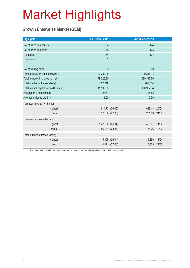### **Growth Enterprise Market (GEM)**

| <b>Highlights</b>                       |         | 2nd Quarter 2011 |                | 2nd Quarter 2010 |                |
|-----------------------------------------|---------|------------------|----------------|------------------|----------------|
| No. of listed companies                 |         | 164              |                | 174              |                |
| No. of listed securities                |         | 166              |                | 175              |                |
| Equities                                |         | 164              |                | 174              |                |
| Warrants                                |         | $\overline{2}$   |                | $\mathbf{1}$     |                |
|                                         |         |                  |                |                  |                |
| No. of trading days                     |         | 59               |                | 60               |                |
| Total turnover in value (HK\$ mil.) *   |         | 20,232.99        |                | 39,315.14        |                |
| Total turnover in shares (Mil. shs)     |         | 79,225.80        |                | 139,317.76       |                |
| Total number of trades (deals)          |         | 507,216          |                | 987,314          |                |
| Total market capitalisation (HK\$ mil.) |         | 111,535.83       |                | 130,902.34       |                |
| Average P/E ratio (times)               |         | 23.61            |                | 28.88            |                |
| Average dividend yield (%)              |         | 1.00             |                | 0.76             |                |
| Turnover in value (HK\$ mil.)           |         |                  |                |                  |                |
|                                         | Highest |                  | 614.73 (26/05) | 1,636.44 (20/04) |                |
|                                         | Lowest  |                  | 178.08 (27/06) |                  | 201.03 (24/06) |
| Turnover in shares (Mil. shs)           |         |                  |                |                  |                |
|                                         | Highest | 5,426.00 (06/04) |                | 7,408.01 (14/04) |                |
|                                         | Lowest  |                  | 560.41 (23/06) |                  | 758.26 (10/06) |
| Total number of trades (deals)          |         |                  |                |                  |                |
|                                         | Highest |                  | 15,305 (26/04) |                  | 39,296 (14/04) |
|                                         | Lowest  |                  | 4,411 (27/06)  |                  | 6,308 (24/06)  |

\* Turnover value traded in non-HKD currency securities have been included start from 29 November 2010.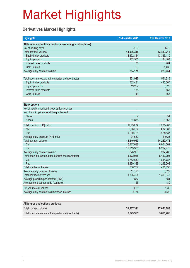### **Derivatives Market Highlights**

| <b>Highlights</b>                                          | 2nd Quarter 2011 | 2nd Quarter 2010 |
|------------------------------------------------------------|------------------|------------------|
| All futures and options products (excluding stock options) |                  |                  |
| No. of trading days                                        | 59.0             | 60.0             |
| Total contract volume                                      | 14,996,318       | 13,419,216       |
| Equity index products                                      | 14,892,864       | 13,383,110       |
| <b>Equity products</b>                                     | 102,565          | 34,403           |
| Interest rates products                                    | 180              | 264              |
| <b>Gold Futures</b>                                        | 709              | 1,439            |
| Average daily contract volume                              | 254,175          | 223,654          |
|                                                            |                  |                  |
| Total open interest as at the quarter end (contracts)      | 651,927          | 501,210          |
| Equity index products                                      | 632,481          | 495,067          |
| <b>Equity products</b>                                     | 19,267           | 5,822            |
| Interest rates products                                    | 138              | 155              |
| <b>Gold Futures</b>                                        | 41               | 166              |
|                                                            |                  |                  |
| <b>Stock options</b>                                       |                  |                  |
| No. of newly introduced stock options classes              |                  |                  |
| No. of stock options as at the quarter end                 |                  |                  |
| Class                                                      | 57               | 51               |
| <b>Series</b>                                              | 11,838           | 9.666            |
| Total premium (HK\$ mil.)                                  | 14,491.79        | 12,614.00        |
| Call                                                       | 3,882.54         | 4,371.63         |
| Put                                                        | 10,609.25        | 8,242.37         |
| Average daily premium (HK\$ mil.)                          | 245.62           | 210.23           |
| Total contract volume                                      | 16,340,993       | 14,262,472       |
| Call                                                       | 6,327,688        | 6,054,502        |
| Put                                                        | 10,013,305       | 8,207,970        |
| Average daily contract volume                              | 276,966          | 237,708          |
| Total open interest as at the quarter end (contracts)      | 5,622,028        | 5,163,995        |
| Call                                                       | 1,782,639        | 1,864,787        |
| Put                                                        | 3,839,389        | 3,299,208        |
| Total number of trades                                     | 656,257          | 481,335          |
| Average daily number of trades                             | 11,123           | 8,022            |
| <b>Total contracts exercised</b>                           | 1,895,494        | 1,300,346        |
| Average premium per contract (HK\$)                        | 887              | 884              |
| Average contract per trade (contracts)                     | 25               | 30               |
| Put volume/call volume                                     | 1.58             | 1.36             |
| Average daily contract volume/open interest                | 4.9%             | 4.6%             |
|                                                            |                  |                  |

| All futures and options products                      |            |            |
|-------------------------------------------------------|------------|------------|
| Total contract volume                                 | 31.337.311 | 27.681.688 |
| Total open interest as at the quarter end (contracts) | 6.273.955  | 5.665.205  |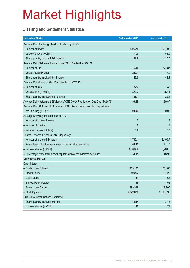### **Clearing and Settlement Statistics**

| <b>Securities Market</b>                                                        | 2nd Quarter 2011 | 2nd Quarter 2010 |
|---------------------------------------------------------------------------------|------------------|------------------|
| Average Daily Exchange Trades Handled by CCASS                                  |                  |                  |
| - Number of trades                                                              | 869,474          | 759,995          |
| - Value of trades (HK\$bil.)                                                    | 71.0             | 62.9             |
| - Share quantity Involved (bil shares)                                          | 156.8            | 127.0            |
| Average Daily Settlement Instructions ("SIs") Settled by CCASS                  |                  |                  |
| - Number of SIs                                                                 | 87,498           | 77,887           |
| - Value of SIs (HK\$bil.)                                                       | 233.1            | 177.0            |
| - Share quantity involved (bil. Shares)                                         | 49.0             | 44.4             |
| Average Daily Investor SIs ("ISIs") Settled by CCASS                            |                  |                  |
| - Number of ISIs                                                                | 527              | 543              |
| - Value of ISIs (HK\$mil.)                                                      | 323.7            | 252.4            |
| - Share quantity involved (mil. shares)                                         | 108.1            | 129.2            |
| Average Daily Settlement Efficiency of CNS Stock Positions on Due Day (T+2) (%) | 99.88            | 99.87            |
| Average Daily Settlement Efficiency of CNS Stock Positions on the Day following |                  |                  |
| the Due Day $(T+3)$ (%)                                                         | 99.99            | 99.99            |
| Average Daily Buy-ins Executed on T+3                                           |                  |                  |
| - Number of brokers involved                                                    | $\overline{7}$   | 8                |
| - Number of buy-ins                                                             | 8                | 9                |
| - Value of buy-ins (HK\$mil)                                                    | 3.6              | 3.7              |
| Shares Deposited in the CCASS Depository                                        |                  |                  |
| - Number of shares (bil shares)                                                 | 3,707.1          | 3,409.7          |
| - Percentage of total issued shares of the admitted securities                  | 69.37            | 71.10            |
| - Value of shares (HK\$bil)                                                     | 11,612.9         | 8,904.8          |
| - Percentage of the total market capitalisation of the admitted securities      | 50.11            | 48.93            |
| <b>Derivatives Market</b>                                                       |                  |                  |
| Open Interest                                                                   |                  |                  |
| - Equity Index Futures                                                          | 233,163          | 175,160          |
| - Stock Futures                                                                 | 19,267           | 5,822            |
| - Gold Futures                                                                  | 41               | 166              |
| - Interest Rates Futures                                                        | 138              | 155              |
| - Equity Index Options                                                          | 399,318          | 319,907          |
| - Stock Options                                                                 | 5,622,028        | 5,163,995        |
| <b>Cumulative Stock Options Exercised</b>                                       |                  |                  |
| - Share quantity involved (mil. shs)                                            | 1,884            | 1,116            |
| - Value of shares (HK\$bil.)                                                    | 35               | 23               |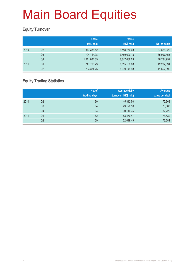### **Equity Turnover**

|      |                | <b>Share</b> | <b>Value</b> |              |
|------|----------------|--------------|--------------|--------------|
|      |                | (Mil. shs)   | (HK\$ mil.)  | No. of deals |
| 2010 | Q <sub>2</sub> | 817,338.52   | 2,748,750.08 | 37,828,922   |
|      | Q <sub>3</sub> | 794,114.98   | 2,759,690.18 | 35,997,455   |
|      | Q4             | 1,011,031.65 | 3,847,088.03 | 46,784,952   |
| 2011 | Q1             | 747,798.73   | 3,315,169.08 | 42,267,831   |
|      | Q <sub>2</sub> | 754,334.25   | 3,069,149.98 | 41,652,899   |

### **Equity Trading Statistics**

|      |                | No. of<br>trading days | <b>Average daily</b><br>turnover (HK\$ mil.) | Average<br>value per deal |
|------|----------------|------------------------|----------------------------------------------|---------------------------|
| 2010 | Q2             | 60                     | 45,812.50                                    | 72,663                    |
|      | Q3             | 64                     | 43,120.16                                    | 76,663                    |
|      | Q4             | 64                     | 60,110.75                                    | 82,229                    |
| 2011 | Q <sub>1</sub> | 62                     | 53,470.47                                    | 78,432                    |
|      | Q2             | 59                     | 52,019.49                                    | 73,684                    |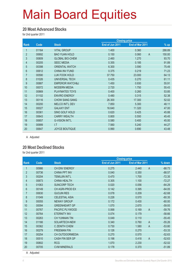#### **20 Most Advanced Stocks**

for 2nd quarter 2011

|                |       |                            | <b>Closing price</b> |                         |                  |
|----------------|-------|----------------------------|----------------------|-------------------------|------------------|
| Rank           | Code  | <b>Stock</b>               | End of Jun 2011      | End of Mar 2011         | $\frac{9}{6}$ up |
| 1              | 01164 | <b>VITAL GROUP</b>         | 1.400                | 0.360                   | 288.89           |
| $\overline{2}$ | 00692 | <b>BAO YUAN HOLD</b>       | 0.150                | $\overline{A}$<br>0.060 | 150.00           |
| 3              | 00809 | <b>GLOBAL BIO-CHEM</b>     | 2.460                | 1.270                   | 93.70            |
| $\overline{4}$ | 00205 | <b>SEEC MEDIA</b>          | 0.355                | 0.185                   | 91.89            |
| 5              | 00398 | <b>ORIENTAL WATCH</b>      | 6.300                | 3.590                   | 75.49            |
| 6              | 00612 | <b>CHINA INV FUND</b>      | 0.375                | 0.219                   | 71.23            |
| $\overline{7}$ | 00590 | <b>LUK FOOK HOLD</b>       | 37.750               | 23.000                  | 64.13            |
| $\bf 8$        | 01026 | <b>UNIVERSAL TECH</b>      | 0.435                | 0.270                   | 61.11            |
| 9              | 00887 | <b>EMPEROR WATCH&amp;J</b> | 1.450                | 0.930                   | 55.91            |
| 10             | 00072 | <b>MODERN MEDIA</b>        | 2.720                | 1.750                   | 55.43            |
| 11             | 00869 | PLAYMATES TOYS             | 0.400                | 0.260                   | 53.85            |
| 12             | 01102 | <b>ENVIRO ENERGY</b>       | 0.480                | 0.315                   | 52.38            |
| 13             | 00116 | <b>CHOW SANG SANG</b>      | 26.300               | 17.300                  | 52.02            |
| 14             | 00200 | <b>MELCO INT'L DEV</b>     | 7.850                | 5.300                   | 48.11            |
| 15             | 00027 | <b>GALAXY ENT</b>          | 16.640               | 11.320                  | 47.00            |
| 16             | 00361 | SINO GOLF HOLD             | 0.620                | 0.425                   | 45.88            |
| 17             | 00643 | <b>CARRY WEALTH</b>        | 0.800                | 0.550                   | 45.45            |
| 18             | 00657 | <b>G-VISION INT'L</b>      | 0.580                | 0.400                   | 45.00            |
| 19             | 00999 | $L$ T                      | 7.560                | 5.240                   | 44.27            |
| 20             | 00647 | <b>JOYCE BOUTIQUE</b>      | 0.990                | 0.690                   | 43.48            |

A Adjusted

#### **20 Most Declined Stocks**

for 2nd quarter 2011

|                |       |                        | <b>Closing price</b> |                         |          |
|----------------|-------|------------------------|----------------------|-------------------------|----------|
| <b>Rank</b>    | Code  | <b>Stock</b>           | End of Jun 2011      | End of Mar 2011         | % down   |
| 1              | 00986 | <b>CH ENV ENERGY</b>   | 0.275                | $\mathsf{A}$<br>2.440   | $-88.73$ |
| $\overline{2}$ | 00736 | <b>CHINA PPT INV</b>   | 0.040                | 0.350                   | $-88.57$ |
| 3              | 00204 | <b>TEMUJIN INT'L</b>   | 0.470                | 1.700                   | $-72.35$ |
| 4              | 00673 | <b>CHINA HEALTH</b>    | 0.305                | 1.100                   | $-72.27$ |
| 5              | 01063 | <b>SUNCORP TECH</b>    | 0.020                | 0.056                   | $-64.29$ |
| 6              | 00149 | CH AGRI-PROD EX        | 0.142                | 0.395                   | $-64.05$ |
| $\overline{7}$ | 00630 | <b>GUOJIN RES</b>      | 0.078                | 0.209                   | $-62.68$ |
| $\bf 8$        | 01049 | <b>CELESTIAL ASIA</b>  | 0.226                | 0.570                   | $-60.35$ |
| 9              | 00055 | <b>NEWAY GROUP</b>     | 0.172                | 0.430                   | $-60.00$ |
| 10             | 00094 | <b>GREENHEART GP</b>   | 1.070                | 2.670                   | $-59.93$ |
| 11             | 00767 | PACIFIC PLYWOOD        | 0.068                | $\overline{A}$<br>0.169 | $-59.76$ |
| 12             | 00764 | <b>ETERNITY INV</b>    | 0.074                | 0.179                   | $-58.66$ |
| 13             | 00263 | <b>CH YUNNAN TIN</b>   | 0.049                | 0.110                   | $-55.45$ |
| 14             | 01166 | SOLARTECH-NEW          | 0.340                | 0.760<br>A              | $-55.26$ |
| 15             | 00362 | C ZENITH CHEM          | 0.730                | 1.580<br>$\overline{A}$ | $-53.80$ |
| 16             | 00279 | <b>FREEMAN FIN</b>     | 0.126                | 0.270                   | $-53.33$ |
| 17             | 00254 | CH OUTDOORMEDIA        | 0.270                | 0.570                   | $-52.63$ |
| 18             | 00510 | <b>CASH FIN SER GP</b> | 0.198                | $\overline{A}$<br>0.418 | $-52.63$ |
| 19             | 00802 | <b>RCG</b>             | 1.070                | 2.230                   | $-52.02$ |
| 20             | 00705 | <b>CVM MINERALS</b>    | 0.178                | 0.370                   | $-51.89$ |
|                |       |                        |                      |                         |          |

A Adjusted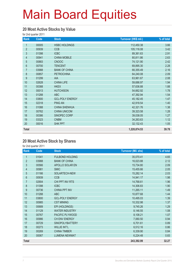#### **20 Most Active Stocks by Value**

for 2nd quarter 2011

| Rank           | Code  | <b>Stock</b>           | Turnover (HK\$ mil.) | % of total |
|----------------|-------|------------------------|----------------------|------------|
| $\mathbf{1}$   | 00005 | <b>HSBC HOLDINGS</b>   | 112,450.38           | 3.66       |
| $\overline{2}$ | 00939 | <b>CCB</b>             | 105,116.08           | 3.42       |
| $\mathfrak{S}$ | 01398 | <b>ICBC</b>            | 89,361.63            | 2.91       |
| 4              | 00941 | <b>CHINA MOBILE</b>    | 80,811.86            | 2.63       |
| $\overline{5}$ | 00883 | <b>CNOOC</b>           | 74,121.90            | 2.42       |
| $6\phantom{a}$ | 00700 | <b>TENCENT</b>         | 69,895.30            | 2.28       |
| $\overline{7}$ | 03988 | <b>BANK OF CHINA</b>   | 66,355.49            | 2.16       |
| 8              | 00857 | <b>PETROCHINA</b>      | 64,240.08            | 2.09       |
| 9              | 01299 | AIA                    | 63,961.67            | 2.08       |
| 10             | 02628 | <b>CHINA LIFE</b>      | 59,686.97            | 1.94       |
| 11             | 00388 | <b>HKEX</b>            | 57,636.88            | 1.88       |
| 12             | 00013 | <b>HUTCHISON</b>       | 54,662.92            | 1.78       |
| 13             | 01288 | <b>ABC</b>             | 47,392.94            | 1.54       |
| 14             | 03800 | <b>GCL-POLY ENERGY</b> | 45,182.45            | 1.47       |
| 15             | 02318 | <b>PING AN</b>         | 42,918.54            | 1.40       |
| 16             | 01088 | <b>CHINA SHENHUA</b>   | 42,321.76            | 1.38       |
| 17             | 00762 | <b>CHINA UNICOM</b>    | 39,323.58            | 1.28       |
| 18             | 00386 | SINOPEC CORP           | 39,038.05            | 1.27       |
| 19             | 03323 | <b>CNBM</b>            | 34,263.63            | 1.12       |
| 20             | 00016 | <b>SHK PPT</b>         | 32,132.43            | 1.05       |
| Total          |       |                        | 1,220,874.53         | 39.78      |

#### **20 Most Active Stock by Shares**

| Rank           | Code  | <b>Stock</b>           | <b>Turnover (Mil. shs)</b> | % of total |
|----------------|-------|------------------------|----------------------------|------------|
| 1              | 01041 | <b>FULBOND HOLDING</b> | 35,070.41                  | 4.65       |
| $\overline{2}$ | 03988 | <b>BANK OF CHINA</b>   | 16,023.88                  | 2.12       |
| 3              | 00566 | APOLLO SOLAR EN        | 15,734.80                  | 2.09       |
| $\overline{4}$ | 00981 | <b>SMIC</b>            | 15,455.66                  | 2.05       |
| 5              | 01166 | SOLARTECH-NEW          | 15,282.14                  | 2.03       |
| 6              | 00939 | <b>CCB</b>             | 14,941.17                  | 1.98       |
| $\overline{7}$ | 02904 | CHI PPT INV RTS        | 14,768.61                  | 1.96       |
| 8              | 01398 | <b>ICBC</b>            | 14,306.83                  | 1.90       |
| 9              | 00736 | <b>CHINA PPT INV</b>   | 11,265.11                  | 1.49       |
| 10             | 01288 | <b>ABC</b>             | 10,877.68                  | 1.44       |
| 11             | 03800 | <b>GCL-POLY ENERGY</b> | 10,495.03                  | 1.39       |
| 12             | 00985 | <b>CST MINING</b>      | 10,332.98                  | 1.37       |
| 13             | 00689 | EPI (HOLDINGS)         | 9,745.26                   | 1.29       |
| 14             | 01129 | <b>WATER INDUSTRY</b>  | 8,146.55                   | 1.08       |
| 15             | 00767 | PACIFIC PLYWOOD        | 8,108.21                   | 1.07       |
| 16             | 00986 | CH ENV ENERGY          | 7,060.50                   | 0.94       |
| 17             | 00729 | <b>SINOPOLYBATTERY</b> | 6,701.61                   | 0.89       |
| 18             | 00273 | <b>WILLIE INT'L</b>    | 6,512.16                   | 0.86       |
| 19             | 00269 | <b>CHINA TIMBER</b>    | 6,339.90                   | 0.84       |
| 20             | 00067 | <b>LUMENA NEWMAT</b>   | 6,224.48                   | 0.83       |
| <b>Total</b>   |       |                        | 243,392.99                 | 32.27      |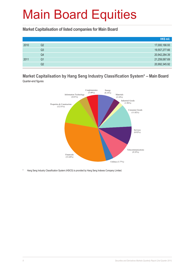**Market Capitalisation of listed companies for Main Board**

|      |    | HK\$ mil.     |
|------|----|---------------|
| 2010 | Q2 | 17,000,166.93 |
|      | Q3 | 19,557,277.66 |
|      | Q4 | 20,942,284.39 |
| 2011 | Q1 | 21,259,067.69 |
|      | Q2 | 20,992,345.92 |

#### **Market Capitalisation by Hang Seng Industry Classification System\* – Main Board** Quarter-end figures



Hang Seng Industry Classification System (HSICS) is provided by Hang Seng Indexes Company Limited.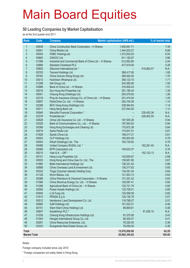#### **50 Leading Companies by Market Capitalisation**

as at the 2nd quarter end 2011

| Rank                | Code           | <b>Company</b>                                          | Market capitalisation (HK\$ mil.) |              | % of market total |
|---------------------|----------------|---------------------------------------------------------|-----------------------------------|--------------|-------------------|
| 1                   | 00939          | China Construction Bank Corporation - H Shares          | 1,550,691.71                      |              | 7.39              |
| $\overline{2}$      | 00941          | China Mobile Ltd.                                       | 1,444,833.27                      |              | 6.88              |
| 3                   | 00005          | <b>HSBC Holdings plc</b>                                | 1,372,832.53                      |              | 6.54              |
| 4                   | 00883          | CNOOC Ltd.                                              | 811,192.67                        |              | 3.86              |
| 5                   | 01398          | Industrial and Commercial Bank of China Ltd. - H Shares | 512,952.80                        |              | 2.44              |
| $6\phantom{a}$      | 02888          | <b>Standard Chartered PLC</b>                           | 477,619.00                        |              | 2.28              |
| $\overline{7}$      | 00805          | Glencore International plc *                            |                                   | 419,862.57   | N.A.              |
| 8                   | 00700          | Tencent Holdings Ltd.                                   | 388,417.85                        |              | 1.85              |
| $\boldsymbol{9}$    | 00762          | China Unicom (Hong Kong) Ltd.                           | 369,492.00                        |              | 1.76              |
| 10                  | 00013          | Hutchison Whampoa Ltd.                                  | 358,123.15                        |              | 1.71              |
| 11                  | 01299          | AIA Group Ltd.                                          | 324,585.80                        |              | 1.55              |
| 12                  | 03988          | Bank of China Ltd. - H Shares                           | 316,928.43                        |              | 1.51              |
| 13                  | 00016          | Sun Hung Kai Properties Ltd.                            | 291,185.44                        |              | 1.39              |
| 14                  | 00001          | Cheung Kong (Holdings) Ltd.                             | 263,579.50                        |              | 1.26              |
| 15                  | 02318          | Ping An Insurance (Group) Co. of China Ltd. - H Shares  | 251,474.00                        |              | 1.20              |
| 16                  | 00857          | PetroChina Co. Ltd. - H Shares                          | 240,105.48                        |              | 1.14              |
| 17                  | 02388          | BOC Hong Kong (Holdings) Ltd.                           | 238,944.83                        |              | 1.14              |
| 18                  | 00011          | Hang Seng Bank Ltd.                                     | 237,642.05                        |              | 1.13              |
| 19                  | 00945          | Manulife Financial Corporation *                        |                                   | 235,453.36   | N.A.              |
| 20                  | 02378          | Prudential plc *                                        |                                   | 228,402.50   | N.A.              |
| 21                  | 02628          | China Life Insurance Co. Ltd. - H Shares                | 197,935.26                        |              | 0.94              |
| 22                  | 03328          | Bank of Communications Co., Ltd. - H Shares             | 197,604.83                        |              | 0.94              |
| 23                  | 00388          | Hong Kong Exchanges and Clearing Ltd.                   | 175,972.38                        |              | 0.84              |
| 24                  | 00019          | Swire Pacific Ltd.                                      | 170,001.51                        |              | 0.81              |
| 25                  | 01928          | Sands China Ltd.                                        | 169,017.21                        |              | 0.81              |
| 26                  | 00002          | CLP Holdings Ltd.                                       | 165,903.59                        |              | 0.79              |
| 27<br>28            | 00004          | Wharf (Holdings) Ltd., The                              | 163,730.82                        |              | 0.78              |
| 29                  | 00486<br>00066 | United Company RUSAL Ltd. *<br>MTR Corporation Ltd.     |                                   | 162,261.40   | N.A.<br>0.76      |
| 30                  | 06210          | Vale $S.A. - DR *$                                      | 159,633.37                        | 152, 122. 13 | N.A.              |
| 31                  | 00101          | Hang Lung Properties Ltd.                               | 142,650.87                        |              | 0.68              |
| 32                  | 00003          | Hong Kong and China Gas Co. Ltd., The                   | 139,681.80                        |              | 0.67              |
| 33                  | 01880          | Belle International Holdings Ltd.                       | 138,321.42                        |              | 0.66              |
| 34                  | 00688          | China Overseas Land & Investment Ltd.                   | 136,317.62                        |              | 0.65              |
| 35                  | 00322          | Tingyi (Cayman Islands) Holding Corp.                   | 134,391.24                        |              | 0.64              |
| 36                  | 01128          | Wynn Macau, Ltd.                                        | 131,503.13                        |              | 0.63              |
| 37                  | 00386          | China Petroleum & Chemical Corporation - H Shares       | 131,391.22                        |              | 0.63              |
| 38                  | 01088          | China Shenhua Energy Co. Ltd. - H Shares                | 126,087.41                        |              | 0.60              |
| 39                  | 01288          | Agricultural Bank of China Ltd. - H Shares              | 125,721.79                        |              | 0.60              |
| 40                  | 00006          | Power Assets Holdings Ltd.                              | 125,708.01                        |              | 0.60              |
| 41                  | 00494          | Li & Fung Ltd.                                          | 125,556.59                        |              | 0.60              |
| 42                  | 01913          | PRADA S.p.A.                                            | 120,136.79                        |              | 0.57              |
| 43                  | 00012          | Henderson Land Development Co. Ltd.                     | 118,788.07                        |              | 0.57              |
| 44                  | 00880          | SJM Holdings Ltd.                                       | 101,523.01                        |              | 0.48              |
| 45                  | 00151          | Want Want China Holdings Ltd.                           | 99,809.61                         |              | 0.48              |
| 46                  | 00847          | Kazakhmys PLC *                                         |                                   | 91,526.10    | N.A.              |
| 47                  | 01038          | Cheung Kong Infrastructure Holdings Ltd.                | 91,070.08                         |              | 0.43              |
| 48                  | 01044          | Hengan International Group Co. Ltd.                     | 85,450.47                         |              | 0.41              |
| 49                  | 00291          | China Resources Enterprise, Ltd.                        | 76,292.05                         |              | 0.36              |
| 50                  | 03333          | Evergrande Real Estate Group Ltd.                       | 76,050.00                         |              | 0.36              |
| <b>Total</b>        |                |                                                         | 13,076,850.66                     |              | 62.29             |
| <b>Market Total</b> |                |                                                         | 20,992,345.92                     |              | 100.00            |

Notes:

Foreign company included since July 2010

\* Foreign companies not solely listed in Hong Kong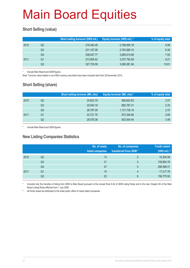### **Short Selling (value)**

|      |    | Short selling turnover (HK\$ mil.) | Equity turnover (HK\$ mil.) * | % of equity total |
|------|----|------------------------------------|-------------------------------|-------------------|
| 2010 | Q2 | 278,492.48                         | 2,788,065.18                  | 9.99              |
|      | Q3 | 231,187.06                         | 2,783,988.10                  | 8.30              |
|      | Q4 | 308,007.77                         | 3,885,615.68                  | 7.93              |
| 2011 | Q1 | 273,905.42                         | 3,337,783.59                  | 8.21              |
|      | Q2 | 327,730.09                         | 3,089,381.94                  | 10.61             |

Include Main Board and GEM figures

Note: Turnover value traded in non-HKD currency securities have been included start from 29 November 2010.

### **Short Selling (share)**

|      |    | <b>Short selling turnover (Mil. shs)</b> | Equity turnover (Mil. shs) * | % of equity total |
|------|----|------------------------------------------|------------------------------|-------------------|
| 2010 | Q2 | 24,633.79                                | 956,653.63                   | 2.57              |
|      | Q3 | 20.554.19                                | 882,787.31                   | 2.33              |
|      | Q4 | 26,787.09                                | 1,131,725.16                 | 2.37              |
| 2011 | Q1 | 22,721.76                                | 872,394.66                   | 2.60              |
|      | Q2 | 29,078.38                                | 833,504.44                   | 3.49              |

Include Main Board and GEM figures

### **New Listing Companies Statistics**

|      |                | No. of newly<br>listed companies | No. of companies<br>transferred from GEM* | <b>Funds raised</b><br>(HK\$ mil.) # |
|------|----------------|----------------------------------|-------------------------------------------|--------------------------------------|
| 2010 | Q <sub>2</sub> | 13                               | 2                                         | 16,304.58                            |
|      | Q <sub>3</sub> | 21                               | 5                                         | 109,964.78                           |
|      | Q4             | 47                               | 5                                         | 288,596.31                           |
| 2011 | Q1             | 10                               | $\overline{4}$                            | 17,317.76                            |
|      | Q <sub>2</sub> | 22                               | 6                                         | 156,775.55                           |

Included only the transfers of listing from GEM to Main Board pursuant to the revised Rule 9.24 of GEM Listing Rules and to the new Chapter 9A of the Main Board Listing Rules effective from 1 July 2008

# All funds raised are attributed to the initial public offers of newly listed companies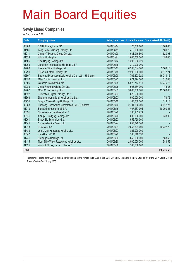#### **Newly Listed Companies**

for 2nd quarter 2011

| Code         | <b>Company name</b>                                   |            |               | Listing date No. of issued shares Funds raised (HK\$ mil.) |
|--------------|-------------------------------------------------------|------------|---------------|------------------------------------------------------------|
| 06488        | SBI Holdings, Inc. - DR                               | 2011/04/14 | 20,000,000    | 1,604.60                                                   |
| 01181        | Tang Palace (China) Holdings Ltd.                     | 2011/04/19 | 415,000,000   | 189.75                                                     |
| 01011        | China NT Pharma Group Co. Ltd.                        | 2011/04/20 | 1,081,916,500 | 1,620.93                                                   |
| 01623        | Hilong Holding Ltd.                                   | 2011/04/21 | 1,600,000,000 | 1,196.00                                                   |
| 01106        | Sino Haijing Holdings Ltd. *                          | 2011/05/12 | 1,209,680,620 |                                                            |
| 01069        | Jiangchen International Holdings Ltd. *               | 2011/05/16 | 370,000,000   |                                                            |
| 02789        | Yuanda China Holdings Ltd.                            | 2011/05/17 | 6,208,734,000 | 2,563.10                                                   |
| 02299        | Billion Industrial Holdings Ltd.                      | 2011/05/18 | 2,299,000,000 | 2,977.21                                                   |
| 02607        | Shanghai Pharmaceuticals Holding Co., Ltd. - H Shares | 2011/05/20 | 765,893,920   | 16,014.15                                                  |
| 01150        | Milan Station Holdings Ltd.                           | 2011/05/23 | 674,374,000   | 312.08                                                     |
| 00805        | Glencore International plc                            | 2011/05/25 | 6,922,713,511 | 77,745.76                                                  |
| 02083        | China Flooring Holding Co. Ltd.                       | 2011/05/26 | 1,508,264,990 | 1,145.38                                                   |
| 02282        | MGM China Holdings Ltd.                               | 2011/06/03 | 3,800,000,001 | 12,568.66                                                  |
| 01822        | Perception Digital Holdings Ltd. *                    | 2011/06/03 | 622,500,000   |                                                            |
| 03363        | Zhengye International Holdings Co. Ltd.               | 2011/06/03 | 500,000,000   | 178.75                                                     |
| 00935        | Dragon Crown Group Holdings Ltd.                      | 2011/06/10 | 1,100,000,000 | 313.13                                                     |
| 00958        | Huaneng Renewables Corporation Ltd. - H Shares        | 2011/06/10 | 2,734,280,000 | 6,617.25                                                   |
| 01910        | Samsonite International S.A.                          | 2011/06/16 | 1,407,137,004 | 10,090.55                                                  |
| 00831        | Convenience Retail Asia Ltd. *                        | 2011/06/20 | 733,103,974   |                                                            |
| 00871        | Xiangyu Dredging Holdings Ltd.                        | 2011/06/20 | 800,000,000   | 638.00                                                     |
| 01061        | Essex Bio-Technology Ltd. *                           | 2011/06/23 | 556,750,000   |                                                            |
| 01145        | Courage Marine Group Ltd.                             | 2011/06/24 | 1,058,829,308 |                                                            |
| 01913        | PRADA S.p.A.                                          | 2011/06/24 | 2,558,824,000 | 19,227.22                                                  |
| 01488        | Lee & Man Handbags Holding Ltd.                       | 2011/06/27 | 825,000,000   |                                                            |
| 00847        | Kazakhmys PLC                                         | 2011/06/29 | 535,240,338   |                                                            |
| 01241        | Shuanghua Holdings Ltd.                               | 2011/06/30 | 650,000,000   | 188.50                                                     |
| 01115        | Tibet 5100 Water Resources Holdings Ltd.              | 2011/06/30 | 2,500,000,000 | 1,584.55                                                   |
| 01025        | Wumart Stores, Inc. - H Shares *                      | 2011/06/30 | 536,568,000   |                                                            |
| <b>Total</b> |                                                       |            |               | 156,775.55                                                 |

Transfers of listing from GEM to Main Board pursuant to the revised Rule 9.24 of the GEM Listing Rules and to the new Chapter 9A of the Main Board Listing Rules effective from 1 July 2008.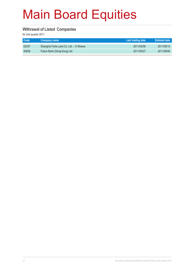#### **Withrawal of Listed Companies**

| <b>Code</b> | Company name                            | Last trading date | Delisted date |
|-------------|-----------------------------------------|-------------------|---------------|
| 02337       | Shanghai Forte Land Co. Ltd. - H Shares | 2011/05/06        | 2011/05/13    |
| 00636       | Fubon Bank (Hong Kong) Ltd.             | 2011/05/27        | 2011/06/08    |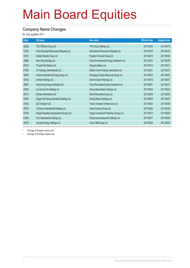#### **Company Name Changes**

for 2nd quarter 2011

| Code  | Old name                                   | New name                                     | <b>Effective date</b> | <b>Adoption date</b> |
|-------|--------------------------------------------|----------------------------------------------|-----------------------|----------------------|
| 00206 | TSC Offshore Group Ltd.                    | TSC Group Holdings Ltd.                      | 2011/03/04            | 2011/04/13           |
| 01229 | China Sonangol Resources Enterprise Ltd.   | International Resources Enterprise Ltd.      | 2011/03/16            | 2011/04/18           |
| 01031 | Golden Resorts Group Ltd.                  | Kingston Financial Group Ltd.                | 2011/04/19            | 2011/05/06           |
| 00986 | Nam Hing Holdings Ltd.                     | China Environmental Energy Investment Ltd.   | 2011/03/22            | 2011/05/06           |
| 00729 | Thunder Sky Battery Ltd.                   | Sinopoly Battery Ltd.                        | 2011/04/14            | 2011/05/11           |
| 01008 | CT Holdings (International) Ltd.           | Brilliant Circle Holdings International Ltd. | 2011/04/21            | 2011/05/27           |
| 00639 | Fushan International Energy Group Ltd.     | Shougang Fushan Resources Group Ltd.         | 2011/05/24            | 2011/06/03           |
| 00102 | Arnhold Holdings Ltd.                      | Summit Ascent Holdings Ltd.                  | 2011/05/16            | 2011/06/21           |
| 00987 | Hong Kong Energy (Holdings) Ltd.           | China Renewable Energy Investment Ltd.       | 2011/06/01            | 2011/06/21           |
| 00309 | Lo's Enviro-Pro Holdings Ltd.              | Xinhua News Media Holdings Ltd.              | 2011/05/24            | 2011/06/22           |
| 02010 | Ruinian International Ltd. *               | Real Nutriceutical Group Ltd.                | 2011/05/06            | 2011/06/24           |
| 00305 | Dragon Hill Wuling Autombile Holdings Ltd. | Wuling Motors Holdings Ltd.                  | 2011/06/09            | 2011/06/27           |
| 01052 | GZI Transport Ltd.                         | Yuexiu Transport Infrastructure Ltd.         | 2011/05/30            | 2011/06/28           |
| 00760 | Tomorrow International Holdings Ltd.       | Talent Property Group Ltd.                   | 2011/05/26            | 2011/06/28           |
| 00169 | Hengli Properties Development (Group) Ltd. | Hengli Commercial Properties (Group) Ltd.    | 2011/05/10            | 2011/06/29           |
| 01808 | Tai-I International Holdings Ltd.          | Enterprise Development Holdings Ltd.         | 2011/05/17            | 2011/06/29           |
| 00578 | Dynamic Energy Holdings Ltd.               | China CBM Group Ltd.                         | 2011/05/30            | 2011/06/30           |

Change of English name only

# Change of Chinese name only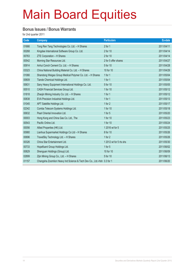#### **Bonus Issues / Bonus Warrants**

| Code  | <b>Company</b>                                                         | <b>Particulars</b>      | Ex-date    |
|-------|------------------------------------------------------------------------|-------------------------|------------|
| 01666 | Tong Ren Tang Technologies Co. Ltd. - H Shares                         | 2 for 1                 | 2011/04/11 |
| 00268 | Kingdee International Software Group Co. Ltd.                          | 2 for 10                | 2011/04/14 |
| 00763 | ZTE Corporation - H Shares                                             | 2 for 10                | 2011/04/14 |
| 00542 | Morning Star Resources Ltd.                                            | 2 for 5 offer shares    | 2011/04/27 |
| 00914 | Anhui Conch Cement Co. Ltd. - H Shares                                 | 5 for 10                | 2011/04/28 |
| 03323 | China National Building Material Co. Ltd. - H Shares                   | 10 for 10               | 2011/04/29 |
| 01066 | Shandong Weigao Group Medical Polymer Co. Ltd. - H Shares              | 1 for $1$               | 2011/05/04 |
| 00609 | Tiande Chemical Holdings Ltd.                                          | 1 for $1$               | 2011/05/04 |
| 00631 | Sany Heavy Equipment International Holdings Co. Ltd.                   | 5 for 10                | 2011/05/05 |
| 00510 | CASH Financial Services Group Ltd.                                     | 1 for 10                | 2011/05/12 |
| 01818 | Zhaojin Mining Industry Co. Ltd. - H Shares                            | 1 for $1$               | 2011/05/12 |
| 00838 | EVA Precision Industrial Holdings Ltd.                                 | 1 for 1                 | 2011/05/13 |
| 01045 | APT Satellite Holdings Ltd.                                            | 1 for 2                 | 2011/05/17 |
| 02342 | Comba Telecom Systems Holdings Ltd.                                    | 1 for 10                | 2011/05/18 |
| 00632 | Pearl Oriental Innovation Ltd.                                         | 1 for $5$               | 2011/05/20 |
| 00003 | Hong Kong and China Gas Co. Ltd., The                                  | 1 for 10                | 2011/05/23 |
| 00543 | Pacific Online Ltd.                                                    | 1 for 10                | 2011/05/24 |
| 00056 | Allied Properties (HK) Ltd.                                            | 1 2016 wt for 5         | 2011/05/25 |
| 00980 | Lianhua Supermarket Holdings Co Ltd - H Shares                         | 8 for 10                | 2011/05/26 |
| 00696 | TravelSky Technology Ltd. - H Shares                                   | 1 for 2                 | 2011/05/26 |
| 00326 | China Star Entertainment Ltd.                                          | 1 2012 wt for 5 rts shs | 2011/05/30 |
| 00733 | Hopefluent Group Holdings Ltd.                                         | 1 for $5$               | 2011/06/02 |
| 00829 | Shenguan Holdings (Group) Ltd.                                         | 10 for 10               | 2011/06/09 |
| 02899 | Zijin Mining Group Co., Ltd. - H Shares                                | 5 for 10                | 2011/06/13 |
| 01157 | Changsha Zoomlion Heavy Ind Science & Tech Dev Co., Ltd.-Hsh 0.3 for 1 |                         | 2011/06/20 |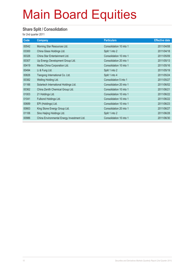#### **Share Split / Consolidation**

| Code  | Company                                    | <b>Particulars</b>      | <b>Effective date</b> |
|-------|--------------------------------------------|-------------------------|-----------------------|
| 00542 | Morning Star Resources Ltd.                | Consolidation 10 into 1 | 2011/04/08            |
| 03300 | China Glass Holdings Ltd.                  | Split 1 into 2          | 2011/04/18            |
| 00326 | China Star Entertainment Ltd.              | Consolidation 10 into 1 | 2011/05/09            |
| 00307 | Up Energy Development Group Ltd.           | Consolidation 20 into 1 | 2011/05/13            |
| 00419 | Media China Corporation Ltd.               | Consolidation 10 into 1 | 2011/05/16            |
| 00494 | Li & Fung Ltd.                             | Split 1 into 2          | 2011/05/19            |
| 00826 | Tiangong International Co. Ltd.            | Split 1 into 4          | 2011/05/24            |
| 00382 | Welling Holding Ltd.                       | Consolidation 5 into 1  | 2011/05/27            |
| 01166 | Solartech International Holdings Ltd.      | Consolidation 20 into 1 | 2011/06/02            |
| 00362 | China Zenith Chemical Group Ltd.           | Consolidation 10 into 1 | 2011/06/21            |
| 01003 | 21 Holdings Ltd.                           | Consolidation 10 into 1 | 2011/06/22            |
| 01041 | Fulbond Holdings Ltd.                      | Consolidation 10 into 1 | 2011/06/22            |
| 00689 | EPI (Holdings) Ltd.                        | Consolidation 10 into 1 | 2011/06/23            |
| 00663 | King Stone Energy Group Ltd.               | Consolidation 20 into 1 | 2011/06/27            |
| 01106 | Sino Haijing Holdings Ltd.                 | Split 1 into 2          | 2011/06/28            |
| 00986 | China Environmental Energy Investment Ltd. | Consolidation 10 into 1 | 2011/06/30            |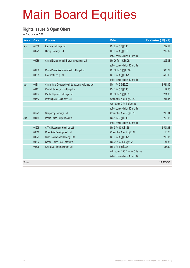#### **Rights Issues & Open Offers**

| <b>Month</b> | Code  | <b>Company</b>                                       | <b>Ratio</b>                       | Funds raised (HK\$ mil.) |
|--------------|-------|------------------------------------------------------|------------------------------------|--------------------------|
| Apr          | 01059 | Kantone Holdings Ltd.                                | Rts 2 for 5 @\$0.10                | 212.17                   |
|              | 00275 | Hanny Holdings Ltd.                                  | Rts 8 for 1 @\$0.30                | 299.02                   |
|              |       |                                                      | (after consolidation 10 into 1)    |                          |
|              | 00986 | China Environmental Energy Investment Ltd.           | Rts 26 for 1 @\$0.068              | 206.08                   |
|              |       |                                                      | (after consolidation 16 into 1)    |                          |
|              | 00736 | China Properties Investment Holdings Ltd.            | Rts 30 for 1 @\$0.068              | 338.27                   |
|              | 00885 | Forefront Group Ltd.                                 | Rts 8 for 1 @\$0.125               | 406.08                   |
|              |       |                                                      | (after consolidation 10 into 1)    |                          |
| May          | 03311 | China State Construction International Holdings Ltd. | Rts 1 for 5 @\$6.00                | 3,584.19                 |
|              | 00111 | Cinda International Holdings Ltd.                    | Rts 1 for 5 @\$1.10                | 117.55                   |
|              | 00767 | Pacific Plywood Holdings Ltd.                        | Rts 30 for 1 @\$0.08               | 221.93                   |
|              | 00542 | Morning Star Resources Ltd.                          | Open offer 5 for 1 @\$0.20         | 241.45                   |
|              |       |                                                      | with bonus 2 for 5 offer shs       |                          |
|              |       |                                                      | (after consolidation 10 into 1)    |                          |
|              | 01223 | Symphony Holdings Ltd.                               | Open offer 1 for 2 @\$0.25         | 218.01                   |
| Jun          | 00419 | Media China Corporation Ltd.                         | Rts 1 for 2 @\$0.18                | 259.15                   |
|              |       |                                                      | (after consolidation 10 into 1)    |                          |
|              | 01205 | CITIC Resources Holdings Ltd.                        | Rts 3 for 10 @\$1.38               | 2,504.93                 |
|              | 00810 | Opes Asia Development Ltd.                           | Open offer 1 for 2 @\$0.07         | 58.20                    |
|              | 00273 | Willie International Holdings Ltd.                   | Rts 8 for 1 @\$0.125               | 296.07                   |
|              | 00832 | Central China Real Estate Ltd.                       | Rts 21.4 for 100 @\$1.71           | 731.88                   |
|              | 00326 | China Star Entertainment Ltd.                        | Rts 3 for 1 @\$0.25                | 368.39                   |
|              |       |                                                      | with bonus 1 2012 wt for 5 rts shs |                          |
|              |       |                                                      | (after consolidation 10 into 1)    |                          |
| <b>Total</b> |       |                                                      |                                    | 10,063.37                |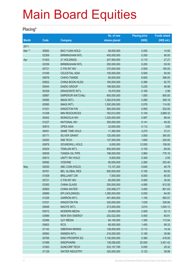#### **Placing\***

|              |             |                            | No. of new    | <b>Placing price</b> | <b>Funds raised</b> |
|--------------|-------------|----------------------------|---------------|----------------------|---------------------|
| <b>Month</b> | <b>Code</b> | <b>Company</b>             | shares placed | (HK\$)               | (HK\$ mil.)         |
| 2011         |             |                            |               |                      |                     |
| Mar **       | 00692       | <b>BAO YUAN HOLD</b>       | 58,000,000    | 0.250                | 14.50               |
|              | 02309       | <b>BIRMINGHAM INTL</b>     | 450,000,000   | 0.200                | 90.00               |
| Apr          | 01003       | 21 HOLDINGS                | 247,900,000   | 0.110                | 27.27               |
|              | 02309       | <b>BIRMINGHAM INTL</b>     | 250,000,000   | 0.200                | 50.00               |
|              | 00721       | C FIN INT INV              | 370,000,000   | 0.500                | 185.00              |
|              | 01049       | <b>CELESTIAL ASIA</b>      | 100,000,000   | 0.500                | 50.00               |
|              | 00976       | CHIHO-TIANDE               | 60,000,000    | 6.600                | 396.00              |
|              | 00922       | CHINA BOON HLDG            | 165,000,000   | 0.380                | 62.70               |
|              | 00544       | <b>DAIDO GROUP</b>         | 199,920,000   | 0.235                | 46.98               |
|              | 00329       | <b>DRAGONITE INT'L</b>     | 18,470,000    | 0.160                | 2.96                |
|              | 00887       | <b>EMPEROR WATCH&amp;J</b> | 800,000,000   | 1.000                | 800.00              |
|              | 00585       | <b>IMAGI INT'L</b>         | 1,282,816,000 | 0.280                | 359.19              |
|              | 00585       | <b>IMAGI INT'L</b>         | 1,500,000,000 | 0.076                | 114.00              |
|              | 01031       | <b>KINGSTON FIN</b>        | 560,000,000   | 0.950                | 532.00              |
|              | 01208       | <b>MIN RESOURCES</b>       | 762,612,000   | 5.100                | 3,889.32            |
|              | 00402       | <b>MONGOLIA INV</b>        | 1,320,000,000 | 0.067                | 88.44               |
|              | 01227       | <b>NATIONAL INV</b>        | 350,000,000   | 0.141                | 49.35               |
|              | 00810       | <b>OPES ASIA</b>           | 32,600,000    | 0.112                | 3.65                |
|              | 00451       | <b>SAME TIME HOLD</b>      | 11,380,000    | 3.270                | 37.21               |
|              | 00171       | <b>SILVER GRANT</b>        | 120,000,000   | 3.000                | 360.00              |
|              | 02000       | <b>SIM TECH</b>            | 137,500,000   | 1.600                | 220.00              |
|              | 00878       | SOUNDWILL HOLD             | 9,000,000     | 12.000               | 108.00              |
|              | 00204       | TEMUJIN INT'L              | 600,000,000   | 0.100                | 60.00               |
|              | 00839       | <b>TIANDA OIL PIPE</b>     | 196,000,000   | 3.960                | 776.16              |
|              | 00913       | <b>UNITY INV HOLD</b>      | 8,500,000     | 0.300                | 2.55                |
|              | 00082       | <b>VODONE</b>              | 90,000,000    | 2.260                | 203.40              |
| May          | 00030       | ABC COM (HOLD)             | 73,107,200    | 0.640                | 46.79               |
|              | 00761       | <b>BEL GLOBAL RES</b>      | 600,000,000   | 0.100                | 60.00               |
|              | 01008       | <b>BRILLIANT CIR</b>       | 7,500,000     | 8.000                | 60.00               |
|              | 00721       | C FIN INT INV              | 60,000,000    | 0.500                | 30.00               |
|              | 03300       | <b>CHINA GLASS</b>         | 200,000,000   | 4.060                | 812.00              |
|              | 00855       | <b>CHINA WATER</b>         | 235,598,277   | 3.400                | 801.03              |
|              | 00689       | EPI (HOLDINGS)             | 1,280,000,000 | 0.050                | 64.00               |
|              | 01226       | <b>GARRON INT'L</b>        | 491,800,000   | 1.150                | 565.57              |
|              | 01031       | <b>KINGSTON FIN</b>        | 330,000,000   | 1.030                | 339.90              |
|              | 00848       | <b>MAOYE INT'L</b>         | 273,000,000   | 3.810                | 1,040.13            |
|              | 00072       | <b>MODERN MEDIA</b>        | 20,850,000    | 2.500                | 52.13               |
|              | 03989       | NEW ENV ENERGY             | 202,022,000   | 0.400                | 80.81               |
|              | 02366       | <b>QJY MEDIA</b>           | 84,100,000    | 1.350                | 113.54              |
|              | 00802       | <b>RCG</b>                 | 68,500,000    | 1.450                | 99.33               |
|              | 01142       | SIBERIAN MINING            | 128,000,000   | 0.112                | 14.34               |
|              | 00993       | SIMSEN INT'L               | 216,000,000   | 0.185                | 39.96               |
|              | 00766       | SINO PROSPER SG            | 1,100,000,000 | 0.380                | 418.00              |
|              | 01099       | <b>SINOPHARM</b>           | 138,056,825   | 25.000               | 3,451.42            |
|              | 01063       | <b>SUNCORP TECH</b>        | 533, 157, 785 | 0.055                | 29.32               |
|              | 01129       | <b>WATER INDUSTRY</b>      | 325,000,000   | 0.123                | 39.98               |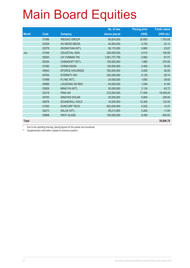|              |       |                        | No. of new    | <b>Placing price</b> | <b>Funds raised</b> |
|--------------|-------|------------------------|---------------|----------------------|---------------------|
| <b>Month</b> | Code  | <b>Company</b>         | shares placed | (HK\$)               | (HK\$ mil.)         |
|              | 01066 | <b>WEIGAO GROUP</b>    | 85,624,000    | 20.600               | 1,763.85            |
|              | 00309 | <b>XH NEWS MEDIA</b>   | 45,900,000    | 0.700                | 32.13               |
|              | 02379 | <b>ZHONGTIAN INT'L</b> | 36,170,000    | 0.660                | 23.87               |
| Jun          | 01049 | CELESTIAL ASIA         | 208,000,000   | 0.510                | 106.08              |
|              | 00263 | <b>CH YUNNAN TIN</b>   | 1,081,737,759 | 0.062                | 67.07               |
|              | 00354 | CHINASOFT INT'L        | 150,000,000   | 1.860                | 279.00              |
|              | 01060 | <b>CHINAVISION</b>     | 125,000,000   | 0.400                | 50.00               |
|              | 00943 | <b>EFORCE HOLDINGS</b> | 760,000,000   | 0.050                | 38.00               |
|              | 00764 | <b>ETERNITY INV</b>    | 220,280,000   | 0.135                | 29.74               |
|              | 01998 | FLYKE INT'L            | 24,000,000    | 1.650                | 39.60               |
|              | 00988 | <b>LOUDONG GN RES</b>  | 40,002,000    | 1.040                | 41.60               |
|              | 03828 | <b>MING FAI INT'L</b>  | 30,000,000    | 2.124                | 63.72               |
|              | 02318 | <b>PING AN</b>         | 272,000,000   | 71.500               | 19,448.00           |
|              | 00750 | <b>SINGYES SOLAR</b>   | 35,000,000    | 6.800                | 238.00              |
|              | 00878 | SOUNDWILL HOLD         | 10,000,000    | 12.200               | 122.00              |
|              | 01063 | <b>SUNCORP TECH</b>    | 653,000,000   | 0.022                | 14.37               |
|              | 00273 | <b>WILLIE INT'L</b>    | 59,213,993    | 0.200                | 11.84               |
|              | 00868 | <b>XINYI GLASS</b>     | 100,000,000   | 8.350                | 835.00              |
| <b>Total</b> |       |                        |               |                      | 39,890.78           |

Due to the reporting time-lag, placing figures for the quarter are provisional.

\*\* Supplementary information update for previous quarters.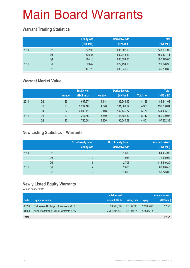### **Warrant Trading Statistics**

|      |                | <b>Equity wts</b><br>(HK\$ mil.) | <b>Derivative wts</b><br>(HK\$ mil.) | <b>Total</b><br>(HK\$ mil.) |
|------|----------------|----------------------------------|--------------------------------------|-----------------------------|
| 2010 | Q <sub>2</sub> | 302.00                           | 538,302.09                           | 538,604.09                  |
|      | Q <sub>3</sub> | 375.85                           | 669,145.29                           | 669,521.14                  |
|      | Q4             | 884.16                           | 896,594.85                           | 897,479.00                  |
| 2011 | Q <sub>1</sub> | 393.42                           | 829,434.95                           | 829,828.38                  |
|      | Q2             | 401.20                           | 636,349.65                           | 636,750.86                  |

### **Warrant Market Value**

|      |                |               | <b>Equity wts</b> |               | <b>Derivative wts</b> |           | <b>Total</b> |
|------|----------------|---------------|-------------------|---------------|-----------------------|-----------|--------------|
|      |                | <b>Number</b> | (HK\$ mil.)       | <b>Number</b> | (HK\$ mil.)           | Total no. | (HK\$ mil.)  |
| 2010 | Q2             | 25            | 1.697.57          | 4.114         | 86,643.45             | 4,139     | 88,341.02    |
|      | Q <sub>3</sub> | 25            | 2.204.10          | 4,348         | 131,501.94            | 4,373     | 133,706.04   |
|      | Q4             | 22            | 2.049.41          | 5.148         | 142.445.77            | 5.170     | 144,495.18   |
| 2011 | Q1             | 23            | 1.217.46          | 5.689         | 148,882.52            | 5,712     | 150,099.98   |
|      | Q2             | 15            | 785.68            | 4.836         | 96,546.69             | 4.851     | 97,332.38    |

### **New Listing Statistics – Warrants**

|      |                | No. of newly listed<br>equity wts | No. of newly listed<br>derivative wts | <b>Amount raised</b><br>(HK\$ mil.) |
|------|----------------|-----------------------------------|---------------------------------------|-------------------------------------|
| 2010 | Q2             | 8                                 | 1,536                                 | 64,484.98                           |
|      | Q <sub>3</sub> | 2                                 | 1,938                                 | 72,490.02                           |
|      | Q4             |                                   | 2,703                                 | 115,549.29                          |
| 2011 | Q1             | っ                                 | 2,056                                 | 86,446.46                           |
|      | Q2             | ∩                                 | 1,606                                 | 59,723.05                           |

### **Newly Listed Equity Warrants**

|              |                                           | Initial issued |                            |            | Amount raised |
|--------------|-------------------------------------------|----------------|----------------------------|------------|---------------|
| Code         | <b>Equity warrants</b>                    | amount (HK\$)  | <b>Listing date Expiry</b> |            | (HK\$ mil.)   |
| 00824        | Culturecom Holdings Ltd. Warrants 2013    | 38,598,000     | 2011/05/03                 | 2013/05/02 | 27.57         |
| 01183        | Allied Properties (HK) Ltd. Warrants 2016 | 2,781,246,634  | 2011/06/15                 | 2016/06/13 |               |
| <b>Total</b> |                                           |                |                            |            | 27.57         |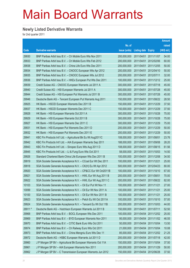### **Newly Listed Derivative Warrants**

|         |                                                              |               |                            |                       | Amount       |
|---------|--------------------------------------------------------------|---------------|----------------------------|-----------------------|--------------|
|         |                                                              | No. of        |                            |                       | raised       |
| Code    | <b>Derivative warrants</b>                                   | issue (units) | <b>Listing date Expiry</b> |                       | $(HK$$ mil.) |
| 29930   | BNP Paribas Arbit Issu B.V. - Ch Mobile Euro Wts Nov 2011    | 200,000,000   | 2011/04/01                 | 2011/11/07            | 54.00        |
| 29933   | BNP Paribas Arbit Issu B.V. - Ch Mobile Euro Wts Feb 2012    | 200,000,000   | 2011/04/01                 | 2012/02/06            | 60.00        |
| 29938   | BNP Paribas Arbit Issu B.V. - China Life Euro Wts Dec 2011   | 200,000,000   | 2011/04/01                 | 2011/12/05            | 50.00        |
| 29934   | BNP Paribas Arbit Issu B.V. - CNOOC European Wts Apr 2012    | 200,000,000   | 2011/04/01                 | 2012/04/10            | 50.00        |
| 29935   | BNP Paribas Arbit Issu B.V. - CNOOC European Wts Jul 2012    | 200,000,000   | 2011/04/01                 | 2012/07/11            | 32.00        |
| 29936   | BNP Paribas Arbit Issu B.V. - HKEx European Put Wts Dec 2011 | 100,000,000   | 2011/04/01                 | 2011/12/12            | 25.00        |
| 29939   | Credit Suisse AG - CNOOC European Warrants Jul 2011 A        | 300,000,000   | 2011/04/01                 | 2011/07/18            | 45.00        |
| 29940   | Credit Suisse AG - HSI European Warrants Jul 2011 A          | 300,000,000   | 2011/04/01                 | 2011/07/28            | 45.00        |
| 29944   | Credit Suisse AG - HSI European Put Warrants Jul 2011 B      | 300,000,000   | 2011/04/01                 | 2011/07/28            | 45.00        |
| 29946   | Deutsche Bank AG - Tencent European Put Warrants Aug 2011    | 150,000,000   | 2011/04/01                 | 2011/08/22            | 28.50        |
| 29925   | HK Bank - HSCEI European Warrants Dec 2011 B                 | 150,000,000   | 2011/04/01                 | 2011/12/29            | 37.50        |
| 29937   | HK Bank – HSCEI European Warrants Dec 2011 C                 | 150,000,000   | 2011/04/01                 | 2011/12/29            | 37.50        |
| 29928   | HK Bank - HSI European Warrants Oct 2011 A                   | 300,000,000   | 2011/04/01                 | 2011/10/28            | 75.00        |
| 29929   | HK Bank - HSI European Warrants Oct 2011 B                   | 300,000,000   | 2011/04/01                 | 2011/10/28            | 75.00        |
| 29927   | HK Bank - HSI European Warrants Dec 2011 C                   | 300,000,000   | 2011/04/01                 | 2011/12/29            | 75.00        |
| 29931   | HK Bank - HSI European Put Warrants Dec 2011 D               | 200,000,000   | 2011/04/01                 | 2011/12/29            | 50.00        |
| 29932   | HK Bank - HSI European Put Warrants Dec 2011 E               | 200,000,000   | 2011/04/01                 | 2011/12/29            | 50.00        |
| 29941   | KBC Fin Products Int'l Ltd. - Agricultural Bk Eu Wt Aug2011C | 108,000,000   | 2011/04/01                 | 2011/08/01            | 23.76        |
| 29942   | KBC Fin Products Int'l Ltd. - AIA European Warrants Sep 2011 | 188,000,000   | 2011/04/01                 | 2011/09/08            | 28.20        |
| 29943   | KBC Fin Products Int'l Ltd. - Sinopec Euro Wts Aug 2011 D    | 108,000,000   | 2011/04/01                 | 2011/08/15            | 61.56        |
| 29945   | KBC Fin Products Int'l Ltd. - Li & Fung Euro Wts Oct 2011    | 58,000,000    | 2011/04/01                 | 2011/10/03            | 14.50        |
| 29926   | Standard Chartered Bank-China Life European Wts Dec 2011 B   | 100,000,000   | 2011/04/01                 | 2011/12/08            | 34.50        |
| 29919   | SGA Societe Generale Acceptance N.V. - CCoal Eur Wt Dec 2011 | 100,000,000   | 2011/04/01                 | 2011/12/21            | 25.00        |
| 29918   | SGA Societe Generale Acceptance N.V. - CK(H) Eu Wt Apr 2012  | 500,000,000   | 2011/04/01                 | 2012/04/23            | 80.00        |
| 29920   | SGA Societe Generale Acceptance N.V. - CP&CC Eur Wt Oct2011B | 100,000,000   | 2011/04/01                 | 2011/10/10            | 67.00        |
| 29921   | SGA Societe Generale Acceptance N.V. - HWL Eur Wt Aug 2011 B | 200,000,000   | 2011/04/01                 | 2011/08/01            | 70.00        |
| 29922   | SGA Societe Generale Acceptance N.V. - HWL Eur Wt Aug 2011 C | 200,000,000   | 2011/04/01                 | 2011/08/22            | 82.00        |
| 10103   | SGA Societe Generale Acceptance N.V. - Oil Eur Put Wt Nov 11 | 100,000,000   | 2011/04/01                 | 2011/11/21            | 27.00        |
| 10099   | SGA Societe Generale Acceptance N.V. - Oil Eur Wt Nov 2011 A | 100,000,000   | 2011/04/01                 | 2011/11/21            | 25.00        |
| 10100   | SGA Societe Generale Acceptance N.V. - Oil Eur Wt Nov 2011 B | 100,000,000   | 2011/04/01                 | 2011/11/21            | 25.00        |
| 29923   | SGA Societe Generale Acceptance N.V. - Petch Eu Wt Oct 2011A | 100,000,000   | 2011/04/01                 | 2011/10/10            | 57.00        |
| 29924   | SGA Societe Generale Acceptance N.V. - Tencent Eu Wt Oct 11B | 200,000,000   | 2011/04/01                 | 2011/10/03            | 44.00        |
| 28911 # | Deutsche Bank AG - Hutchison European Warrants Jul 2011 B    | 150,000,000   | 2011/04/01                 | 2011/07/11            | 52.50        |
| 29968   | BNP Paribas Arbit Issu B.V. - BOCL European Wts Dec 2011     | 100,000,000   | 2011/04/04 2011/12/02      |                       | 25.00        |
| 29969   | BNP Paribas Arbit Issu B.V. - BYD European Warrants Nov 2011 | 95,000,000    |                            | 2011/04/04 2011/11/02 | 46.55        |
| 29970   | BNP Paribas Arbit Issu B.V. - CITIC Bank Euro Wts Oct 2011   | 50,000,000    | 2011/04/04 2011/10/04      |                       | 13.50        |
| 29974   | BNP Paribas Arbit Issu B.V. - Ch Railway Euro Wts Oct 2011   | 21,000,000    | 2011/04/04 2011/10/04      |                       | 10.08        |
| 29973   | BNP Paribas Arbit Issu B.V. - China Mengniu Euro Wts Dec 11  | 85,000,000    | 2011/04/04 2011/12/02      |                       | 21.25        |
| 29972   | Deutsche Bank AG - HSBC European Warrants Jul 2011 D         | 200,000,000   | 2011/04/04 2011/07/18      |                       | 42.00        |
| 29960   | J P Morgan SP BV - Agricultural Bk European Warrants Oct 11A | 150,000,000   | 2011/04/04 2011/10/04      |                       | 37.50        |
| 29961   | J P Morgan SP BV - AIA European Warrants Nov 2011            | 200,000,000   | 2011/04/04 2011/11/29      |                       | 50.00        |
| 29962   | J P Morgan SP BV - C Transmission European Warrants Jun 2012 | 150,000,000   | 2011/04/04 2012/06/28      |                       | 37.50        |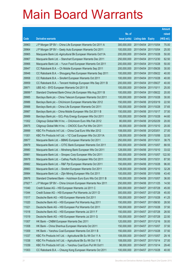|         |                                                              |               |                            |                       | <b>Amount</b> |
|---------|--------------------------------------------------------------|---------------|----------------------------|-----------------------|---------------|
|         |                                                              | No. of        |                            |                       | raised        |
| Code    | <b>Derivative warrants</b>                                   | issue (units) | <b>Listing date Expiry</b> |                       | (HK\$ mil.)   |
| 29963   | J P Morgan SP BV - China Life European Warrants Oct 2011 A   | 300,000,000   |                            | 2011/04/04 2011/10/04 | 75.00         |
| 29964   | J P Morgan SP BV - Geely Auto European Warrants Oct 2011     | 100,000,000   | 2011/04/04 2011/10/04      |                       | 25.00         |
| 29965   | Macquarie Bank Ltd.-Agricultural Bk European Warrants Oct11A | 200,000,000   | 2011/04/04 2011/10/28      |                       | 50.00         |
| 29967   | Macquarie Bank Ltd. - Stanchart European Warrants Dec 2011   | 250,000,000   |                            | 2011/04/04 2011/12/30 | 62.50         |
| 29966   | Macquarie Bank Ltd. - Yurun Food European Warrants Oct 2011  | 200,000,000   | 2011/04/04 2011/10/28      |                       | 50.00         |
| 29947   | CC Rabobank B.A. - Ch Mobile European Warrants Sep 2011      | 200,000,000   |                            | 2011/04/04 2011/09/26 | 30.00         |
| 29948   | CC Rabobank B.A. - Shougang Res European Warrants Sep 2011   | 100,000,000   |                            | 2011/04/04 2011/09/22 | 40.00         |
| 29958   | CC Rabobank B.A. - Sinofert European Warrants Oct 2011       | 100,000,000   | 2011/04/04 2011/10/28      |                       | 40.00         |
| 29959   | CC Rabobank B.A. - Tencent Holdings European Wts Sep 2011 B  | 200,000,000   |                            | 2011/04/04 2011/09/27 | 40.00         |
| 29971   | UBS AG - BYD European Warrants Oct 2011 B                    | 100,000,000   | 2011/04/04 2011/10/11      |                       | 25.00         |
| 28899 # | Standard Chartered Bank-China Life European Wts Aug 2011 B   | 100,000,000   | 2011/04/04 2011/08/22      |                       | 20.00         |
| 29985   | Barclays Bank plc - China Telecom European Warrants Oct 2011 | 100,000,000   | 2011/04/06 2011/10/28      |                       | 30.00         |
| 29986   | Barclays Bank plc - ChiUnicom European Warrants Mar 2012     | 150,000,000   | 2011/04/06 2012/03/19      |                       | 22.50         |
| 29988   | Barclays Bank plc - China Life European Warrants Oct 2011    | 150,000,000   | 2011/04/06 2011/10/28      |                       | 37.65         |
| 29987   | Barclays Bank plc - China Mobile European Wts Oct 2011 B     | 150,000,000   | 2011/04/06 2011/10/17      |                       | 37.50         |
| 29989   | Barclays Bank plc - GCL-Poly Energy European Wts Oct 2011    | 100,000,000   | 2011/04/06 2011/10/28      |                       | 44.60         |
| 11002   | Citigroup Global Mkt H Inc. - ChiUnicom Euro Wts Feb 2012    | 80,000,000    |                            | 2011/04/06 2012/02/29 | 20.00         |
| 29975   | Citigroup Global Mkt H Inc. - CNOOC Euro Put Wts Oct 2011    | 80,000,000    | 2011/04/06 2011/10/10      |                       | 20.00         |
| 29999   | KBC Fin Products Int'l Ltd. - China Coal Euro Wts Mar 2012   | 108,000,000   | 2011/04/06 2012/03/01      |                       | 27.00         |
| 11001   | KBC Fin Products Int'l Ltd. - YZ Coal European Wts Oct 2011A | 128,000,000   |                            | 2011/04/06 2011/10/06 | 32.00         |
| 29977   | Macquarie Bank Ltd. - BBMG European Warrants Oct 2011        | 250,000,000   | 2011/04/06 2011/10/31      |                       | 38.75         |
| 29979   | Macquarie Bank Ltd. - CITIC Bank European Warrants Oct 2011  | 350,000,000   | 2011/04/06 2011/10/07      |                       | 88.55         |
| 29980   | Macquarie Bank Ltd. - Minsheng Bank European Wts Oct 2011    | 128,000,000   | 2011/04/06 2011/10/10      |                       | 33.02         |
| 29981   | Macquarie Bank Ltd. - Sinopec Corp European Wts Oct 2011     | 350,000,000   |                            | 2011/04/06 2011/10/07 | 122.50        |
| 29978   | Macquarie Bank Ltd. - Cathay Pacific European Wts Oct 2011   | 350,000,000   | 2011/04/06 2011/10/31      |                       | 87.50         |
| 29982   | Macquarie Bank Ltd. - R&F Ppt European Warrants Oct 2011     | 150,000,000   | 2011/04/06 2011/10/28      |                       | 96.00         |
| 29983   | Macquarie Bank Ltd. - Sinofert European Warrants Oct 2011    | 128,000,000   |                            | 2011/04/06 2011/10/10 | 32.26         |
| 29984   | Macquarie Bank Ltd. - Zijin Mining European Wts Oct 2011     | 100,000,000   | 2011/04/06 2011/10/06      |                       | 43.40         |
| 29976   | Standard Chartered Bank - Hutchison Euro Euro Wts Oct 2011 B | 100,000,000   | 2011/04/06 2011/10/07      |                       | 36.00         |
| 27927 # | J P Morgan SP BV - China Unicom European Warrants Nov 2011   | 250,000,000   | 2011/04/06 2011/11/25      |                       | 14.50         |
| 11040   | Credit Suisse AG - HSI European Warrants Jul 2011 C          | 300,000,000   | 2011/04/07 2011/07/28      |                       | 45.00         |
| 11044   | Credit Suisse AG - HSI European Put Warrants Jul 2011 D      | 300,000,000   | 2011/04/07 2011/07/28      |                       | 45.00         |
| 11017   | Deutsche Bank AG - HSI European Warrants Oct 2011            | 150,000,000   | 2011/04/07 2011/10/28      |                       | 41.25         |
| 11020   | Deutsche Bank AG - HSI European Put Warrants Aug 2011        | 150,000,000   | 2011/04/07 2011/08/30      |                       | 28.50         |
| 11021   | Deutsche Bank AG - HSI European Put Warrants Oct 2011        | 150,000,000   | 2011/04/07 2011/10/28      |                       | 37.50         |
| 11018   | Deutsche Bank AG - HSI European Warrants Jul 2011 F          | 150,000,000   | 2011/04/07 2011/07/28      |                       | 28.50         |
| 11019   | Deutsche Bank AG - HSI European Warrants Jul 2011 G          | 150,000,000   | 2011/04/07 2011/07/28      |                       | 22.50         |
| 11007   | HK Bank - CNBM European Warrants Dec 2011                    | 120,000,000   | 2011/04/07 2011/12/16      |                       | 30.00         |
| 11008   | HK Bank - China Shenhua European Warrants Oct 2011           | 150,000,000   | 2011/04/07 2011/10/07      |                       | 37.50         |
| 11009   | HK Bank - Yanzhou Coal European Warrants Oct 2011 B          | 150,000,000   | 2011/04/07 2011/10/28      |                       | 37.50         |
| 11037   | KBC Fin Products Int'l Ltd. - Agricultural Bk Eu Wt Oct 11 A | 108,000,000   | 2011/04/07 2011/10/07      |                       | 29.16         |
| 11038   | KBC Fin Products Int'l Ltd. - Agricultural Bk Eu Wt Oct 11 B | 108,000,000   | 2011/04/07 2011/10/14      |                       | 27.00         |
| 11039   | KBC Fin Products Int'l Ltd. - Yanzhou Coal Euro Put Wt Oct11 | 98,000,000    | 2011/04/07 2011/10/14      |                       | 29.40         |
| 11003   | CC Rabobank B.A. - Cheung Kong European Warrants Oct 2011    | 100,000,000   | 2011/04/07 2011/10/28      |                       | 40.00         |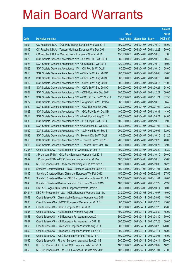|         |                                                              |               |                            |            | <b>Amount</b> |
|---------|--------------------------------------------------------------|---------------|----------------------------|------------|---------------|
|         |                                                              | No. of        |                            |            | raised        |
| Code    | <b>Derivative warrants</b>                                   | issue (units) | <b>Listing date Expiry</b> |            | (HK\$ mil.)   |
| 11004   | CC Rabobank B.A. - GCL-Poly Energy European Wts Oct 2011     | 100,000,000   | 2011/04/07 2011/10/10      |            | 35.00         |
| 11005   | CC Rabobank B.A. - Tencent Holdings European Wts Dec 2011    | 200,000,000   | 2011/04/07 2011/12/23      |            | 30.00         |
| 11006   | CC Rabobank B.A. - Weichai Power European Wts Oct 2011 B     | 150,000,000   | 2011/04/07 2011/10/10      |            | 87.00         |
| 11023   | SGA Societe Generale Acceptance N.V. - Ch Mer H Eu Wt Oct11  | 80,000,000    | 2011/04/07 2011/10/10      |            | 30.40         |
| 11024   | SGA Societe Generale Acceptance N.V.-Ch Oilfield Eu Wt Oct11 | 120,000,000   | 2011/04/07 2011/10/10      |            | 30.00         |
| 11025   | SGA Societe Generale Acceptance N.V. - Chi Res Eu Wt Oct11   | 80,000,000    | 2011/04/07 2011/10/10      |            | 28.00         |
| 11010   | SGA Societe Generale Acceptance N.V. - CLife Eu Wt Aug 2011D | 300,000,000   | 2011/04/07 2011/08/08      |            | 45.00         |
| 11011   | SGA Societe Generale Acceptance N.V. - CLife Eu Wt Aug 2011E | 300,000,000   | 2011/04/07 2011/08/15      |            | 66.00         |
| 11012   | SGA Societe Generale Acceptance N.V. - CLife Eu Wt Aug 2011F | 300,000,000   | 2011/04/07 2011/08/15      |            | 51.00         |
| 11013   | SGA Societe Generale Acceptance N.V. - CLife Eu Wt Sep 2011C | 300,000,000   | 2011/04/07 2011/09/21      |            | 54.00         |
| 11022   | SGA Societe Generale Acceptance N.V. - CMB Euro Wts Dec 2011 | 200,000,000   | 2011/04/07 2011/12/21      |            | 50.00         |
| 11026   | SGA Societe Generale Acceptance N.V. - COSCO Pac Eu Wt Nov11 | 150,000,000   | 2011/04/07 2011/11/21      |            | 37.50         |
| 11027   | SGA Societe Generale Acceptance N.V.-Evergrande Eu Wt Oct11A | 80,000,000    | 2011/04/07 2011/10/10      |            | 38.40         |
| 11029   | SGA Societe Generale Acceptance N.V. - GAC Eur Wts Jan 2012  | 120,000,000   | 2011/04/07 2012/01/04      |            | 22.80         |
| 11028   | SGA Societe Generale Acceptance N.V. - GCL-Poly Eu Wt Oct11B | 100,000,000   | 2011/04/07 2011/10/31      |            | 44.00         |
| 11014   | SGA Societe Generale Acceptance N.V. - HWL Eur Wt Aug 2011 D | 200,000,000   | 2011/04/07 2011/08/24      |            | 94.00         |
| 11030   | SGA Societe Generale Acceptance N.V. - Li & Fung Eu Wt Oct11 | 100,000,000   | 2011/04/07 2011/10/10      |            | 32.00         |
| 11031   | SGA Societe Generale Acceptance N.V-Nine Dragons Eu Wt Jul12 | 150,000,000   | 2011/04/07 2012/07/04      |            | 37.50         |
| 11032   | SGA Societe Generale Acceptance N.V. - SJM Hold Eu Wt Sep 11 | 200,000,000   | 2011/04/07 2011/09/05      |            | 32.00         |
| 11033   | SGA Societe Generale Acceptance N.V.-SkyworthDig Eu Wt Oct11 | 80,000,000    | 2011/04/07 2011/10/10      |            | 31.20         |
| 11015   | SGA Societe Generale Acceptance N.V. - Tencent Eu Wt Sep 11B | 200,000,000   | 2011/04/07 2011/09/28      |            | 40.00         |
| 11016   | SGA Societe Generale Acceptance N.V. - Tencent Eu Wt Oct 11C | 200,000,000   | 2011/04/07 2011/10/26      |            | 32.00         |
| 29296 # | Credit Suisse AG - HSI European Put Warrants Jun 2011 F      | 300,000,000   | 2011/04/07 2011/06/29      |            | 15.30         |
| 11046   | J P Morgan SP BV - GCL-Poly European Warrants Oct 2011       | 100,000,000   | 2011/04/08 2011/10/10      |            | 50.00         |
| 11047   | J P Morgan SP BV - ICBC European Warrants Oct 2011A          | 100,000,000   | 2011/04/08 2011/10/10      |            | 25.00         |
| 11048   | KBC Fin Products Int'l Ltd-Tencent Holdings Eu Put Wt Sep 11 | 108,000,000   | 2011/04/08 2011/09/05      |            | 16.20         |
| 11041   | Standard Chartered Bank - BOCL European Warrants Nov 2011    | 100,000,000   | 2011/04/08 2011/11/01      |            | 25.00         |
| 11042   | Standard Chartered Bank-China Life European Wts Feb 2012     | 150,000,000   | 2011/04/08 2012/02/01      |            | 37.50         |
| 11043   | Standard Chartered Bank - HSBC European Warrants Nov 2011 A  | 100,000,000   | 2011/04/08 2011/11/01      |            | 40.00         |
| 11045   | Standard Chartered Bank - Hutchison Euro Euro Wts Jul 2013   | 100,000,000   | 2011/04/08 2013/07/29      |            | 22.30         |
| 11049   | UBS AG - Agricultural Bank European Warrants Oct 2011        | 200,000,000   | 2011/04/08 2011/10/11      |            | 50.00         |
| 25434 # | KBC Fin Products Int'l Ltd. - HKEx European Warrants Oct 11A | 280,000,000   | 2011/04/08 2011/10/07      |            | 49.00         |
| 11059   | Credit Suisse AG - China Mobile European Warrants Aug 2011   | 300,000,000   | 2011/04/11                 | 2011/08/08 | 45.00         |
| 11060   | Credit Suisse AG - CNOOC European Warrants Jul 2011 B        | 300,000,000   | 2011/04/11                 | 2011/07/25 | 45.00         |
| 11061   | Credit Suisse AG - HSBC European Wts Jul 2011                | 300,000,000   | 2011/04/11                 | 2011/07/25 | 45.00         |
| 11056   | Credit Suisse AG - HSI European Warrants Aug 2011            | 300,000,000   | 2011/04/11                 | 2011/08/30 | 45.00         |
| 11058   | Credit Suisse AG - HSI European Put Warrants Aug 2011        | 300,000,000   | 2011/04/11                 | 2011/08/30 | 60.00         |
| 11057   | Credit Suisse AG - HSI European Put Warrants Jul 2011 E      | 300,000,000   | 2011/04/11                 | 2011/07/28 | 60.00         |
| 11063   | Credit Suisse AG - Hutchison European Warrants Aug 2011      | 300,000,000   | 2011/04/11                 | 2011/08/29 | 120.00        |
| 11062   | Credit Suisse AG - Hutchison European Warrants Jul 2011 E    | 300,000,000   | 2011/04/11                 | 2011/07/11 | 45.00         |
| 11064   | Credit Suisse AG - ICBC European Warrants Aug 2011 A         | 300,000,000   | 2011/04/11                 | 2011/08/01 | 45.00         |
| 11065   | Credit Suisse AG - Ping An European Warrants Sep 2011 B      | 300,000,000   | 2011/04/11                 | 2011/09/14 | 150.00        |
| 11066   | KBC Fin Products Int'l Ltd. - BOCL European Wts Sep 2011     | 108,000,000   | 2011/04/11                 | 2011/09/09 | 16.20         |
| 11068   | KBC Fin Products Int'l Ltd. - Ch Overseas Euro Wts Nov 2011  | 108,000,000   | 2011/04/11                 | 2011/11/01 | 27.00         |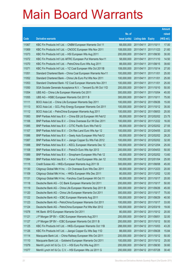|       |                                                               |               |                            |                       | <b>Amount</b> |
|-------|---------------------------------------------------------------|---------------|----------------------------|-----------------------|---------------|
|       |                                                               | No. of        |                            |                       | raised        |
| Code  | <b>Derivative warrants</b>                                    | issue (units) | <b>Listing date Expiry</b> |                       | (HK\$ mil.)   |
| 11067 | KBC Fin Products Int'l Ltd. - CNBM European Warrants Oct 11   | 68,000,000    | 2011/04/11 2011/10/11      |                       | 17.00         |
| 11069 | KBC Fin Products Int'l Ltd. - CNOOC European Wts Nov 2011     | 108,000,000   | 2011/04/11 2011/11/23      |                       | 21.60         |
| 11073 | KBC Fin Products Int'l Ltd. - HSI European Wts Aug 2011       | 200,000,000   | 2011/04/11                 | 2011/08/30            | 30.00         |
| 11072 | KBC Fin Products Int'l Ltd.-MTRC European Put Warrants Nov11  | 58,000,000    | 2011/04/11 2011/11/10      |                       | 14.50         |
| 11070 | KBC Fin Products Int'l Ltd. - PetroChina Euro Wts Aug 2011    | 88,000,000    | 2011/04/11                 | 2011/08/15            | 39.60         |
| 11071 | KBC Fin Products Int'l Ltd. - YZ Coal European Wts Oct 2011B  | 108,000,000   | 2011/04/11 2011/10/14      |                       | 27.00         |
| 11051 | Standard Chartered Bank - China Coal European Warrants Nov11  | 100,000,000   | 2011/04/11                 | 2011/11/01            | 25.00         |
| 11052 | Standard Chartered Bank - China Life Euro Put Wts Nov 2011    | 100,000,000   | 2011/04/11 2011/11/01      |                       | 25.00         |
| 11053 | Standard Chartered Bank - YZ Coal European Warrants Nov 2011  | 100,000,000   | 2011/04/11                 | 2011/11/01            | 25.00         |
| 11050 | SGA Societe Generale Acceptance N.V. - Tencent Eu Wt Oct 11D  | 200,000,000   | 2011/04/11 2011/10/10      |                       | 50.00         |
| 11054 | UBS AG - China Life European Warrants Oct 2011                | 300,000,000   | 2011/04/11                 | 2011/10/04            | 45.00         |
| 11055 | UBS AG - HSBC European Warrants Oct 2011 B                    | 300,000,000   | 2011/04/11 2011/10/11      |                       | 75.00         |
| 11111 | BOCI Asia Ltd. - China Life European Warrants Sep 2011        | 100,000,000   |                            | 2011/04/12 2011/09/26 | 15.00         |
| 11113 | BOCI Asia Ltd. - GCL-Poly Energy European Warrants Oct 2011   | 100,000,000   | 2011/04/12 2011/10/12      |                       | 35.00         |
| 11112 | BOCI Asia Ltd. - PetroChina European Warrants Aug 2011        | 100,000,000   | 2011/04/12 2011/08/03      |                       | 25.00         |
| 11083 | BNP Paribas Arbit Issu B.V. - China EB Ltd European Wt Feb12  | 95,000,000    | 2011/04/12 2012/02/02      |                       | 23.75         |
| 11106 | BNP Paribas Arbit Issu B.V. - China Overseas Eur Wt Dec 2011  | 100,000,000   |                            | 2011/04/12 2011/12/22 | 16.00         |
| 11085 | BNP Paribas Arbit Issu B.V. - CITIC Pacific Euro Wts Feb12    | 95,000,000    |                            | 2011/04/12 2012/02/02 | 27.55         |
| 11107 | BNP Paribas Arbit Issu B.V. - Chi Res Land Euro Wts Apr 12    | 100,000,000   | 2011/04/12 2012/04/05      |                       | 22.00         |
| 11086 | BNP Paribas Arbit Issu B.V. - Geely Auto European Wts Feb12   | 60,000,000    | 2011/04/12 2012/02/02      |                       | 28.20         |
| 11087 | BNP Paribas Arbit Issu B.V. - Jiangxi Copper Eu Wts Feb 2012  | 100,000,000   |                            | 2011/04/12 2012/02/02 | 32.00         |
| 11088 | BNP Paribas Arbit Issu B.V. - KECL European Warrants Dec 12   | 100,000,000   | 2011/04/12 2012/12/04      |                       | 25.00         |
| 11108 | BNP Paribas Arbit Issu B.V. - PetroCh Euro Wts Apr 2013       | 200,000,000   | 2011/04/12 2013/04/03      |                       | 50.00         |
| 11089 | BNP Paribas Arbit Issu B.V. - Sinopharm European Wts Feb 12   | 40,000,000    | 2011/04/12 2012/02/02      |                       | 13.60         |
| 11084 | BNP Paribas Arbit Issu B.V. - Yurun Food European Wts Jan 12  | 100,000,000   | 2011/04/12 2012/01/04      |                       | 25.00         |
| 11115 | Credit Suisse AG - HKEx European Warrants Aug 2011 B          | 300,000,000   | 2011/04/12 2011/08/08      |                       | 45.00         |
| 11130 | Citigroup Global Mkt H Inc. - Ch Overseas Euro Wts Dec 2011   | 80,000,000    | 2011/04/12 2011/12/23      |                       | 20.00         |
| 11109 | Citigroup Global Mkt H Inc. - HKEx European Wts Dec 2011      | 80,000,000    | 2011/04/12 2011/12/02      |                       | 12.00         |
| 11131 | Citigroup Global Mkt H Inc. - Yanzhou Coal European Wt Oct 11 | 80,000,000    | 2011/04/12 2011/10/17      |                       | 20.00         |
| 11118 | Deutsche Bank AG - CC Bank European Warrants Oct 2011         | 200,000,000   | 2011/04/12 2011/10/17      |                       | 50.00         |
| 11119 | Deutsche Bank AG - China Life European Warrants Sep 2011 B    | 300,000,000   | 2011/04/12 2011/09/26      |                       | 45.00         |
| 11120 | Deutsche Bank AG - China Life European Warrants Oct 2011      | 300,000,000   | 2011/04/12 2011/10/17      |                       | 75.00         |
| 11122 | Deutsche Bank AG - ICBC European Warrants Aug 2011            | 150,000,000   | 2011/04/12 2011/08/29      |                       | 40.50         |
| 11123 | Deutsche Bank AG - PetroChina European Warrants Oct 2011      | 100,000,000   | 2011/04/12 2011/10/17      |                       | 33.00         |
| 11124 | Deutsche Bank AG - PetroChina European Put Wts Mar 2012       | 100,000,000   | 2011/04/12 2012/03/19      |                       | 19.00         |
| 11078 | HK Bank - BYD European Warrants Oct 2011                      | 80,000,000    | 2011/04/12 2011/10/12      |                       | 20.00         |
| 11121 | J P Morgan SP BV - ICBC European Warrants Aug 2011            | 200,000,000   | 2011/04/12 2011/08/01      |                       | 32.00         |
| 11127 | J P Morgan SP BV - ICBC European Warrants Oct 2011 B          | 200,000,000   | 2011/04/12 2011/10/12      |                       | 50.00         |
| 11125 | KBC Fin Products Int'l Ltd. - HKEx European Warrants Oct 11B  | 288,000,000   | 2011/04/12 2011/10/03      |                       | 43.20         |
| 11126 | KBC Fin Products Int'l Ltd. - Jiangxi Copper Eu Wts Sep 11D   | 88,000,000    | 2011/04/12 2011/09/28      |                       | 15.84         |
| 11114 | Macquarie Bank Ltd. - China Railway European Wts Oct 2011     | 200,000,000   | 2011/04/12 2011/10/12      |                       | 50.00         |
| 11110 | Macquarie Bank Ltd. - Goldwind European Warrants Oct 2011     | 100,000,000   | 2011/04/12 2011/10/12      |                       | 25.00         |
| 11079 | Merrill Lynch Int'l & Co. C.V. - HSI Euro Put Wts Aug 2011    | 200,000,000   | 2011/04/12 2011/08/30      |                       | 30.60         |
| 11077 | Merrill Lynch Int'l & Co. C.V. - HSI European Wts Jul 2011 G  | 200,000,000   | 2011/04/12 2011/07/28      |                       | 30.40         |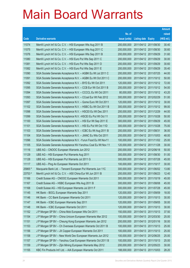|         |                                                               |               |                            | <b>Amount</b> |
|---------|---------------------------------------------------------------|---------------|----------------------------|---------------|
|         |                                                               | No. of        |                            | raised        |
| Code    | <b>Derivative warrants</b>                                    | issue (units) | <b>Listing date Expiry</b> | (HK\$ mil.)   |
| 11074   | Merrill Lynch Int'l & Co. C.V. - HSI European Wts Aug 2011 B  | 200,000,000   | 2011/04/12 2011/08/30      | 30.40         |
| 11075   | Merrill Lynch Int'l & Co. C.V. - HSI European Wts Aug 2011 C  | 200,000,000   | 2011/04/12 2011/08/30      | 30.60         |
| 11076   | Merrill Lynch Int'l & Co. C.V. - HSI European Wts Sep 2011 B  | 200,000,000   | 2011/04/12 2011/09/29      | 31.60         |
| 11080   | Merrill Lynch Int'l & Co. C.V. - HSI Euro Put Wts Sep 2011 C  | 200,000,000   | 2011/04/12 2011/09/29      | 30.00         |
| 11081   | Merrill Lynch Int'l & Co. C.V. - HSI Euro Put Wts Sep 2011 D  | 200,000,000   | 2011/04/12 2011/09/29      | 30.60         |
| 11082   | Merrill Lynch Int'l & Co. C.V. - HSI Euro Put Wts Sep 2011 E  | 200,000,000   | 2011/04/12 2011/09/29      | 35.40         |
| 11090   | SGA Societe Generale Acceptance N.V. - AGBK Eu Wt Jul 2011 C  | 200,000,000   | 2011/04/12 2011/07/25      | 44.00         |
| 11091   | SGA Societe Generale Acceptance N.V. - AGBK Eu Wt Oct 2011 C  | 200,000,000   | 2011/04/12 2011/10/12      | 50.00         |
| 11092   | SGA Societe Generale Acceptance N.V. - BYD Eu Wt Oct 2011     | 120,000,000   | 2011/04/12 2011/10/12      | 72.00         |
| 11095   | SGA Societe Generale Acceptance N.V. - CCB Eur Wt Oct 2011 B  | 200,000,000   | 2011/04/12 2011/10/12      | 54.00         |
| 11094   | SGA Societe Generale Acceptance N.V. - CCCCL Eu Wt Oct 2011   | 80,000,000    | 2011/04/12 2011/10/12      | 43.20         |
| 11093   | SGA Societe Generale Acceptance N.V. - CCoal Eur Wt Feb 2012  | 300,000,000   | 2011/04/12 2012/02/29      | 51.00         |
| 11097   | SGA Societe Generale Acceptance N.V. - Gome Euro Wt Oct 2011  | 120,000,000   | 2011/04/12 2011/10/12      | 30.00         |
| 11102   | SGA Societe Generale Acceptance N.V. - HSBC Eu Wt Oct 2011 B  | 300,000,000   | 2011/04/12 2011/10/12      | 99.00         |
| 11098   | SGA Societe Generale Acceptance N.V. - HSCEI Eu Wt Dec 2011   | 200,000,000   | 2011/04/12 2011/12/29      | 44.00         |
| 11099   | SGA Societe Generale Acceptance N.V. - HSCEI Eu Put Wt Oct 11 | 200,000,000   | 2011/04/12 2011/10/28      | 50.00         |
| 11100   | SGA Societe Generale Acceptance N.V. - HSI Eur Wt Sep 2011 E  | 300,000,000   | 2011/04/12 2011/09/29      | 45.00         |
| 11101   | SGA Societe Generale Acceptance N.V. - HSI Eu Put Wt Oct 11D  | 300,000,000   | 2011/04/12 2011/10/28      | 75.00         |
| 11103   | SGA Societe Generale Acceptance N.V. - ICBC Eu Wt Aug 2011 B  | 200,000,000   | 2011/04/12 2011/08/31      | 36.00         |
| 11104   | SGA Societe Generale Acceptance N.V. - JIANC Eu Wts Oct 2011  | 200,000,000   | 2011/04/12 2011/10/03      | 48.00         |
| 11096   | SGA Societe Generale Acceptance N.V. - Yurun Food Eu Wt Nov11 | 100,000,000   | 2011/04/12 2011/11/02      | 25.00         |
| 11105   | SGA Societe Generale Acceptance NV-Yanzhou Coal Eu Wt Nov 11  | 120,000,000   | 2011/04/12 2011/11/28      | 30.00         |
| 11116   | UBS AG - CNOOC European Warrants Jun 2012                     | 200,000,000   | 2011/04/12 2012/06/18      | 50.00         |
| 11129   | UBS AG - HSI European Put Warrants Aug 2011                   | 300,000,000   | 2011/04/12 2011/08/30      | 51.00         |
| 11128   | UBS AG - HSI European Put Warrants Jul 2011 G                 | 300,000,000   | 2011/04/12 2011/07/28      | 45.00         |
| 11117   | UBS AG - Ping An European Warrants Oct 2011                   | 100,000,000   | 2011/04/12 2011/10/17      | 30.00         |
| 25865 # | Macquarie Bank Ltd. - Tencent European Put Warrants Jun 11C   | 300,000,000   | 2011/04/12 2011/06/02      | 13.80         |
| 23753 # | Merrill Lynch Int'l & Co. C.V. - A50 China Eur Wt Jun 2011 B  | 200,000,000   | 2011/04/12 2011/06/23      | 12.40         |
| 11166   | Credit Suisse AG - CNOOC European Warrants Oct 2011           | 300,000,000   | 2011/04/13 2011/10/19      | 45.00         |
| 11167   | Credit Suisse AG - HSBC European Wts Aug 2011 B               | 300,000,000   | 2011/04/13 2011/08/08      | 45.00         |
| 11168   | Credit Suisse AG - HSI European Warrants Jul 2011 F           | 300,000,000   | 2011/04/13 2011/07/28      | 45.00         |
| 11145   | HK Bank - BOCL European Warrants Sep 2011                     | 120,000,000   | 2011/04/13 2011/09/09      | 18.00         |
| 11146   | HK Bank - CC Bank European Warrants Oct 2011                  | 120,000,000   | 2011/04/13 2011/10/13      | 30.00         |
| 11147   | HK Bank - ICBC European Warrants Sep 2011                     | 120,000,000   | 2011/04/13 2011/09/05      | 30.00         |
| 11148   | HK Bank - ICBC European Warrants Oct 2011                     | 120,000,000   | 2011/04/13 2011/10/13      | 30.00         |
| 11152   | J P Morgan SP BV - China Mob European Wts Oct 2011            | 150,000,000   | 2011/04/13 2011/10/13      | 37.50         |
| 11154   | J P Morgan SP BV - China Unicom European Warrants Mar 2012    | 100,000,000   | 2011/04/13 2012/03/30      | 25.00         |
| 11151   | J P Morgan SP BV - Cheung Kong European Warrants Jan 2012     | 200,000,000   | 2011/04/13 2012/01/16      | 30.00         |
| 11153   | J P Morgan SP BV - Ch Overseas European Warrants Oct 2011 B   | 100,000,000   | 2011/04/13 2011/10/13      | 25.00         |
| 11156   | J P Morgan SP BV - JX Copper European Warrants Oct 2011       | 100,000,000   | 2011/04/13 2011/10/13      | 25.00         |
| 11158   | J P Morgan SP BV - New World Dev European Warrants Jun 2012   | 100,000,000   | 2011/04/13 2012/06/25      | 25.00         |
| 11157   | J P Morgan SP BV - Yanzhou Coal European Warrants Oct 2011 B  | 100,000,000   | 2011/04/13 2011/10/13      | 25.00         |
| 11159   | J P Morgan SP BV - Zijin Mining European Warrants May 2012    | 200,000,000   | 2011/04/13 2012/05/23      | 30.00         |
| 11155   | KBC Fin Products Int'l Ltd. - AIA European Warrants Oct 2011  | 188,000,000   | 2011/04/13 2011/10/03      | 28.20         |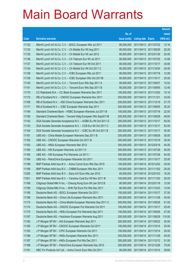|       |                                                              |               |                            |                       | <b>Amount</b> |
|-------|--------------------------------------------------------------|---------------|----------------------------|-----------------------|---------------|
|       |                                                              | No. of        |                            |                       | raised        |
| Code  | <b>Derivative warrants</b>                                   | issue (units) | <b>Listing date Expiry</b> |                       | $(HK$$ mil.)  |
| 11132 | Merrill Lynch Int'l & Co. C.V. - BOCL European Wts Jul 2011  | 80,000,000    |                            | 2011/04/13 2011/07/22 | 12.16         |
| 11133 | Merrill Lynch Int'l & Co. C.V. - Ch Mobile Eur Wt Aug 2011   | 80,000,000    | 2011/04/13 2011/08/29      |                       | 25.20         |
| 11135 | Merrill Lynch Int'l & Co. C.V. - Ch Mobile Eur Wt Jan 2012   | 80,000,000    |                            | 2011/04/13 2012/01/30 | 20.40         |
| 11136 | Merrill Lynch Int'l & Co. C.V. - Ch Telecom Eur Wt Jul 2011  | 80,000,000    | 2011/04/13 2011/07/25      |                       | 14.08         |
| 11137 | Merrill Lynch Int'l & Co. C.V. - Ch Telecom Eur Wt Oct 2011  | 80,000,000    |                            | 2011/04/13 2011/10/17 | 34.80         |
| 11134 | Merrill Lynch Int'l & Co. C.V. - Ch Mobile Eur Wt Oct 2011 C | 80,000,000    | 2011/04/13 2011/10/24      |                       | 20.40         |
| 11138 | Merrill Lynch Int'l & Co. C.V. - ICBC European Wts Jul 2011  | 80,000,000    | 2011/04/13 2011/07/18      |                       | 12.08         |
| 11139 | Merrill Lynch Int'l & Co. C.V. - ICBC European Wts Oct 2011B | 80,000,000    | 2011/04/13 2011/10/17      |                       | 20.00         |
| 11140 | Merrill Lynch Int'l & Co. C.V. - Tencent Euro Wts Sep 2011 A | 80,000,000    |                            | 2011/04/13 2011/09/27 | 15.52         |
| 11141 | Merrill Lynch Int'l & Co. C.V. - Tencent Euro Wts Sep 2011 B | 80,000,000    | 2011/04/13 2011/09/05      |                       | 12.40         |
| 11170 | CC Rabobank B.A. - CC Bank European Warrants Dec 2011        | 100,000,000   |                            | 2011/04/13 2011/12/02 | 15.10         |
| 11172 | RB of Scotland N.V. - CNOOC European Warrants Nov 2011       | 200,000,000   | 2011/04/13 2011/11/21      |                       | 33.00         |
| 11169 | RB of Scotland N.V. - A50 China European Warrants Dec 2011   | 250,000,000   | 2011/04/13 2011/12/19      |                       | 37.75         |
| 11171 | RB of Scotland N.V. - ICBC European Warrants Sep 2011        | 200,000,000   | 2011/04/13 2011/09/05      |                       | 30.20         |
| 11149 | Standard Chartered Bank - HSBC European Warrants Jul 2011 B  | 100,000,000   | 2011/04/13 2011/07/18      |                       | 22.00         |
| 11150 | Standard Chartered Bank - Tencent Hidg European Wts Sep2011B | 200,000,000   | 2011/04/13 2011/09/28      |                       | 49.60         |
| 11142 | SGA Societe Generale Acceptance N.V. - AGBK Eu Wt Oct 2011 D | 200,000,000   | 2011/04/13 2011/10/17      |                       | 50.00         |
| 11143 | SGA Societe Generale Acceptance N.V. - CCB Eur Wt Oct 2011 C | 200,000,000   | 2011/04/13 2011/10/17      |                       | 52.00         |
| 11144 | SGA Societe Generale Acceptance N.V. - ICBC Eu Wt Oct 2011 B | 200,000,000   | 2011/04/13 2011/10/17      |                       | 50.00         |
| 11161 | UBS AG - China Mobile European Warrants Sep 2011 B           | 200,000,000   | 2011/04/13 2011/09/26      |                       | 30.00         |
| 11162 | UBS AG - CNOOC European Warrants Oct 2011 B                  | 200,000,000   | 2011/04/13 2011/10/19      |                       | 30.00         |
| 11163 | UBS AG - HKEx European Warrants Mar 2012                     | 300,000,000   | 2011/04/13 2012/03/19      |                       | 45.00         |
| 11160 | UBS AG - HSI European Warrants Jul 2011 H                    | 300,000,000   | 2011/04/13 2011/07/28      |                       | 45.00         |
| 11165 | UBS AG - HSI European Put Warrants Jul 2011 I                | 300,000,000   | 2011/04/13 2011/07/28      |                       | 54.00         |
| 11164 | UBS AG - PetroChina European Warrants Oct 2011               | 100,000,000   | 2011/04/13 2011/10/17      |                       | 25.00         |
| 11198 | BNP Paribas Arbit Issu B.V. - Anhui Conch Euro Wts Dec 2015  | 100,000,000   | 2011/04/14 2015/12/02      |                       | 25.00         |
| 11199 | BNP Paribas Arbit Issu B.V. - CNBM European Wts Nov 2011     | 100,000,000   | 2011/04/14 2011/11/02      |                       | 25.00         |
| 11200 | BNP Paribas Arbit Issu B.V. - Sany Int'l Euro Wts Jan 2012   | 65,000,000    | 2011/04/14 2012/01/03      |                       | 16.25         |
| 11201 | BNP Paribas Arbit Issu B.V. - Yanzhou Coal Eur Wt Nov 2011 B | 100,000,000   |                            | 2011/04/14 2011/11/02 | 25.00         |
| 11189 | Citigroup Global Mkt H Inc. - Cheung Kong Euro Wt Jan 2012 B | 80,000,000    | 2011/04/14 2012/01/18      |                       | 12.00         |
| 11190 | Citigroup Global Mkt H Inc. - SHK Ppt Euro Put Wts Dec 2011  | 80,000,000    | 2011/04/14 2011/12/23      |                       | 12.00         |
| 11195 | Deutsche Bank AG - BOCL European Warrants Oct 2011           | 150,000,000   | 2011/04/14 2011/10/17      |                       | 37.50         |
| 11196 | Deutsche Bank AG - China Life European Warrants Nov 2011     | 300,000,000   | 2011/04/14 2011/11/28      |                       | 45.00         |
| 11173 | Deutsche Bank AG - China Mobile European Warrants Sep 2011 C | 300,000,000   | 2011/04/14 2011/09/26      |                       | 51.00         |
| 11174 | Deutsche Bank AG - CNOOC European Put Warrants Oct 2011      | 100,000,000   | 2011/04/14 2011/10/17      |                       | 25.00         |
| 11175 | Deutsche Bank AG - HKEx European Put Warrants Sep 2011       | 150,000,000   | 2011/04/14 2011/09/26      |                       | 27.00         |
| 11197 | Deutsche Bank AG - Hutchison European Warrants Aug 2011      | 200,000,000   | 2011/04/14 2011/08/29      |                       | 110.00        |
| 11182 | J P Morgan SP BV - AIA European Warrants Sep 2011            | 200,000,000   | 2011/04/14 2011/09/22      |                       | 30.00         |
| 11185 | J P Morgan SP BV - CNOOC European Warrants Oct 2011          | 100,000,000   | 2011/04/14 2011/10/14      |                       | 25.00         |
| 11183 | J P Morgan SP BV - CPIC European Warrants Oct 2011           | 100,000,000   | 2011/04/14 2011/10/14      |                       | 25.00         |
| 11186 | J P Morgan SP BV - HKEx European Warrants Nov 2011           | 300,000,000   | 2011/04/14 2011/11/29      |                       | 45.00         |
| 11187 | J P Morgan SP BV - HKEx European Put Wts Dec 2011            | 300,000,000   | 2011/04/14 2011/12/12      |                       | 51.00         |
| 11188 | J P Morgan SP BV - PetroChina European Warrants Dec 2012     | 300,000,000   | 2011/04/14 2012/12/28      |                       | 75.00         |
| 11191 | KBC Fin Products Int'l Ltd. - Anhui Conch Euro Wts Oct 2011  | 80,000,000    | 2011/04/14 2011/10/14      |                       | 29.60         |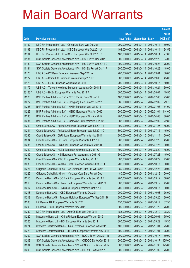|         |                                                              |               |                            |                       | <b>Amount</b> |
|---------|--------------------------------------------------------------|---------------|----------------------------|-----------------------|---------------|
|         |                                                              | No. of        |                            |                       | raised        |
| Code    | <b>Derivative warrants</b>                                   | issue (units) | <b>Listing date Expiry</b> |                       | (HK\$ mil.)   |
| 11192   | KBC Fin Products Int'l Ltd. - China Life Euro Wts Oct 2011   | 200,000,000   |                            | 2011/04/14 2011/10/14 | 50.00         |
| 11193   | KBC Fin Products Int'l Ltd. - ICBC European Wts Oct 2011 A   | 108,000,000   |                            | 2011/04/14 2011/10/14 | 34.56         |
| 11194   | KBC Fin Products Int'l Ltd. - ICBC European Wts Oct 2011 B   | 108,000,000   |                            | 2011/04/14 2011/10/14 | 27.00         |
| 11181   | SGA Societe Generale Acceptance N.V. - HSI Eur Wt Dec 2011   | 300,000,000   | 2011/04/14 2011/12/29      |                       | 54.00         |
| 11180   | SGA Societe Generale Acceptance N.V. - HSI Eur Wt Oct 2011 E | 300,000,000   |                            | 2011/04/14 2011/10/28 | 75.00         |
| 11184   | SGA Societe Generale Acceptance N.V. - HSI Eu Put Wt Oct 11F | 300,000,000   |                            | 2011/04/14 2011/10/28 | 48.00         |
| 11176   | UBS AG - CC Bank European Warrants Sep 2011 A                | 200,000,000   | 2011/04/14 2011/09/01      |                       | 30.00         |
| 11177   | UBS AG - China Life European Warrants Sep 2011 B             | 300,000,000   | 2011/04/14 2011/09/08      |                       | 45.00         |
| 11178   | UBS AG - ICBC European Warrants Oct 2011                     | 200,000,000   |                            | 2011/04/14 2011/10/17 | 50.00         |
| 11179   | UBS AG - Tencent Holdings European Warrants Oct 2011 B       | 200,000,000   |                            | 2011/04/14 2011/10/24 | 30.00         |
| 28123 # | UBS AG - HKEx European Warrants Aug 2011 A                   | 300,000,000   |                            | 2011/04/14 2011/08/04 | 19.50         |
| 11226   | BNP Paribas Arbit Issu B.V. - CITIC Pacific Euro Wt Jul12    | 100,000,000   |                            | 2011/04/15 2012/07/03 | 25.00         |
| 11227   | BNP Paribas Arbit Issu B.V. - Dongfang Elec Euro Wt Feb12    | 85,000,000    |                            | 2011/04/15 2012/02/02 | 29.75         |
| 11228   | BNP Paribas Arbit Issu B.V. - HKEx European Wts Jul 2012     | 200,000,000   |                            | 2011/04/15 2012/07/03 | 54.00         |
| 11229   | BNP Paribas Arbit Issu B.V. - HSBC European Wts Jan 2012     | 200,000,000   |                            | 2011/04/15 2012/01/04 | 144.00        |
| 11230   | BNP Paribas Arbit Issu B.V. - HSBC European Wts Apr 2012     | 200,000,000   |                            | 2011/04/15 2012/04/03 | 80.00         |
| 11231   | BNP Paribas Arbit Issu B.V. - Goldwind Euro Warrants Feb 12  | 88,000,000    |                            | 2011/04/15 2012/02/02 | 22.88         |
| 11240   | Credit Suisse AG - Agricultural Bank European Wts Jul 2011 B | 300,000,000   | 2011/04/15 2011/07/25      |                       | 45.00         |
| 11241   | Credit Suisse AG - Agricultural Bank European Wts Jul 2011 C | 300,000,000   |                            | 2011/04/15 2011/07/15 | 45.00         |
| 11236   | Credit Suisse AG – ChiUnicom European Warrants Nov 2011      | 200,000,000   | 2011/04/15 2011/11/14      |                       | 50.00         |
| 11234   | Credit Suisse AG - CC Bank European Warrants Jul 2011        | 300,000,000   |                            | 2011/04/15 2011/07/25 | 45.00         |
| 11235   | Credit Suisse AG - China Tel European Warrants Jul 2011 B    | 200,000,000   | 2011/04/15 2011/07/25      |                       | 30.00         |
| 11242   | Credit Suisse AG - HKEx European Warrants Aug 2011 C         | 300,000,000   |                            | 2011/04/15 2011/08/29 | 45.00         |
| 11239   | Credit Suisse AG - HSI European Put Warrants Jul 2011 G      | 300,000,000   | 2011/04/15 2011/07/28      |                       | 45.00         |
| 11237   | Credit Suisse AG - ICBC European Warrants Aug 2011 B         | 300,000,000   |                            | 2011/04/15 2011/08/29 | 45.00         |
| 11238   | Credit Suisse AG - Yanzhou Coal European Warrants Oct 2011   | 200,000,000   | 2011/04/15 2011/10/17      |                       | 50.00         |
| 11221   | Citigroup Global Mkt H Inc. - Ch Overseas Euro Put Wt Dec11  | 80,000,000    | 2011/04/15 2011/12/23      |                       | 20.00         |
| 11222   | Citigroup Global Mkt H Inc. - Yanzhou Coal Euro Put Wt Dec11 | 80,000,000    | 2011/04/15 2011/12/19      |                       | 20.00         |
| 11215   | Deutsche Bank AG - CC Bank European Warrants Sep 2011 B      | 200,000,000   |                            | 2011/04/15 2011/09/12 | 58.00         |
| 11216   | Deutsche Bank AG - China Life European Warrants Sep 2011 C   | 300,000,000   | 2011/04/15 2011/09/12      |                       | 45.00         |
| 11217   | Deutsche Bank AG - CNOOC European Warrants Oct 2011 C        | 200,000,000   |                            | 2011/04/15 2011/10/17 | 50.00         |
| 11218   | Deutsche Bank AG - ICBC European Warrants Oct 2011           | 200,000,000   |                            | 2011/04/15 2011/10/03 | 76.00         |
| 11219   | Deutsche Bank AG - Tencent Holdings European Wts Sep 2011 B  | 200,000,000   |                            | 2011/04/15 2011/09/20 | 30.00         |
| 11208   | HK Bank - AIA European Warrants Oct 2011                     | 150,000,000   |                            | 2011/04/15 2011/10/17 | 37.50         |
| 11209   | HK Bank - HSI European Warrants Nov 2011                     | 300,000,000   |                            | 2011/04/15 2011/11/29 | 75.00         |
| 11232   | KBC Fin Products Int'l Ltd. - A50 Ch Euro Wts Dec 2011       | 188,000,000   |                            | 2011/04/15 2011/12/19 | 28.20         |
| 11220   | Macquarie Bank Ltd. - China Unicom European Wts Jun 2012     | 300,000,000   | 2011/04/15 2012/06/01      |                       | 75.00         |
| 11225   | Macquarie Bank Ltd. - HSI European Warrants Sep 2011         | 300,000,000   | 2011/04/15 2011/09/29      |                       | 45.30         |
| 11224   | Standard Chartered Bank - China Overseas European Wt Nov11   | 100,000,000   | 2011/04/15 2011/11/01      |                       | 25.00         |
| 11223   | Standard Chartered Bank - CM Bank European Warrants Nov 2011 | 100,000,000   | 2011/04/15 2011/11/01      |                       | 25.00         |
| 11202   | SGA Societe Generale Acceptance N.V. - BOCL Eu Wt Oct 2011 B | 200,000,000   |                            | 2011/04/15 2011/10/17 | 50.00         |
| 11203   | SGA Societe Generale Acceptance N.V. - CNOOC Eu Wt Oct 2011  | 500,000,000   |                            | 2011/04/15 2011/10/17 | 125.00        |
| 11204   | SGA Societe Generale Acceptance N.V. - CNOOC Eu Wt Jan 2012  | 500,000,000   |                            | 2011/04/15 2012/01/30 | 125.00        |
| 11205   | SGA Societe Generale Acceptance N.V. - HKEx Eu Wt Nov 2011 C | 500,000,000   |                            | 2011/04/15 2011/11/02 | 75.00         |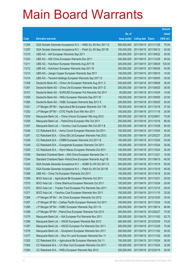|       |                                                               |               |                            |                       | <b>Amount</b> |
|-------|---------------------------------------------------------------|---------------|----------------------------|-----------------------|---------------|
|       |                                                               | No. of        |                            |                       | raised        |
| Code  | <b>Derivative warrants</b>                                    | issue (units) | <b>Listing date Expiry</b> |                       | (HK\$ mil.)   |
| 11206 | SGA Societe Generale Acceptance N.V. - HKEx Eu Wt Nov 2011 D  | 500,000,000   | 2011/04/15 2011/11/28      |                       | 75.00         |
| 11207 | SGA Societe Generale Acceptance N.V. - Petch Eu Wt Sep 2011B  | 100,000,000   |                            | 2011/04/15 2011/09/12 | 42.00         |
| 11210 | UBS AG - AIA European Warrants Sep 2011                       | 200,000,000   |                            | 2011/04/15 2011/09/22 | 30.00         |
| 11233 | UBS AG - A50 China European Warrants Dec 2011                 | 300,000,000   | 2011/04/15 2011/12/29      |                       | 45.00         |
| 11211 | UBS AG - Hutchison European Warrants Aug 2011 B               | 300,000,000   |                            | 2011/04/15 2011/08/29 | 120.00        |
| 11212 | UBS AG - Hutchison European Warrants Sep 2011 B               | 300,000,000   | 2011/04/15 2011/09/29      |                       | 54.00         |
| 11213 | UBS AG - Jiangxi Copper European Warrants Sep 2011            | 100,000,000   | 2011/04/15 2011/09/15      |                       | 15.00         |
| 11214 | UBS AG - Tencent Holdings European Warrants Sep 2011 D        | 200,000,000   | 2011/04/15 2011/09/05      |                       | 30.00         |
| 11258 | Deutsche Bank AG - China Life European Warrants Aug 2011 C    | 200,000,000   |                            | 2011/04/18 2011/08/08 | 36.00         |
| 11261 | Deutsche Bank AG - China Life European Warrants Sep 2011 D    | 200,000,000   |                            | 2011/04/18 2011/09/20 | 30.00         |
| 10101 | Deutsche Bank AG - EUR/USD European Put Warrants Oct 2011     | 50,000,000    | 2011/04/18 2011/10/24      |                       | 14.00         |
| 11259 | Deutsche Bank AG - HKEx European Warrants Sep 2011 B          | 150,000,000   |                            | 2011/04/18 2011/09/05 | 22.50         |
| 11260 | Deutsche Bank AG - HSBC European Warrants Sep 2011 E          | 200,000,000   |                            | 2011/04/18 2011/09/20 | 50.00         |
| 11251 | J P Morgan SP BV - Agricultural Bk European Warrants Oct 11B  | 150,000,000   | 2011/04/18 2011/10/18      |                       | 37.50         |
| 11252 | J P Morgan SP BV - CITIC Pacific Euro Wts Nov 2011            | 100,000,000   | 2011/04/18 2011/11/18      |                       | 25.00         |
| 11254 | Macquarie Bank Ltd. - China Unicom European Wts Aug 2012      | 300,000,000   | 2011/04/18 2012/08/01      |                       | 75.00         |
| 11255 | Macquarie Bank Ltd. - PetroChina European Wts Oct 2011        | 250,000,000   |                            | 2011/04/18 2011/10/18 | 85.50         |
| 11257 | Macquarie Bank Ltd. - Yanzhou Coal European Wts Oct 2011 B    | 200,000,000   | 2011/04/18 2011/10/28      |                       | 50.00         |
| 11246 | CC Rabobank B.A. - Anhui Conch European Warrants Oct 2011     | 100,000,000   | 2011/04/18 2011/10/24      |                       | 40.00         |
| 11247 | CC Rabobank B.A. - China EB Ltd European Warrants Feb 2012    | 100,000,000   | 2011/04/18 2012/02/27      |                       | 25.00         |
| 11248 | CC Rabobank B.A. - CNBM European Warrants Oct 2011 B          | 100,000,000   |                            | 2011/04/18 2011/10/24 | 25.00         |
| 11249 | CC Rabobank B.A. - Evergrande European Warrants Oct 2011      | 100,000,000   | 2011/04/18 2011/10/24      |                       | 35.00         |
| 11250 | CC Rabobank B.A. - Wynn Macau European Warrants Oct 2011      | 100,000,000   | 2011/04/18 2011/10/24      |                       | 25.00         |
| 11245 | Standard Chartered Bank - A50 China European Warrants Dec 11  | 100,000,000   | 2011/04/18 2011/12/21      |                       | 15.00         |
| 11244 | Standard Chartered Bank - PetroChina European Warrants Aug11B | 100,000,000   |                            | 2011/04/18 2011/08/15 | 40.50         |
| 11243 | SGA Societe Generale Acceptance N.V. - AGBK Eu Wt Oct 2011 E  | 200,000,000   | 2011/04/18 2011/10/19      |                       | 50.00         |
| 11253 | SGA Societe Generale Acceptance N.V. - Petch Eu Wt Oct 2011B  | 100,000,000   | 2011/04/18 2011/10/19      |                       | 40.00         |
| 11256 | UBS AG - China Tel European Warrants Oct 2011                 | 100,000,000   | 2011/04/18 2011/10/18      |                       | 25.00         |
| 11269 | BOCI Asia Ltd. - Agricultural Bk European Warrants Oct 2011   | 100,000,000   | 2011/04/19 2011/10/31      |                       | 25.00         |
| 11270 | BOCI Asia Ltd. - China Shenhua European Warrants Oct 2011     | 100,000,000   | 2011/04/19 2011/10/24      |                       | 25.00         |
| 11272 | BOCI Asia Ltd. - Tracker Fund European Put Warrants Dec 2011  | 100,000,000   | 2011/04/19 2011/12/15      |                       | 25.00         |
| 11271 | BOCI Asia Ltd. - Yanzhou Coal European Warrants Nov 2011      | 100,000,000   | 2011/04/19 2011/11/15      |                       | 25.00         |
| 11266 | J P Morgan SP BV - Air China European Warrants Oct 2012       | 200,000,000   | 2011/04/19 2012/10/30      |                       | 30.00         |
| 11267 | J P Morgan SP BV - Cathay Pacific European Warrants Oct 2011  | 100,000,000   | 2011/04/19 2011/10/24      |                       | 15.00         |
| 11285 | J P Morgan SP BV - HSBC European Warrants Sep 2011 D          | 200,000,000   | 2011/04/19 2011/09/14      |                       | 46.80         |
| 11268 | J P Morgan SP BV - PetroChina European Warrants Feb 2013      | 300,000,000   | 2011/04/19 2013/02/27      |                       | 75.00         |
| 11275 | Macquarie Bank Ltd. - AIA European Put Warrants Nov 2011      | 250,000,000   | 2011/04/19 2011/11/02      |                       | 62.75         |
| 11286 | Macquarie Bank Ltd. - HSCEI European Warrants Mar 2012        | 300,000,000   | 2011/04/19 2012/03/29      |                       | 75.00         |
| 11287 | Macquarie Bank Ltd. - HSCEI European Put Warrants Dec 2011    | 300,000,000   | 2011/04/19 2011/12/29      |                       | 75.00         |
| 11278 | Macquarie Bank Ltd. - Sinopharm European Warrants Nov 2011    | 200,000,000   | 2011/04/19 2011/11/02      |                       | 50.00         |
| 11277 | Macquarie Bank Ltd. - Shui On Land European Warrants Nov 11   | 200,000,000   | 2011/04/19 2011/11/02      |                       | 50.00         |
| 11262 | CC Rabobank B.A. - Agricultural Bk European Warrants Oct 11   | 150,000,000   | 2011/04/19 2011/10/24      |                       | 36.00         |
| 11263 | CC Rabobank B.A. - Ch Ship Cont European Warrants Oct 2011    | 100,000,000   | 2011/04/19 2011/10/24      |                       | 32.00         |
| 11264 | CC Rabobank B.A. - HKEx European Warrants Mar 2012            | 200,000,000   | 2011/04/19 2012/03/19      |                       | 30.00         |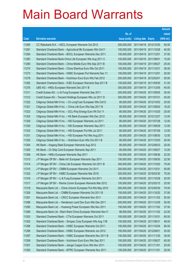|       |                                                               |               |                            | <b>Amount</b> |
|-------|---------------------------------------------------------------|---------------|----------------------------|---------------|
|       |                                                               | No. of        |                            | raised        |
| Code  | <b>Derivative warrants</b>                                    | issue (units) | <b>Listing date Expiry</b> | (HK\$ mil.)   |
| 11265 | CC Rabobank B.A. - KECL European Warrants Oct 2012            | 200,000,000   | 2011/04/19 2012/10/30      | 50.00         |
| 11281 | Standard Chartered Bank - Agricultural Bk European Wts Oct11  | 100,000,000   | 2011/04/19 2011/10/28      | 40.00         |
| 11284 | Standard Chartered Bank - BOCL European Warrants Dec 2011     | 100,000,000   | 2011/04/19 2011/12/01      | 37.00         |
| 11283 | Standard Chartered Bank-China Life European Wts Aug 2011 C    | 100.000.000   | 2011/04/19 2011/08/01      | 15.00         |
| 11280 | Standard Chartered Bank - China Mobile Euro Wts Sep 2011 B    | 100,000,000   | 2011/04/19 2011/09/27      | 25.00         |
| 11274 | Standard Chartered Bank - China Shenhua Euro Wts Oct 2011     | 100,000,000   | 2011/04/19 2011/10/31      | 36.00         |
| 11273 | Standard Chartered Bank - HSBC European Put Warrants Dec 11   | 100,000,000   | 2011/04/19 2011/12/01      | 25.00         |
| 11279 | Standard Chartered Bank - Hutchison Euro Euro Wts Feb 2012    | 200,000,000   | 2011/04/19 2012/02/01      | 50.00         |
| 11282 | Standard Chartered Bank - ICBC European Warrants Sep 2011 B   | 100,000,000   | 2011/04/19 2011/09/30      | 31.00         |
| 11276 | UBS AG - HKEx European Warrants Dec 2011 B                    | 300,000,000   | 2011/04/19 2011/12/05      | 45.00         |
| 11311 | Credit Suisse AG - Li & Fung European Warrants Sep 2011       | 200,000,000   | 2011/04/20 2011/09/05      | 30.00         |
| 11312 | Credit Suisse AG - Tencent Holdings European Wts Jul 2011 D   | 300,000,000   | 2011/04/20 2011/07/21      | 45.00         |
| 11322 | Citigroup Global Mkt H Inc. - Ch LongYuan European Wts Oct12  | 80,000,000    | 2011/04/20 2012/10/03      | 20.00         |
| 11321 | Citigroup Global Mkt H Inc. - China Life Euro Wts Sep 2011 B  | 80,000,000    | 2011/04/20 2011/09/02      | 19.20         |
| 11323 | Citigroup Global Mkt H Inc. - GCL-Poly Energy Euro Wt Oct 11  | 80,000,000    | 2011/04/20 2011/10/20      | 20.00         |
| 11324 | Citigroup Global Mkt H Inc. - HS Bank European Wts Dec 2012   | 80,000,000    | 2011/04/20 2012/12/27      | 12.00         |
| 11329 | Citigroup Global Mkt H Inc. - HSI European Warrants Jul 2011  | 80,000,000    | 2011/04/20 2011/07/28      | 12.00         |
| 11330 | Citigroup Global Mkt H Inc. - HSI European Warrants Sep 2011  | 80,000,000    | 2011/04/20 2011/09/29      | 12.00         |
| 11333 | Citigroup Global Mkt H Inc. - HSI European Put Wts Jul 2011   | 80,000,000    | 2011/04/20 2011/07/28      | 12.00         |
| 11331 | Citigroup Global Mkt H Inc. - HSI European Put Wts Aug 2011   | 80,000,000    | 2011/04/20 2011/08/30      | 12.00         |
| 11325 | Citigroup Global Mkt H Inc. - Hutchison Euro Wts Oct 2011 B   | 80,000,000    | 2011/04/20 2011/10/20      | 20.00         |
| 11304 | HK Bank – Angang Steel European Warrants Aug 2012             | 80,000,000    | 2011/04/20 2012/08/23      | 20.00         |
| 11305 | HK Bank - Ch Ship Cont European Warrants Sep 2011             | 80,000,000    | 2011/04/20 2011/09/27      | 12.00         |
| 11306 | HK Bank – HKEx European Warrants Sep 2011                     | 150,000,000   | 2011/04/20 2011/09/26      | 22.50         |
| 11313 | J P Morgan SP BV - Belle Int'l European Warrants Sep 2011     | 150,000,000   | 2011/04/20 2011/09/30      | 22.50         |
| 11314 | J P Morgan SP BV - China Life European Warrants Oct 2011 B    | 300.000.000   | 2011/04/20 2011/10/20      | 75.00         |
| 11315 | J P Morgan SP BV - CNBM European Warrants Oct 2011            | 200,000,000   | 2011/04/20 2011/10/31      | 55.80         |
| 11332 | J P Morgan SP BV - HSBC European Warrants Mar 2016            | 300,000,000   | 2011/04/20 2016/03/30      | 75.00         |
| 11316 | J P Morgan SP BV - Li & Fung European Warrants Oct 2011       | 80,000,000    | 2011/04/20 2011/10/28      | 20.00         |
| 11317 | J P Morgan SP BV - Renhe Comm European Warrants Mar 2012      | 100,000,000   | 2011/04/20 2012/03/15      | 25.00         |
| 11318 | Macquarie Bank Ltd. - China Unicom European Put Wts May 2012  | 300,000,000   | 2011/04/20 2012/05/30      | 75.00         |
| 11326 | Macquarie Bank Ltd. - CNBM European Warrants Oct 2011 B       | 150,000,000   | 2011/04/20 2011/10/20      | 37.80         |
| 11291 | Macquarie Bank Ltd. - CRCC European Warrants Nov 2011         | 200,000,000   | 2011/04/20 2011/11/02      | 50.00         |
| 11288 | Macquarie Bank Ltd. - Henderson Land Dev Euro Wts Dec 2011    | 200,000,000   | 2011/04/20 2011/12/29      | 50.00         |
| 11290 | Macquarie Bank Ltd. - Huaneng Power European Wts Nov 2011     | 150,000,000   | 2011/04/20 2011/11/02      | 37.50         |
| 11289 | Macquarie Bank Ltd. - Want Want China European Warrants Nov11 | 88,000,000    | 2011/04/20 2011/11/02      | 22.00         |
| 11303 | Standard Chartered Bank - CTel European Warrants Oct 2011     | 100,000,000   | 2011/04/20 2011/10/31      | 60.00         |
| 11302 | Standard Chartered Bank - Sinopec Corp European Wts Aug 11B   | 100,000,000   | 2011/04/20 2011/08/31      | 48.00         |
| 11296 | Standard Chartered Bank - HSBC European Warrants Oct 2011     | 100,000,000   | 2011/04/20 2011/10/24      | 90.00         |
| 11298 | Standard Chartered Bank - HSBC European Warrants Jun 2012     | 100,000,000   | 2011/04/20 2012/06/01      | 25.00         |
| 11297 | Standard Chartered Bank - HSBC European Warrants Nov 2011 B   | 100,000,000   | 2011/04/20 2011/11/30      | 30.00         |
| 11299 | Standard Chartered Bank - Hutchison Euro Euro Wts Sep 2011    | 100,000,000   | 2011/04/20 2011/09/27      | 60.00         |
| 11301 | Standard Chartered Bank - Jiangxi Copper Euro Wts Nov 2011    | 100,000,000   | 2011/04/20 2011/11/01      | 25.00         |
| 11300 | Standard Chartered Bank - MTRC European Warrants Nov 2011     | 100,000,000   | 2011/04/20 2011/11/01      | 25.00         |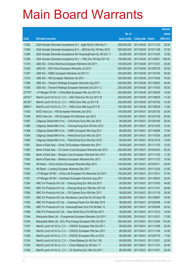|         |                                                                |               |                            |                       | <b>Amount</b> |
|---------|----------------------------------------------------------------|---------------|----------------------------|-----------------------|---------------|
|         |                                                                | No. of        |                            |                       | raised        |
| Code    | <b>Derivative warrants</b>                                     | issue (units) | <b>Listing date Expiry</b> |                       | (HK\$ mil.)   |
| 11292   | SGA Societe Generale Acceptance N.V. - Agile Ppt Eu Wts Nov11  | 200,000,000   |                            | 2011/04/20 2011/11/23 | 30.00         |
| 11293   | SGA Societe Generale Acceptance N.V. - BOCom Eur Wt Nov 2012   | 250,000,000   |                            | 2011/04/20 2012/11/26 | 37.50         |
| 11294   | SGA Societe Generale Acceptance NV-HuanengPower Eu Wt Oct 11   | 50,000,000    | 2011/04/20 2011/10/24      |                       | 12.50         |
| 11295   | SGA Societe Generale Acceptance N.V. - HWL Eur Wt Sep 2011 B   | 150,000,000   | 2011/04/20 2011/09/21      |                       | 106.50        |
| 11319   | UBS AG - China Shenhua European Warrants Oct 2011              | 100,000,000   | 2011/04/20 2011/10/31      |                       | 20.00         |
| 11320   | UBS AG - A50 China European Warrants Jul 2012                  | 200,000,000   |                            | 2011/04/20 2012/07/25 | 30.00         |
| 11307   | UBS AG - HSBC European Warrants Jul 2011 C                     | 200,000,000   |                            | 2011/04/20 2011/07/25 | 36.00         |
| 11310   | UBS AG - HSI European Warrants Oct 2011                        | 300,000,000   |                            | 2011/04/20 2011/10/28 | 75.00         |
| 11308   | UBS AG - Tencent Holdings European Warrants Aug 2011           | 200,000,000   |                            | 2011/04/20 2011/08/23 | 44.00         |
| 11309   | UBS AG - Tencent Holdings European Warrants Oct 2011 C         | 200,000,000   |                            | 2011/04/20 2011/10/03 | 30.00         |
| 27776 # | J P Morgan SP BV - China Mob European Wts Jun 2011 B           | 200,000,000   | 2011/04/20 2011/06/29      |                       | 13.00         |
| 23753 # | Merrill Lynch Int'l & Co. C.V. - A50 China Eur Wt Jun 2011 B   | 200,000,000   |                            | 2011/04/20 2011/06/23 | 11.20         |
| 26155 # | Merrill Lynch Int'l & Co. C.V. - HKEx Euro Wts Jul 2011 B      | 200,000,000   |                            | 2011/04/20 2011/07/20 | 10.40         |
| 28604 # | Merrill Lynch Int'l & Co. C.V. - HKEx Euro Wts Aug 2011 B      | 100,000,000   |                            | 2011/04/20 2011/08/29 | 11.60         |
| 11342   | BOCI Asia Ltd. - HSI European Warrants Jan 2012                | 100,000,000   | 2011/04/21                 | 2012/01/30            | 25.00         |
| 11346   | BOCI Asia Ltd. - HSI European Put Warrants Jan 2012            | 100,000,000   | 2011/04/21                 | 2012/01/30            | 25.00         |
| 11367   | Citigroup Global Mkt H Inc. - ChiUnicom Euro Wts Jan 2012      | 80,000,000    | 2011/04/21                 | 2012/01/05            | 20.00         |
| 11366   | Citigroup Global Mkt H Inc. - Cheung Kong Euro Wt Dec 2012     | 80,000,000    |                            | 2011/04/21 2012/12/20 | 12.00         |
| 11368   | Citigroup Global Mkt H Inc. - HSBC European Wts Aug 2011       | 80,000,000    | 2011/04/21                 | 2011/08/08            | 17.60         |
| 11364   | Citigroup Global Mkt H Inc. - PetroChina Euro Wts Oct 2011     | 80,000,000    | 2011/04/21                 | 2011/10/24            | 28.00         |
| 11365   | Citigroup Global Mkt H Inc. - PetroChina Euro Wts Dec 2012     | 80,000,000    | 2011/04/21                 | 2012/12/19            | 13.60         |
| 11361   | Bank of East Asia - China Tel European Warrants Nov 2011       | 50,000,000    | 2011/04/21                 | 2011/11/23            | 12.50         |
| 11363   | Bank of East Asia – Ch Comm Cons European Warrants Apr 2013    | 250,000,000   | 2011/04/21                 | 2013/04/23            | 62.50         |
| 11360   | Bank of East Asia - Sinopec Corp European Warrants Nov 2011    | 45,000,000    |                            | 2011/04/21 2011/11/23 | 11.25         |
| 11362   | Bank of East Asia - Shenhua European Warrants Nov 2011         | 60,000,000    | 2011/04/21                 | 2011/11/23            | 15.00         |
| 11340   | HK Bank - China Unicom European Warrants May 2012              | 100,000,000   | 2011/04/21                 | 2012/05/11            | 25.00         |
| 11341   | HK Bank - Lonking European Warrants Dec 2011                   | 80,000,000    | 2011/04/21                 | 2011/12/20            | 21.60         |
| 11350   | J P Morgan SP BV - China Life European Put Warrants Oct 2011   | 150,000,000   | 2011/04/21 2011/10/21      |                       | 37.50         |
| 11351   | J P Morgan SP BV - Hutchison European Warrants Aug 2011        | 100,000,000   | 2011/04/21                 | 2011/08/23            | 33.50         |
| 11354   | KBC Fin Products Int'l Ltd. - Cheung Kong Eur Wts Oct 2011     | 80,000,000    | 2011/04/21                 | 2011/10/03            | 44.80         |
| 11355   | KBC Fin Products Int'l Ltd. - Cheung Kong Eur Wts Nov 2011 B   | 80,000,000    | 2011/04/21                 | 2011/11/01            | 28.80         |
| 11356   | KBC Fin Products Int'l Ltd. - CR Cement Euro Wts Nov 2011      | 58,000,000    | 2011/04/21                 | 2011/11/10            | 29.58         |
| 11357   | KBC Fin Products Int'l Ltd.-Henderson Land Dev Eu Wt Sep11B    | 58,000,000    | 2011/04/21                 | 2011/09/07            | 18.56         |
| 11353   | KBC Fin Products Int'l Ltd. - Huaneng Power Eur Wts Mar 2012   | 58,000,000    | 2011/04/21                 | 2012/03/08            | 14.50         |
| 11359   | KBC Fin Products Int'l Ltd. - Huaneng Power Euro Put Wt Mar 12 | 58,000,000    | 2011/04/21                 | 2012/03/08            | 25.52         |
| 11358   | KBC Fin Products Int'l Ltd. - New World Euro Put Wt Dec 2011   | 58,000,000    | 2011/04/21                 | 2011/12/12            | 14.50         |
| 11344   | Macquarie Bank Ltd. - Evergrande European Warrants Oct 2011    | 150,000,000   | 2011/04/21                 | 2011/10/21            | 71.85         |
| 11343   | Macquarie Bank Ltd. - GCL-Poly Energy European Wts Oct 2011    | 250,000,000   | 2011/04/21                 | 2011/10/24            | 110.25        |
| 11337   | Merrill Lynch Int'l & Co. C.V. - CNOOC European Wts Oct 2011   | 80,000,000    | 2011/04/21                 | 2011/10/28            | 20.00         |
| 11338   | Merrill Lynch Int'l & Co. C.V. - CNOOC European Wts Nov 2011   | 80,000,000    | 2011/04/21                 | 2011/11/29            | 14.00         |
| 11339   | Merrill Lynch Int'l & Co. C.V. - CNOOC European Wts Jul 2012   | 80,000,000    | 2011/04/21                 | 2012/07/16            | 17.92         |
| 11334   | Merrill Lynch Int'l & Co. C.V. - China Railway Eu Wt Oct 11B   | 80,000,000    | 2011/04/21                 | 2011/10/21            | 22.80         |
| 11335   | Merrill Lynch Int'l & Co. C.V. - China Railway Eu Wt Nov 11    | 80,000,000    | 2011/04/21                 | 2011/11/01            | 20.40         |
| 11336   | Merrill Lynch Int'l & Co. C.V. - Ch Shenhua Eur Wts Oct 2011   | 80,000,000    | 2011/04/21                 | 2011/10/21            | 20.40         |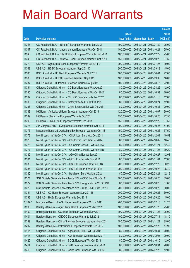|         |                                                              |               |                            |                       | <b>Amount</b> |
|---------|--------------------------------------------------------------|---------------|----------------------------|-----------------------|---------------|
|         |                                                              | No. of        |                            |                       | raised        |
| Code    | <b>Derivative warrants</b>                                   | issue (units) | <b>Listing date Expiry</b> |                       | (HK\$ mil.)   |
| 11345   | CC Rabobank B.A. - Belle Int'l European Warrants Jan 2012    | 100,000,000   |                            | 2011/04/21 2012/01/30 | 25.00         |
| 11347   | CC Rabobank B.A. - Maanshan Iron European Wts Oct 2011       | 100,000,000   | 2011/04/21 2011/10/21      |                       | 25.00         |
| 11348   | CC Rabobank B.A. - SJM Holdings European Warrants Dec 2011   | 100,000,000   |                            | 2011/04/21 2011/12/29 | 25.00         |
| 11349   | CC Rabobank B.A. - Yanzhou Coal European Warrants Oct 2011   | 150,000,000   |                            | 2011/04/21 2011/10/28 | 37.50         |
| 11370   | UBS AG - Agricultural Bank European Warrants Jul 2011 D      | 200,000,000   |                            | 2011/04/21 2011/07/26 | 30.00         |
| 11369   | UBS AG - HSBC European Warrants Sep 2011 D                   | 300,000,000   |                            | 2011/04/21 2011/09/19 | 45.00         |
| 11385   | BOCI Asia Ltd. - HS Bank European Warrants Oct 2011          | 100,000,000   |                            | 2011/04/26 2011/10/04 | 22.00         |
| 11386   | BOCI Asia Ltd. - HSBC European Warrants Sep 2011             | 100,000,000   |                            | 2011/04/26 2011/09/30 | 18.00         |
| 11387   | BOCI Asia Ltd. - Hutchison European Warrants Aug 2011        | 100,000,000   |                            | 2011/04/26 2011/08/15 | 22.00         |
| 11394   | Citigroup Global Mkt H Inc. - CC Bank European Wts Aug 2011  | 80,000,000    |                            | 2011/04/26 2011/08/25 | 12.00         |
| 11395   | Citigroup Global Mkt H Inc. - CC Bank European Wts Oct 2011  | 80,000,000    | 2011/04/26 2011/10/31      |                       | 20.00         |
| 11397   | Citigroup Global Mkt H Inc. - CNOOC European Wts Jan 2012    | 80,000,000    |                            | 2011/04/26 2012/01/18 | 12.00         |
| 11393   | Citigroup Global Mkt H Inc. - Cathay Pacific Eur Wt Oct 11B  | 80,000,000    |                            | 2011/04/26 2011/10/24 | 12.00         |
| 11396   | Citigroup Global Mkt H Inc. - China Shenhua Eur Wts Oct 2011 | 80,000,000    |                            | 2011/04/26 2011/10/31 | 20.00         |
| 11388   | HK Bank - Agricultural Bank European Warrants Oct 2011       | 120,000,000   |                            | 2011/04/26 2011/10/07 | 30.00         |
| 11389   | HK Bank - China Life European Warrants Oct 2011              | 150,000,000   |                            | 2011/04/26 2011/10/26 | 22.50         |
| 11390   | HK Bank - China Life European Warrants Dec 2011              | 150,000,000   |                            | 2011/04/26 2011/12/20 | 37.50         |
| 11374   | J P Morgan SP BV - Evergrande European Warrants Oct 2011     | 100,000,000   |                            | 2011/04/26 2011/10/26 | 54.90         |
| 11375   | Macquarie Bank Ltd.-Agricultural Bk European Warrants Oct11B | 150,000,000   |                            | 2011/04/26 2011/10/26 | 37.50         |
| 11378   | Merrill Lynch Int'l & Co. C.V. - ChiUnicom Euro Wts Dec 2011 | 80,000,000    |                            | 2011/04/26 2011/12/01 | 19.52         |
| 11379   | Merrill Lynch Int'l & Co. C.V. - ChiUnicom Euro Wts Oct 2012 | 80,000,000    |                            | 2011/04/26 2012/10/02 | 18.48         |
| 11376   | Merrill Lynch Int'l & Co. C.V. - Ch Comm Cons Eu Wt Nov 11A  | 80,000,000    |                            | 2011/04/26 2011/11/21 | 62.40         |
| 11377   | Merrill Lynch Int'l & Co. C.V. - Ch Comm Cons Eu Wt Nov 11B  | 80,000,000    |                            | 2011/04/26 2011/11/23 | 39.20         |
| 11382   | Merrill Lynch Int'l & Co. C.V. - A50 China Eur Wt Sep 2011   | 80,000,000    |                            | 2011/04/26 2011/09/27 | 12.08         |
| 11381   | Merrill Lynch Int'l & Co. C.V. - HKEx Eur Put Wts Nov 2011   | 80,000,000    | 2011/04/26 2011/11/01      |                       | 12.08         |
| 11383   | Merrill Lynch Int'l & Co. C.V. - HSCEI European Wts Dec 11B  | 200,000,000   |                            | 2011/04/26 2011/12/29 | 30.20         |
| 11384   | Merrill Lynch Int'l & Co. C.V. - HSCEI Euro Put Wts Oct 2011 | 200,000,000   |                            | 2011/04/26 2011/10/28 | 35.40         |
| 11380   | Merrill Lynch Int'l & Co. C.V. - Hutchison Euro Wts Mar 2012 | 80,000,000    | 2011/04/26 2012/03/21      |                       | 12.16         |
| 11371   | SGA Societe Generale Acceptance N.V. - CPIC Euro Wts Oct 11  | 100,000,000   |                            | 2011/04/26 2011/10/26 | 39.00         |
| 11372   | SGA Societe Generale Acceptance N.V.-Evergrande Eu Wt Oct11B | 80,000,000    |                            | 2011/04/26 2011/10/26 | 57.60         |
| 11373   | SGA Societe Generale Acceptance N.V. - SJM Hold Eu Wt Oct 11 | 200,000,000   |                            | 2011/04/26 2011/10/26 | 50.00         |
| 11391   | UBS AG - CC Bank European Warrants Sep 2011 B                | 200,000,000   |                            | 2011/04/26 2011/09/26 | 30.00         |
| 11392   | UBS AG - HKEx European Warrants Sep 2011                     | 300,000,000   |                            | 2011/04/26 2011/09/26 | 45.00         |
| 28187 # | Macquarie Bank Ltd. - Sh Petrochem European Wts Jul 2011     | 200,000,000   |                            | 2011/04/26 2011/07/13 | 11.20         |
| 11398   | Barclays Bank plc - Agricultural Bank European Wts Nov 2011  | 100,000,000   |                            | 2011/04/27 2011/11/28 | 25.00         |
| 11400   | Barclays Bank plc - CC Bank European Warrants Nov 2011       | 100,000,000   |                            | 2011/04/27 2011/11/28 | 25.00         |
| 11401   | Barclays Bank plc - CNOOC European Warrants Jul 2012         | 100,000,000   | 2011/04/27 2012/07/11      |                       | 18.10         |
| 11399   | Barclays Bank plc - China Shenhua European Warrants Nov 2011 | 100,000,000   | 2011/04/27 2011/11/21      |                       | 25.00         |
| 11402   | Barclays Bank plc - PetroChina European Warrants Dec 2012    | 100,000,000   |                            | 2011/04/27 2012/12/28 | 17.90         |
| 11415   | Citigroup Global Mkt H Inc. - Agricultural Bk Eu Wt Oct 2011 | 80,000,000    | 2011/04/27 2011/10/31      |                       | 20.00         |
| 11413   | Citigroup Global Mkt H Inc. - AIA European Warrants Dec 2011 | 80,000,000    |                            | 2011/04/27 2011/12/05 | 20.00         |
| 11420   | Citigroup Global Mkt H Inc. - BOCL European Wts Oct 2011     | 80,000,000    |                            | 2011/04/27 2011/10/10 | 12.00         |
| 11414   | Citigroup Global Mkt H Inc. - BYD European Warrants Oct 2011 | 80,000,000    | 2011/04/27 2011/10/31      |                       | 20.00         |
| 11419   | Citigroup Global Mkt H Inc. - China Coal European Wts Feb 12 | 80,000,000    |                            | 2011/04/27 2012/02/23 | 12.00         |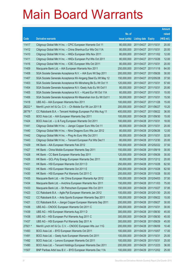|         |                                                              |               |                            |            | <b>Amount</b> |
|---------|--------------------------------------------------------------|---------------|----------------------------|------------|---------------|
|         |                                                              | No. of        |                            |            | raised        |
| Code    | <b>Derivative warrants</b>                                   | issue (units) | <b>Listing date Expiry</b> |            | (HK\$ mil.)   |
| 11417   | Citigroup Global Mkt H Inc. - CPIC European Warrants Oct 11  | 80,000,000    | 2011/04/27 2011/10/31      |            | 20.00         |
| 11412   | Citigroup Global Mkt H Inc. - China Shenhua Eur Wts Oct 11A  | 80,000,000    | 2011/04/27 2011/10/31      |            | 20.00         |
| 11410   | Citigroup Global Mkt H Inc. - HKEx European Wts Nov 2011     | 80,000,000    | 2011/04/27 2011/11/02      |            | 12.00         |
| 11411   | Citigroup Global Mkt H Inc. - HKEx European Put Wts Oct 2011 | 80,000,000    | 2011/04/27 2011/10/26      |            | 12.00         |
| 11416   | Citigroup Global Mkt H Inc. - ICBC European Wts Oct 2011     | 80,000,000    | 2011/04/27 2011/10/31      |            | 20.00         |
| 11409   | Macquarie Bank Ltd. - AIA European Warrants Nov 2011         | 250,000,000   | 2011/04/27 2011/11/18      |            | 64.00         |
| 11408   | SGA Societe Generale Acceptance N.V. - AIA Euro Wt Sep 2011  | 200,000,000   | 2011/04/27 2011/09/26      |            | 30.00         |
| 11407   | SGA Societe Generale Acceptance NV-Angang Steel Eu Wt May 12 | 150,000,000   | 2011/04/27 2012/05/28      |            | 37.50         |
| 11403   | SGA Societe Generale Acceptance NV-Minsheng Bk Eu Wt Oct 11  | 120,000,000   | 2011/04/27 2011/10/31      |            | 57.60         |
| 11404   | SGA Societe Generale Acceptance N.V.-Geely Auto Eu Wt Oct11  | 80,000,000    | 2011/04/27 2011/10/31      |            | 20.80         |
| 11405   | SGA Societe Generale Acceptance N.V. - HLand Eur Wt Oct 11A  | 60,000,000    | 2011/04/27 2011/10/31      |            | 15.00         |
| 11406   | SGA Societe Generale Acceptance NV-Maanshan Iron Eu Wt Oct11 | 50,000,000    | 2011/04/27 2011/10/31      |            | 15.50         |
| 11418   | UBS AG - AIA European Warrants Nov 2011                      | 100,000,000   | 2011/04/27 2011/11/28      |            | 15.00         |
| 28222 # | Merrill Lynch Int'l & Co. C.V. - Ch Mobile Eur Wt Jun 2011 B | 200,000,000   | 2011/04/27 2011/06/27      |            | 10.20         |
| 28776 # | CC Rabobank B.A. - Tencent Holdings European Put Wts Aug 11  | 400,000,000   | 2011/04/27                 | 2011/08/22 | 36.00         |
| 11425   | BOCI Asia Ltd. - AIA European Warrants Sep 2011              | 100,000,000   | 2011/04/28 2011/09/30      |            | 15.00         |
| 11424   | BOCI Asia Ltd. - Li & Fung European Warrants Oct 2011        | 100,000,000   | 2011/04/28 2011/10/31      |            | 18.00         |
| 11441   | Citigroup Global Mkt H Inc. - Jiangxi Copper Euro Wts Oct 11 | 80,000,000    | 2011/04/28 2011/10/31      |            | 20.00         |
| 11440   | Citigroup Global Mkt H Inc. - Nine Dragons Euro Wts Jun 2012 | 80,000,000    | 2011/04/28 2012/06/26      |            | 12.00         |
| 11442   | Citigroup Global Mkt H Inc. - Ping An Euro Wts Oct 2011      | 80,000,000    | 2011/04/28 2011/10/31      |            | 32.00         |
| 11443   | Citigroup Global Mkt H Inc. - Tencent European Put Wts Dec11 | 80,000,000    | 2011/04/28 2011/12/30      |            | 20.00         |
| 11429   | HK Bank - AIA European Warrants Feb 2012                     | 150,000,000   | 2011/04/28 2012/02/22      |            | 37.50         |
| 11427   | HK Bank - China Mobile European Warrants Sep 2011            | 150,000,000   | 2011/04/28 2011/09/19      |            | 30.00         |
| 11428   | HK Bank - CC Bank European Warrants Sep 2011                 | 120,000,000   | 2011/04/28 2011/09/26      |            | 30.00         |
| 11426   | HK Bank - GCL-Poly Energy European Warrants Dec 2011         | 80,000,000    | 2011/04/28 2011/12/12      |            | 20.00         |
| 11431   | HK Bank - HSI European Warrants Oct 2011 D                   | 250.000.000   | 2011/04/28 2011/10/28      |            | 62.50         |
| 11432   | HK Bank – HSI European Warrants Oct 2011 E                   | 250,000,000   | 2011/04/28 2011/10/28      |            | 62.50         |
| 11430   | HK Bank - HSI European Put Warrants Oct 2011 C               | 200,000,000   | 2011/04/28 2011/10/28      |            | 50.00         |
| 11435   | Macquarie Bank Ltd. - Air China European Warrants Apr 2012   | 150,000,000   | 2011/04/28 2012/04/03      |            | 37.50         |
| 11434   | Macquarie Bank Ltd. - Avichina European Warrants Nov 2011    | 150,000,000   | 2011/04/28 2011/11/03      |            | 75.00         |
| 11433   | Macquarie Bank Ltd. - Sh Petrochem European Wts Oct 2011     | 150,000,000   | 2011/04/28 2011/10/27      |            | 37.95         |
| 11423   | CC Rabobank B.A. - Agile Ppt European Warrants Jan 2012      | 100,000,000   | 2011/04/28 2012/01/30      |            | 25.00         |
| 11422   | CC Rabobank B.A. - Anta Sports European Warrants Sep 2011    | 100,000,000   | 2011/04/28 2011/09/22      |            | 15.00         |
| 11421   | CC Rabobank B.A. - Jiangxi Copper European Warrants Sep 2011 | 200,000,000   | 2011/04/28 2011/09/27      |            | 30.00         |
| 11436   | UBS AG - CNOOC European Warrants Oct 2011 C                  | 200,000,000   | 2011/04/28 2011/10/31      |            | 30.00         |
| 11439   | UBS AG - HSI European Warrants Aug 2011 D                    | 300,000,000   | 2011/04/28 2011/08/30      |            | 45.00         |
| 11438   | UBS AG - HSI European Put Warrants Aug 2011 C                | 300,000,000   | 2011/04/28                 | 2011/08/30 | 45.00         |
| 11437   | UBS AG - HSI European Put Warrants Sep 2011 A                | 300,000,000   | 2011/04/28 2011/09/29      |            | 45.00         |
| 27921 # | Merrill Lynch Int'l & Co. C.V. - CNOOC European Wts Jun 11G  | 200,000,000   | 2011/04/28 2011/06/09      |            | 10.40         |
| 11493   | BOCI Asia Ltd. - BYD European Warrants Oct 2011              | 100,000,000   | 2011/04/29 2011/10/07      |            | 17.00         |
| 11491   | BOCI Asia Ltd. - Geely Auto European Warrants Oct 2011       | 100,000,000   | 2011/04/29                 | 2011/10/31 | 25.00         |
| 11492   | BOCI Asia Ltd. - Lenovo European Warrants Oct 2011           | 100,000,000   | 2011/04/29 2011/10/31      |            | 25.00         |
| 11490   | BOCI Asia Ltd. - Tencent Holdings European Warrants Dec 2011 | 200,000,000   | 2011/04/29                 | 2011/12/23 | 36.00         |
| 11507   | BNP Paribas Arbit Issu B.V. - BYD European Warrants Dec 11A  | 100,000,000   | 2011/04/29 2011/12/02      |            | 25.00         |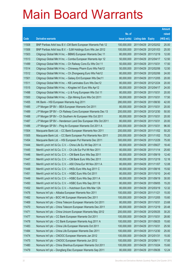|       |                                                              |               |                            |                       | <b>Amount</b> |
|-------|--------------------------------------------------------------|---------------|----------------------------|-----------------------|---------------|
|       |                                                              | No. of        |                            |                       | raised        |
| Code  | <b>Derivative warrants</b>                                   | issue (units) | <b>Listing date Expiry</b> |                       | (HK\$ mil.)   |
| 11508 | BNP Paribas Arbit Issu B.V.-CM Bank European Warrants Feb 12 | 100,000,000   |                            | 2011/04/29 2012/02/02 | 25.00         |
| 11506 | BNP Paribas Arbit Issu B.V. - SJM Holdings Euro Wts Jan 2012 | 100,000,000   |                            | 2011/04/29 2012/01/03 | 25.00         |
| 11503 | Citigroup Global Mkt H Inc. - BBMG European Warrants Dec 11  | 80,000,000    | 2011/04/29 2011/12/19      |                       | 12.00         |
| 11513 | Citigroup Global Mkt H Inc. - Comba European Warrants Apr 12 | 50,000,000    | 2011/04/29 2012/04/17      |                       | 12.50         |
| 11499 | Citigroup Global Mkt H Inc. - Ch Railway Cons Eu Wts Oct 11  | 50,000,000    | 2011/04/29 2011/10/31      |                       | 17.50         |
| 11514 | Citigroup Global Mkt H Inc. - Chineway Pharm Euro Wts Feb12  | 50,000,000    |                            | 2011/04/29 2012/02/06 | 12.50         |
| 11512 | Citigroup Global Mkt H Inc. - Ch Zhongwang Euro Wts Feb12    | 80,000,000    | 2011/04/29 2012/02/06      |                       | 24.00         |
| 11501 | Citigroup Global Mkt H Inc. - Galaxy Ent European Wts Dec11  | 80,000,000    |                            | 2011/04/29 2011/12/05 | 20.00         |
| 11511 | Citigroup Global Mkt H Inc. - KB Laminates Euro Wts Dec12    | 80,000,000    |                            | 2011/04/29 2012/12/24 | 20.00         |
| 11515 | Citigroup Global Mkt H Inc. - Kingdee Int'l Euro Wts Apr12   | 80,000,000    | 2011/04/29 2012/04/17      |                       | 24.00         |
| 11498 | Citigroup Global Mkt H Inc. - Li & Fung European Wts Oct 11  | 80,000,000    | 2011/04/29 2011/10/31      |                       | 20.00         |
| 11500 | Citigroup Global Mkt H Inc. - Zijin Mining Euro Wts Oct 2011 | 50,000,000    | 2011/04/29 2011/10/31      |                       | 17.50         |
| 11455 | HK Bank - HSI European Warrants Aug 2011                     | 280,000,000   |                            | 2011/04/29 2011/08/30 | 42.00         |
| 11485 | J P Morgan SP BV - BEA European Warrants Oct 2011            | 80,000,000    | 2011/04/29 2011/10/31      |                       | 20.00         |
| 11489 | J P Morgan SP BV - Ch Railway Cons European Warrants Dec 13  | 200,000,000   |                            | 2011/04/29 2013/12/30 | 50.00         |
| 11488 | J P Morgan SP BV - Ch Southern Air European Wts Oct 2011     | 80,000,000    | 2011/04/29 2011/10/31      |                       | 20.00         |
| 11487 | J P Morgan SP BV - Henderson Land Dev European Wts Oct 2011  | 80,000,000    | 2011/04/29 2011/10/31      |                       | 20.00         |
| 11486 | J P Morgan SP BV - Ping An European Warrants Oct 2011 A      | 200,000,000   | 2011/04/29 2011/10/31      |                       | 96.00         |
| 11504 | Macquarie Bank Ltd. - CC Bank European Warrants Nov 2011     | 200,000,000   |                            | 2011/04/29 2011/11/02 | 50.20         |
| 11505 | Macquarie Bank Ltd. - CC Bank European Put Warrants Nov 2011 | 200,000,000   |                            | 2011/04/29 2011/11/02 | 70.20         |
| 11454 | Macquarie Bank Ltd. - HSI European Put Warrants Dec 2011     | 300,000,000   |                            | 2011/04/29 2011/12/29 | 75.00         |
| 11444 | Merrill Lynch Int'l & Co. C.V. - China Life Eu Wt Sep 2011 A | 80,000,000    |                            | 2011/04/29 2011/09/27 | 18.40         |
| 11445 | Merrill Lynch Int'l & Co. C.V. - Ch Life Eur Put Wt Nov 2011 | 80,000,000    | 2011/04/29 2011/11/14      |                       | 25.60         |
| 11446 | Merrill Lynch Int'l & Co. C.V. - CM Bank Euro Wts Sep 2011   | 80,000,000    |                            | 2011/04/29 2011/09/19 | 12.40         |
| 11447 | Merrill Lynch Int'l & Co. C.V. - CM Bank Euro Wts Dec 2011   | 80,000,000    |                            | 2011/04/29 2011/12/19 | 12.16         |
| 11453 | Merrill Lynch Int'l & Co. C.V. - A50 China Eur Wt Nov 2011 A | 80,000,000    | 2011/04/29 2011/11/07      |                       | 12.08         |
| 11448 | Merrill Lynch Int'l & Co. C.V. - HKEx Euro Wts Aug 2011 C    | 80,000,000    |                            | 2011/04/29 2011/08/16 | 15.92         |
| 11451 | Merrill Lynch Int'l & Co. C.V. - HSBC Euro Wts Oct 2011      | 80,000,000    | 2011/04/29 2011/10/10      |                       | 24.40         |
| 11449 | Merrill Lynch Int'l & Co. C.V. - HSBC Euro Wts Sep 2011 A    | 80,000,000    | 2011/04/29 2011/09/19      |                       | 30.00         |
| 11450 | Merrill Lynch Int'l & Co. C.V. - HSBC Euro Wts Sep 2011 B    | 80,000,000    |                            | 2011/04/29 2011/09/05 | 15.20         |
| 11452 | Merrill Lynch Int'l & Co. C.V. - Hutchison Euro Wts Mar 12A  | 80,000,000    | 2011/04/29 2012/03/19      |                       | 12.32         |
| 11476 | Nomura Int'l plc - Alibaba European Warrants Nov 2011        | 100,000,000   | 2011/04/29 2011/11/21      |                       | 15.00         |
| 11482 | Nomura Int'l plc - BOC HK European Warrants Dec 2011         | 100,000,000   | 2011/04/29 2011/12/05      |                       | 15.60         |
| 11469 | Nomura Int'l plc - China Telecom European Warrants Oct 2011  | 80,000,000    | 2011/04/29 2011/10/31      |                       | 23.68         |
| 11470 | Nomura Int'l plc - China Telecom European Warrants Dec 2011  | 80,000,000    | 2011/04/29 2011/12/19      |                       | 20.48         |
| 11471 | Nomura Int'l plc - China Unicom European Warrants May 2012   | 200,000,000   | 2011/04/29 2012/05/25      |                       | 30.20         |
| 11477 | Nomura Int'l plc - CC Bank European Warrants Oct 2011        | 100,000,000   | 2011/04/29 2011/10/31      |                       | 28.80         |
| 11478 | Nomura Int'l plc - CC Bank European Warrants Aug 2011 A      | 100,000,000   |                            | 2011/04/29 2011/08/25 | 15.60         |
| 11483 | Nomura Int'l plc - China Life European Warrants Oct 2011     | 100,000,000   | 2011/04/29 2011/10/31      |                       | 25.50         |
| 11484 | Nomura Int'l plc - China Life European Warrants Dec 2011     | 100,000,000   | 2011/04/29 2011/12/30      |                       | 25.00         |
| 11474 | Nomura Int'l plc - CNOOC European Warrants Jan 2012          | 100,000,000   | 2011/04/29 2012/01/31      |                       | 15.00         |
| 11475 | Nomura Int'l plc - CNOOC European Warrants Jun 2012          | 100,000,000   | 2011/04/29 2012/06/11      |                       | 17.00         |
| 11480 | Nomura Int'l plc - China Shenhua European Warrants Oct 2011  | 100,000,000   | 2011/04/29 2011/10/24      |                       | 15.60         |
| 11479 | Nomura Int'l plc - Dongfang Elec European Warrants Sep 2011  | 80,000,000    | 2011/04/29 2011/09/26      |                       | 12.24         |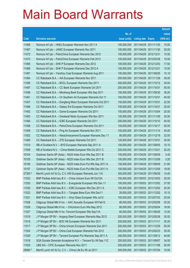|         |                                                              |               |                            |            | <b>Amount</b> |
|---------|--------------------------------------------------------------|---------------|----------------------------|------------|---------------|
|         |                                                              | No. of        |                            |            | raised        |
| Code    | <b>Derivative warrants</b>                                   | issue (units) | <b>Listing date Expiry</b> |            | (HK\$ mil.)   |
| 11468   | Nomura Int'l plc - HKEx European Warrants Nov 2011 A         | 100,000,000   | 2011/04/29 2011/11/30      |            | 15.00         |
| 11467   | Nomura Int'l plc - JIANC European Warrants Nov 2011          | 100,000,000   | 2011/04/29 2011/11/30      |            | 25.00         |
| 11472   | Nomura Int'l plc - PetroChina European Warrants Dec 2012     | 100,000,000   | 2011/04/29 2012/12/31      |            | 15.50         |
| 11473   | Nomura Int'l plc - PetroChina European Warrants Feb 2013     | 100,000,000   | 2011/04/29 2013/02/28      |            | 15.00         |
| 11465   | Nomura Int'l plc - SHK P European Warrants Dec 2012          | 100,000,000   | 2011/04/29 2012/12/03      |            | 17.50         |
| 11466   | Nomura Int'l plc - SHK P European Warrants Dec 2012 A        | 100,000,000   | 2011/04/29 2012/12/21      |            | 15.00         |
| 11481   | Nomura Int'l plc - Yanzhou Coal European Warrants Aug 2011   | 100,000,000   | 2011/04/29 2011/08/25      |            | 15.10         |
| 11464   | CC Rabobank B.A. - AIA European Warrants Nov 2011            | 200,000,000   | 2011/04/29 2011/11/28      |            | 30.00         |
| 11495   | CC Rabobank B.A. - BOCL European Warrants Dec 2011           | 200,000,000   | 2011/04/29 2011/12/12      |            | 30.00         |
| 11497   | CC Rabobank B.A. - CC Bank European Warrants Oct 2011        | 200,000,000   | 2011/04/29 2011/10/31      |            | 50.00         |
| 11456   | CC Rabobank B.A. - Minsheng Bank European Wts Sep 2011       | 150,000,000   | 2011/04/29                 | 2011/09/30 | 36.00         |
| 11461   | CC Rabobank B.A. – Ch Southern Air European Warrants Oct 11  | 100,000,000   | 2011/04/29 2011/10/31      |            | 40.00         |
| 11457   | CC Rabobank B.A. - Dongfeng Motor European Warrants Oct 2011 | 150,000,000   | 2011/04/29 2011/10/31      |            | 22.50         |
| 11496   | CC Rabobank B.A. - Galaxy Ent European Warrants Oct 2011     | 100,000,000   | 2011/04/29 2011/10/31      |            | 25.00         |
| 11462   | CC Rabobank B.A. - Gome European Warrants Oct 2011           | 100,000,000   | 2011/04/29                 | 2011/10/04 | 20.00         |
| 11463   | CC Rabobank B.A. - Greatwall Motor European Wts Nov 2011     | 120,000,000   | 2011/04/29 2011/11/29      |            | 30.00         |
| 11494   | CC Rabobank B.A. - ICBC European Warrants Oct 2011           | 200,000,000   | 2011/04/29 2011/10/10      |            | 40.00         |
| 11458   | CC Rabobank B.A. - PetroChina European Warrants Oct 2011     | 100,000,000   | 2011/04/29 2011/10/17      |            | 55.00         |
| 11459   | CC Rabobank B.A. - Ping An European Warrants Nov 2011        | 100,000,000   | 2011/04/29 2011/11/14      |            | 45.00         |
| 11502   | CC Rabobank B.A. - Westchinacement European Warrants Dec 11  | 80,000,000    | 2011/04/29 2011/12/19      |            | 32.00         |
| 11460   | CC Rabobank B.A. - ZTE European Warrants Oct 2011            | 120,000,000   | 2011/04/29 2011/10/31      |            | 30.00         |
| 11510   | RB of Scotland N.V. - BYD European Warrants Sep 2011 A       | 100,000,000   | 2011/04/29 2011/09/05      |            | 15.10         |
| 11509   | RB of Scotland N.V. - China Mobile European Wts Oct 2011 C   | 200,000,000   | 2011/04/29                 | 2011/10/21 | 30.20         |
| 10104   | Goldman Sachs SP (Asia) - N225 Index Euro Wts Sep 2011 B     | 100,000,000   | 2011/04/29 2011/09/09      |            | 3.40          |
| 10105   | Goldman Sachs SP (Asia) – N225 Index Euro Wts Dec 2011 B     | 100,000,000   | 2011/04/29 2011/12/09      |            | 3.20          |
| 10106   | Goldman Sachs SP (Asia) - N225 Index Euro Put Wts Sep 2011 A | 100,000,000   | 2011/04/29 2011/09/09      |            | 21.60         |
| 10107   | Goldman Sachs SP (Asia) - N225 Index Euro Put Wts Dec 2011 A | 100,000,000   | 2011/04/29 2011/12/09      |            | 18.00         |
| 27300 # | Merrill Lynch Int'l & Co. C.V.-HSI European Warrants Jun 11A | 300,000,000   | 2011/04/29 2011/06/29      |            | 14.40         |
| 11522   | BNP Paribas Arbit Issu B.V. - China Unicom Euro Wt Oct12A    | 100,000,000   | 2011/05/03 2012/10/03      |            | 25.00         |
| 11520   | BNP Paribas Arbit Issu B.V. - Evergrande European Wts Dec 11 | 100,000,000   | 2011/05/03 2011/12/02      |            | 37.00         |
| 11530   | BNP Paribas Arbit Issu B.V. - ICBC European Wts Dec 2011 A   | 100,000,000   | 2011/05/03 2011/12/02      |            | 25.00         |
| 11523   | BNP Paribas Arbit Issu B.V. - Tsingtao Brew Euro Wts Dec11   | 29,000,000    | 2011/05/03 2011/12/02      |            | 10.15         |
| 11521   | BNP Paribas Arbit Issu B.V. - Xinyi Glass European Wts Jul12 | 100,000,000   | 2011/05/03 2012/07/03      |            | 25.00         |
| 11526   | Citigroup Global Mkt H Inc. - AAC Acoustic European Wt Feb12 | 80,000,000    | 2011/05/03 2012/02/06      |            | 20.00         |
| 11528   | Citigroup Global Mkt H Inc. - ChiUnicom Euro Wts May 2012    | 80,000,000    | 2011/05/03 2012/05/04      |            | 16.00         |
| 11527   | Citigroup Global Mkt H Inc.-Tencent European Wts Sep11A      | 80,000,000    | 2011/05/03 2011/09/26      |            | 12.00         |
| 11519   | J P Morgan SP BV - Angang Steel European Warrants May 2012   | 200,000,000   | 2011/05/03 2012/05/28      |            | 30.00         |
| 11518   | J P Morgan SP BV - BOC HK European Warrants Nov 2011         | 200,000,000   | 2011/05/03 2011/11/11      |            | 30.20         |
| 11517   | J P Morgan SP BV - China Unicom European Warrants Dec 2011   | 200,000,000   | 2011/05/03 2011/12/29      |            | 50.00         |
| 11524   | J P Morgan SP BV - China Coal European Warrants Feb 2012     | 200,000,000   | 2011/05/03 2012/02/23      |            | 30.00         |
| 11529   | J P Morgan SP BV - Tencent European Put Warrants Sep 2011 A  | 200,000,000   | 2011/05/03 2011/09/12      |            | 44.60         |
| 11516   | SGA Societe Generale Acceptance N.V. - Tencent Eu Wt Sep 11C | 200,000,000   | 2011/05/03 2011/09/07      |            | 34.00         |
| 11525   | UBS AG - CPIC European Warrants Nov 2011                     | 200,000,000   | 2011/05/03 2011/11/08      |            | 50.00         |
| 28984 # | Merrill Lynch Int'l & Co. C.V. - China Life Eu Wt Jul 2011   | 500,000,000   | 2011/05/03 2011/07/04      |            | 10.00         |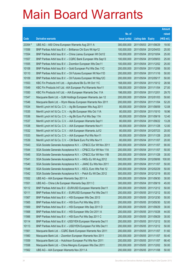|         |                                                               |               |                            |                       | <b>Amount</b> |
|---------|---------------------------------------------------------------|---------------|----------------------------|-----------------------|---------------|
|         |                                                               | No. of        |                            |                       | raised        |
| Code    | <b>Derivative warrants</b>                                    | issue (units) | <b>Listing date Expiry</b> |                       | (HK\$ mil.)   |
| 23354 # | UBS AG - A50 China European Warrants Aug 2011 A               | 300,000,000   | 2011/05/03 2011/08/29      |                       | 19.50         |
| 11556   | BNP Paribas Arbit Issu B.V. - Brilliance Chi Euro Wt Apr12    | 100,000,000   | 2011/05/04 2012/04/03      |                       | 25.00         |
| 11554   | BNP Paribas Arbit Issu B.V. - China Liansu European Wt Oct12  | 100,000,000   | 2011/05/04 2012/10/04      |                       | 25.00         |
| 11557   | BNP Paribas Arbit Issu B.V. - CQRC Bank European Wts Sep13    | 100,000,000   |                            | 2011/05/04 2013/09/03 | 25.00         |
| 11555   | BNP Paribas Arbit Issu B.V. - Zoomlion European Wts Dec11     | 100,000,000   |                            | 2011/05/04 2011/12/02 | 25.00         |
| 10108   | BNP Paribas Arbit Issu B.V. - Gold European Put Wts Dec 11C   | 200,000,000   |                            | 2011/05/04 2011/12/06 | 50.00         |
| 10110   | BNP Paribas Arbit Issu B.V. - Oil Futures European Wt Nov11D  | 200,000,000   | 2011/05/04 2011/11/16      |                       | 50.00         |
| 10109   | BNP Paribas Arbit Issu B.V. - Oil Futures European Wt May12C  | 200,000,000   | 2011/05/04 2012/05/17      |                       | 50.00         |
| 11553   | KBC Fin Products Int'l Ltd. - Agricultural Bk Eu Wt Oct 11C   | 168,000,000   |                            | 2011/05/04 2011/10/12 | 28.56         |
| 11549   | KBC Fin Products Int'l Ltd. - AIA European Put Warrants Nov11 | 108,000,000   | 2011/05/04 2011/11/04      |                       | 27.00         |
| 11550   | KBC Fin Products Int'l Ltd. - AIA European Warrants Dec 11A   | 198,000,000   | 2011/05/04 2011/12/01      |                       | 29.70         |
| 11547   | Macquarie Bank Ltd. - SJM Holdings European Warrants Jan 12   | 200,000,000   | 2011/05/04 2012/01/03      |                       | 50.60         |
| 11546   | Macquarie Bank Ltd. - Wynn Macau European Warrants Nov 2011   | 200,000,000   |                            | 2011/05/04 2011/11/04 | 52.20         |
| 11534   | Merrill Lynch Int'l & Co. C.V. - Ag Bk European Wts Aug 2011  | 80,000,000    | 2011/05/04 2011/08/09      |                       | 12.08         |
| 11535   | Merrill Lynch Int'l & Co. C.V. - Ag Bk European Wts Oct 11A   | 80,000,000    | 2011/05/04 2011/10/10      |                       | 18.96         |
| 11536   | Merrill Lynch Int'l & Co. C.V. - Ag Bk Euro Put Wts Sep 11A   | 80,000,000    | 2011/05/04 2011/09/19      |                       | 12.40         |
| 11537   | Merrill Lynch Int'l & Co. C.V. - AIA European Warrants Sep11  | 80,000,000    |                            | 2011/05/04 2011/09/22 | 13.28         |
| 11538   | Merrill Lynch Int'l & Co. C.V. - AIA European Warrants Nov11  | 80,000,000    | 2011/05/04 2011/11/28      |                       | 12.00         |
| 11532   | Merrill Lynch Int'l & Co. C.V. - AIA European Warrants Jul12  | 80,000,000    | 2011/05/04 2012/07/23      |                       | 20.00         |
| 11533   | Merrill Lynch Int'l & Co. C.V. - AIA European Put Wts Nov11   | 80,000,000    | 2011/05/04 2011/11/28      |                       | 20.00         |
| 11539   | Merrill Lynch Int'l & Co. C.V. - CM Bank Euro Put Wts Nov11   | 80,000,000    |                            | 2011/05/04 2011/11/07 | 20.00         |
| 11543   | SGA Societe Generale Acceptance N.V. - CP&CC Eur Wt Nov 2011  | 200,000,000   | 2011/05/04 2011/11/07      |                       | 90.00         |
| 11544   | SGA Societe Generale Acceptance N.V. - CP&CC Eur Wt Nov 11A   | 200,000,000   | 2011/05/04 2011/11/07      |                       | 50.00         |
| 11545   | SGA Societe Generale Acceptance N.V. - CP&CC Eur Wt Nov 11B   | 200,000,000   | 2011/05/04 2011/11/28      |                       | 30.00         |
| 11541   | SGA Societe Generale Acceptance N.V. - HKEx Eu Wt Aug 2012    | 500,000,000   |                            | 2011/05/04 2012/08/06 | 100.00        |
| 11540   | SGA Societe Generale Acceptance N.V. - JIANC Eu Wts Nov 2011  | 200,000,000   | 2011/05/04 2011/11/07      |                       | 50.00         |
| 11548   | SGA Societe Generale Acceptance N.V. - KECL Euro Wts Feb 12   | 200,000,000   | 2011/05/04 2012/02/29      |                       | 50.00         |
| 11542   | SGA Societe Generale Acceptance N.V. - Petch Eu Wt Dec 2012   | 500,000,000   | 2011/05/04 2012/12/19      |                       | 85.00         |
| 11552   | UBS AG - AIA European Warrants Sep 2011 A                     | 200,000,000   | 2011/05/04 2011/09/30      |                       | 30.00         |
| 11551   | UBS AG - China Life European Warrants Sep 2011 C              | 300,000,000   | 2011/05/04 2011/09/19      |                       | 45.00         |
| 10112   | BNP Paribas Arbit Issu B.V. - EUR/USD European Warrants Dec11 | 200,000,000   | 2011/05/05 2011/12/12      |                       | 50.00         |
| 10111   | BNP Paribas Arbit Issu B.V. - EUR/USD European Put Wts Dec11  | 200,000,000   | 2011/05/05 2011/12/12      |                       | 50.00         |
| 11567   | BNP Paribas Arbit Issu B.V. - HSI European Wts Dec 2013       | 200,000,000   | 2011/05/05 2013/12/30      |                       | 50.00         |
| 11565   | BNP Paribas Arbit Issu B.V. - HSI Euro Put Wts May 2013       | 200,000,000   | 2011/05/05 2013/05/30      |                       | 52.00         |
| 11569   | BNP Paribas Arbit Issu B.V. - HSI European Wts Sep 2011 D     | 200,000,000   | 2011/05/05 2011/09/29      |                       | 30.00         |
| 11568   | BNP Paribas Arbit Issu B.V. - HSI European Wts Oct 2011 A     | 200,000,000   | 2011/05/05 2011/10/28      |                       | 44.00         |
| 11566   | BNP Paribas Arbit Issu B.V. - HSI Euro Put Wts Sep 2011 C     | 200,000,000   | 2011/05/05 2011/09/29      |                       | 30.00         |
| 10114   | BNP Paribas Arbit Issu B.V. - USD/YEN European Warrants Dec11 | 200,000,000   | 2011/05/05 2011/12/12      |                       | 50.00         |
| 10113   | BNP Paribas Arbit Issu B.V. - USD/YEN European Put Wts Dec11  | 200,000,000   | 2011/05/05 2011/12/12      |                       | 50.00         |
| 11561   | Macquarie Bank Ltd. - CQRC Bank European Warrants Nov 2011    | 200,000,000   | 2011/05/05 2011/11/07      |                       | 51.60         |
| 11560   | Macquarie Bank Ltd. - Zoomlion European Warrants Nov 2011     | 200,000,000   | 2011/05/05 2011/11/07      |                       | 50.40         |
| 11559   | Macquarie Bank Ltd. - Hutchison European Put Wts Nov 2011     | 200,000,000   | 2011/05/05 2011/11/07      |                       | 66.40         |
| 11558   | Macquarie Bank Ltd. - China Mengniu European Wts Dec 2011     | 200,000,000   | 2011/05/05 2011/12/02      |                       | 50.00         |
| 11562   | UBS AG - AIA European Warrants Nov 2011 A                     | 200,000,000   | 2011/05/05 2011/11/08      |                       | 50.00         |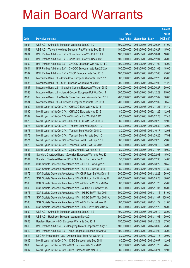|       |                                                              |               |                            |                       | <b>Amount</b> |
|-------|--------------------------------------------------------------|---------------|----------------------------|-----------------------|---------------|
|       |                                                              | No. of        |                            |                       | raised        |
| Code  | <b>Derivative warrants</b>                                   | issue (units) | <b>Listing date Expiry</b> |                       | (HK\$ mil.)   |
| 11564 | UBS AG – China Life European Warrants Sep 2011 D             | 300,000,000   | 2011/05/05 2011/09/27      |                       | 51.00         |
| 11563 | UBS AG - Tencent Holdings European Put Warrants Sep 2011     | 100,000,000   | 2011/05/05 2011/09/27      |                       | 15.00         |
| 11604 | BNP Paribas Arbit Issu B.V. - China Life Euro Wts Oct 2011 A | 100,000,000   | 2011/05/06 2011/10/04      |                       | 18.00         |
| 11603 | BNP Paribas Arbit Issu B.V. - China Life Euro Wts Dec 2012   | 100,000,000   |                            | 2011/05/06 2012/12/04 | 26.00         |
| 11602 | BNP Paribas Arbit Issu B.V. - CNOOC European Wts Nov 2011 C  | 100,000,000   |                            | 2011/05/06 2011/11/02 | 15.00         |
| 11601 | BNP Paribas Arbit Issu B.V. - CNOOC European Wts Jan 2012 A  | 100,000,000   |                            | 2011/05/06 2012/01/03 | 18.00         |
| 11597 | BNP Paribas Arbit Issu B.V. - CRCC European Wts Dec 2013     | 100,000,000   | 2011/05/06 2013/12/03      |                       | 25.00         |
| 11600 | Macquarie Bank Ltd. - China Coal European Warrants Feb 2012  | 300,000,000   | 2011/05/06 2012/02/28      |                       | 45.00         |
| 11586 | Macquarie Bank Ltd. - CLP European Warrants Feb 2012         | 200,000,000   |                            | 2011/05/06 2012/02/02 | 51.20         |
| 11587 | Macquarie Bank Ltd. - Shanshui Cement European Wts Jun 2012  | 200,000,000   | 2011/05/06 2012/06/27      |                       | 50.00         |
| 11588 | Macquarie Bank Ltd. - Jiangxi Copper European Put Wts Dec 11 | 300,000,000   | 2011/05/06 2011/12/29      |                       | 75.00         |
| 11585 | Macquarie Bank Ltd. - Sands China European Warrants Dec 2011 | 200,000,000   | 2011/05/06 2011/12/02      |                       | 50.00         |
| 11584 | Macquarie Bank Ltd. - Goldwind European Warrants Dec 2011    | 200,000,000   |                            | 2011/05/06 2011/12/02 | 50.40         |
| 11589 | Merrill Lynch Int'l & Co. C.V. - CHALCO Euro Wts Nov 2011    | 80,000,000    | 2011/05/06 2011/11/21      |                       | 34.40         |
| 11590 | Merrill Lynch Int'l & Co. C.V. - CHALCO Euro Wts Nov 2012    | 80,000,000    | 2011/05/06 2012/11/26      |                       | 12.08         |
| 11592 | Merrill Lynch Int'l & Co. C.V. - China Coal Eur Wts Feb 2012 | 80,000,000    |                            | 2011/05/06 2012/02/23 | 12.48         |
| 11575 | Merrill Lynch Int'l & Co. C.V. - HKEx Eur Put Wts Sep 2011 C | 80,000,000    | 2011/05/06 2011/09/29      |                       | 12.00         |
| 11574 | Merrill Lynch Int'l & Co. C.V. - Tencent Euro Wts Sep 2011 D | 80,000,000    |                            | 2011/05/06 2011/09/30 | 12.00         |
| 11573 | Merrill Lynch Int'l & Co. C.V. - Tencent Euro Wts Oct 2011 C | 80,000,000    | 2011/05/06 2011/10/17      |                       | 12.08         |
| 11572 | Merrill Lynch Int'l & Co. C.V. - Tencent Euro Put Wts Sep11C | 80,000,000    |                            | 2011/05/06 2011/09/26 | 17.92         |
| 11571 | Merrill Lynch Int'l & Co. C.V. - Yanzhou Coal Eu Wt Sep 2011 | 80,000,000    |                            | 2011/05/06 2011/09/26 | 29.60         |
| 11570 | Merrill Lynch Int'l & Co. C.V. - Yanzhou Coal Eu Wt Oct 2011 | 80,000,000    | 2011/05/06 2011/10/10      |                       | 13.92         |
| 11591 | Merrill Lynch Int'l & Co. C.V. - Zijin Mining Eu Wt Nov 2011 | 80,000,000    | 2011/05/06 2011/11/07      |                       | 39.60         |
| 11593 | Standard Chartered Bank - Zoomlion European Warrants Feb 12  | 60,000,000    | 2011/05/06 2012/02/03      |                       | 15.60         |
| 11594 | Standard Chartered Bank - SPDR Gold Trust Euro Wts Dec11     | 50,000,000    |                            | 2011/05/06 2011/12/30 | 34.00         |
| 11581 | SGA Societe Generale Acceptance N.V. - CTel Eu Wt Aug 2011   | 80,000,000    |                            | 2011/05/06 2011/08/22 | 18.40         |
| 11580 | SGA Societe Generale Acceptance N.V. – CTel Eu Wt Oct 2011   | 80,000,000    | 2011/05/06 2011/10/24      |                       | 24.80         |
| 11579 | SGA Societe Generale Acceptance N.V.-ChiUnicom Eu Wts Dec 11 | 200,000,000   | 2011/05/06 2011/12/28      |                       | 36.00         |
| 11578 | SGA Societe Generale Acceptance N.V.-ChiUnicom Eu Wts May 12 | 200,000,000   | 2011/05/06 2012/05/28      |                       | 30.00         |
| 11595 | SGA Societe Generale Acceptance N.V. - CLife Eu Wt Nov 2011A | 300,000,000   | 2011/05/06 2011/11/23      |                       | 75.00         |
| 11596 | SGA Societe Generale Acceptance N.V. - A50 Ch Eu Wt Nov 11A  | 300,000,000   | 2011/05/06 2011/11/07      |                       | 45.00         |
| 11576 | SGA Societe Generale Acceptance N.V. - HSBC Eu Wt Nov 2011   | 300,000,000   | 2011/05/06 2011/11/16      |                       | 81.00         |
| 11577 | SGA Societe Generale Acceptance N.V. - HSBC Eu Wt Nov 2011 A | 300,000,000   | 2011/05/06 2011/11/07      |                       | 108.00        |
| 11583 | SGA Societe Generale Acceptance N.V. - HSI Eu Put Wt Nov 11  | 300,000,000   | 2011/05/06 2011/11/29      |                       | 81.00         |
| 11582 | SGA Societe Generale Acceptance N.V. - HSI Eur Wt Dec 2011 A | 300,000,000   | 2011/05/06 2011/12/29      |                       | 45.00         |
| 11599 | UBS AG - China Life European Warrants Sep 2011 E             | 300,000,000   | 2011/05/06 2011/09/19      |                       | 78.00         |
| 11598 | UBS AG - Hutchison European Warrants Nov 2011                | 300,000,000   | 2011/05/06 2011/11/08      |                       | 90.00         |
| 11608 | Barclays Bank plc - HSI European Warrants Dec 2011           | 150,000,000   | 2011/05/09 2011/12/29      |                       | 37.65         |
| 11613 | BNP Paribas Arbit Issu B.V.-Dongfeng Motor European Wt Aug12 | 100,000,000   | 2011/05/09 2012/08/02      |                       | 25.00         |
| 11612 | BNP Paribas Arbit Issu B.V. - Nine Dragons European Wt Apr13 | 100,000,000   | 2011/05/09 2013/04/02      |                       | 25.00         |
| 11611 | KBC Fin Products Int'l Ltd. - Angang Steel Euro Put Wt Jan12 | 80,000,000    | 2011/05/09 2012/01/18      |                       | 20.00         |
| 11605 | Merrill Lynch Int'l & Co. C.V. - ICBC European Wts Sep 2011  | 80,000,000    | 2011/05/09 2011/09/07      |                       | 12.08         |
| 11606 | Merrill Lynch Int'l & Co. C.V. - SPA European Wts Nov 2011   | 80,000,000    | 2011/05/09 2011/11/28      |                       | 26.40         |
| 11607 | Merrill Lynch Int'l & Co. C.V. - SPA European Wts Mar 2012   | 80,000,000    | 2011/05/09 2012/03/21      |                       | 12.08         |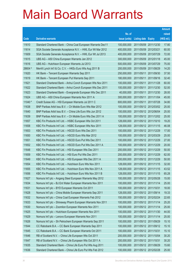|         |                                                              |               |                            |            | <b>Amount</b> |
|---------|--------------------------------------------------------------|---------------|----------------------------|------------|---------------|
|         |                                                              | No. of        |                            |            | raised        |
| Code    | <b>Derivative warrants</b>                                   | issue (units) | <b>Listing date Expiry</b> |            | (HK\$ mil.)   |
| 11610   | Standard Chartered Bank – China Coal European Warrants Dec11 | 100,000,000   | 2011/05/09 2011/12/30      |            | 17.80         |
| 11614   | SGA Societe Generale Acceptance N.V. - HWL Eur Wt Mar 2012   | 400,000,000   | 2011/05/09 2012/03/21      |            | 60.00         |
| 11609   | SGA Societe Generale Acceptance N.V. - HWL Eur Wt Jul 2013   | 400,000,000   | 2011/05/09 2013/07/29      |            | 72.00         |
| 11615   | UBS AG - A50 China European Warrants Jan 2012                | 300,000,000   | 2011/05/09 2012/01/18      |            | 45.00         |
| 11616   | UBS AG - Hutchison European Warrants Jul 2013                | 500,000,000   | 2011/05/09 2013/07/29      |            | 75.00         |
| 28604 # | Merrill Lynch Int'l & Co. C.V. - HKEx Euro Wts Aug 2011 B    | 200,000,000   | 2011/05/09 2011/08/29      |            | 14.20         |
| 11620   | HK Bank - Tencent European Warrants Sep 2011                 | 250,000,000   | 2011/05/11                 | 2011/09/30 | 37.50         |
| 11619   | HK Bank – Tencent European Put Warrants Sep 2011             | 180,000,000   | 2011/05/11 2011/09/16      |            | 32.40         |
| 11621   | Standard Chartered Bank - Anhui Conch European Wts Nov 2011  | 100,000,000   | 2011/05/11                 | 2011/11/28 | 60.00         |
| 11622   | Standard Chartered Bank - Anhui Conch European Wts Dec 2011  | 100,000,000   | 2011/05/11 2011/12/30      |            | 52.00         |
| 11623   | Standard Chartered Bank - Evergrande European Wts Dec 2011   | 40,000,000    | 2011/05/11                 | 2011/12/30 | 28.00         |
| 11624   | UBS AG - A50 China European Warrants Nov 2011 A              | 300,000,000   | 2011/05/11 2011/11/04      |            | 45.00         |
| 11040 # | Credit Suisse AG - HSI European Warrants Jul 2011 C          | 600,000,000   | 2011/05/11 2011/07/28      |            | 34.80         |
| 11638   | BNP Paribas Arbit Issu B.V. - Ch Mobile Euro Wts Mar 2012    | 100,000,000   | 2011/05/12 2012/03/02      |            | 25.00         |
| 11640   | BNP Paribas Arbit Issu B.V. - China Life Euro Wts Jun 2012   | 100,000,000   | 2011/05/12 2012/06/04      |            | 25.00         |
| 11639   | BNP Paribas Arbit Issu B.V. - Ch Mobile Euro Wts Dec 2011 A  | 100,000,000   | 2011/05/12 2011/12/02      |            | 25.00         |
| 11657   | KBC Fin Products Int'l Ltd. - HSBC European Wts Oct 2011     | 128,000,000   | 2011/05/12 2011/10/10      |            | 19.20         |
| 11658   | KBC Fin Products Int'l Ltd. - HSBC European Wts Nov 2011     | 128,000,000   | 2011/05/12 2011/11/15      |            | 46.08         |
| 11653   | KBC Fin Products Int'l Ltd. - HSCEI Euro Wts Dec 2011        | 100,000,000   | 2011/05/12 2011/12/29      |            | 17.00         |
| 11650   | KBC Fin Products Int'l Ltd. - HSCEI Euro Wts Mar 2012        | 100,000,000   | 2011/05/12 2012/03/29      |            | 25.00         |
| 11651   | KBC Fin Products Int'l Ltd. - HSCEI Euro Put Wts Dec 2011    | 100,000,000   | 2011/05/12 2011/12/29      |            | 27.00         |
| 11652   | KBC Fin Products Int'l Ltd. - HSCEI Euro Put Wts Dec 2011 A  | 100,000,000   | 2011/05/12 2011/12/29      |            | 20.00         |
| 11648   | KBC Fin Products Int'l Ltd. - HSI European Wts Dec 2011      | 200,000,000   | 2011/05/12 2011/12/29      |            | 50.00         |
| 11659   | KBC Fin Products Int'l Ltd. - HSI Euro Put Wts Dec 2011      | 200,000,000   | 2011/05/12 2011/12/29      |            | 62.00         |
| 11649   | KBC Fin Products Int'l Ltd. - HSI European Wts Dec 2011 A    | 200,000,000   | 2011/05/12 2011/12/29      |            | 50.00         |
| 11654   | KBC Fin Products Int'l Ltd. - Hutchison Euro Wts Nov 2011    | 128,000,000   | 2011/05/12 2011/11/15      |            | 32.00         |
| 11655   | KBC Fin Products Int'l Ltd. – Hutchison Euro Wts Nov 2011 A  | 128,000,000   | 2011/05/12 2011/11/15      |            | 43.52         |
| 11656   | KBC Fin Products Int'l Ltd. - Hutchison Euro Wts Nov 2011 B  | 128,000,000   | 2011/05/12 2011/11/15      |            | 65.28         |
| 11627   | Nomura Int'l plc - Angang Steel European Warrants May 2012   | 100,000,000   | 2011/05/12 2012/05/28      |            | 15.00         |
| 11634   | Nomura Int'l plc - BJ Ent Water European Warrants Nov 2011   | 100,000,000   | 2011/05/12 2011/11/14      |            | 25.00         |
| 11631   | Nomura Int'l plc - BYD European Warrants Oct 2011            | 100,000,000   | 2011/05/12 2011/10/31      |            | 18.00         |
| 11628   | Nomura Int'l plc - China Mobile European Warrants Sep 2011   | 128,000,000   | 2011/05/12 2011/09/14      |            | 19.33         |
| 11632   | Nomura Int'l plc - China Coal European Warrants Feb 2012     | 150,000,000   | 2011/05/12 2012/02/24      |            | 22.65         |
| 11633   | Nomura Int'l plc - Shineway Pharm European Warrants Nov 2011 | 100,000,000   | 2011/05/12 2011/11/14      |            | 25.20         |
| 11630   | Nomura Int'l plc - Zoomlion European Warrants Nov 2011       | 100,000,000   | 2011/05/12 2011/11/14      |            | 25.00         |
| 11625   | Nomura Int'l plc - Hutchison European Warrants Nov 2011      | 100,000,000   | 2011/05/12 2011/11/30      |            | 44.00         |
| 11629   | Nomura Int'l plc - Lenovo European Warrants Nov 2011         | 100,000,000   | 2011/05/12 2011/11/14      |            | 25.00         |
| 11626   | Nomura Int'l plc - Sh Petrochem European Warrants Sep 2011   | 100,000,000   | 2011/05/12 2011/09/29      |            | 15.10         |
| 11644   | CC Rabobank B.A. - CC Bank European Warrants Sep 2011        | 100,000,000   | 2011/05/12 2011/09/12      |            | 15.10         |
| 11645   | CC Rabobank B.A. - CC Bank European Warrants Oct 2011        | 100,000,000   | 2011/05/12 2011/10/31      |            | 15.10         |
| 11646   | RB of Scotland N.V. - China Life European Wts Oct 2011       | 200,000,000   | 2011/05/12 2011/10/04      |            | 30.20         |
| 11647   | RB of Scotland N.V. - China Life European Wts Oct 2011 A     | 200,000,000   | 2011/05/12 2011/10/31      |            | 30.20         |
| 11635   | Standard Chartered Bank - China Life Euro Put Wts Aug 2011   | 100,000,000   | 2011/05/12 2011/08/29      |            | 15.60         |
| 11636   | Standard Chartered Bank - China Life Euro Put Wts Feb 2012   | 100,000,000   | 2011/05/12 2012/02/28      |            | 25.00         |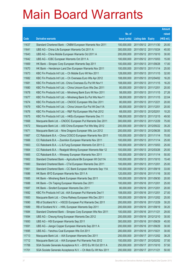|       |                                                               |               |                       | <b>Amount</b> |
|-------|---------------------------------------------------------------|---------------|-----------------------|---------------|
|       |                                                               | No. of        |                       | raised        |
| Code  | <b>Derivative warrants</b>                                    | issue (units) | Listing date Expiry   | (HK\$ mil.)   |
| 11637 | Standard Chartered Bank - CNBM European Warrants Nov 2011     | 100,000,000   | 2011/05/12 2011/11/30 | 25.00         |
| 11641 | UBS AG - China Life European Warrants Oct 2011 A              | 300,000,000   | 2011/05/12 2011/10/24 | 45.00         |
| 11643 | UBS AG – China Mobile European Warrants Oct 2011 A            | 200,000,000   | 2011/05/12 2011/10/10 | 30.00         |
| 11642 | UBS AG - ICBC European Warrants Oct 2011 A                    | 100,000,000   | 2011/05/12 2011/10/03 | 15.00         |
| 11669 | HK Bank - Sinopec Corp European Warrants Sep 2011             | 100,000,000   | 2011/05/13 2011/09/28 | 17.00         |
| 11670 | HK Bank - Henderson Land Dev European Warrants Nov 2011       | 100,000,000   | 2011/05/13 2011/11/14 | 25.00         |
| 11673 | KBC Fin Products Int'l Ltd. - Ch Mobile Euro Wt Nov 2011      | 128,000,000   | 2011/05/13 2011/11/15 | 32.00         |
| 11682 | KBC Fin Products Int'l Ltd. - Ch Overseas Euro Wts Apr 2012   | 108,000,000   | 2011/05/13 2012/04/02 | 16.20         |
| 11681 | KBC Fin Products Int'l Ltd.- China Overseas Eu Put Wt Nov11   | 108,000,000   | 2011/05/13 2011/11/15 | 16.20         |
| 11680 | KBC Fin Products Int'l Ltd. - China Unicom Euro Wts Dec 2011  | 80,000,000    | 2011/05/13 2011/12/01 | 20.00         |
| 11678 | KBC Fin Products Int'l Ltd. - Minsheng Bank Euro Wt Nov 2011  | 58,000,000    | 2011/05/13 2011/11/15 | 27.26         |
| 11677 | KBC Fin Products Int'l Ltd. - Minsheng Bank Eu Put Wts Nov11  | 58,000,000    | 2011/05/13 2011/11/15 | 22.04         |
| 11674 | KBC Fin Products Int'l Ltd. - CNOOC European Wts Dec 2011     | 80,000,000    | 2011/05/13 2011/12/21 | 20.00         |
| 11679 | KBC Fin Products Int'l Ltd. - China Unicom Eur Put Wt Dec11A  | 80,000,000    | 2011/05/13 2011/12/01 | 20.00         |
| 11676 | KBC Fin Products Int'l Ltd. - R&F Ppt European Wts Feb 2012   | 68,000,000    | 2011/05/13 2012/02/01 | 10.20         |
| 11675 | KBC Fin Products Int'l Ltd. - HKEx European Warrants Dec 11   | 198,000,000   | 2011/05/13 2011/12/15 | 49.50         |
| 11668 | Macquarie Bank Ltd. - CNOOC European Put Warrants Dec 2011    | 300,000,000   | 2011/05/13 2011/12/29 | 75.00         |
| 11672 | Macquarie Bank Ltd. - A50 China European Put Wts May 2012     | 200,000,000   | 2011/05/13 2012/05/22 | 35.20         |
| 11671 | Macquarie Bank Ltd. - Nine Dragons European Wts Jun 2012      | 200,000,000   | 2011/05/13 2012/06/26 | 30.00         |
| 11667 | CC Rabobank B.A. - China COSCO European Warrants Nov 2011     | 100,000,000   | 2011/05/13 2011/11/14 | 70.00         |
| 11666 | CC Rabobank B.A. - Zoomlion European Warrants Nov 2011        | 100,000,000   | 2011/05/13 2011/11/14 | 25.00         |
| 11663 | CC Rabobank B.A. - Li & Fung European Warrants Oct 2011 C     | 100,000,000   | 2011/05/13 2011/10/03 | 25.00         |
| 11664 | CC Rabobank B.A. - Realgold Mining European Warrants Mar 12   | 100,000,000   | 2011/05/13 2012/03/26 | 25.00         |
| 11665 | CC Rabobank B.A. - Winsway European Warrants Nov 2011         | 100,000,000   | 2011/05/13 2011/11/14 | 50.00         |
| 11662 | Standard Chartered Bank - Agricultural Bk European Wt Oct11A  | 100,000,000   | 2011/05/13 2011/10/10 | 15.40         |
| 11660 | Standard Chartered Bank - CTel European Warrants Dec 2011     | 100,000,000   | 2011/05/13 2011/12/01 | 25.00         |
| 11661 | Standard Chartered Bank - CC Bank European Warrants Sep 11A   | 100,000,000   | 2011/05/13 2011/09/19 | 33.00         |
| 11686 | HK Bank - BYD European Warrants Nov 2011 A                    | 120,000,000   | 2011/05/16 2011/11/16 | 30.00         |
| 11685 | HK Bank - Minsheng Bank European Warrants Sep 2011            | 100,000,000   | 2011/05/16 2011/09/30 | 20.00         |
| 11688 | HK Bank - Chi Taiping European Warrants Dec 2011              | 100,000,000   | 2011/05/16 2011/12/01 | 25.00         |
| 11687 | HK Bank - Sinofert European Warrants Dec 2011                 | 80,000,000    | 2011/05/16 2011/12/01 | 20.00         |
| 11692 | KBC Fin Products Int'l Ltd. - AIA European Put Warrants Dec11 | 108,000,000   | 2011/05/16 2011/12/01 | 27.00         |
| 11683 | Macquarie Bank Ltd. - China Railway European Wts Dec 2011     | 100,000,000   | 2011/05/16 2011/12/02 | 25.00         |
| 11690 | RB of Scotland N.V. - HSCEI European Put Warrants Dec 2011    | 200,000,000   | 2011/05/16 2011/12/29 | 30.20         |
| 11689 | RB of Scotland N.V. - HWL European Warrants Sep 2011          | 200,000,000   | 2011/05/16 2011/09/19 | 30.20         |
| 11684 | Standard Chartered Bank - Sinopec Corp European Wts Nov 2011  | 100,000,000   | 2011/05/16 2011/11/21 | 29.00         |
| 11694 | UBS AG - Cheung Kong European Warrants Dec 2012               | 200,000,000   | 2011/05/16 2012/12/10 | 30.00         |
| 11693 | UBS AG - HSI European Warrants Sep 2011                       | 300,000,000   | 2011/05/16 2011/09/29 | 45.00         |
| 11691 | UBS AG - Jiangxi Copper European Warrants Sep 2011 A          | 200,000,000   | 2011/05/16 2011/09/29 | 30.00         |
| 11695 | UBS AG - Yanzhou Coal European Wts Oct 2011                   | 200,000,000   | 2011/05/16 2011/10/21 | 30.00         |
| 11713 | Macquarie Bank Ltd. - AIA European Warrants Dec 2011          | 250,000,000   | 2011/05/17 2011/12/02 | 38.25         |
| 11712 | Macquarie Bank Ltd. - AIA European Put Warrants Feb 2012      | 150,000,000   | 2011/05/17 2012/02/02 | 37.50         |
| 11706 | SGA Societe Generale Acceptance N.V. - BYD Eu Wt Oct 2011 A   | 250,000,000   | 2011/05/17 2011/10/10 | 57.50         |
| 11701 | SGA Societe Generale Acceptance N.V. - Ch Mob Eu Wt Nov 2011  | 200,000,000   | 2011/05/17 2011/11/21 | 50.00         |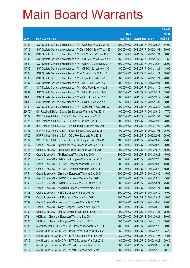|                |                                                                                                              |                            |                                                | <b>Amount</b>  |
|----------------|--------------------------------------------------------------------------------------------------------------|----------------------------|------------------------------------------------|----------------|
|                |                                                                                                              | No. of                     |                                                | raised         |
| Code           | <b>Derivative warrants</b>                                                                                   | issue (units)              | <b>Listing date Expiry</b>                     | (HK\$ mil.)    |
| 11705          | SGA Societe Generale Acceptance N.V. - CCB Eur Wt Sep 2011 C                                                 | 200,000,000                | 2011/05/17 2011/09/26                          | 64.00          |
| 11710          | SGA Societe Generale Acceptance N.V-Chi COSCO Euro Wt Jan 13                                                 | 200,000,000                | 2011/05/17 2013/01/02                          | 30.00          |
| 11702          | SGA Societe Generale Acceptance N.V. - Ch Mob Eu Wt Nov 11A                                                  | 200,000,000                | 2011/05/17 2011/11/21                          | 66.00          |
| 11709          | SGA Societe Generale Acceptance N.V. - CNBM Euro Wt Nov 2011                                                 | 150,000,000                | 2011/05/17 2011/11/30                          | 37.50          |
| 11699          | SGA Societe Generale Acceptance N.V. - CNOOC Eu Wt Dec 2011A                                                 | 500,000,000                | 2011/05/17 2011/12/28                          | 75.00          |
| 11700          | SGA Societe Generale Acceptance N.V. - CP&CC Eur Wt Nov 11C                                                  | 100,000,000                | 2011/05/17 2011/11/21                          | 43.00          |
| 11703          | SGA Societe Generale Acceptance N.V. - Zoomlion Eu Wt Nov11                                                  | 200,000,000                | 2011/05/17 2011/11/21                          | 50.00          |
| 11708          | SGA Societe Generale Acceptance N.V. - Esprit Euro Wts Nov11                                                 | 80,000,000                 | 2011/05/17 2011/11/21                          | 20.00          |
| 11707          | SGA Societe Generale Acceptance N.V. - R&F Ppt Eu Wts Feb 12                                                 | 200,000,000                | 2011/05/17 2012/02/01                          | 30.00          |
| 11711          | SGA Societe Generale Acceptance N.V. - GCL-Poly Eu Wt Nov 11                                                 | 100,000,000                | 2011/05/17 2011/11/30                          | 49.00          |
| 11697          | SGA Societe Generale Acceptance N.V. - HKEx Eu Wt Apr 2012                                                   | 500,000,000                | 2011/05/17 2012/04/11                          | 125.00         |
| 11698          | SGA Societe Generale Acceptance N.V. - HKEx Eu Wt Dec 2011 C                                                 | 500,000,000                | 2011/05/17 2011/12/19                          | 125.00         |
| 11696          | SGA Societe Generale Acceptance N.V. - HWL Eur Wt Nov 2011                                                   | 150,000,000                | 2011/05/17 2011/11/07                          | 90.00          |
| 11704          | SGA Societe Generale Acceptance N.V. - ICBC Eu Wt Aug 2011 C                                                 | 200,000,000                | 2011/05/17 2011/08/22                          | 62.00          |
| 28670 #        | CC Rabobank B.A. - Galaxy Ent European Warrants Aug 2011                                                     | 100,000,000                | 2011/05/17 2011/08/15                          | 17.70          |
| 11729          | BNP Paribas Arbit Issu B.V. - CC Bank Euro Wts Jan 2012                                                      | 100,000,000                | 2011/05/18 2012/01/04                          | 55.00          |
| 11728          | BNP Paribas Arbit Issu B.V. - CC Bank Euro Wts Feb 2012                                                      | 100,000,000                | 2011/05/18 2012/02/02                          | 28.00          |
| 11735          | BNP Paribas Arbit Issu B.V. - Sinopec Corp Euro Wts Nov 2011                                                 | 100,000,000                | 2011/05/18 2011/11/02                          | 22.00          |
| 11736          | BNP Paribas Arbit Issu B.V. - Esprit European Wts Jan 2012                                                   | 100,000,000                | 2011/05/18 2012/01/03                          | 26.00          |
| 11726          | BNP Paribas Arbit Issu B.V. - GCL-Poly Euro Wts Feb 2012                                                     | 100,000,000                | 2011/05/18 2012/02/02                          | 68.00          |
| 11727          | BNP Paribas Arbit Issu B.V. - Tencent Holdings Eu Wts Mar 12                                                 | 100,000,000                | 2011/05/18 2012/03/02                          | 25.00          |
| 11747          | Credit Suisse AG - Agricultural Bank European Wts Sep 2011                                                   | 300,000,000                | 2011/05/18 2011/09/26                          | 60.00          |
| 11748          | Credit Suisse AG - Agricultural Bank European Wts Oct 2011                                                   | 300,000,000                | 2011/05/18 2011/10/17                          | 45.00          |
| 11749<br>11741 | Credit Suisse AG - AIA European Warrants Sep 2011<br>Credit Suisse AG - ChiUnicom European Warrants Dec 2011 | 300,000,000<br>200,000,000 | 2011/05/18 2011/09/26<br>2011/05/18 2011/12/20 | 45.00<br>40.00 |
| 11745          | Credit Suisse AG - CC Bank European Warrants Sep 2011                                                        | 300,000,000                | 2011/05/18 2011/09/05                          | 45.00          |
| 11744          | Credit Suisse AG - CC Bank European Warrants Aug 2011 A                                                      | 300,000,000                | 2011/05/18 2011/08/29                          | 45.00          |
| 11751          | Credit Suisse AG - China Life European Warrants Sep 2011                                                     | 300,000,000                | 2011/05/18 2011/09/30                          | 45.00          |
| 11742          | Credit Suisse AG - CNOOC European Warrants Sep 2011                                                          | 300,000,000                | 2011/05/18 2011/09/26                          | 45.00          |
| 11743          | Credit Suisse AG - CNOOC European Warrants Oct 2011 A                                                        | 300,000,000                | 2011/05/18 2011/10/24                          | 45.00          |
| 11746          | Credit Suisse AG - Zoomlion European Warrants Nov 2011                                                       | 200,000,000                | 2011/05/18 2011/11/21                          | 50.00          |
| 11738          | Credit Suisse AG - HSBC European Wts Sep 2011 A                                                              | 300,000,000                | 2011/05/18 2011/09/19                          | 45.00          |
| 11737          | Credit Suisse AG - HSI European Warrants Sep 2011                                                            | 300,000,000                | 2011/05/18 2011/09/29                          | 45.00          |
| 11739          | Credit Suisse AG - Hutchison European Warrants Oct 2011                                                      | 300,000,000                | 2011/05/18 2011/10/03                          | 75.00          |
| 11740          | Credit Suisse AG - Jiangxi Copper European Wts Sep 2011                                                      | 200,000,000                | 2011/05/18 2011/09/12                          | 30.00          |
| 11750          | Credit Suisse AG - Ping An European Warrants Nov 2011 C                                                      | 300,000,000                | 2011/05/18 2011/11/21                          | 75.00          |
| 11724          | HK Bank - China Life European Warrants Sep 2011                                                              | 200,000,000                | 2011/05/18 2011/09/21                          | 30.00          |
| 11725          | HK Bank - China Life European Warrants Nov 2011                                                              | 200,000,000                | 2011/05/18 2011/11/28                          | 30.00          |
| 11730          | Macquarie Bank Ltd. - Zoomlion European Warrants Dec 2011                                                    | 200,000,000                | 2011/05/18 2011/12/29                          | 50.00          |
| 11714          | Merrill Lynch Int'l & Co. C.V. - BankComm Euro Wts Feb 2012                                                  | 80,000,000                 | 2011/05/18 2012/02/20                          | 33.20          |
| 11715          | Merrill Lynch Int'l & Co. C.V. - MTRC European Wts Nov 2011                                                  | 80,000,000                 | 2011/05/18 2011/11/08                          | 14.56          |
| 11718          | Merrill Lynch Int'l & Co. C.V. - MTRC European Wts Oct 2012                                                  | 80,000,000                 | 2011/05/18 2012/10/22                          | 20.40          |
| 11716          | Merrill Lynch Int'l & Co. C.V. - Wharf European Wts Oct11                                                    | 80,000,000                 | 2011/05/18 2011/10/17                          | 21.60          |
| 11717          | Merrill Lynch Int'l & Co. C.V. - Wharf European Wts Dec11                                                    | 80,000,000                 | 2011/05/18 2011/12/19                          | 20.40          |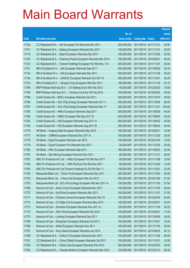|       |                                                               |               |                            |                       | <b>Amount</b> |
|-------|---------------------------------------------------------------|---------------|----------------------------|-----------------------|---------------|
|       |                                                               | No. of        |                            |                       | raised        |
| Code  | <b>Derivative warrants</b>                                    | issue (units) | <b>Listing date Expiry</b> |                       | (HK\$ mil.)   |
| 11720 | CC Rabobank B.A. - AIA European Put Warrants Nov 2011         | 200,000,000   | 2011/05/18 2011/11/21      |                       | 40.00         |
| 11721 | CC Rabobank B.A. - Datang European Warrants Nov 2011          | 100,000,000   | 2011/05/18 2011/11/21      |                       | 25.00         |
| 11719 | CC Rabobank B.A. - Esprit European Warrants Dec 2011          | 100,000,000   | 2011/05/18 2011/12/29      |                       | 25.00         |
| 11722 | CC Rabobank B.A. - Huaneng Power European Warrants Mar 2012   | 100,000,000   | 2011/05/18 2012/03/01      |                       | 40.00         |
| 11723 | CC Rabobank B.A. - Tencent Holdings European Put Wts Nov 11A  | 200,000,000   |                            | 2011/05/18 2011/11/07 | 30.00         |
| 11731 | RB of Scotland N.V. - AIA European Warrants Sep 2011          | 200,000,000   |                            | 2011/05/18 2011/09/30 | 30.20         |
| 11732 | RB of Scotland N.V. - AIA European Warrants Nov 2011          | 200,000,000   | 2011/05/18 2011/11/28      |                       | 30.20         |
| 11734 | RB of Scotland N.V. - CNOOC European Warrants Oct 2011 A      | 200,000,000   | 2011/05/18 2011/10/21      |                       | 30.20         |
| 11733 | RB of Scotland N.V. - Sinopec Corp European Wts Nov 2011      | 100,000,000   |                            | 2011/05/18 2011/11/18 | 25.10         |
| 11789 | BNP Paribas Arbit Issu B.V. - Ch Railway Euro Wts Feb 2012    | 40,000,000    |                            | 2011/05/19 2012/02/02 | 18.00         |
| 11790 | BNP Paribas Arbit Issu B.V. - Yanzhou Coal Eur Wt Feb 2012    | 100,000,000   |                            | 2011/05/19 2012/02/02 | 35.00         |
| 11788 | Credit Suisse AG - BOCL European Warrants Oct 2011            | 200,000,000   |                            | 2011/05/19 2011/10/10 | 30.00         |
| 11786 | Credit Suisse AG - GCL-Poly Energy European Warrants Oct 11   | 200,000,000   |                            | 2011/05/19 2011/10/04 | 60.00         |
| 11787 | Credit Suisse AG - GCL-Poly Energy European Warrants Nov 11   | 200,000,000   | 2011/05/19 2011/11/21      |                       | 100.00        |
| 11785 | Credit Suisse AG - HKEx European Warrants Sep 2011            | 300,000,000   | 2011/05/19 2011/09/26      |                       | 45.00         |
| 11784 | Credit Suisse AG - HSBC European Wts Sep 2011 B               | 300,000,000   |                            | 2011/05/19 2011/09/05 | 45.00         |
| 11782 | Credit Suisse AG - HSI European Warrants Aug 2011 A           | 300,000,000   |                            | 2011/05/19 2011/08/30 | 45.00         |
| 11783 | Credit Suisse AG - HSI European Warrants Aug 2011 B           | 300,000,000   |                            | 2011/05/19 2011/08/30 | 45.00         |
| 11776 | HK Bank - Angang Steel European Warrants May 2012             | 100,000,000   | 2011/05/19 2012/05/21      |                       | 15.00         |
| 11777 | HK Bank - CNBM European Warrants Dec 2011 A                   | 100,000,000   |                            | 2011/05/19 2011/12/30 | 25.00         |
| 11778 | HK Bank - Esprit European Warrants Jan 2012                   | 100,000,000   |                            | 2011/05/19 2012/01/20 | 15.00         |
| 11779 | HK Bank - Esprit European Put Warrants Dec 2011               | 80,000,000    |                            | 2011/05/19 2011/12/30 | 20.00         |
| 11780 | HK Bank - HWL European Warrants Sep 2011                      | 160,000,000   | 2011/05/19 2011/09/23      |                       | 32.00         |
| 11781 | HK Bank - Zijin Mining European Warrants Nov 2011             | 80,000,000    | 2011/05/19 2011/11/21      |                       | 20.00         |
| 11791 | KBC Fin Products Int'l Ltd. - HKEx European Put Wts Nov 2011  | 80,000,000    |                            | 2011/05/19 2011/11/08 | 12.00         |
| 11793 | KBC Fin Products Int'l Ltd. - SHK Ppt Euro Put Wts Dec 2011   | 80,000,000    | 2011/05/19 2011/12/20      |                       | 12.00         |
| 11792 | KBC Fin Products Int'l Ltd-Tencent Holdings Eu Put Wt Dec 11  | 108,000,000   | 2011/05/19 2011/12/01      |                       | 32.40         |
| 11754 | Macquarie Bank Ltd. - China Tel European Warrants Dec 2011    | 200,000,000   | 2011/05/19 2011/12/02      |                       | 50.00         |
| 11753 | Macquarie Bank Ltd. - China Life European Wts Jan 2012        | 200,000,000   | 2011/05/19 2012/01/04      |                       | 51.00         |
| 11752 | Macquarie Bank Ltd. - GCL-Poly Energy European Wts Nov 2011 A | 150,000,000   |                            | 2011/05/19 2011/11/30 | 57.90         |
| 11768 | Nomura Int'l plc - Anhui Conch European Warrants Nov 2011     | 100,000,000   |                            | 2011/05/19 2011/11/30 | 26.60         |
| 11772 | Nomura Int'l plc - AviChina European Warrants Nov 2011        | 100,000,000   | 2011/05/19 2011/11/21      |                       | 37.00         |
| 11771 | Nomura Int'l plc - Chinares Cement European Warrants Feb 13   | 100,000,000   | 2011/05/19 2013/02/04      |                       | 25.00         |
| 11774 | Nomura Int'l plc - Ch State Con European Warrants May 2012    | 100,000,000   | 2011/05/19 2012/05/21      |                       | 25.00         |
| 11770 | Nomura Int'l plc - Zoomlion European Warrants Nov 2011 A      | 100,000,000   | 2011/05/19 2011/11/30      |                       | 25.20         |
| 11773 | Nomura Int'l plc - A50 China European Warrants Feb 2012       | 100,000,000   | 2011/05/19 2012/02/01      |                       | 17.00         |
| 11775 | Nomura Int'l plc - Lonking European Warrants Sep 2011         | 100,000,000   | 2011/05/19 2011/09/26      |                       | 30.00         |
| 11769 | Nomura Int'l plc - Sinopharm European Warrants Oct 2011       | 100,000,000   | 2011/05/19 2011/10/31      |                       | 15.20         |
| 11766 | Nomura Int'l plc - Wharf European Warrants Nov 2011           | 100,000,000   | 2011/05/19 2011/11/30      |                       | 25.00         |
| 11767 | Nomura Int'l plc - Xinyi Glass European Warrants Jun 2012     | 100,000,000   |                            | 2011/05/19 2012/06/25 | 25.10         |
| 11759 | CC Rabobank B.A. - CHALCO European Warrants Nov 2011          | 100,000,000   | 2011/05/19 2011/11/28      |                       | 60.00         |
| 11761 | CC Rabobank B.A. - China Oilfield European Warrants Oct 2011  | 100,000,000   | 2011/05/19 2011/10/31      |                       | 15.00         |
| 11756 | CC Rabobank B.A. - China Coal European Warrants Feb 2012      | 200,000,000   | 2011/05/19 2012/02/23      |                       | 30.00         |
| 11762 | CC Rabobank B.A. - Chaoda Modern European Warrants Mar 2012   | 100,000,000   | 2011/05/19 2012/03/12      |                       | 80.00         |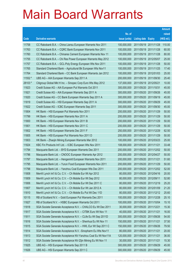|         |                                                               |               |                            | <b>Amount</b> |
|---------|---------------------------------------------------------------|---------------|----------------------------|---------------|
|         |                                                               | No. of        |                            | raised        |
| Code    | <b>Derivative warrants</b>                                    | issue (units) | <b>Listing date Expiry</b> | (HK\$ mil.)   |
| 11758   | CC Rabobank B.A. - China Liansu European Warrants Nov 2011    | 100,000,000   | 2011/05/19 2011/11/28      | 110.00        |
| 11763   | CC Rabobank B.A. - CQRC Bank European Warrants Nov 2011       | 100,000,000   | 2011/05/19 2011/11/28      | 60.00         |
| 11760   | CC Rabobank B.A. - Chinares Cement European Warrants Nov 11   | 100,000,000   | 2011/05/19 2011/11/28      | 80.00         |
| 11755   | CC Rabobank B.A. – Chi Res Power European Warrants May 2012   | 100,000,000   | 2011/05/19 2012/05/07      | 25.00         |
| 11757   | CC Rabobank B.A. - GCL-Poly Energy European Wts Nov 2011      | 100,000,000   | 2011/05/19 2011/11/28      | 50.00         |
| 11765   | Standard Chartered Bank - Agricultural Bk European Wts Nov11  | 100,000,000   | 2011/05/19 2011/11/25      | 17.40         |
| 11764   | Standard Chartered Bank - CC Bank European Warrants Jan 2012  | 100,000,000   | 2011/05/19 2012/01/03      | 25.00         |
| 11552 # | UBS AG - AIA European Warrants Sep 2011 A                     | 200,000,000   | 2011/05/19 2011/09/30      | 25.40         |
| 28103 # | Citigroup Global Mkt H Inc. - Sinopec Corp Euro Wts May 2012  | 137,000,000   | 2011/05/19 2012/05/21      | 10.00         |
| 11823   | Credit Suisse AG - AIA European Put Warrants Oct 2011         | 300,000,000   | 2011/05/20 2011/10/31      | 45.00         |
| 11821   | Credit Suisse AG - AIA European Warrants Sep 2011 A           | 300,000,000   | 2011/05/20 2011/09/26      | 45.00         |
| 11820   | Credit Suisse AG - CC Bank European Warrants Sep 2011 A       | 300,000,000   | 2011/05/20 2011/09/19      | 45.00         |
| 11819   | Credit Suisse AG - HSI European Warrants Sep 2011 A           | 300,000,000   | 2011/05/20 2011/09/29      | 45.00         |
| 11822   | Credit Suisse AG - ICBC European Warrants Sep 2011            | 300,000,000   | 2011/05/20 2011/09/30      | 45.00         |
| 11804   | HK Bank - HSI European Put Warrants Nov 2011                  | 200,000,000   | 2011/05/20 2011/11/29      | 50.00         |
| 11799   | HK Bank - HSI European Warrants Nov 2011 A                    | 200,000,000   | 2011/05/20 2011/11/29      | 50.00         |
| 11800   | HK Bank - HSI European Warrants Nov 2011 B                    | 200,000,000   | 2011/05/20 2011/11/29      | 50.00         |
| 11801   | HK Bank - HSI European Warrants Nov 2011 C                    | 200,000,000   | 2011/05/20 2011/11/29      | 50.00         |
| 11802   | HK Bank - HSI European Warrants Dec 2011 F                    | 250,000,000   | 2011/05/20 2011/12/29      | 62.50         |
| 11805   | HK Bank – HSI European Put Warrants Nov 2011 D                | 200,000,000   | 2011/05/20 2011/11/29      | 50.00         |
| 11803   | HK Bank – Zhaojin Mining European Warrants Mar 2012           | 100,000,000   | 2011/05/20 2012/03/23      | 25.00         |
| 11824   | KBC Fin Products Int'l Ltd. - ICBC European Wts Nov 2011      | 108,000,000   | 2011/05/20 2011/11/21      | 33.48         |
| 11794   | Macquarie Bank Ltd. - BYD European Warrants Dec 2011          | 200,000,000   | 2011/05/20 2011/12/02      | 50.00         |
| 11796   | Macquarie Bank Ltd. - CNOOC European Warrants Apr 2012        | 200,000,000   | 2011/05/20 2012/04/27      | 50.00         |
| 11797   | Macquarie Bank Ltd. - Henganintl European Warrants Nov 2011   | 200,000,000   | 2011/05/20 2011/11/21      | 51.60         |
| 11795   | Macquarie Bank Ltd. - Yurun Food European Warrants Nov 2011   | 200,000,000   | 2011/05/20 2011/11/29      | 50.00         |
| 11798   | Macquarie Bank Ltd. - Yanzhou Coal European Wts Dec 2011      | 200,000,000   | 2011/05/20 2011/12/02      | 52.00         |
| 11808   | Merrill Lynch Int'l & Co. C.V. - Ch Mobile Eur Wt Apr 2012    | 80,000,000    | 2011/05/20 2012/04/16      | 20.00         |
| 11809   | Merrill Lynch Int'l & Co. C.V. - Ch Mobile Eur Wt Sep 2012    | 80,000,000    | 2011/05/20 2012/09/11      | 52.80         |
| 11806   | Merrill Lynch Int'l & Co. C.V. - Ch Mobile Eur Wt Dec 2011 C  | 80,000,000    | 2011/05/20 2011/12/19      | 25.20         |
| 11807   | Merrill Lynch Int'l & Co. C.V. - Ch Mobile Eur Wt Jan 2012 A  | 80,000,000    | 2011/05/20 2012/01/09      | 21.20         |
| 11810   | Merrill Lynch Int'l & Co. C.V. - Ch Mobile Eu Put Wt Dec 11D  | 80,000,000    | 2011/05/20 2011/12/12      | 25.60         |
| 10115   | RB of Scotland N.V. - Gold European Put Warrants Dec 2011     | 100,000,000   | 2011/05/20 2011/12/28      | 25.10         |
| 11827   | RB of Scotland N.V. - HSBC European Warrants Oct 2011         | 100,000,000   | 2011/05/20 2011/10/04      | 15.10         |
| 11818   | SGA Societe Generale Acceptance N.V. - CHALCO Eu Wt Dec 2011  | 30,000,000    | 2011/05/20 2011/12/21      | 15.30         |
| 11817   | SGA Societe Generale Acceptance N.V. - CITBK Euro Wt Nov 11   | 40,000,000    | 2011/05/20 2011/11/21      | 16.00         |
| 11811   | SGA Societe Generale Acceptance N.V. - CLife Eu Wt Sep 2011D  | 300,000,000   | 2011/05/20 2011/09/26      | 54.00         |
| 11816   | SGA Societe Generale Acceptance N.V. - Shenhua Eu Wt Nov 11   | 150,000,000   | 2011/05/20 2011/11/21      | 37.50         |
| 11815   | SGA Societe Generale Acceptance N.V. - HWL Eur Wt Sep 2011 C  | 150,000,000   | 2011/05/20 2011/09/26      | 79.50         |
| 11814   | SGA Societe Generale Acceptance N.V. - Sinopharm Eu Wts Nov11 | 80,000,000    | 2011/05/20 2011/11/21      | 20.00         |
| 11813   | SGA Societe Generale Acceptance NV-Yanzhou Coal Eu Wt Nov11A  | 120,000,000   | 2011/05/20 2011/11/21      | 36.00         |
| 11812   | SGA Societe Generale Acceptance NV-Zijin Mining Eu Wt Nov 11  | 30,000,000    | 2011/05/20 2011/11/21      | 15.30         |
| 11825   | UBS AG - HSI European Warrants Sep 2011 B                     | 300,000,000   | 2011/05/20 2011/09/29      | 45.00         |
| 11826   | UBS AG - HSI European Warrants Sep 2011 C                     | 300,000,000   | 2011/05/20 2011/09/29      | 45.00         |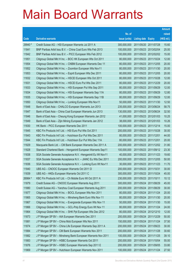|         |                                                               |               |                            |                       | <b>Amount</b> |
|---------|---------------------------------------------------------------|---------------|----------------------------|-----------------------|---------------|
|         |                                                               | No. of        |                            |                       | raised        |
| Code    | <b>Derivative warrants</b>                                    | issue (units) | <b>Listing date Expiry</b> |                       | (HK\$ mil.)   |
| 29940 # | Credit Suisse AG - HSI European Warrants Jul 2011 A           | 300,000,000   | 2011/05/20 2011/07/28      |                       | 15.60         |
| 11841   | BNP Paribas Arbit Issu B.V. - China Coal Euro Wts Feb 2013    | 100,000,000   | 2011/05/23 2013/02/04      |                       | 25.00         |
| 11842   | BNP Paribas Arbit Issu B.V. - PICC European Wts Feb 2012      | 100,000,000   |                            | 2011/05/23 2012/02/02 | 15.00         |
| 11851   | Citigroup Global Mkt H Inc. - BOC HK European Wts Oct 2011    | 80,000,000    |                            | 2011/05/23 2011/10/24 | 12.00         |
| 11854   | Citigroup Global Mkt H Inc. - CNBM European Warrants Dec 11   | 80,000,000    |                            | 2011/05/23 2011/12/05 | 20.00         |
| 11852   | Citigroup Global Mkt H Inc. - Zoomlion European Wts Nov11     | 80,000,000    |                            | 2011/05/23 2011/11/30 | 20.00         |
| 11853   | Citigroup Global Mkt H Inc. - Esprit European Wts Dec 2011    | 80,000,000    | 2011/05/23 2011/12/05      |                       | 20.00         |
| 11832   | Citigroup Global Mkt H Inc. - HSCEI European Wts Oct 2011     | 80,000,000    |                            | 2011/05/23 2011/10/28 | 12.00         |
| 11831   | Citigroup Global Mkt H Inc. - HSCEI Euro Put Wts Dec 2011     | 80,000,000    |                            | 2011/05/23 2011/12/29 | 20.00         |
| 11833   | Citigroup Global Mkt H Inc. - HSI European Put Wts Sep 2011   | 80,000,000    |                            | 2011/05/23 2011/09/29 | 12.00         |
| 11834   | Citigroup Global Mkt H Inc. - HSI European Warrants Sep 11A   | 80,000,000    | 2011/05/23 2011/09/29      |                       | 12.80         |
| 11835   | Citigroup Global Mkt H Inc. - HSI European Warrants Sep 11B   | 80,000,000    |                            | 2011/05/23 2011/09/29 | 12.00         |
| 11850   | Citigroup Global Mkt H Inc. - Lonking European Wts Nov11      | 50,000,000    |                            | 2011/05/23 2011/11/30 | 12.50         |
| 11848   | Bank of East Asia - CHALCO European Warrants Jun 2013         | 235,000,000   | 2011/05/23 2013/06/24      |                       | 58.75         |
| 11847   | Bank of East Asia - China Coal European Warrants Jun 2013     | 130,000,000   | 2011/05/23 2013/06/24      |                       | 32.50         |
| 11846   | Bank of East Asia - Cheung Kong European Warrants Jan 2012    | 41,000,000    | 2011/05/23 2012/01/03      |                       | 10.25         |
| 11849   | Bank of East Asia - Zijin Mining European Warrants Jan 2012   | 38,000,000    |                            | 2011/05/23 2012/01/03 | 10.26         |
| 11830   | HK Bank - PICC European Warrants Dec 2011                     | 100,000,000   | 2011/05/23 2011/12/14      |                       | 15.00         |
| 11845   | KBC Fin Products Int'l Ltd. - HSI Euro Put Wts Oct 2011       | 200,000,000   | 2011/05/23 2011/10/28      |                       | 30.00         |
| 11843   | KBC Fin Products Int'l Ltd. - Hutchison Eur Put Wts Dec 2011  | 80,000,000    | 2011/05/23 2011/12/01      |                       | 44.00         |
| 11844   | KBC Fin Products Int'l Ltd. - Hutchison Eur Put Wts Dec 11A   | 80,000,000    | 2011/05/23 2011/12/01      |                       | 20.00         |
| 11829   | Macquarie Bank Ltd. - CM Bank European Warrants Dec 2011 A    | 200,000,000   |                            | 2011/05/23 2011/12/02 | 31.80         |
| 11828   | Standard Chartered Bank - Henganintl European Warrants Sep11  | 100,000,000   | 2011/05/23 2011/09/12      |                       | 23.30         |
| 11838   | SGA Societe Generale Acceptance N.V. - Henganintl Eu Wt Nov11 | 40,000,000    |                            | 2011/05/23 2011/11/23 | 19.60         |
| 11837   | SGA Societe Generale Acceptance N.V. - JIANC Eu Wts Dec 2011  | 200,000,000   |                            | 2011/05/23 2011/12/05 | 50.00         |
| 11836   | SGA Societe Generale Acceptance N.V. - Lonking Euro Wt Nov11  | 30,000,000    | 2011/05/23 2011/11/23      |                       | 11.70         |
| 11840   | UBS AG - CNOOC European Warrants Oct 2011 D                   | 200,000,000   | 2011/05/23 2011/10/31      |                       | 30.00         |
| 11839   | UBS AG - HKEx European Warrants Oct 2011 C                    | 300,000,000   | 2011/05/23 2011/10/24      |                       | 45.00         |
| 26984 # | KBC Fin Products Int'l Ltd. - Ch Mobile Euro Wt Oct 2011 A    | 230,000,000   | 2011/05/23 2011/10/11      |                       | 10.12         |
| 11879   | Credit Suisse AG - CNOOC European Warrants Aug 2011           | 300,000,000   | 2011/05/24 2011/08/29      |                       | 45.00         |
| 11880   | Credit Suisse AG - Yanzhou Coal European Warrants Aug 2011    | 200,000,000   | 2011/05/24 2011/08/29      |                       | 30.00         |
| 11877   | Citigroup Global Mkt H Inc. - BOCL European Wts Nov 2011      | 80,000,000    | 2011/05/24 2011/11/24      |                       | 20.00         |
| 11865   | Citigroup Global Mkt H Inc. - Minsheng Bank Euro Wts Nov 11   | 80,000,000    | 2011/05/24 2011/11/30      |                       | 20.00         |
| 11867   | Citigroup Global Mkt H Inc. - Evergrande European Wts Nov 11  | 50,000,000    | 2011/05/24 2011/11/30      |                       | 15.00         |
| 11866   | Citigroup Global Mkt H Inc. - GCL-Poly Energy Euro Wt Nov 11  | 80,000,000    | 2011/05/24 2011/11/24      |                       | 24.00         |
| 11864   | Citigroup Global Mkt H Inc. - SHK Ppt European Wts Dec 2012   | 80,000,000    | 2011/05/24 2012/12/10      |                       | 12.00         |
| 11873   | J P Morgan SP BV - AIA European Warrants Dec 2011             | 200,000,000   | 2011/05/24 2011/12/29      |                       | 50.00         |
| 11881   | J P Morgan SP BV - China Mob European Wts Nov 2011            | 150,000,000   | 2011/05/24 2011/11/24      |                       | 37.50         |
| 11874   | J P Morgan SP BV - China Life European Warrants Sep 2011 A    | 200,000,000   | 2011/05/24 2011/09/23      |                       | 30.00         |
| 11884   | J P Morgan SP BV - CM Bank European Warrants Nov 2011         | 200,000,000   | 2011/05/24 2011/11/28      |                       | 30.60         |
| 11882   | J P Morgan SP BV - Minsheng Bank European Warrants Nov 2011   | 100,000,000   | 2011/05/24 2011/11/25      |                       | 39.10         |
| 11883   | J P Morgan SP BV - HSBC European Warrants Oct 2011            | 200,000,000   | 2011/05/24 2011/10/04      |                       | 55.00         |
| 11876   | J P Morgan SP BV - HSBC European Warrants Sep 2011 E          | 200,000,000   | 2011/05/24 2011/09/05      |                       | 33.80         |
| 11869   | J P Morgan SP BV - Hutchison European Warrants Nov 2011       | 100,000,000   | 2011/05/24 2011/11/24      |                       | 27.50         |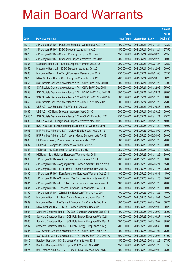|         |                                                               |               |                       |                       | <b>Amount</b> |
|---------|---------------------------------------------------------------|---------------|-----------------------|-----------------------|---------------|
|         |                                                               | No. of        |                       |                       | raised        |
| Code    | <b>Derivative warrants</b>                                    | issue (units) | Listing date Expiry   |                       | (HK\$ mil.)   |
| 11870   | J P Morgan SP BV - Hutchison European Warrants Nov 2011 A     | 100,000,000   |                       | 2011/05/24 2011/11/24 | 43.20         |
| 11871   | J P Morgan SP BV - ICBC European Warrants Nov 2011            | 150,000,000   | 2011/05/24 2011/11/24 |                       | 37.50         |
| 11875   | J P Morgan SP BV - Shimao Property European Wts Jun 2012      | 150,000,000   | 2011/05/24 2012/06/29 |                       | 22.50         |
| 11872   | J P Morgan SP BV - Stanchart European Warrants Dec 2011       | 200,000,000   | 2011/05/24 2011/12/29 |                       | 50.00         |
| 11856   | Macquarie Bank Ltd. - Esprit European Warrants Jan 2012       | 200,000,000   |                       | 2011/05/24 2012/01/27 | 32.80         |
| 11855   | Macquarie Bank Ltd. - ICBC European Warrants Dec 2011         | 200,000,000   | 2011/05/24 2011/12/02 |                       | 50.00         |
| 11868   | Macquarie Bank Ltd. - Tingyi European Warrants Jan 2012       | 250,000,000   | 2011/05/24 2012/01/03 |                       | 62.50         |
| 11878   | RB of Scotland N.V. - ICBC European Warrants Oct 2011         | 200,000,000   | 2011/05/24 2011/10/10 |                       | 30.20         |
| 11861   | SGA Societe Generale Acceptance N.V. - CLife Eu Wt Nov 2011B  | 300,000,000   |                       | 2011/05/24 2011/11/28 | 84.00         |
| 11860   | SGA Societe Generale Acceptance N.V. - CLife Eu Wt Dec 2011   | 300,000,000   |                       | 2011/05/24 2011/12/05 | 75.00         |
| 11858   | SGA Societe Generale Acceptance N.V. - HSBC Eu Wt Sep 2011 G  | 300,000,000   | 2011/05/24 2011/09/21 |                       | 96.00         |
| 11857   | SGA Societe Generale Acceptance N.V. - HSBC Eu Wt Nov 2011 B  | 300,000,000   | 2011/05/24 2011/11/28 |                       | 156.00        |
| 11859   | SGA Societe Generale Acceptance N.V. - HSI Eur Wt Nov 2011    | 300,000,000   | 2011/05/24 2011/11/29 |                       | 75.00         |
| 11862   | UBS AG - AIA European Put Warrants Oct 2011                   | 100,000,000   | 2011/05/24 2011/10/28 |                       | 15.00         |
| 11863   | UBS AG – CC Bank European Warrants Sep 2011 C                 | 200,000,000   | 2011/05/24 2011/09/23 |                       | 50.00         |
| 23640 # | SGA Societe Generale Acceptance N.V. - A50 Ch Eu Wt Nov 2011  | 250,000,000   | 2011/05/24 2011/11/21 |                       | 25.75         |
| 11889   | BOCI Asia Ltd. - Evergrande European Warrants Nov 2011        | 100,000,000   | 2011/05/25 2011/11/28 |                       | 40.00         |
| 11888   | BOCI Asia Ltd. - Tencent Holdings European Put Warrants Nov11 | 200,000,000   | 2011/05/25 2011/11/29 |                       | 40.00         |
| 11903   | BNP Paribas Arbit Issu B.V. - Galaxy Ent European Wts Mar 12  | 100,000,000   |                       | 2011/05/25 2012/03/02 | 25.00         |
| 11902   | BNP Paribas Arbit Issu B.V. - Wynn Macau European Wts Apr12   | 100,000,000   | 2011/05/25 2012/04/03 |                       | 36.00         |
| 11886   | HK Bank – Datang Power European Warrants Nov 2011             | 80,000,000    |                       | 2011/05/25 2011/11/25 | 20.00         |
| 11887   | HK Bank - Evergrande European Warrants Nov 2011               | 80,000,000    | 2011/05/25 2011/11/25 |                       | 20.00         |
| 11898   | HK Bank - HSI European Put Warrants Jul 2012                  | 250,000,000   | 2011/05/25 2012/07/30 |                       | 62.50         |
| 11897   | HK Bank - SJM Holdings European Warrants Nov 2011             | 120,000,000   | 2011/05/25 2011/11/25 |                       | 30.00         |
| 11895   | J P Morgan SP BV - AIA European Warrants Nov 2011 A           | 200,000,000   | 2011/05/25 2011/11/28 |                       | 30.00         |
| 11909   | J P Morgan SP BV - Angang Steel European Warrants May 2012 A  | 100,000,000   | 2011/05/25 2012/05/21 |                       | 15.00         |
| 11892   | J P Morgan SP BV - CITIC Bank European Warrants Nov 2011 A    | 100,000,000   | 2011/05/25 2011/11/25 |                       | 25.00         |
| 11896   | J P Morgan SP BV - Dongfeng Motor European Warrants Oct 2011  | 100,000,000   | 2011/05/25 2011/10/31 |                       | 15.00         |
| 11893   | J P Morgan SP BV - Shougang Res European Warrants Nov 2011    | 100,000,000   | 2011/05/25 2011/11/25 |                       | 30.00         |
| 11891   | J P Morgan SP BV - Lee & Man Paper European Warrants Nov 11   | 100,000,000   | 2011/05/25 2011/11/25 |                       | 40.00         |
| 11894   | J P Morgan SP BV - Tencent European Put Warrants Nov 2011     | 200,000,000   | 2011/05/25 2011/11/25 |                       | 50.00         |
| 11890   | J P Morgan SP BV - Zijin Mining European Warrants Nov 2011    | 100,000,000   | 2011/05/25 2011/11/25 |                       | 40.00         |
| 11900   | Macquarie Bank Ltd. - BankComm European Warrants Dec 2011     | 200,000,000   | 2011/05/25 2011/12/02 |                       | 50.80         |
| 11899   | Macquarie Bank Ltd. - Tencent European Put Warrants Dec 11A   | 300,000,000   | 2011/05/25 2011/12/02 |                       | 56.70         |
| 11908   | RB of Scotland N.V. - HKEx European Warrants Dec 2011         | 200,000,000   | 2011/05/25 2011/12/05 |                       | 30.20         |
| 11904   | Standard Chartered Bank - CC Bank European Warrants Dec 2011  | 100,000,000   | 2011/05/25 2011/12/02 |                       | 25.00         |
| 11905   | Standard Chartered Bank - GCL-Poly Energy European Wts Oct11  | 100,000,000   | 2011/05/25 2011/10/27 |                       | 46.00         |
| 11906   | Standard Chartered Bank - GCL-Poly Energy European Wts Dec11  | 100,000,000   | 2011/05/25 2011/12/02 |                       | 88.00         |
| 11907   | Standard Chartered Bank - GCL-Poly Energy European Wts Aug13  | 200,000,000   | 2011/05/25 2013/08/30 |                       | 50.00         |
| 11885   | SGA Societe Generale Acceptance N.V. - CLife Eu Wt Jan 2012   | 300,000,000   | 2011/05/25 2012/01/04 |                       | 75.00         |
| 11901   | SGA Societe Generale Acceptance N.V. - HSBC Eu Wt Dec 2011 A  | 300,000,000   | 2011/05/25 2011/12/05 |                       | 81.00         |
| 11910   | Barclays Bank plc - HSI European Warrants Nov 2011            | 150,000,000   | 2011/05/26 2011/11/29 |                       | 37.50         |
| 11911   | Barclays Bank plc - HSI European Put Warrants Nov 2011        | 150,000,000   | 2011/05/26 2011/11/29 |                       | 37.50         |
| 11924   | BNP Paribas Arbit Issu B.V. - Sands China European Wts Feb12  | 100,000,000   | 2011/05/26 2012/02/02 |                       | 25.00         |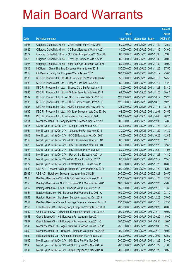|         |                                                               |               |                            |                       | <b>Amount</b> |
|---------|---------------------------------------------------------------|---------------|----------------------------|-----------------------|---------------|
|         |                                                               | No. of        |                            |                       | raised        |
| Code    | <b>Derivative warrants</b>                                    | issue (units) | <b>Listing date Expiry</b> |                       | (HK\$ mil.)   |
| 11928   | Citigroup Global Mkt H Inc. - China Mobile Eur Wt Nov 2011    | 50,000,000    | 2011/05/26 2011/11/30      |                       | 12.50         |
| 11925   | Citigroup Global Mkt H Inc. - CC Bank European Wts Nov 2011   | 80,000,000    |                            | 2011/05/26 2011/11/30 | 24.00         |
| 11927   | Citigroup Global Mkt H Inc. - GCL-Poly Energy Euro Wt Nov11A  | 80,000,000    | 2011/05/26 2011/11/30      |                       | 32.00         |
| 11929   | Citigroup Global Mkt H Inc. - Kerry Ppt European Wts Nov 11   | 80,000,000    |                            | 2011/05/26 2011/11/30 | 20.00         |
| 11926   | Citigroup Global Mkt H Inc. - SJM Holdings European Wt Nov11  | 80,000,000    |                            | 2011/05/26 2011/11/30 | 20.00         |
| 11912   | HK Bank - China Shenhua European Warrants Nov 2011            | 150,000,000   |                            | 2011/05/26 2011/11/28 | 37.50         |
| 11913   | HK Bank - Galaxy Ent European Warrants Jan 2012               | 100,000,000   |                            | 2011/05/26 2012/01/12 | 25.00         |
| 11933   | KBC Fin Products Int'l Ltd. - BEA European Put Warrants Jan12 | 58,000,000    |                            | 2011/05/26 2012/01/18 | 14.50         |
| 11932   | KBC Fin Products Int'l Ltd. - Sinopec Euro Wts Nov 2011       | 80,000,000    |                            | 2011/05/26 2011/11/15 | 31.20         |
| 11931   | KBC Fin Products Int'l Ltd. - Sinopec Corp Eu Put Wt Nov 11   | 80,000,000    | 2011/05/26 2011/11/28      |                       | 38.40         |
| 11935   | KBC Fin Products Int'l Ltd. - HS Bank Euro Put Wts Nov 2011   | 68,000,000    | 2011/05/26 2011/11/28      |                       | 20.40         |
| 11937   | KBC Fin Products Int'l Ltd. - HSBC European Wts Oct 2011 C    | 128,000,000   |                            | 2011/05/26 2011/10/12 | 19.20         |
| 11939   | KBC Fin Products Int'l Ltd. - HSBC European Wts Oct 2011 D    | 128,000,000   |                            | 2011/05/26 2011/10/10 | 19.20         |
| 11938   | KBC Fin Products Int'l Ltd. - HSBC European Wts Nov 2011 A    | 128,000,000   | 2011/05/26 2011/11/11      |                       | 28.16         |
| 11936   | KBC Fin Products Int'l Ltd. - HS Bank European Wts Dec 2011A  | 68,000,000    | 2011/05/26 2011/12/01      |                       | 28.56         |
| 11934   | KBC Fin Products Int'l Ltd. - Hutchison Euro Wts Oct 2011     | 188,000,000   |                            | 2011/05/26 2011/10/03 | 28.20         |
| 11914   | Macquarie Bank Ltd. - Angang Steel European Wts Dec 2011      | 100,000,000   |                            | 2011/05/26 2011/12/02 | 34.80         |
| 11915   | Merrill Lynch Int'l & Co. C.V. - Sinopec Euro Wts Nov 2011    | 80,000,000    |                            | 2011/05/26 2011/11/28 | 22.40         |
| 11921   | Merrill Lynch Int'l & Co. C.V. - Sinopec Eu Put Wts Nov 2011  | 80,000,000    | 2011/05/26 2011/11/29      |                       | 44.80         |
| 11918   | Merrill Lynch Int'l & Co. C.V. - HSCEI European Wts Oct 2011  | 80,000,000    |                            | 2011/05/26 2011/10/28 | 12.88         |
| 11919   | Merrill Lynch Int'l & Co. C.V. - HSCEI European Wts Dec 11C   | 80,000,000    |                            | 2011/05/26 2011/12/29 | 12.72         |
| 11920   | Merrill Lynch Int'l & Co. C.V. - HSCEI European Wts Dec 11D   | 80,000,000    |                            | 2011/05/26 2011/12/29 | 12.56         |
| 11923   | Merrill Lynch Int'l & Co. C.V. - HSCEI Euro Put Wts Dec 2011  | 80,000,000    | 2011/05/26 2011/12/29      |                       | 14.96         |
| 11916   | Merrill Lynch Int'l & Co. C.V. - PetroChina Eu Wt Nov 2011 A  | 80,000,000    | 2011/05/26 2011/11/28      |                       | 44.80         |
| 11917   | Merrill Lynch Int'l & Co. C.V. - PetroChina Eu Wt Dec 2012    | 80,000,000    |                            | 2011/05/26 2012/12/19 | 12.40         |
| 11922   | Merrill Lynch Int'l & Co. C.V. - PetroChina Eu Put Wt Nov 11  | 80,000,000    | 2011/05/26 2011/11/29      |                       | 48.80         |
| 11930   | UBS AG - Tencent Holdings European Put Warrants Nov 2011      | 100,000,000   | 2011/05/26 2011/11/22      |                       | 15.00         |
| 28888 # | UBS AG - Hutchison European Warrants Mar 2012 B               | 500,000,000   | 2011/05/26 2012/03/21      |                       | 39.50         |
| 11956   | Barclays Bank plc - China Life European Warrants Nov 2011     | 150,000,000   | 2011/05/27 2011/11/28      |                       | 37.50         |
| 11955   | Barclays Bank plc - CNOOC European Put Warrants Dec 2011      | 100,000,000   | 2011/05/27 2011/12/28      |                       | 25.00         |
| 11952   | Barclays Bank plc - HSBC European Warrants Dec 2011 A         | 150,000,000   | 2011/05/27 2011/12/19      |                       | 37.50         |
| 11951   | Barclays Bank plc - HSI European Put Warrants Sep 2011 A      | 150,000,000   | 2011/05/27 2011/09/29      |                       | 23.10         |
| 11953   | Barclays Bank plc - Hutchison European Warrants Dec 2013      | 100,000,000   | 2011/05/27 2013/12/23      |                       | 25.00         |
| 11954   | Barclays Bank plc - Tencent Holdings European Warrants Nov 11 | 150,000,000   | 2011/05/27 2011/11/28      |                       | 37.50         |
| 11959   | Credit Suisse AG - Cheung Kong European Warrants Sep 2011     | 200,000,000   | 2011/05/27 2011/09/26      |                       | 40.00         |
| 11962   | Credit Suisse AG - ChiUnicom European Warrants Dec 2011 A     | 200,000,000   | 2011/05/27 2011/12/19      |                       | 50.00         |
| 11958   | Credit Suisse AG - HSI European Put Warrants Sep 2011         | 300,000,000   | 2011/05/27 2011/09/29      |                       | 45.00         |
| 11957   | Credit Suisse AG - HSI European Put Warrants Aug 2011 C       | 300,000,000   | 2011/05/27 2011/08/30      |                       | 45.00         |
| 11949   | Macquarie Bank Ltd. - Agricultural Bk European Put Wt Dec 11  | 250,000,000   |                            | 2011/05/27 2011/12/02 | 62.50         |
| 11960   | Macquarie Bank Ltd. - Belle Int'l European Warrants Feb 2012  | 200,000,000   | 2011/05/27 2012/02/10      |                       | 50.00         |
| 11950   | Macquarie Bank Ltd. - China Life European Put Wts Dec 2011    | 250,000,000   | 2011/05/27 2011/12/02      |                       | 62.50         |
| 11942   | Merrill Lynch Int'l & Co. C.V. - HSI Euro Put Wts Nov 2011    | 200,000,000   | 2011/05/27 2011/11/29      |                       | 33.00         |
| 11940   | Merrill Lynch Int'l & Co. C.V. - HSI European Wts Nov 2011 A  | 200,000,000   | 2011/05/27 2011/11/29      |                       | 31.60         |
| 11941   | Merrill Lynch Int'l & Co. C.V. - HSI European Wts Nov 2011 B  | 200,000,000   | 2011/05/27 2011/11/29      |                       | 30.60         |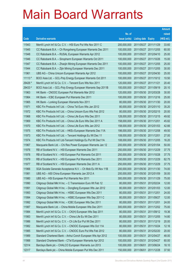|          |                                                              |               |                            |                       | <b>Amount</b> |
|----------|--------------------------------------------------------------|---------------|----------------------------|-----------------------|---------------|
|          |                                                              | No. of        |                            |                       | raised        |
| Code     | <b>Derivative warrants</b>                                   | issue (units) | <b>Listing date Expiry</b> |                       | (HK\$ mil.)   |
| 11943    | Merrill Lynch Int'l & Co. C.V. - HSI Euro Put Wts Nov 2011 C | 200,000,000   | 2011/05/27 2011/11/29      |                       | 33.60         |
| 11945    | CC Rabobank B.A. - Ch Rongsheng European Warrants Dec 2011   | 100,000,000   |                            | 2011/05/27 2011/12/05 | 60.00         |
| 11948    | CC Rabobank B.A. - RUSAL European Warrants Apr 2012          | 100,000,000   | 2011/05/27 2012/04/10      |                       | 25.00         |
| 11946    | CC Rabobank B.A. - Sinopharm European Warrants Oct 2011      | 100,000,000   | 2011/05/27 2011/10/26      |                       | 15.00         |
| 11947    | CC Rabobank B.A. - Zhaojin Mining European Warrants Dec 2011 | 100,000,000   |                            | 2011/05/27 2011/12/05 | 25.00         |
| 11944    | CC Rabobank B.A. - Zijin Mining European Warrants Dec 2011   | 100,000,000   |                            | 2011/05/27 2011/12/05 | 30.00         |
| 11961    | UBS AG - China Unicom European Warrants Apr 2012             | 100,000,000   |                            | 2011/05/27 2012/04/30 | 25.00         |
| $11113*$ | BOCI Asia Ltd. - GCL-Poly Energy European Warrants Oct 2011  | 100,000,000   |                            | 2011/05/27 2011/10/12 | 10.50         |
| 29426 #  | Merrill Lynch Int'l & Co. C.V. - Tencent Euro Wts Nov 2011   | 120,000,000   | 2011/05/27 2011/11/21      |                       | 20.40         |
| 29433 #  | BOCI Asia Ltd. - GCL-Poly Energy European Warrants Sep 2011B | 100,000,000   |                            | 2011/05/27 2011/09/19 | 20.10         |
| 11963    | HK Bank - CNOOC European Put Warrants Mar 2012               | 120,000,000   | 2011/05/30 2012/03/28      |                       | 30.00         |
| 11964    | HK Bank - ICBC European Put Warrants Dec 2011                | 100,000,000   | 2011/05/30 2011/12/16      |                       | 25.00         |
| 11965    | HK Bank - Lonking European Warrants Nov 2011                 | 80,000,000    |                            | 2011/05/30 2011/11/30 | 20.00         |
| 11971    | KBC Fin Products Int'l Ltd. - China Tel Euro Wts Jan 2012    | 80,000,000    |                            | 2011/05/30 2012/01/10 | 35.20         |
| 11972    | KBC Fin Products Int'l Ltd. - China Unicom Euro Wts Feb 2012 | 80,000,000    | 2011/05/30 2012/02/15      |                       | 20.00         |
| 11968    | KBC Fin Products Int'l Ltd. - China Life Euro Wts Dec 2011   | 128,000,000   |                            | 2011/05/30 2011/12/15 | 49.92         |
| 11969    | KBC Fin Products Int'l Ltd. - China Life Euro Wts Dec 2011 A | 158,000,000   | 2011/05/30 2011/12/01      |                       | 45.82         |
| 11970    | KBC Fin Products Int'l Ltd. - China Life Euro Wts Jan 2012   | 158,000,000   |                            | 2011/05/30 2012/01/03 | 42.66         |
| 11975    | KBC Fin Products Int'l Ltd. - HKEx European Warrants Dec 11A | 198,000,000   | 2011/05/30 2011/12/08      |                       | 49.50         |
| 11973    | KBC Fin Products Int'l Ltd. - Tencent Holdings Eu Wt Dec 11  | 108,000,000   | 2011/05/30 2011/12/01      |                       | 27.00         |
| 11974    | KBC Fin Products Int'l Ltd-Tencent Holdings Eu Put Wt Dec11A | 108,000,000   |                            | 2011/05/30 2011/12/05 | 16.20         |
| 11967    | Macquarie Bank Ltd. - Chi Res Power European Warrants Jan 12 | 200,000,000   |                            | 2011/05/30 2012/01/04 | 50.00         |
| 11976    | RB of Scotland N.V. - HSI European Warrants Dec 2011         | 250,000,000   | 2011/05/30 2011/12/29      |                       | 37.75         |
| 11978    | RB of Scotland N.V. - HSI European Put Warrants Oct 2011     | 250,000,000   |                            | 2011/05/30 2011/10/28 | 37.75         |
| 11979    | RB of Scotland N.V. - HSI European Put Warrants Dec 2011     | 250,000,000   |                            | 2011/05/30 2011/12/29 | 62.75         |
| 11977    | RB of Scotland N.V. - HSI European Warrants Dec 2011 A       | 250,000,000   | 2011/05/30 2011/12/29      |                       | 37.75         |
| 11966    | SGA Societe Generale Acceptance N.V. - Ch Mob Eu Wt Nov 11B  | 200,000,000   | 2011/05/30 2011/11/30      |                       | 74.00         |
| 11981    | UBS AG - A50 China European Warrants Jan 2012 A              | 200,000,000   | 2011/05/30 2012/01/09      |                       | 30.00         |
| 11980    | UBS AG - HSI European Put Warrants Nov 2011                  | 300,000,000   | 2011/05/30 2011/11/29      |                       | 75.00         |
| 11990    | Citigroup Global Mkt H Inc. - C Transmission Euro Wt Feb 12  | 80,000,000    |                            | 2011/05/31 2012/02/24 | 12.00         |
| 11991    | Citigroup Global Mkt H Inc. - Dongfeng European Wts Jan 2012 | 80,000,000    | 2011/05/31 2012/01/03      |                       | 12.00         |
| 11993    | Citigroup Global Mkt H Inc. - HSBC European Wts Dec 2011     | 80,000,000    | 2011/05/31 2011/12/01      |                       | 24.00         |
| 11994    | Citigroup Global Mkt H Inc. - HSBC European Wts Sep 2011 C   | 80,000,000    | 2011/05/31                 | 2011/09/27            | 12.00         |
| 11992    | Citigroup Global Mkt H Inc. - ICBC European Wts Dec 2011     | 80,000,000    | 2011/05/31 2011/12/01      |                       | 24.00         |
| 11987    | Macquarie Bank Ltd. - China Mobile European Wts Dec 2011     | 300,000,000   |                            | 2011/05/31 2011/12/02 | 75.00         |
| 11984    | Merrill Lynch Int'l & Co. C.V. - CK(H) European Wts Sep 2011 | 80,000,000    |                            | 2011/05/31 2011/09/12 | 19.36         |
| 11983    | Merrill Lynch Int'l & Co. C.V. - China Life Eu Wt Dec 2011   | 80,000,000    | 2011/05/31                 | 2011/12/05            | 14.80         |
| 11986    | Merrill Lynch Int'l & Co. C.V. - Ch Life Eur Put Wt Dec 2011 | 80,000,000    | 2011/05/31 2011/12/19      |                       | 20.00         |
| 11982    | Merrill Lynch Int'l & Co. C.V. - CNOOC European Wts Oct 11A  | 80,000,000    | 2011/05/31                 | 2011/10/24            | 12.16         |
| 11985    | Merrill Lynch Int'l & Co. C.V. - CNOOC Euro Put Wts Feb 2012 | 80,000,000    | 2011/05/31                 | 2012/02/20            | 20.00         |
| 11989    | Standard Chartered Bank - Anhui Conch European Wts Apr 2012  | 100,000,000   | 2011/05/31                 | 2012/04/27            | 48.00         |
| 11988    | Standard Chartered Bank - CTel European Warrants Apr 2012    | 100,000,000   | 2011/05/31 2012/04/27      |                       | 60.00         |
| 12314    | Barclays Bank plc - CHALCO European Warrants Jun 2013        | 100,000,000   | 2011/06/01                 | 2013/06/24            | 18.10         |
| 12317    | Barclays Bank plc - China Mobile European Put Wts Dec 2011   | 150,000,000   | 2011/06/01                 | 2011/12/28            | 37.50         |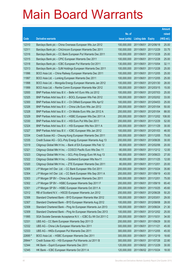|         |                                                              |               |                            |                       | <b>Amount</b> |
|---------|--------------------------------------------------------------|---------------|----------------------------|-----------------------|---------------|
|         |                                                              | No. of        |                            |                       | raised        |
| Code    | <b>Derivative warrants</b>                                   | issue (units) | <b>Listing date Expiry</b> |                       | (HK\$ mil.)   |
| 12310   | Barclays Bank plc - China Overseas European Wts Jun 2012     | 100,000,000   |                            | 2011/06/01 2012/06/18 | 25.00         |
| 12311   | Barclays Bank plc - ChiUnicom European Warrants Dec 2011     | 150,000,000   |                            | 2011/06/01 2011/12/29 | 33.75         |
| 12316   | Barclays Bank plc - CC Bank European Put Warrants Dec 2011   | 100,000,000   | 2011/06/01                 | 2011/12/28            | 25.00         |
| 12315   | Barclays Bank plc - CPIC European Warrants Dec 2011          | 100,000,000   |                            | 2011/06/01 2011/12/28 | 25.00         |
| 12318   | Barclays Bank plc - ICBC European Put Warrants Oct 2011      | 130,000,000   | 2011/06/01                 | 2011/10/04            | 32.11         |
| 12313   | Barclays Bank plc - SJM Holdings European Warrants Dec 2011  | 100,000,000   |                            | 2011/06/01 2011/12/28 | 25.00         |
| 11996   | BOCI Asia Ltd. - China Railway European Warrants Dec 2011    | 100,000,000   | 2011/06/01                 | 2011/12/05            | 25.00         |
| 11997   | BOCI Asia Ltd. - Lonking European Warrants Dec 2011          | 100,000,000   |                            | 2011/06/01 2011/12/05 | 25.00         |
| 11998   | BOCI Asia Ltd. - Mongolia Energy European Warrants Jan 2012  | 100,000,000   | 2011/06/01                 | 2012/01/30            | 28.00         |
| 11999   | BOCI Asia Ltd. - Renhe Comm European Warrants Mar 2012       | 100,000,000   |                            | 2011/06/01 2012/03/15 | 15.00         |
| 12000   | BNP Paribas Arbit Issu B.V. - Belle Int'l Euro Wts Jul 2012  | 100,000,000   | 2011/06/01                 | 2012/07/03            | 25.00         |
| 12325   | BNP Paribas Arbit Issu B.V. - BOCL European Wts Feb 2012     | 100,000,000   |                            | 2011/06/01 2012/02/02 | 33.00         |
| 12300   | BNP Paribas Arbit Issu B.V. - Ch Oilfield European Wts Apr12 | 100,000,000   |                            | 2011/06/01 2012/04/03 | 25.00         |
| 12326   | BNP Paribas Arbit Issu B.V. - China Life Euro Wts Jan 2012   | 200,000,000   |                            | 2011/06/01 2012/01/04 | 50.00         |
| 12328   | BNP Paribas Arbit Issu B.V. - Ch Mobile Euro Wts Jan 2012 A  | 200,000,000   | 2011/06/01                 | 2012/01/04            | 88.00         |
| 12329   | BNP Paribas Arbit Issu B.V. - HSBC European Wts Dec 2011 A   | 200,000,000   |                            | 2011/06/01 2011/12/02 | 108.00        |
| 12330   | BNP Paribas Arbit Issu B.V. - HSI Euro Put Wts Dec 2011      | 200,000,000   | 2011/06/01                 | 2011/12/29            | 52.00         |
| 12324   | BNP Paribas Arbit Issu B.V. - HSI European Wts Nov 2011 A    | 200,000,000   |                            | 2011/06/01 2011/11/29 | 30.00         |
| 12327   | BNP Paribas Arbit Issu B.V. - ICBC European Wts Jan 2012     | 100,000,000   | 2011/06/01                 | 2012/01/03            | 46.00         |
| 12334   | Credit Suisse AG - Cheung Kong European Warrants Dec 2011    | 300,000,000   |                            | 2011/06/01 2011/12/05 | 75.00         |
| 12335   | Credit Suisse AG - GCL-Poly Energy European Warrants Aug 13  | 200,000,000   | 2011/06/01                 | 2013/08/26            | 30.00         |
| 12319   | Citigroup Global Mkt H Inc. - Bank of EA European Wts Feb 12 | 80,000,000    |                            | 2011/06/01 2012/02/06 | 20.00         |
| 12321   | Citigroup Global Mkt H Inc. - COSCO Pacific Euro Wts Dec 11  | 80,000,000    | 2011/06/01                 | 2011/12/12            | 12.00         |
| 12323   | Citigroup Global Mkt H Inc. - GCL-Poly Energy Euro Wt Aug 13 | 180,000,000   |                            | 2011/06/01 2013/08/23 | 27.00         |
| 12322   | Citigroup Global Mkt H Inc. - Goldwind European Wts Nov11    | 80,000,000    | 2011/06/01                 | 2011/11/25            | 12.00         |
| 12320   | Citigroup Global Mkt H Inc. - ZTE European Warrants Dec 2011 | 80,000,000    | 2011/06/01 2011/12/01      |                       | 20.00         |
| 12305   | J P Morgan Int'l Der. Ltd. - CC Bank European Wts Oct 2011   | 200,000,000   |                            | 2011/06/01 2011/10/24 | 35.80         |
| 12304   | J P Morgan Int'l Der. Ltd. - CC Bank European Wts Sep 2011 A | 200,000,000   |                            | 2011/06/01 2011/09/19 | 43.00         |
| 12303   | J P Morgan SP BV - China Life European Warrants Dec 2011     | 300,000,000   | 2011/06/01                 | 2011/12/01            | 75.00         |
| 12302   | J P Morgan SP BV - HSBC European Warrants Sep 2011 F         | 200,000,000   |                            | 2011/06/01 2011/09/19 | 65.40         |
| 12301   | J P Morgan SP BV - HSBC European Warrants Oct 2011 A         | 200,000,000   | 2011/06/01                 | 2011/10/25            | 45.60         |
| 12312   | RB of Scotland N.V. - HSCEI European Warrants Jun 2012       | 200,000,000   | 2011/06/01                 | 2012/06/28            | 50.20         |
| 12306   | Standard Chartered Bank - BYD European Warrants Mar 2012     | 100,000,000   | 2011/06/01                 | 2012/03/01            | 29.00         |
| 12307   | Standard Chartered Bank - BYD European Warrants Aug 2012     | 100,000,000   | 2011/06/01                 | 2012/08/08            | 28.00         |
| 12308   | Standard Chartered Bank - Ping An European Warrants Jun 2013 | 100,000,000   | 2011/06/01                 | 2013/06/24            | 21.30         |
| 12309   | Standard Chartered Bank - Ping An European Warrants Dec 2013 | 100,000,000   | 2011/06/01                 | 2013/12/02            | 25.00         |
| 11995   | SGA Societe Generale Acceptance N.V. - ICBC Eu Wt Oct 2011 C | 200,000,000   | 2011/06/01                 | 2011/10/31            | 34.00         |
| 12331   | UBS AG - CC Bank European Warrants Sep 2011 D                | 200,000,000   |                            | 2011/06/01 2011/09/29 | 30.00         |
| 12332   | UBS AG - China Life European Warrants Nov 2011               | 300,000,000   | 2011/06/01                 | 2011/11/21            | 45.00         |
| 12333   | UBS AG - HKEx European Put Warrants Dec 2011                 | 300,000,000   |                            | 2011/06/01 2011/12/05 | 45.00         |
| 22695 # | BOCI Asia Ltd. - HSBC European Warrants Dec 2011             | 300,000,000   | 2011/06/01                 | 2011/12/19            | 18.60         |
| 29944 # | Credit Suisse AG - HSI European Put Warrants Jul 2011 B      | 300,000,000   |                            | 2011/06/01 2011/07/28 | 22.80         |
| 12344   | HK Bank - Esprit European Warrants Dec 2011                  | 120,000,000   |                            | 2011/06/02 2011/12/29 | 30.00         |
| 12345   | HK Bank - ICBC European Warrants Oct 2011 A                  | 120,000,000   |                            | 2011/06/02 2011/10/24 | 18.00         |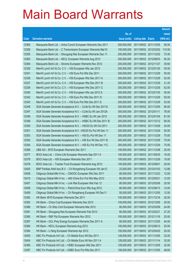|       |                                                               |               |                            |                       | <b>Amount</b> |
|-------|---------------------------------------------------------------|---------------|----------------------------|-----------------------|---------------|
|       |                                                               | No. of        |                            |                       | raised        |
| Code  | <b>Derivative warrants</b>                                    | issue (units) | <b>Listing date Expiry</b> |                       | (HK\$ mil.)   |
| 12365 | Macquarie Bank Ltd. - Anhui Conch European Warrants Dec 2011  | 200,000,000   | 2011/06/02 2011/12/05      |                       | 50.00         |
| 12356 | Macquarie Bank Ltd. - C Transmission European Warrants Mar12  | 100,000,000   |                            | 2011/06/02 2012/03/02 | 115.50        |
| 12355 | Macquarie Bank Ltd. - Shougang Res European Warrants Dec 11   | 200,000,000   | 2011/06/02 2011/12/02      |                       | 72.40         |
| 12363 | Macquarie Bank Ltd. - KECL European Warrants Aug 2012         | 200,000,000   | 2011/06/02 2012/08/03      |                       | 50.20         |
| 12364 | Macquarie Bank Ltd. - Sinoma European Warrants Nov 2012       | 200,000,000   | 2011/06/02 2012/11/27      |                       | 35.60         |
| 12339 | Merrill Lynch Int'l & Co. C.V. - HSI European Wts Jan 2012    | 200,000,000   | 2011/06/02 2012/01/30      |                       | 50.00         |
| 12341 | Merrill Lynch Int'l & Co. C.V. - HSI Euro Put Wts Dec 2011    | 200,000,000   | 2011/06/02 2011/12/29      |                       | 50.00         |
| 12336 | Merrill Lynch Int'l & Co. C.V. - HSI European Wts Dec 2011 A  | 200,000,000   | 2011/06/02 2011/12/29      |                       | 52.00         |
| 12337 | Merrill Lynch Int'l & Co. C.V. - HSI European Wts Dec 2011 B  | 200,000,000   | 2011/06/02 2011/12/29      |                       | 31.20         |
| 12338 | Merrill Lynch Int'l & Co. C.V. - HSI European Wts Dec 2011 C  | 200,000,000   | 2011/06/02 2011/12/29      |                       | 52.00         |
| 12340 | Merrill Lynch Int'l & Co. C.V. - HSI European Wts Jan 2012 A  | 200,000,000   | 2011/06/02 2012/01/30      |                       | 50.00         |
| 12342 | Merrill Lynch Int'l & Co. C.V. - HSI Euro Put Wts Dec 2011 D  | 200,000,000   | 2011/06/02 2011/12/29      |                       | 50.00         |
| 12343 | Merrill Lynch Int'l & Co. C.V. - HSI Euro Put Wts Dec 2011 E  | 200,000,000   | 2011/06/02 2011/12/29      |                       | 53.00         |
| 12346 | SGA Societe Generale Acceptance N.V. - CLife Eu Wt Dec 2011A  | 300,000,000   | 2011/06/02 2011/12/05      |                       | 90.00         |
| 12347 | SGA Societe Generale Acceptance N.V. - CLife Eu Wt Jan 2012A  | 300,000,000   | 2011/06/02 2012/01/11      |                       | 78.00         |
| 12349 | SGA Societe Generale Acceptance N.V. - HSBC Eu Wt Jan 2012    | 300,000,000   | 2011/06/02 2012/01/04      |                       | 81.00         |
| 12348 | SGA Societe Generale Acceptance N.V. - HSBC Eu Wt Dec 2011 B  | 300,000,000   | 2011/06/02 2011/12/12      |                       | 90.00         |
| 12350 | SGA Societe Generale Acceptance N.V. - HSCEI Eu Wt Oct 2011   | 200,000,000   | 2011/06/02 2011/10/28      |                       | 34.00         |
| 12351 | SGA Societe Generale Acceptance N.V. - HSCEI Eu Put Wt Dec 11 | 200,000,000   | 2011/06/02 2011/12/29      |                       | 50.00         |
| 12353 | SGA Societe Generale Acceptance N.V. - HSI Eu Put Wt Dec 11   | 300,000,000   | 2011/06/02 2011/12/29      |                       | 75.00         |
| 12352 | SGA Societe Generale Acceptance N.V. - HSI Eur Wt Dec 2011 B  | 300,000,000   | 2011/06/02 2011/12/29      |                       | 75.00         |
| 12354 | SGA Societe Generale Acceptance N.V. - HSI Eu Put Wt Dec 11C  | 300,000,000   | 2011/06/02 2011/12/29      |                       | 75.00         |
| 12366 | UBS AG - BYD European Warrants Dec 2011                       | 100,000,000   | 2011/06/02 2011/12/08      |                       | 25.00         |
| 12377 | BOCI Asia Ltd. - China Life European Warrants Sep 2011 A      | 100,000,000   | 2011/06/03 2011/09/30      |                       | 16.00         |
| 12379 | BOCI Asia Ltd. - HSI European Warrants Dec 2011               | 100,000,000   | 2011/06/03 2011/12/29      |                       | 15.00         |
| 12378 | BOCI Asia Ltd. - Tracker Fund European Warrants Aug 2012      | 100,000,000   | 2011/06/03 2012/08/01      |                       | 25.00         |
| 12400 | BNP Paribas Arbit Issu B.V. - Ch Rongsheng European Wt Jan12  | 23,000,000    | 2011/06/03 2012/01/03      |                       | 12.88         |
| 12408 | Citigroup Global Mkt H Inc. - CNOOC European Wts Dec 2011     | 80,000,000    | 2011/06/03 2011/12/23      |                       | 12.00         |
| 12410 | Citigroup Global Mkt H Inc. - A50 China Eur Put Wts May 2012  | 80,000,000    | 2011/06/03 2012/05/21      |                       | 12.00         |
| 12407 | Citigroup Global Mkt H Inc. - Link Reit European Wts Feb 12   | 80,000,000    | 2011/06/03 2012/02/06      |                       | 20.00         |
| 12406 | Citigroup Global Mkt H Inc. - PetroChina Euro Wts Aug 2012    | 80,000,000    | 2011/06/03 2012/08/13      |                       | 12.00         |
| 12409 | Citigroup Global Mkt H Inc. - Ch Rongsheng European Wt Dec11  | 50,000,000    | 2011/06/03 2011/12/05      |                       | 12.50         |
| 12382 | HK Bank - BYD European Warrants Dec 2011                      | 100,000,000   | 2011/06/03 2011/12/16      |                       | 25.00         |
| 12383 | HK Bank - China Coal European Warrants Dec 2012               | 100,000,000   | 2011/06/03 2012/12/05      |                       | 25.00         |
| 12386 | HK Bank - Ch Ship Cont European Warrants Mar 2012             | 80,000,000    | 2011/06/03 2012/03/09      |                       | 24.80         |
| 12381 | HK Bank - Shougang Res European Warrants Feb 2012             | 80,000,000    | 2011/06/03 2012/02/21      |                       | 27.20         |
| 12385 | HK Bank - R&F Ppt European Warrants Nov 2012                  | 100,000,000   | 2011/06/03 2012/11/16      |                       | 25.00         |
| 12387 | HK Bank - GCL-Poly Energy European Warrants Dec 2011 A        | 80,000,000    | 2011/06/03 2011/12/05      |                       | 44.00         |
| 12380 | HK Bank - KECL European Warrants Aug 2012                     | 100,000,000   | 2011/06/03 2012/08/13      |                       | 25.00         |
| 12384 | HK Bank - Li Ning European Warrants Apr 2012                  | 100,000,000   | 2011/06/03 2012/04/20      |                       | 25.00         |
| 12405 | KBC Fin Products Int'l Ltd. - Ch Mobile Euro Wt Dec 2011      | 128,000,000   | 2011/06/03 2011/12/05      |                       | 32.00         |
| 12404 | KBC Fin Products Int'l Ltd. - Ch Mobile Euro Wt Nov 2011 A    | 128,000,000   | 2011/06/03 2011/11/14      |                       | 32.00         |
| 12390 | KBC Fin Products Int'l Ltd. - HSBC European Wts Dec 2011      | 128,000,000   | 2011/06/03 2011/12/05      |                       | 32.00         |
| 12397 | KBC Fin Products Int'l Ltd. - HSBC Euro Put Wts Dec 2011      | 108,000,000   | 2011/06/03 2011/12/05      |                       | 48.60         |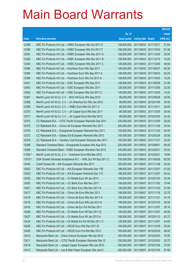|         |                                                              |               |                            | <b>Amount</b> |
|---------|--------------------------------------------------------------|---------------|----------------------------|---------------|
|         |                                                              | No. of        |                            | raised        |
| Code    | <b>Derivative warrants</b>                                   | issue (units) | <b>Listing date Expiry</b> | (HK\$ mil.)   |
| 12388   | KBC Fin Products Int'l Ltd. - HSBC European Wts Oct 2011 E   | 108,000,000   | 2011/06/03 2011/10/17      | 51.84         |
| 12389   | KBC Fin Products Int'l Ltd. - HSBC European Wts Oct 2011 F   | 108,000,000   | 2011/06/03 2011/10/03      | 61.56         |
| 12391   | KBC Fin Products Int'l Ltd. - HSBC European Wts Dec 2011 A   | 128,000,000   | 2011/06/03 2011/12/05      | 32.00         |
| 12392   | KBC Fin Products Int'l Ltd. - HSBC European Wts Dec 2011 B   | 108,000,000   | 2011/06/03 2011/12/15      | 16.20         |
| 12393   | KBC Fin Products Int'l Ltd. - HSBC European Wts Dec 2011 C   | 128,000,000   | 2011/06/03 2011/12/05      | 48.64         |
| 12394   | KBC Fin Products Int'l Ltd. - Hutchison Euro Wts Sep 2011    | 128,000,000   | 2011/06/03 2011/09/27      | 66.56         |
| 12395   | KBC Fin Products Int'l Ltd. - Hutchison Euro Wts Sep 2011 A  | 128,000,000   | 2011/06/03 2011/09/22      | 42.24         |
| 12396   | KBC Fin Products Int'l Ltd. - Hutchison Euro Wts Oct 2011 A  | 128,000,000   | 2011/06/03 2011/10/03      | 19.20         |
| 12401   | KBC Fin Products Int'l Ltd. - ICBC European Wts Sep 2011     | 108,000,000   | 2011/06/03 2011/09/26      | 27.00         |
| 12403   | KBC Fin Products Int'l Ltd. - ICBC European Wts Dec 2011     | 128,000,000   | 2011/06/03 2011/12/05      | 32.00         |
| 12402   | KBC Fin Products Int'l Ltd. - ICBC European Wts Oct 2011 C   | 128,000,000   | 2011/06/03 2011/10/03      | 19.20         |
| 12367   | Merrill Lynch Int'l & Co. C.V. - BOC HK Euro Wts Sep 2012    | 80,000,000    | 2011/06/03 2012/09/28      | 20.00         |
| 12368   | Merrill Lynch Int'l & Co. C.V. - Ch Shenhua Eur Wts Jan 2012 | 80,000,000    | 2011/06/03 2012/01/09      | 30.40         |
| 12369   | Merrill Lynch Int'l & Co. C.V. - HSBC Euro Wts Oct 2011 A    | 80,000,000    | 2011/06/03 2011/10/11      | 38.00         |
| 12370   | Merrill Lynch Int'l & Co. C.V. - JX Copper Euro Wts Dec 2011 | 80,000,000    | 2011/06/03 2011/12/05      | 20.40         |
| 12371   | Merrill Lynch Int'l & Co. C.V. - JX Copper Euro Wts Mar 2012 | 80,000,000    | 2011/06/03 2012/03/05      | 20.40         |
| 12373   | CC Rabobank B.A. - CITIC Pacific European Warrants Dec 2011  | 100,000,000   | 2011/06/03 2011/12/05      | 25.00         |
| 12375   | CC Rabobank B.A. - China Life European Warrants Nov 2011     | 200,000,000   | 2011/06/03 2011/11/28      | 30.00         |
| 12376   | CC Rabobank B.A. - Evergrande European Warrants Nov 2011     | 100,000,000   | 2011/06/03 2011/11/23      | 40.00         |
| 12372   | CC Rabobank B.A. - Galaxy Ent European Warrants Mar 2012     | 100,000,000   | 2011/06/03 2012/03/26      | 25.00         |
| 12374   | CC Rabobank B.A. - Yanzhou Coal European Warrants Nov 2011   | 100,000,000   | 2011/06/03 2011/11/21      | 35.00         |
| 12399   | Standard Chartered Bank - Evergrande European Wts Aug 2013   | 200,000,000   | 2011/06/03 2013/08/01      | 50.00         |
| 12398   | Standard Chartered Bank - HSBC European Warrants Feb 2012    | 100,000,000   | 2011/06/03 2012/02/01      | 42.50         |
| 11380 # | Merrill Lynch Int'l & Co. C.V. - Hutchison Euro Wts Mar 2012 | 200,000,000   | 2011/06/03 2012/03/21      | 18.60         |
| 11815 # | SGA Societe Generale Acceptance N.V. - HWL Eur Wt Sep 2011 C | 100,000,000   | 2011/06/03 2011/09/26      | 62.00         |
| 12430   | Credit Suisse AG - AIA European Warrants Nov 2011            | 300,000,000   | 2011/06/07 2011/11/28      | 45.00         |
| 12422   | KBC Fin Products Int'l Ltd. – AIA European Warrants Dec 11B  | 188,000,000   | 2011/06/07 2011/12/07      | 47.00         |
| 12423   | KBC Fin Products Int'l Ltd. - AIA European Warrants Dec 11C  | 188,000,000   | 2011/06/07 2011/12/07      | 54.52         |
| 12425   | KBC Fin Products Int'l Ltd. - Ch Mobile Euro Wt Jan 2012     | 128,000,000   | 2011/06/07 2012/01/03      | 32.00         |
| 12420   | KBC Fin Products Int'l Ltd. - CC Bank Euro Wts Nov 2011      | 108,000,000   | 2011/06/07 2011/11/02      | 19.44         |
| 12421   | KBC Fin Products Int'l Ltd. - CC Bank Euro Wts Nov 2011 A    | 108,000,000   | 2011/06/07 2011/11/23      | 37.80         |
| 12417   | KBC Fin Products Int'l Ltd. - China Life Euro Wts Nov 2011   | 158,000,000   | 2011/06/07 2011/11/16      | 23.70         |
| 12419   | KBC Fin Products Int'l Ltd. - China Life Euro Wts Nov 2011 A | 158,000,000   | 2011/06/07 2011/11/21      | 34.76         |
| 12418   | KBC Fin Products Int'l Ltd. - China Life Euro Wts Jan 2012 A | 158,000,000   | 2011/06/07 2012/01/03      | 39.50         |
| 12416   | KBC Fin Products Int'l Ltd. - China Life Eur Put Wt Dec 2011 | 108,000,000   | 2011/06/07 2011/12/07      | 29.16         |
| 12426   | KBC Fin Products Int'l Ltd. - Ch Mobile Euro Wt Dec 2011 D   | 128,000,000   | 2011/06/07 2011/12/07      | 46.08         |
| 12427   | KBC Fin Products Int'l Ltd. - Ch Mobile Euro Wt Jan 2012 A   | 108,000,000   | 2011/06/07 2012/01/10      | 63.72         |
| 12424   | KBC Fin Products Int'l Ltd. - Ch Mobile Eu Put Wt Dec 2011 C | 128,000,000   | 2011/06/07 2011/12/07      | 44.80         |
| 12428   | KBC Fin Products Int'l Ltd. - HSCEI Euro Wts Dec 2011 B      | 100,000,000   | 2011/06/07 2011/12/29      | 25.00         |
| 12429   | KBC Fin Products Int'l Ltd. - HSCEI Euro Put Wts Mar 2012    | 100,000,000   | 2011/06/07 2012/03/29      | 46.00         |
| 12413   | Macquarie Bank Ltd. - China Unicom European Wts Apr 2012     | 300,000,000   | 2011/06/07 2012/04/03      | 75.00         |
| 12411   | Macquarie Bank Ltd. - CITIC Pacific European Warrants Feb 12 | 150,000,000   | 2011/06/07 2012/02/02      | 30.75         |
| 12414   | Macquarie Bank Ltd. - Jiangxi Copper European Wts Jan 2012   | 300,000,000   | 2011/06/07 2012/01/04      | 75.00         |
| 12412   | Macquarie Bank Ltd. - Lee & Man Paper European Wts Jan12     | 200,000,000   | 2011/06/07 2012/01/04      | 87.60         |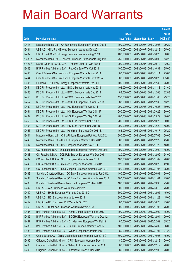|         |                                                              |               |                            | <b>Amount</b> |
|---------|--------------------------------------------------------------|---------------|----------------------------|---------------|
|         |                                                              | No. of        |                            | raised        |
| Code    | <b>Derivative warrants</b>                                   | issue (units) | <b>Listing date Expiry</b> | (HK\$ mil.)   |
| 12415   | Macquarie Bank Ltd. - Ch Rongsheng European Warrants Dec 11  | 100,000,000   | 2011/06/07 2011/12/06      | 29.20         |
| 12431   | UBS AG - GCL-Poly Energy European Warrants Dec 2011          | 100,000,000   | 2011/06/07 2011/12/12      | 25.00         |
| 12432   | UBS AG - GCL-Poly Energy European Warrants Aug 2013          | 400,000,000   | 2011/06/07 2013/08/23      | 60.00         |
| 28380 # | Macquarie Bank Ltd. - Tencent European Put Warrants Aug 11B  | 250,000,000   | 2011/06/07 2011/08/02      | 13.25         |
| 29427 # | Merrill Lynch Int'l & Co. C.V. - Tencent Euro Put Wts Sep 11 | 200,000,000   | 2011/06/07 2011/09/12      | 12.60         |
| 12443   | BNP Paribas Arbit Issu B.V. - PetroCh Euro Wts Oct 2011      | 100,000,000   | 2011/06/08 2011/10/31      | 35.00         |
| 12445   | Credit Suisse AG - Hutchison European Warrants Nov 2011      | 300,000,000   | 2011/06/08 2011/11/11      | 75.00         |
| 12444   | Credit Suisse AG - Hutchison European Warrants Oct 2011 A    | 300,000,000   | 2011/06/08 2011/10/28      | 105.00        |
| 12446   | HK Bank - GCL-Poly Energy European Warrants Dec 2013         | 100,000,000   | 2011/06/08 2013/12/30      | 25.00         |
| 12454   | KBC Fin Products Int'l Ltd. - BOCL European Wts Nov 2011     | 108,000,000   | 2011/06/08 2011/11/18      | 21.60         |
| 12453   | KBC Fin Products Int'l Ltd. - BOCL European Wts Dec 2011     | 88,000,000    | 2011/06/08 2011/12/08      | 22.88         |
| 12455   | KBC Fin Products Int'l Ltd. - BOCL European Wts Jan 2012     | 158,000,000   | 2011/06/08 2012/01/03      | 23.70         |
| 12457   | KBC Fin Products Int'l Ltd. - A50 Ch European Put Wts Dec 11 | 88,000,000    | 2011/06/08 2011/12/30      | 13.20         |
| 12460   | KBC Fin Products Int'l Ltd. - HSI European Wts Oct 2011      | 200,000,000   | 2011/06/08 2011/10/28      | 30.00         |
| 12461   | KBC Fin Products Int'l Ltd. - HSI European Wts Sep 2011 F    | 200,000,000   | 2011/06/08 2011/09/29      | 30.00         |
| 12462   | KBC Fin Products Int'l Ltd. - HSI European Wts Sep 2011 G    | 200,000,000   | 2011/06/08 2011/09/29      | 30.00         |
| 12459   | KBC Fin Products Int'l Ltd. - HSI Euro Put Wts Oct 2011 A    | 200,000,000   | 2011/06/08 2011/10/28      | 30.00         |
| 12458   | KBC Fin Products Int'l Ltd. - HSI Euro Put Wts Dec 2011 B    | 200,000,000   | 2011/06/08 2011/12/29      | 58.00         |
| 12456   | KBC Fin Products Int'l Ltd. - Hutchison Euro Wts Oct 2011 B  | 168,000,000   | 2011/06/08 2011/10/17      | 25.20         |
| 12441   | Macquarie Bank Ltd. - China Unicom European Put Wts Jul 2012 | 200,000,000   | 2011/06/08 2012/07/03      | 50.00         |
| 12448   | Macquarie Bank Ltd. - HSCEI European Warrants Dec 2011       | 300,000,000   | 2011/06/08 2011/12/29      | 45.00         |
| 12447   | Macquarie Bank Ltd. - HSI European Warrants Nov 2011         | 300,000,000   | 2011/06/08 2011/11/29      | 48.00         |
| 12437   | CC Rabobank B.A. - Shougang Res European Warrants Dec 2011   | 100,000,000   | 2011/06/08 2011/12/09      | 45.00         |
| 12438   | CC Rabobank B.A. - GCL-Poly Energy European Wts Dec 2011     | 120,000,000   | 2011/06/08 2011/12/09      | 54.00         |
| 12439   | CC Rabobank B.A. - HSBC European Warrants Nov 2011           | 100,000,000   | 2011/06/08 2011/11/09      | 20.00         |
| 12440   | CC Rabobank B.A. - Hutchison European Warrants Oct 2011      | 120,000,000   | 2011/06/08 2011/10/26      | 42.00         |
| 12436   | CC Rabobank B.A. - China Mengniu European Warrants Jan 2012  | 100,000,000   | 2011/06/08 2012/01/06      | 25.00         |
| 12433   | Standard Chartered Bank - CC Bank European Warrants Jun 2012 | 100,000,000   | 2011/06/08 2012/06/01      | 50.00         |
| 12434   | Standard Chartered Bank - CC Bank European Warrants Nov 2012 | 100,000,000   | 2011/06/08 2012/11/01      | 25.00         |
| 12435   | Standard Chartered Bank-China Life European Wts Mar 2012     | 100,000,000   | 2011/06/08 2012/03/30      | 25.00         |
| 12442   | UBS AG - AIA European Warrants Mar 2012                      | 300,000,000   | 2011/06/08 2012/03/12      | 75.00         |
| 12449   | UBS AG - HKEx European Warrants Dec 2011 C                   | 300,000,000   | 2011/06/08 2011/12/05      | 45.00         |
| 12451   | UBS AG - HSI European Warrants Nov 2011                      | 300,000,000   | 2011/06/08 2011/11/29      | 45.00         |
| 12452   | UBS AG - HSI European Put Warrants Oct 2011                  | 300,000,000   | 2011/06/08 2011/10/28      | 45.00         |
| 12450   | UBS AG - Hutchison European Warrants Nov 2011 A              | 300,000,000   | 2011/06/08 2011/11/08      | 75.00         |
| 12486   | BNP Paribas Arbit Issu B.V. - Anhui Conch Euro Wts Feb 2012  | 100,000,000   | 2011/06/09 2012/02/02      | 36.00         |
| 12485   | BNP Paribas Arbit Issu B.V. - BOCHK European Warrants Dec 12 | 100,000,000   | 2011/06/09 2012/12/04      | 29.00         |
| 12487   | BNP Paribas Arbit Issu B.V. - Ch Mer Hold European Wts Feb12 | 80,000,000    | 2011/06/09 2012/02/02      | 35.20         |
| 12489   | BNP Paribas Arbit Issu B.V. - CPIC European Warrants Apr 12  | 100,000,000   | 2011/06/09 2012/04/02      | 36.00         |
| 12488   | BNP Paribas Arbit Issu B.V. - Wharf European Warrants Jan 12 | 80,000,000    | 2011/06/09 2012/01/04      | 27.20         |
| 12473   | Credit Suisse AG - China Mobile European Warrants Oct 2011 C | 300,000,000   | 2011/06/09 2011/10/03      | 45.00         |
| 12495   | Citigroup Global Mkt H Inc. - CPIC European Warrants Dec 11  | 80,000,000    | 2011/06/09 2011/12/12      | 20.00         |
| 12496   | Citigroup Global Mkt H Inc. - Galaxy Ent European Wts Dec11A | 80,000,000    | 2011/06/09 2011/12/12      | 20.00         |
| 12498   | Citigroup Global Mkt H Inc. - Hutchison Euro Wts Dec 2011    | 80,000,000    | 2011/06/09 2011/12/09      | 28.00         |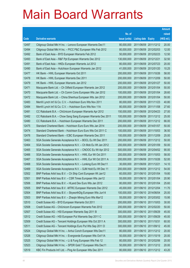|       |                                                               |               |                            |            | <b>Amount</b> |
|-------|---------------------------------------------------------------|---------------|----------------------------|------------|---------------|
|       |                                                               | No. of        |                            |            | raised        |
| Code  | <b>Derivative warrants</b>                                    | issue (units) | <b>Listing date Expiry</b> |            | $(HK$$ mil.)  |
| 12497 | Citigroup Global Mkt H Inc. - Lenovo European Warrants Dec11  | 80,000,000    | 2011/06/09 2011/12/12      |            | 20.00         |
| 12494 | Citigroup Global Mkt H Inc. - PICC P&C European Wts Feb 2012  | 80,000,000    | 2011/06/09 2012/02/03      |            | 12.00         |
| 12492 | Bank of East Asia – BYD European Warrants Feb 2012            | 50,000,000    | 2011/06/09 2012/02/23      |            | 12.50         |
| 12493 | Bank of East Asia – R&F Ppt European Warrants Dec 2012        | 130,000,000   | 2011/06/09 2012/12/21      |            | 32.50         |
| 12491 | Bank of East Asia – HKEx European Warrants Jul 2012           | 80,000,000    | 2011/06/09 2012/07/23      |            | 20.00         |
| 12490 | Bank of East Asia - Hutchison European Warrants Jan 2012      | 41,000,000    | 2011/06/09 2012/01/20      |            | 10.25         |
| 12477 | HK Bank - HWL European Warrants Oct 2011                      | 200,000,000   | 2011/06/09 2011/10/26      |            | 58.00         |
| 12478 | HK Bank – HWL European Warrants Dec 2011                      | 200,000,000   | 2011/06/09 2011/12/09      |            | 50.00         |
| 12479 | HK Bank – HWL European Warrants Jan 2012                      | 200,000,000   | 2011/06/09 2012/01/27      |            | 50.00         |
| 12471 | Macquarie Bank Ltd. - Ch Oilfield European Warrants Jan 2012  | 200,000,000   | 2011/06/09 2012/01/04      |            | 50.00         |
| 12470 | Macquarie Bank Ltd. - Ch Comm Cons European Wts Jan 2012      | 100,000,000   | 2011/06/09 2012/01/04      |            | 28.60         |
| 12472 | Macquarie Bank Ltd. - China Shenhua European Wts Jan 2012     | 200,000,000   | 2011/06/09 2012/01/04      |            | 50.00         |
| 12483 | Merrill Lynch Int'l & Co. C.V. - Hutchison Euro Wts Nov 2011  | 80,000,000    | 2011/06/09 2011/11/23      |            | 40.80         |
| 12484 | Merrill Lynch Int'l & Co. C.V. - Hutchison Euro Wts Nov 11A   | 80,000,000    | 2011/06/09 2011/11/08      |            | 27.60         |
| 12481 | CC Rabobank B.A. - ChiUnicom European Warrants Apr 2012       | 150,000,000   | 2011/06/09 2012/04/23      |            | 27.00         |
| 12482 | CC Rabobank B.A. - Chow Sang Sang European Warrants Dec 2011  | 100,000,000   | 2011/06/09 2011/12/12      |            | 25.00         |
| 12480 | CC Rabobank B.A. - Hutchison European Warrants Dec 2011       | 200,000,000   | 2011/06/09 2011/12/12      |            | 66.00         |
| 12475 | Standard Chartered Bank - Hutchison Euro Euro Wts Jan 2014    | 200,000,000   | 2011/06/09 2014/01/07      |            | 50.00         |
| 12474 | Standard Chartered Bank - Hutchison Euro Euro Wts Oct 2011 C  | 100,000,000   | 2011/06/09                 | 2011/10/03 | 36.50         |
| 12476 | Standard Chartered Bank - ICBC European Warrants Dec 2011     | 100,000,000   | 2011/06/09 2011/12/09      |            | 25.00         |
| 12463 | SGA Societe Generale Acceptance N.V. - BOCL Eu Wt Dec 2011    | 200,000,000   | 2011/06/09 2011/12/12      |            | 50.00         |
| 12464 | SGA Societe Generale Acceptance N.V. - Ch Mob Eu Wt Jan 2012  | 200,000,000   | 2011/06/09 2012/01/09      |            | 50.00         |
| 12465 | SGA Societe Generale Acceptance N.V. - CNOOC Eu Wt Apr 2012   | 500,000,000   | 2011/06/09 2012/04/02      |            | 90.00         |
| 12466 | SGA Societe Generale Acceptance N.V. - HWL Eur Wt Oct 2011    | 200,000,000   | 2011/06/09 2011/10/03      |            | 58.00         |
| 12467 | SGA Societe Generale Acceptance N.V. - HWL Eur Wt Oct 2011 A  | 200,000,000   | 2011/06/09 2011/10/26      |            | 52.00         |
| 12468 | SGA Societe Generale Acceptance N.V. - Lonking Euro Wt Dec11  | 30,000,000    | 2011/06/09 2011/12/21      |            | 14.10         |
| 12469 | SGA Societe Generale Acceptance N.V. - SJM Hold Eu Wt Dec 11  | 200,000,000   | 2011/06/09 2011/12/12      |            | 54.00         |
| 12502 | BNP Paribas Arbit Issu B.V. - Ch Ship Cont European Wt Jan12  | 60,000,000    | 2011/06/10 2012/01/04      |            | 19.80         |
| 12501 | BNP Paribas Arbit Issu B.V. - CSR Times European Wts Jan12    | 55,000,000    | 2011/06/10 2012/01/04      |            | 20.90         |
| 12506 | BNP Paribas Arbit Issu B.V. - HLand Dev Euro Wts Jan 2012     | 80,000,000    | 2011/06/10 2012/01/04      |            | 25.60         |
| 12505 | BNP Paribas Arbit Issu B.V. - MTRC European Warrants Dec 2012 | 45,000,000    | 2011/06/10 2012/12/04      |            | 11.70         |
| 12504 | BNP Paribas Arbit Issu B.V. - SkyworthDig European Wts Jun14  | 100,000,000   | 2011/06/10 2014/06/04      |            | 25.00         |
| 12503 | BNP Paribas Arbit Issu B.V. - Zhaojin Mining Euro Wts Mar12   | 55,000,000    | 2011/06/10 2012/03/02      |            | 15.95         |
| 12510 | Credit Suisse AG - BYD European Warrants Oct 2011             | 200,000,000   | 2011/06/10 2011/10/03      |            | 30.00         |
| 12508 | Credit Suisse AG - ChiUnicom European Warrants Feb 2012       | 200,000,000   | 2011/06/10 2012/02/20      |            | 50.00         |
| 12507 | Credit Suisse AG - HSI European Warrants Sep 2011 B           | 300,000,000   | 2011/06/10 2011/09/29      |            | 45.00         |
| 12512 | Credit Suisse AG - HSI European Put Warrants Sep 2011 C       | 300,000,000   | 2011/06/10 2011/09/29      |            | 45.00         |
| 12509 | Credit Suisse AG - Tencent Holdings European Wts Oct 2011 A   | 300,000,000   | 2011/06/10 2011/10/31      |            | 60.00         |
| 12511 | Credit Suisse AG - Tencent Holdings Euro Put Wts Sep 2011 D   | 300,000,000   | 2011/06/10 2011/09/12      |            | 45.00         |
| 12524 | Citigroup Global Mkt H Inc. - Anhui Conch European Wts Dec11  | 80,000,000    | 2011/06/10 2011/12/12      |            | 20.00         |
| 12526 | Citigroup Global Mkt H Inc. - Evergrande European Wts Oct11A  | 50,000,000    | 2011/06/10 2011/10/19      |            | 20.00         |
| 12525 | Citigroup Global Mkt H Inc. - Li & Fung European Wts Feb 12   | 80,000,000    | 2011/06/10 2012/02/06      |            | 20.00         |
| 12523 | Citigroup Global Mkt H Inc. - SPDR Gold T European Wts Dec11  | 50,000,000    | 2011/06/10 2011/12/12      |            | 20.00         |
| 12519 | KBC Fin Products Int'l Ltd. - Ping An European Wts Dec 2011   | 80,000,000    | 2011/06/10 2011/12/12      |            | 43.20         |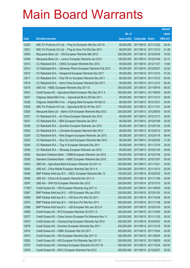|         |                                                              |               |                            |                       | <b>Amount</b> |
|---------|--------------------------------------------------------------|---------------|----------------------------|-----------------------|---------------|
|         |                                                              | No. of        |                            |                       | raised        |
| Code    | <b>Derivative warrants</b>                                   | issue (units) | <b>Listing date Expiry</b> |                       | (HK\$ mil.)   |
| 12520   | KBC Fin Products Int'l Ltd. - Ping An European Wts Dec 2011A | 80,000,000    |                            | 2011/06/10 2011/12/22 | 26.40         |
| 12521   | KBC Fin Products Int'l Ltd. - Ping An Euro Put Wts Dec 2011  | 68,000,000    |                            | 2011/06/10 2011/12/12 | 41.48         |
| 12500   | Macquarie Bank Ltd. - HSI European Warrants Mar 2012         | 300,000,000   |                            | 2011/06/10 2012/03/29 | 75.00         |
| 12499   | Macquarie Bank Ltd. - Lenovo European Warrants Jan 2012      | 128,000,000   |                            | 2011/06/10 2012/01/04 | 32.13         |
| 12513   | CC Rabobank B.A. - CMOC European Warrants Nov 2012           | 80,000,000    |                            | 2011/06/10 2012/11/27 | 13.60         |
| 12514   | CC Rabobank B.A. - Shineway Pharm European Warrants Feb 2012 | 80,000,000    |                            | 2011/06/10 2012/02/27 | 24.00         |
| 12515   | CC Rabobank B.A. - Henganintl European Warrants Dec 2011     | 80,000,000    |                            | 2011/06/10 2011/12/12 | 47.20         |
| 12517   | CC Rabobank B.A. - Poly HK Inv European Warrants Dec 2011    | 80,000,000    |                            | 2011/06/10 2011/12/12 | 50.40         |
| 12516   | CC Rabobank B.A. - Soho China European Warrants Dec 2011     | 80,000,000    |                            | 2011/06/10 2011/12/12 | 50.40         |
| 12518   | UBS AG - HSBC European Warrants Sep 2011 E                   | 300,000,000   |                            | 2011/06/10 2011/09/19 | 60.00         |
| 12541   | Credit Suisse AG - Agricultural Bank European Wts Sep 2011 A | 300,000,000   |                            | 2011/06/13 2011/09/30 | 45.00         |
| 12527   | Citigroup Global Mkt H Inc. - Agricultural Bk Eu Wt Dec 2011 | 80,000,000    | 2011/06/13 2011/12/13      |                       | 28.00         |
| 12528   | Citigroup Global Mkt H Inc. - Angang Steel European Wt Dec12 | 80,000,000    |                            | 2011/06/13 2012/12/31 | 20.00         |
| 12535   | KBC Fin Products Int'l Ltd. - Agricultural Bk Eu Wt Nov 2011 | 108,000,000   | 2011/06/13 2011/11/01      |                       | 33.48         |
| 12529   | Macquarie Bank Ltd. - Bank of EA European Warrants May 2012  | 200,000,000   |                            | 2011/06/13 2012/05/03 | 50.00         |
| 12537   | CC Rabobank B.A. - Air China European Warrants Dec 2012      | 80,000,000    | 2011/06/13 2012/12/17      |                       | 20.00         |
| 12531   | CC Rabobank B.A. - BEA European Warrants Jan 2012            | 80,000,000    |                            | 2011/06/13 2012/01/09 | 20.00         |
| 12538   | CC Rabobank B.A. - Zoomlion European Warrants Jan 2012       | 80,000,000    |                            | 2011/06/13 2012/01/30 | 20.00         |
| 12532   | CC Rabobank B.A. - LOccitane European Warrants Mar 2012      | 80,000,000    |                            | 2011/06/13 2012/03/12 | 20.00         |
| 12539   | CC Rabobank B.A. - Nine Dragons European Warrants Jan 2012   | 80,000,000    |                            | 2011/06/13 2012/01/16 | 58.40         |
| 12533   | CC Rabobank B.A. - Shui On Land European Warrants Mar 2012   | 80,000,000    |                            | 2011/06/13 2012/03/26 | 31.20         |
| 12534   | CC Rabobank B.A. - Ting Yi European Warrants Dec 2011        | 80,000,000    |                            | 2011/06/13 2011/12/19 | 20.00         |
| 12540   | CC Rabobank B.A. - Winsway European Warrants Jan 2012        | 80,000,000    |                            | 2011/06/13 2012/01/30 | 49.60         |
| 12530   | Standard Chartered Bank - CNBM European Warrants Jan 2012    | 100,000,000   |                            | 2011/06/13 2012/01/06 | 25.00         |
| 12536   | Standard Chartered Bank - HSBC European Warrants Dec 2015    | 200,000,000   |                            | 2011/06/13 2015/12/07 | 50.00         |
| 12543   | UBS AG - Agricultural Bank European Warrants Oct 2011 A      | 200,000,000   | 2011/06/13 2011/10/21      |                       | 30.00         |
| 12542   | UBS AG - China Mobile European Warrants Dec 2011 A           | 200,000,000   | 2011/06/13 2011/12/13      |                       | 50.00         |
| 12548   | BNP Paribas Arbit Issu B.V. - KECL European Warrants Mar 12  | 100,000,000   | 2011/06/14 2012/03/02      |                       | 18.00         |
| 12546   | UBS AG - China Life European Warrants Nov 2011 A             | 300,000,000   |                            | 2011/06/14 2011/11/28 | 45.00         |
| 12547   | UBS AG - SHK Ppt European Warrants Dec 2012                  | 200,000,000   |                            | 2011/06/14 2012/12/10 | 30.00         |
| 11782 # | Credit Suisse AG - HSI European Warrants Aug 2011 A          | 300,000,000   |                            | 2011/06/14 2011/08/30 | 16.50         |
| 12567   | BNP Paribas Arbit Issu B.V. - HSI European Wts Jan 2012      | 200,000,000   |                            | 2011/06/15 2012/01/30 | 50.00         |
| 12569   | BNP Paribas Arbit Issu B.V. - HSI Euro Put Wts Oct 2011      | 200,000,000   |                            | 2011/06/15 2011/10/28 | 36.00         |
| 12570   | BNP Paribas Arbit Issu B.V. - HSI Euro Put Wts Nov 2011      | 200,000,000   |                            | 2011/06/15 2011/11/29 | 30.00         |
| 12568   | BNP Paribas Arbit Issu B.V. - HSI European Wts Jan 2012 A    | 200,000,000   |                            | 2011/06/15 2012/01/30 | 30.00         |
| 12580   | Credit Suisse AG - BYD European Warrants Oct 2011 A          | 200,000,000   |                            | 2011/06/15 2011/10/04 | 30.00         |
| 12577   | Credit Suisse AG - China Unicom European Put Warrants Nov 11 | 200,000,000   |                            | 2011/06/15 2011/11/25 | 30.00         |
| 12573   | Credit Suisse AG - Cheung Kong European Warrants Apr 2012    | 300,000,000   | 2011/06/15 2012/04/23      |                       | 45.00         |
| 12579   | Credit Suisse AG - Zoomlion European Warrants Dec 2011       | 200,000,000   |                            | 2011/06/15 2011/12/19 | 50.00         |
| 12574   | Credit Suisse AG - HSBC European Wts Oct 2011                | 300,000,000   |                            | 2011/06/15 2011/10/04 | 45.00         |
| 12572   | Credit Suisse AG - HSI European Warrants Sep 2011 D          | 300,000,000   |                            | 2011/06/15 2011/09/29 | 45.00         |
| 12582   | Credit Suisse AG - HSI European Put Warrants Sep 2011 E      | 300,000,000   |                            | 2011/06/15 2011/09/29 | 45.00         |
| 12575   | Credit Suisse AG - Hutchison European Warrants Oct 2011 B    | 300,000,000   |                            | 2011/06/15 2011/10/24 | 120.00        |
| 12576   | Credit Suisse AG - KECL European Warrants Feb 2012           | 200,000,000   | 2011/06/15 2012/02/27      |                       | 30.00         |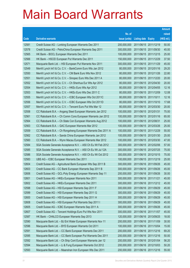|       |                                                              |               |                            |                       | <b>Amount</b> |
|-------|--------------------------------------------------------------|---------------|----------------------------|-----------------------|---------------|
|       |                                                              | No. of        |                            |                       | raised        |
| Code  | <b>Derivative warrants</b>                                   | issue (units) | <b>Listing date Expiry</b> |                       | (HK\$ mil.)   |
| 12581 | Credit Suisse AG - Lonking European Warrants Dec 2011        | 200,000,000   | 2011/06/15 2011/12/19      |                       | 50.00         |
| 12578 | Credit Suisse AG - PetroChina European Warrants Sep 2011     | 300,000,000   | 2011/06/15 2011/09/30      |                       | 45.00         |
| 12565 | HK Bank - BOCL European Warrants Dec 2011                    | 100,000,000   | 2011/06/15 2011/12/15      |                       | 25.00         |
| 12566 | HK Bank - HSCEI European Put Warrants Dec 2011               | 150,000,000   |                            | 2011/06/15 2011/12/29 | 37.50         |
| 12571 | Macquarie Bank Ltd. - HSI European Put Warrants Nov 2011     | 300,000,000   |                            | 2011/06/15 2011/11/29 | 45.00         |
| 12549 | Merrill Lynch Int'l & Co. C.V. - BankComm Euro Wts Jan 2012  | 80,000,000    |                            | 2011/06/15 2012/01/16 | 29.20         |
| 12550 | Merrill Lynch Int'l & Co. C.V. - CM Bank Euro Wts Nov 2012   | 80,000,000    | 2011/06/15 2012/11/26      |                       | 22.80         |
| 12551 | Merrill Lynch Int'l & Co. C.V. - Sinopec Euro Wts Dec 2011 A | 80,000,000    |                            | 2011/06/15 2011/12/20 | 20.00         |
| 12552 | Merrill Lynch Int'l & Co. C.V. - Ch Shenhua Eur Wts Apr 2012 | 80,000,000    |                            | 2011/06/15 2012/04/30 | 20.00         |
| 12554 | Merrill Lynch Int'l & Co. C.V. - HKEx Euro Wts Apr 2012      | 80,000,000    |                            | 2011/06/15 2012/04/05 | 12.16         |
| 12553 | Merrill Lynch Int'l & Co. C.V. - HKEx Euro Wts Dec 2011 C    | 80,000,000    | 2011/06/15 2011/12/09      |                       | 12.08         |
| 12555 | Merrill Lynch Int'l & Co. C.V. - ICBC European Wts Oct 2011C | 80,000,000    | 2011/06/15 2011/10/11      |                       | 12.16         |
| 12556 | Merrill Lynch Int'l & Co. C.V. - ICBC European Wts Oct 2011D | 80,000,000    |                            | 2011/06/15 2011/10/10 | 17.68         |
| 12557 | Merrill Lynch Int'l & Co. C.V. - Tencent Euro Put Wts Mar 12 | 80,000,000    |                            | 2011/06/15 2012/03/30 | 20.00         |
| 12558 | CC Rabobank B.A. - Angang Steel European Warrants Jan 2012   | 100,000,000   | 2011/06/15 2012/01/31      |                       | 75.00         |
| 12561 | CC Rabobank B.A. - Ch Comm Cons European Warrants Jan 2012   | 100,000,000   | 2011/06/15 2012/01/16      |                       | 65.00         |
| 12564 | CC Rabobank B.A. - Ch State Con European Warrants Aug 2012   | 100,000,000   | 2011/06/15 2012/08/31      |                       | 25.00         |
| 12563 | CC Rabobank B.A. - GAC European Warrants Mar 2012            | 100,000,000   |                            | 2011/06/15 2012/03/26 | 25.00         |
| 12559 | CC Rabobank B.A. - Ch Rongsheng European Warrants Dec 2011 A | 100,000,000   | 2011/06/15 2011/12/29      |                       | 55.00         |
| 12562 | CC Rabobank B.A. - Sands China European Warrants Jan 2012    | 100,000,000   | 2011/06/15 2012/01/30      |                       | 25.00         |
| 12560 | CC Rabobank B.A. - Wynn Macau European Warrants Mar 2012     | 100,000,000   |                            | 2011/06/15 2012/03/30 | 47.00         |
| 12584 | SGA Societe Generale Acceptance N.V. - A50 Ch Eu Wt Feb 2012 | 300,000,000   |                            | 2011/06/15 2012/02/06 | 57.00         |
| 12585 | SGA Societe Generale Acceptance N.V. - A50 Ch Eu Wt Jul 12A  | 300,000,000   | 2011/06/15 2012/07/25      |                       | 75.00         |
| 12586 | SGA Societe Generale Acceptance N.V. - A50 Ch Eu Wt Oct 2012 | 300,000,000   |                            | 2011/06/15 2012/10/15 | 75.00         |
| 12583 | UBS AG - ICBC European Warrants Dec 2011                     | 100,000,000   | 2011/06/15 2011/12/19      |                       | 25.00         |
| 12604 | Credit Suisse AG - Agricultural Bank European Wts Sep 2011 B | 300,000,000   | 2011/06/16 2011/09/26      |                       | 45.00         |
| 12603 | Credit Suisse AG - CC Bank European Warrants Sep 2011 B      | 300,000,000   | 2011/06/16 2011/09/26      |                       | 45.00         |
| 12606 | Credit Suisse AG - GCL-Poly Energy European Warrants Sep 11  | 200,000,000   | 2011/06/16 2011/09/26      |                       | 30.00         |
| 12601 | Credit Suisse AG - HKEx European Warrants Nov 2011           | 300,000,000   | 2011/06/16 2011/11/21      |                       | 45.00         |
| 12602 | Credit Suisse AG - HKEx European Warrants Dec 2011           | 300,000,000   |                            | 2011/06/16 2011/12/12 | 45.00         |
| 12598 | Credit Suisse AG - HSI European Warrants Sep 2011 F          | 300,000,000   | 2011/06/16 2011/09/29      |                       | 45.00         |
| 12599 | Credit Suisse AG - HSI European Warrants Sep 2011 G          | 300,000,000   | 2011/06/16 2011/09/29      |                       | 45.00         |
| 12600 | Credit Suisse AG - HSI European Warrants Sep 2011 H          | 300,000,000   | 2011/06/16 2011/09/29      |                       | 45.00         |
| 12608 | Credit Suisse AG - HSI European Put Warrants Sep 2011 I      | 300,000,000   | 2011/06/16 2011/09/29      |                       | 45.00         |
| 12605 | Credit Suisse AG - ICBC European Warrants Sep 2011 A         | 300,000,000   | 2011/06/16 2011/09/26      |                       | 45.00         |
| 12607 | Credit Suisse AG - Tencent Holdings Euro Put Wts Nov 2011    | 300,000,000   | 2011/06/16 2011/11/07      |                       | 45.00         |
| 12587 | HK Bank - CHALCO European Warrants Sep 2013                  | 120,000,000   | 2011/06/16 2013/09/25      |                       | 18.00         |
| 12590 | Macquarie Bank Ltd. - BJ Ent Water European Warrants Nov 11  | 200,000,000   | 2011/06/16 2011/11/09      |                       | 30.00         |
| 12596 | Macquarie Bank Ltd. - BYD European Warrants Oct 2011         | 100,000,000   | 2011/06/16 2011/10/04      |                       | 15.00         |
| 12591 | Macquarie Bank Ltd. - CC Bank European Warrants Dec 2011     | 200,000,000   | 2011/06/16 2011/12/16      |                       | 69.20         |
| 12595 | Macquarie Bank Ltd. - CC Bank European Put Warrants Dec 2011 | 200,000,000   | 2011/06/16 2011/12/16      |                       | 50.00         |
| 12592 | Macquarie Bank Ltd. - Ch Ship Cont European Warrants Jan 12  | 200,000,000   | 2011/06/16 2012/01/04      |                       | 56.20         |
| 12594 | Macquarie Bank Ltd. - Li & Fung European Warrants Oct 2012   | 200,000,000   | 2011/06/16 2012/10/03      |                       | 50.20         |
| 12593 | Macquarie Bank Ltd. - Maanshan Iron European Wts Dec 2011    | 200,000,000   | 2011/06/16 2011/12/16      |                       | 55.00         |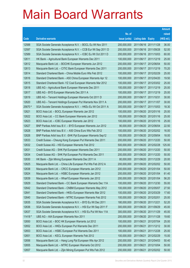|         |                                                               |               |                            |                       | <b>Amount</b> |
|---------|---------------------------------------------------------------|---------------|----------------------------|-----------------------|---------------|
|         |                                                               | No. of        |                            |                       | raised        |
| Code    | <b>Derivative warrants</b>                                    | issue (units) | <b>Listing date Expiry</b> |                       | (HK\$ mil.)   |
| 12588   | SGA Societe Generale Acceptance N.V. - BOCL Eu Wt Nov 2011    | 200,000,000   | 2011/06/16 2011/11/28      |                       | 36.00         |
| 12597   | SGA Societe Generale Acceptance N.V. - CCB Eur Wt Sep 2011 D  | 200,000,000   | 2011/06/16 2011/09/28      |                       | 52.00         |
| 12589   | SGA Societe Generale Acceptance N.V. - ICBC Eu Wt Oct 2011 D  | 200,000,000   | 2011/06/16 2011/10/03      |                       | 60.00         |
| 12611   | HK Bank - Agricultural Bank European Warrants Dec 2011        | 100,000,000   |                            | 2011/06/17 2011/12/19 | 25.00         |
| 12612   | Macquarie Bank Ltd. - BOCHK European Warrants Jun 2012        | 200,000,000   | 2011/06/17 2012/06/04      |                       | 50.00         |
| 12613   | Macquarie Bank Ltd. - CITIC Bank European Warrants Dec 2011   | 200,000,000   |                            | 2011/06/17 2011/12/19 | 70.20         |
| 12614   | Standard Chartered Bank - China Mobile Euro Wts Feb 2012      | 100,000,000   | 2011/06/17 2012/02/29      |                       | 25.00         |
| 12616   | Standard Chartered Bank - A50 China European Warrants Apr 12  | 100,000,000   |                            | 2011/06/17 2012/04/20 | 19.50         |
| 12615   | Standard Chartered Bank - YZ Coal European Warrants Mar 2012  | 100,000,000   |                            | 2011/06/17 2012/03/02 | 25.00         |
| 12618   | UBS AG - Agricultural Bank European Warrants Dec 2011         | 100,000,000   |                            | 2011/06/17 2011/12/19 | 25.00         |
| 12617   | UBS AG - BYD European Warrants Dec 2011 A                     | 100,000,000   | 2011/06/17 2011/12/19      |                       | 25.00         |
| 12619   | UBS AG - Tencent Holdings European Warrants Oct 2011 D        | 200,000,000   | 2011/06/17 2011/10/31      |                       | 30.00         |
| 12620   | UBS AG - Tencent Holdings European Put Warrants Nov 2011 A    | 200,000,000   | 2011/06/17 2011/11/07      |                       | 30.00         |
| 25670 # | SGA Societe Generale Acceptance N.V. - HKEx Eu Wt Oct 2011 A  | 300,000,000   |                            | 2011/06/17 2011/10/03 | 18.30         |
| 12621   | BOCI Asia Ltd. - BOCL European Warrants Jan 2012              | 100,000,000   | 2011/06/20 2012/01/16      |                       | 25.00         |
| 12622   | BOCI Asia Ltd. - CC Bank European Warrants Jan 2012           | 100,000,000   |                            | 2011/06/20 2012/01/16 | 25.00         |
| 12623   | BOCI Asia Ltd. - ICBC European Warrants Jan 2012              | 100,000,000   |                            | 2011/06/20 2012/01/16 | 25.00         |
| 12627   | BNP Paribas Arbit Issu B.V. - BYD European Warrants Jun 2012  | 90,000,000    | 2011/06/20 2012/06/04      |                       | 22.50         |
| 12628   | BNP Paribas Arbit Issu B.V. - A50 China Euro Wts Feb 2012     | 100,000,000   |                            | 2011/06/20 2012/02/02 | 16.00         |
| 12626   | BNP Paribas Arbit Issu B.V. - SHK Ppt European Warrants Sep12 | 100,000,000   |                            | 2011/06/20 2012/09/04 | 18.00         |
| 12633   | Credit Suisse - Cheung Kong European Put Warrants Dec 2011    | 200,000,000   |                            | 2011/06/20 2011/12/20 | 50.00         |
| 12632   | Credit Suisse AG - HSI European Warrants Feb 2012             | 500,000,000   |                            | 2011/06/20 2012/02/28 | 125.00        |
| 12631   | Credit Suisse AG - SHK Ppt European Warrants Dec 2011         | 200,000,000   | 2011/06/20 2011/12/20      |                       | 50.00         |
| 12634   | Credit Suisse AG - SHK Ppt European Put Warrants Dec 2011     | 200,000,000   |                            | 2011/06/20 2011/12/20 | 50.00         |
| 12630   | HK Bank - Zijin Mining European Warrants Dec 2011 A           | 80,000,000    |                            | 2011/06/20 2011/12/29 | 20.00         |
| 12625   | Macquarie Bank Ltd. - China Life European Put Wts Feb 2012 A  | 200,000,000   |                            | 2011/06/20 2012/02/02 | 50.00         |
| 12638   | Macquarie Bank Ltd. - CRCC European Warrants Jan 2012         | 200,000,000   | 2011/06/20 2012/01/04      |                       | 50.00         |
| 12624   | Macquarie Bank Ltd. - HSBC European Warrants Jan 2012         | 200,000,000   | 2011/06/20 2012/01/04      |                       | 61.40         |
| 12639   | Macquarie Bank Ltd. - Wharf European Warrants Jan 2012        | 200,000,000   | 2011/06/20 2012/01/04      |                       | 56.20         |
| 12629   | Standard Chartered Bank - CC Bank European Warrants Dec 11A   | 100,000,000   |                            | 2011/06/20 2011/12/30 | 55.00         |
| 12642   | Standard Chartered Bank - CNBM European Warrants May 2012     | 100,000,000   | 2011/06/20 2012/05/07      |                       | 27.50         |
| 12641   | Standard Chartered Bank - HKEx European Warrants Mar 2012     | 100,000,000   | 2011/06/20 2012/03/29      |                       | 17.60         |
| 12640   | Standard Chartered Bank - MTRC European Warrants Feb 2012     | 100,000,000   | 2011/06/20 2012/02/01      |                       | 25.00         |
| 12635   | SGA Societe Generale Acceptance N.V. - BYD Eu Wt Dec 2011     | 180,000,000   | 2011/06/20 2011/12/21      |                       | 52.20         |
| 12636   | SGA Societe Generale Acceptance N.V. - HSI Eur Wt Sep 2011 F  | 300,000,000   | 2011/06/20 2011/09/29      |                       | 45.00         |
| 12637   | SGA Societe Generale Acceptance N.V. - HSI Eu Put Wt Nov 11A  | 300,000,000   | 2011/06/20 2011/11/29      |                       | 45.00         |
| 11418 # | UBS AG - AIA European Warrants Nov 2011                       | 200,000,000   | 2011/06/20 2011/11/28      |                       | 19.60         |
| 12650   | BOCI Asia Ltd. - BOC HK European Warrants Jul 2012            | 100,000,000   | 2011/06/21 2012/07/04      |                       | 25.00         |
| 12652   | BOCI Asia Ltd. - HKEx European Put Warrants Dec 2011          | 200,000,000   | 2011/06/21                 | 2011/12/12            | 30.00         |
| 12653   | BOCI Asia Ltd. - HSBC European Put Warrants Dec 2011          | 100,000,000   | 2011/06/21                 | 2011/12/28            | 25.00         |
| 12651   | BOCI Asia Ltd. - KECL European Warrants Feb 2012              | 100,000,000   | 2011/06/21                 | 2012/02/29            | 15.00         |
| 12656   | Macquarie Bank Ltd. - Hang Lung Ppt European Wts Apr 2012     | 200,000,000   | 2011/06/21                 | 2012/04/03            | 50.40         |
| 12655   | Macquarie Bank Ltd. - MTRC European Warrants Oct 2012         | 200,000,000   | 2011/06/21                 | 2012/10/04            | 50.00         |
| 12657   | Macquarie Bank Ltd. - Zijin Mining European Put Wts Feb 2012  | 200,000,000   | 2011/06/21                 | 2012/02/02            | 50.00         |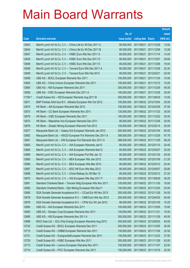|         |                                                              |               |                            |                       | <b>Amount</b> |
|---------|--------------------------------------------------------------|---------------|----------------------------|-----------------------|---------------|
|         |                                                              | No. of        |                            |                       | raised        |
| Code    | <b>Derivative warrants</b>                                   | issue (units) | <b>Listing date Expiry</b> |                       | (HK\$ mil.)   |
| 12643   | Merrill Lynch Int'l & Co. C.V. - China Life Eu Wt Dec 2011 A | 80,000,000    | 2011/06/21 2011/12/28      |                       | 13.92         |
| 12644   | Merrill Lynch Int'l & Co. C.V. - China Life Eu Wt Dec 2011 B | 80,000,000    | 2011/06/21 2011/12/06      |                       | 12.08         |
| 12647   | Merrill Lynch Int'l & Co. C.V. - HSBC Euro Wts Nov 2011 A    | 80,000,000    | 2011/06/21                 | 2011/11/14            | 13.44         |
| 12645   | Merrill Lynch Int'l & Co. C.V. - HSBC Euro Wts Dec 2011 D    | 80,000,000    |                            | 2011/06/21 2011/12/07 | 29.60         |
| 12646   | Merrill Lynch Int'l & Co. C.V. - HSBC Euro Wts Dec 2011 E    | 80,000,000    |                            | 2011/06/21 2011/12/06 | 19.04         |
| 12648   | Merrill Lynch Int'l & Co. C.V. - Tencent Euro Wts Dec 2011 A | 80,000,000    | 2011/06/21 2011/12/28      |                       | 22.40         |
| 12649   | Merrill Lynch Int'l & Co. C.V. - Tencent Euro Wts Feb 2012   | 80,000,000    | 2011/06/21 2012/02/21      |                       | 20.00         |
| 12658   | UBS AG - BOCL European Warrants Nov 2011                     | 100,000,000   |                            | 2011/06/21 2011/11/24 | 15.00         |
| 12654   | UBS AG - China Unicom European Warrants Dec 2011             | 100,000,000   |                            | 2011/06/21 2011/12/12 | 15.00         |
| 12660   | UBS AG - HSI European Warrants Dec 2011                      | 300,000,000   | 2011/06/21 2011/12/29      |                       | 45.00         |
| 12659   | UBS AG - ICBC European Warrants Dec 2011 A                   | 100,000,000   |                            | 2011/06/21 2011/12/28 | 25.00         |
| 11783 # | Credit Suisse AG - HSI European Warrants Aug 2011 B          | 300,000,000   |                            | 2011/06/21 2011/08/30 | 12.00         |
| 12671   | BNP Paribas Arbit Issu B.V. - Alibaba European Wts Oct 2012  | 100,000,000   |                            | 2011/06/22 2012/10/04 | 25.00         |
| 12674   | HK Bank - AIA European Warrants Mar 2012                     | 150,000,000   |                            | 2011/06/22 2012/03/26 | 37.50         |
| 12673   | HK Bank - CC Bank European Warrants Nov 2011                 | 120,000,000   |                            | 2011/06/22 2011/11/23 | 30.00         |
| 12675   | HK Bank - ICBC European Warrants Dec 2011                    | 100,000,000   |                            | 2011/06/22 2011/12/22 | 25.00         |
| 12672   | HK Bank – Maanshan Iron European Warrants Dec 2011           | 80,000,000    | 2011/06/22 2011/12/28      |                       | 20.00         |
| 12676   | HK Bank - Zhaojin Mining European Warrants Feb 2012          | 100,000,000   |                            | 2011/06/22 2012/02/14 | 25.00         |
| 12677   | Macquarie Bank Ltd. - Galaxy Ent European Warrants Jan 2012  | 200,000,000   |                            | 2011/06/22 2012/01/04 | 50.00         |
| 12662   | Macquarie Bank Ltd. - HSCEI European Put Warrants Dec 2011 A | 388,000,000   | 2011/06/22 2011/12/29      |                       | 97.78         |
| 12661   | Macquarie Bank Ltd. - HSI European Put Warrants Nov 2011 A   | 388,000,000   |                            | 2011/06/22 2011/11/29 | 58.20         |
| 12663   | Merrill Lynch Int'l & Co. C.V. - AIA European Warrants Jan12 | 80,000,000    |                            | 2011/06/22 2012/01/10 | 20.40         |
| 12664   | Merrill Lynch Int'l & Co. C.V. - AIA European Warrants Mar12 | 80,000,000    |                            | 2011/06/22 2012/03/07 | 20.00         |
| 12669   | Merrill Lynch Int'l & Co. C.V. - AIA European Put Wts Jan 12 | 80,000,000    |                            | 2011/06/22 2012/01/30 | 20.00         |
| 12665   | Merrill Lynch Int'l & Co. C.V. - BEA European Wts Jan 2012   | 80,000,000    |                            | 2011/06/22 2012/01/09 | 21.20         |
| 12666   | Merrill Lynch Int'l & Co. C.V. - BEA European Wts Mar 2012   | 80,000,000    |                            | 2011/06/22 2012/03/12 | 20.40         |
| 12667   | Merrill Lynch Int'l & Co. C.V. - BOC HK Euro Wts May 2012    | 80,000,000    | 2011/06/22 2012/05/07      |                       | 20.80         |
| 12668   | Merrill Lynch Int'l & Co. C.V. - China Railway Eu Wt Mar 12  | 80,000,000    |                            | 2011/06/22 2012/03/12 | 27.20         |
| 12670   | Merrill Lynch Int'l & Co. C.V. - HSI European Wts Sep 2011 F | 200,000,000   | 2011/06/22 2011/09/29      |                       | 30.20         |
| 12681   | Standard Chartered Bank - Tencent Hidg European Wts Nov 2011 | 100,000,000   |                            | 2011/06/22 2011/11/30 | 18.00         |
| 12682   | Standard Chartered Bank - Zijin Mining European Wts Dec11    | 100,000,000   |                            | 2011/06/22 2011/12/30 | 25.00         |
| 12680   | SGA Societe Generale Acceptance N.V. - CCoal Eur Wt Nov 2012 | 300,000,000   | 2011/06/22 2012/11/28      |                       | 54.00         |
| 12679   | SGA Societe Generale Acceptance N.V. - CMB Euro Wts Apr 2012 | 200,000,000   |                            | 2011/06/22 2012/04/30 | 50.00         |
| 12678   | SGA Societe Generale Acceptance N.V. - CPAir Eur Wt Jan 2012 | 80,000,000    |                            | 2011/06/22 2012/01/30 | 15.20         |
| 12684   | UBS AG - AIA European Warrants Dec 2011                      | 100,000,000   |                            | 2011/06/22 2011/12/05 | 15.00         |
| 12683   | UBS AG - Sinopec Corp European Warrants Nov 2011             | 100,000,000   | 2011/06/22 2011/11/21      |                       | 15.00         |
| 12685   | UBS AG - HSI European Warrants Nov 2011 A                    | 300,000,000   | 2011/06/22 2011/11/29      |                       | 45.00         |
| 12696   | BOCI Asia Ltd. - GCL-Poly Energy European Warrants Aug 2013  | 300,000,000   |                            | 2011/06/23 2013/08/30 | 45.00         |
| 12722   | Credit Suisse AG - BOCL European Warrants Dec 2011           | 200,000,000   |                            | 2011/06/23 2011/12/05 | 30.00         |
| 12715   | Credit Suisse AG - CNBM European Warrants Nov 2011           | 150,000,000   | 2011/06/23 2011/11/28      |                       | 22.50         |
| 12721   | Credit Suisse AG - EvergrandeEuropean Warrants Dec 2011      | 150,000,000   | 2011/06/23 2011/12/23      |                       | 37.50         |
| 12720   | Credit Suisse AG - HSBC European Wts Nov 2011                | 300,000,000   | 2011/06/23 2011/11/28      |                       | 63.00         |
| 12713   | Credit Suisse AG - Lenovo European Warrants Nov 2011         | 150,000,000   | 2011/06/23 2011/11/07      |                       | 22.50         |
| 12714   | Credit Suisse AG - PICC European Warrants Dec 2011           | 150,000,000   | 2011/06/23 2011/12/19      |                       | 22.50         |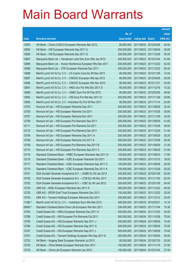|         |                                                               |               |                            |            | <b>Amount</b> |
|---------|---------------------------------------------------------------|---------------|----------------------------|------------|---------------|
|         |                                                               | No. of        |                            |            | raised        |
| Code    | <b>Derivative warrants</b>                                    | issue (units) | <b>Listing date Expiry</b> |            | (HK\$ mil.)   |
| 12693   | HK Bank - China COSCO European Warrants Mar 2012              | 80,000,000    | 2011/06/23 2012/03/09      |            | 40.00         |
| 12694   | HK Bank – HSI European Warrants Sep 2011 A                    | 200,000,000   | 2011/06/23 2011/09/29      |            | 30.00         |
| 12695   | HK Bank - HSI European Warrants Dec 2011 G                    | 200,000,000   | 2011/06/23 2011/12/29      |            | 50.00         |
| 12697   | Macquarie Bank Ltd. - Henderson Land Dev Euro Wts Jan 2012    | 200,000,000   | 2011/06/23 2012/01/04      |            | 51.60         |
| 12699   | Macquarie Bank Ltd. - Hunan Nonferrous European Wts Dec 2011  | 200,000,000   | 2011/06/23 2011/12/23      |            | 52.00         |
| 12698   | Macquarie Bank Ltd. - ZTE European Warrants Dec 2011          | 200,000,000   | 2011/06/23 2011/12/23      |            | 50.40         |
| 12688   | Merrill Lynch Int'l & Co. C.V. - Ch Comm Cons Eu Wt Nov 2013  | 80,000,000    | 2011/06/23 2013/11/26      |            | 13.44         |
| 12687   | Merrill Lynch Int'l & Co. C.V. - CNOOC European Wts Apr 2012  | 80,000,000    | 2011/06/23 2012/04/26      |            | 20.00         |
| 12686   | Merrill Lynch Int'l & Co. C.V. - CNOOC European Wts Nov 2012  | 80,000,000    | 2011/06/23 2012/11/21      |            | 20.00         |
| 12691   | Merrill Lynch Int'l & Co. C.V. - HKEx Eur Put Wts Dec 2011 D  | 80,000,000    | 2011/06/23 2011/12/16      |            | 12.32         |
| 12689   | Merrill Lynch Int'l & Co. C.V. - HSBC Euro Put Wt Feb 2012    | 80,000,000    | 2011/06/23 2012/02/06      |            | 49.60         |
| 12692   | Merrill Lynch Int'l & Co. C.V. - HSI Euro Put Wts Nov 2011 D  | 200,000,000   | 2011/06/23 2011/11/29      |            | 30.80         |
| 12690   | Merrill Lynch Int'l & Co. C.V. - Hutchison Eu Put Wt Nov 2011 | 80,000,000    | 2011/06/23 2011/11/14      |            | 24.00         |
| 12703   | Nomura Int'l plc - HSI European Warrants Sep 2011             | 200,000,000   | 2011/06/23 2011/09/29      |            | 30.20         |
| 12705   | Nomura Int'l plc - HSI European Warrants Oct 2011             | 200,000,000   | 2011/06/23 2011/10/28      |            | 30.60         |
| 12707   | Nomura Int'l plc - HSI European Warrants Nov 2011             | 200,000,000   | 2011/06/23 2011/11/29      |            | 30.00         |
| 12708   | Nomura Int'l plc - HSI European Put Warrants Sep 2011         | 200,000,000   | 2011/06/23 2011/09/29      |            | 41.60         |
| 12711   | Nomura Int'l plc - HSI European Put Warrants Oct 2011         | 200,000,000   | 2011/06/23 2011/10/28      |            | 39.00         |
| 12712   | Nomura Int'l plc - HSI European Put Warrants Dec 2011         | 200,000,000   | 2011/06/23 2011/12/29      |            | 31.40         |
| 12704   | Nomura Int'l plc - HSI European Warrants Sep 2011 A           | 200,000,000   | 2011/06/23 2011/09/29      |            | 30.20         |
| 12706   | Nomura Int'l plc - HSI European Warrants Oct 2011 A           | 200,000,000   | 2011/06/23 2011/10/28      |            | 30.40         |
| 12709   | Nomura Int'l plc - HSI European Put Warrants Sep 2011 B       | 200,000,000   | 2011/06/23 2011/09/29      |            | 31.00         |
| 12710   | Nomura Int'l plc - HSI European Put Warrants Sep 2011 C       | 200,000,000   | 2011/06/23 2011/09/29      |            | 31.60         |
| 12716   | Standard Chartered Bank - HSBC European Warrants Sep 2011 D   | 100,000,000   | 2011/06/23 2011/09/23      |            | 17.80         |
| 12718   | Standard Chartered Bank - ICBC European Warrants Oct 2011     | 100,000,000   | 2011/06/23 2011/10/10      |            | 18.00         |
| 12717   | Standard Chartered Bank - ICBC European Warrants Sep 2011 C   | 100.000.000   | 2011/06/23 2011/09/26      |            | 25.00         |
| 12719   | Standard Chartered Bank - ICBC European Warrants Dec 2011 A   | 100,000,000   | 2011/06/23 2011/12/28      |            | 25.00         |
| 12701   | SGA Societe Generale Acceptance N.V. - AGBK Eu Wt Jan 2012    | 200,000,000   | 2011/06/23 2012/01/09      |            | 52.00         |
| 12700   | SGA Societe Generale Acceptance N.V. - CCB Eur Wt Nov 2011    | 200,000,000   | 2011/06/23 2011/11/30      |            | 52.00         |
| 12702   | SGA Societe Generale Acceptance N.V. - ICBC Eu Wt Jan 2012    | 200,000,000   | 2011/06/23 2012/01/09      |            | 54.00         |
| 12723   | UBS AG - HKEx European Warrants Dec 2011 D                    | 300,000,000   | 2011/06/23 2011/12/22      |            | 45.00         |
| 12725   | UBS AG - SPDR Gold Trust European Warrants Dec 2011           | 100,000,000   | 2011/06/23 2011/12/23      |            | 25.00         |
| 12724   | UBS AG - Tencent Holdings European Warrants Dec 2011          | 200,000,000   | 2011/06/23 2011/12/12      |            | 30.00         |
| 11380 # | Merrill Lynch Int'l & Co. C.V. - Hutchison Euro Wts Mar 2012  | 300,000,000   | 2011/06/23 2012/03/21      |            | 14.10         |
| 29060 # | Standard Chartered Bank-China Life European Wts Nov 2011      | 230,000,000   | 2011/06/23 2011/11/04      |            | 10.35         |
| 12764   | Credit Suisse AG - HKEx European Warrants Dec 2011 A          | 300,000,000   | 2011/06/24 2011/12/20      |            | 45.00         |
| 12768   | Credit Suisse AG - HSI European Put Warrants Oct 2011         | 500,000,000   | 2011/06/24 2011/10/28      |            | 75.00         |
| 12765   | Credit Suisse AG - HSI European Warrants Sep 2011 J           | 500,000,000   | 2011/06/24 2011/09/29      |            | 75.00         |
| 12766   | Credit Suisse AG - HSI European Warrants Sep 2011 K           | 500,000,000   | 2011/06/24 2011/09/29      |            | 75.00         |
| 12767   | Credit Suisse AG - HSI European Warrants Sep 2011 L           | 500,000,000   | 2011/06/24 2011/09/29      |            | 75.00         |
| 12761   | Credit Suisse AG - Tencent Holdings European Wts Sep 2011 E   | 300,000,000   | 2011/06/24                 | 2011/09/30 | 45.00         |
| 12732   | HK Bank - Angang Steel European Warrants Jul 2013             | 80,000,000    | 2011/06/24 2013/07/30      |            | 20.00         |
| 12734   | HK Bank - China Mobile European Warrants Nov 2011             | 150,000,000   | 2011/06/24 2011/11/14      |            | 37.50         |
| 12733   | HK Bank - China Life European Warrants Jan 2012               | 150,000,000   | 2011/06/24 2012/01/04      |            | 27.00         |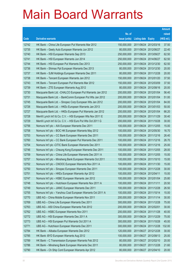|       |                                                              |               |                            |                       | <b>Amount</b> |
|-------|--------------------------------------------------------------|---------------|----------------------------|-----------------------|---------------|
|       |                                                              | No. of        |                            |                       | raised        |
| Code  | <b>Derivative warrants</b>                                   | issue (units) | <b>Listing date Expiry</b> |                       | (HK\$ mil.)   |
| 12742 | HK Bank – China Life European Put Warrants Mar 2012          | 150,000,000   |                            | 2011/06/24 2012/03/16 | 37.50         |
| 12735 | HK Bank - Geely Auto European Warrants Jun 2012              | 80,000,000    | 2011/06/24 2012/06/27      |                       | 22.40         |
| 12740 | HK Bank - HSI European Warrants Sep 2013                     | 250,000,000   |                            | 2011/06/24 2013/09/27 | 62.50         |
| 12741 | HK Bank - HSI European Warrants Jun 2014                     | 250,000,000   |                            | 2011/06/24 2014/06/27 | 62.50         |
| 12744 | HK Bank - HSI European Put Warrants Dec 2013                 | 250,000,000   |                            | 2011/06/24 2013/12/30 | 62.50         |
| 12736 | HK Bank - Shimao Ppt European Warrants Dec 2013              | 80,000,000    |                            | 2011/06/24 2013/12/30 | 20.00         |
| 12737 | HK Bank - SJM Holdings European Warrants Dec 2011            | 80,000,000    | 2011/06/24 2011/12/28      |                       | 20.00         |
| 12738 | HK Bank – Tencent European Warrants Jan 2012                 | 150,000,000   |                            | 2011/06/24 2012/01/20 | 37.50         |
| 12743 | HK Bank - Tencent European Put Warrants Mar 2012             | 150,000,000   |                            | 2011/06/24 2012/03/09 | 37.50         |
| 12739 | HK Bank - ZTE European Warrants Aug 2012                     | 80,000,000    | 2011/06/24 2012/08/16      |                       | 20.00         |
| 12730 | Macquarie Bank Ltd. - CHALCO European Put Warrants Jan 2012  | 200,000,000   |                            | 2011/06/24 2012/01/04 | 56.40         |
| 12731 | Macquarie Bank Ltd. - BankComm European Put Wts Jan 2012     | 200,000,000   | 2011/06/24 2012/01/04      |                       | 51.00         |
| 12745 | Macquarie Bank Ltd. - Sinopec Corp European Wts Jan 2012     | 200,000,000   |                            | 2011/06/24 2012/01/04 | 84.00         |
| 12726 | Macquarie Bank Ltd. - HKEx European Warrants Jan 2013        | 200,000,000   | 2011/06/24 2013/01/03      |                       | 50.00         |
| 12727 | Macquarie Bank Ltd. - HKEx European Put Warrants Jan 2012    | 200,000,000   |                            | 2011/06/24 2012/01/04 | 66.20         |
| 12728 | Merrill Lynch Int'l & Co. C.V. - HSI European Wts Nov 2011 E | 200,000,000   | 2011/06/24 2011/11/29      |                       | 30.40         |
| 12729 | Merrill Lynch Int'l & Co. C.V. - HSI Euro Put Wts Oct 2011 G | 200,000,000   |                            | 2011/06/24 2011/10/28 | 30.00         |
| 12756 | Nomura Int'l plc - AIA European Warrants Dec 2011            | 100,000,000   | 2011/06/24 2011/12/05      |                       | 15.00         |
| 12758 | Nomura Int'l plc - BOC HK European Warrants May 2012         | 100,000,000   |                            | 2011/06/24 2012/05/30 | 16.70         |
| 12753 | Nomura Int'l plc – CC Bank European Warrants Dec 2011        | 100,000,000   | 2011/06/24 2011/12/16      |                       | 26.40         |
| 12760 | Nomura Int'l plc – CC Bank European Put Warrants Dec 2011    | 100,000,000   |                            | 2011/06/24 2011/12/16 | 26.70         |
| 12754 | Nomura Int'l plc - CITIC Bank European Warrants Dec 2011     | 100,000,000   | 2011/06/24 2011/12/16      |                       | 25.00         |
| 12746 | Nomura Int'l plc - Cheung Kong European Warrants Dec 2011    | 100,000,000   | 2011/06/24 2011/12/05      |                       | 28.00         |
| 12759 | Nomura Int'l plc - China Life European Warrants Dec 2011 A   | 100,000,000   | 2011/06/24 2011/12/05      |                       | 15.00         |
| 12757 | Nomura Int'l plc - Minsheng Bank European Warrants Oct 2011  | 100,000,000   |                            | 2011/06/24 2011/10/10 | 15.00         |
| 12752 | Nomura Int'l plc – CNOOC European Warrants Nov 2011 A        | 100,000,000   | 2011/06/24 2011/11/30      |                       | 15.00         |
| 12750 | Nomura Int'l plc - Sinopec European Warrants Dec 2011        | 100,000,000   | 2011/06/24 2011/12/28      |                       | 30.00         |
| 12751 | Nomura Int'l plc - HKEx European Warrants Apr 2012           | 100,000,000   | 2011/06/24 2012/04/11      |                       | 15.00         |
| 12747 | Nomura Int'l plc - HSBC European Warrants Jan 2012           | 100,000,000   |                            | 2011/06/24 2012/01/04 | 25.80         |
| 12748 | Nomura Int'l plc - Hutchison European Warrants Nov 2011 A    | 100,000,000   | 2011/06/24 2011/11/11      |                       | 20.50         |
| 12749 | Nomura Int'l plc - JIANC European Warrants Dec 2011          | 100,000,000   | 2011/06/24 2011/12/28      |                       | 26.50         |
| 12755 | Nomura Int'l plc - Yanzhou Coal European Warrants Oct 2011 A | 100,000,000   | 2011/06/24 2011/10/14      |                       | 15.00         |
| 12770 | UBS AG - China Mobile European Warrants Nov 2011             | 200,000,000   |                            | 2011/06/24 2011/11/14 | 30.00         |
| 12769 | UBS AG - China Life European Warrants Dec 2011               | 300,000,000   | 2011/06/24 2011/12/28      |                       | 75.00         |
| 12763 | UBS AG - A50 China European Warrants Feb 2012                | 200,000,000   | 2011/06/24 2012/02/01      |                       | 30.00         |
| 12762 | UBS AG - HSBC European Warrants Nov 2011                     | 200,000,000   | 2011/06/24 2011/11/28      |                       | 40.00         |
| 12772 | UBS AG - HSI European Warrants Dec 2011 A                    | 300,000,000   | 2011/06/24 2011/12/29      |                       | 75.00         |
| 12773 | UBS AG - HSI European Put Warrants Oct 2011 A                | 300,000,000   | 2011/06/24 2011/10/28      |                       | 45.00         |
| 12771 | UBS AG - Hutchison European Warrants Dec 2011                | 300,000,000   |                            | 2011/06/24 2011/12/28 | 132.00        |
| 12784 | HK Bank - Alibaba European Warrants Dec 2012                 | 120,000,000   | 2011/06/27 2012/12/28      |                       | 30.00         |
| 12785 | HK Bank - BYD European Warrants Aug 2012                     | 100,000,000   |                            | 2011/06/27 2012/08/13 | 25.00         |
| 12789 | HK Bank - C Transmission European Warrants Feb 2012          | 80,000,000    | 2011/06/27 2012/02/10      |                       | 20.00         |
| 12786 | HK Bank - Minsheng Bank European Warrants Dec 2011           | 80,000,000    | 2011/06/27 2011/12/28      |                       | 21.60         |
| 12790 | HK Bank - Ch Ship Cont European Warrants Apr 2012            | 80,000,000    | 2011/06/27 2012/04/10      |                       | 20.00         |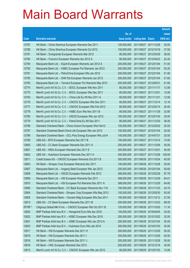|         |                                                              |               |                            |                       | <b>Amount</b> |
|---------|--------------------------------------------------------------|---------------|----------------------------|-----------------------|---------------|
|         |                                                              | No. of        |                            |                       | raised        |
| Code    | <b>Derivative warrants</b>                                   | issue (units) | <b>Listing date Expiry</b> |                       | (HK\$ mil.)   |
| 12787   | HK Bank - China Shenhua European Warrants Dec 2011           | 120,000,000   | 2011/06/27 2011/12/28      |                       | 30.00         |
| 12788   | HK Bank – China Shenhua European Warrants Oct 2012           | 150,000,000   | 2011/06/27 2012/10/18      |                       | 37.50         |
| 12791   | HK Bank - Evergrande European Warrants Mar 2012              | 80,000,000    | 2011/06/27 2012/03/29      |                       | 36.00         |
| 12792   | HK Bank – Foxconn European Warrants Apr 2012 A               | 80,000,000    |                            | 2011/06/27 2012/04/23 | 22.40         |
| 12794   | Macquarie Bank Ltd. - Esprit European Warrants Jan 2012 A    | 200,000,000   |                            | 2011/06/27 2012/01/04 | 51.00         |
| 12782   | Macquarie Bank Ltd. - HSBC European Put Warrants Jan 2012    | 200,000,000   | 2011/06/27 2012/01/04      |                       | 50.20         |
| 12781   | Macquarie Bank Ltd. - PetroChina European Wts Jan 2012       | 200,000,000   | 2011/06/27 2012/01/04      |                       | 51.80         |
| 12795   | Macquarie Bank Ltd. - SHK Ppt European Warrants Jan 2012     | 200,000,000   | 2011/06/27 2012/01/04      |                       | 51.60         |
| 12783   | Macquarie Bank Ltd. - Tencent European Put Warrants May 2012 | 200,000,000   | 2011/06/27 2012/05/31      |                       | 51.80         |
| 12774   | Merrill Lynch Int'l & Co. C.V. - BOCL European Wts Nov 2011  | 80,000,000    | 2011/06/27 2011/11/17      |                       | 12.08         |
| 12775   | Merrill Lynch Int'l & Co. C.V. - BOCL European Wts Dec 2011  | 80,000,000    | 2011/06/27 2011/12/01      |                       | 12.08         |
| 12793   | Merrill Lynch Int'l & Co. C.V. - China Life Eu Wt Nov 2011 A | 80,000,000    | 2011/06/27 2011/11/21      |                       | 12.56         |
| 12776   | Merrill Lynch Int'l & Co. C.V. - CNOOC European Wts Dec 2011 | 80,000,000    |                            | 2011/06/27 2011/12/14 | 12.16         |
| 12777   | Merrill Lynch Int'l & Co. C.V. - CNOOC European Wts Feb 2012 | 80,000,000    | 2011/06/27 2012/02/14      |                       | 20.00         |
| 12778   | Merrill Lynch Int'l & Co. C.V. - HSBC Euro Wts Nov 2011 B    | 80,000,000    | 2011/06/27 2011/11/29      |                       | 32.80         |
| 12780   | Merrill Lynch Int'l & Co. C.V. - HSCEI European Wts Jan 2012 | 100,000,000   |                            | 2011/06/27 2012/01/30 | 25.00         |
| 12779   | Merrill Lynch Int'l & Co. C.V. - PetroChina Eu Wt Dec 2011   | 80,000,000    |                            | 2011/06/27 2011/12/30 | 36.00         |
| 12796   | Standard Chartered Bank - China Unicom European Wts Feb12    | 100,000,000   |                            | 2011/06/27 2012/02/02 | 25.00         |
| 12797   | Standard Chartered Bank-China Life European Wts Jan 2012     | 100,000,000   | 2011/06/27 2012/01/04      |                       | 25.00         |
| 12798   | Standard Chartered Bank - GCL-Poly Energy European Wts Jul14 | 100,000,000   | 2011/06/27 2014/07/31      |                       | 25.00         |
| 12799   | UBS AG - BYD European Warrants Dec 2011 B                    | 100,000,000   |                            | 2011/06/27 2011/12/14 | 15.00         |
| 12800   | UBS AG - CC Bank European Warrants Dec 2011 A                | 200,000,000   | 2011/06/27 2011/12/09      |                       | 50.00         |
| 12801   | UBS AG - HKEx European Warrants Dec 2011 E                   | 300,000,000   | 2011/06/27 2011/12/01      |                       | 45.00         |
| 12802   | UBS AG - Hutchison European Warrants Dec 2011 A              | 300,000,000   |                            | 2011/06/27 2011/12/28 | 129.00        |
| 12811   | Credit Suisse AG - CNOOC European Warrants Oct 2011 B        | 300,000,000   | 2011/06/28 2011/10/24      |                       | 45.00         |
| 12803   | HK Bank - Sinopec Corp European Warrants Dec 2011            | 100.000.000   | 2011/06/28 2011/12/28      |                       | 25.00         |
| 12807   | Macquarie Bank Ltd. - Angang Steel European Wts Jan 2012     | 200,000,000   | 2011/06/28 2012/01/04      |                       | 50.60         |
| 12808   | Macquarie Bank Ltd. - HSCEI European Warrants Feb 2012       | 388,000,000   | 2011/06/28 2012/02/28      |                       | 97.78         |
| 12809   | Macquarie Bank Ltd. - HSI European Warrants Dec 2011         | 388,000,000   | 2011/06/28 2011/12/29      |                       | 64.41         |
| 12810   | Macquarie Bank Ltd. - HSI European Put Warrants Dec 2011 A   | 388,000,000   | 2011/06/28 2011/12/29      |                       | 64.80         |
| 12806   | Standard Chartered Bank - CC Bank European Warrants Nov 11A  | 100,000,000   | 2011/06/28 2011/11/23      |                       | 24.70         |
| 12804   | Standard Chartered Bank - Sinopec Corp European Wts May 2012 | 100,000,000   | 2011/06/28 2012/05/30      |                       | 93.00         |
| 12805   | Standard Chartered Bank - Tencent Hidg European Wts Dec 2011 | 100,000,000   | 2011/06/28 2011/12/12      |                       | 27.00         |
| 12812   | UBS AG - CC Bank European Warrants Dec 2011 B                | 200,000,000   | 2011/06/28 2011/12/23      |                       | 68.00         |
| 29168 # | Citigroup Global Mkt H Inc. - CNOOC European Wts Oct 2011 B  | 120,000,000   | 2011/06/28 2011/10/25      |                       | 11.16         |
| 12820   | BNP Paribas Arbit Issu B.V. - Henganintl Euro Wts Apr 2016   | 100,000,000   | 2011/06/29 2016/04/05      |                       | 25.00         |
| 12822   | BNP Paribas Arbit Issu B.V. - HSBC European Wts Dec 2015     | 200,000,000   | 2011/06/29 2015/12/02      |                       | 32.00         |
| 12821   | BNP Paribas Arbit Issu B.V. - HSBC European Wts Jan 2012 A   | 200,000,000   | 2011/06/29 2012/01/04      |                       | 50.00         |
| 12823   | BNP Paribas Arbit Issu B.V. - Hutchison Euro Wts Jan 2014    | 200,000,000   | 2011/06/29 2014/01/03      |                       | 30.00         |
| 12817   | HK Bank - HSI European Warrants Dec 2011 H                   | 200,000,000   | 2011/06/29 2011/12/29      |                       | 50.00         |
| 12819   | HK Bank - HSI European Warrants Dec 2011 I                   | 250,000,000   | 2011/06/29                 | 2011/12/29            | 62.50         |
| 12818   | HK Bank - HSI European Warrants Dec 2011 J                   | 200,000,000   | 2011/06/29 2011/12/29      |                       | 50.00         |
| 12816   | HK Bank - HWL European Warrants Dec 2013                     | 200,000,000   | 2011/06/29 2013/12/16      |                       | 30.00         |
| 12813   | Merrill Lynch Int'l & Co. C.V. - CNOOC European Wts Jan 2012 | 80,000,000    | 2011/06/29 2012/01/03      |                       | 12.08         |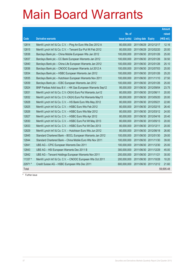|         |                                                              |               |                       |                       | <b>Amount</b> |
|---------|--------------------------------------------------------------|---------------|-----------------------|-----------------------|---------------|
|         |                                                              | No. of        |                       |                       | raised        |
| Code    | <b>Derivative warrants</b>                                   | issue (units) | <b>Listing date</b>   | <b>Expiry</b>         | (HK\$ mil.)   |
| 12814   | Merrill Lynch Int'l & Co. C.V. - Ping An Euro Wts Dec 2012 A | 80,000,000    | 2011/06/29            | 2012/12/17            | 12.16         |
| 12815   | Merrill Lynch Int'l & Co. C.V. - Tencent Eur Put Wt Feb 2012 | 80,000,000    | 2011/06/29 2012/02/20 |                       | 20.00         |
| 12838   | Barclays Bank plc - China Mobile European Wts Jan 2012       | 100,000,000   | 2011/06/30            | 2012/01/26            | 25.00         |
| 12837   | Barclays Bank plc - CC Bank European Warrants Jan 2012       | 100,000,000   | 2011/06/30            | 2012/01/26            | 30.50         |
| 12840   | Barclays Bank plc - China Life European Warrants Jan 2012    | 100,000,000   | 2011/06/30 2012/01/26 |                       | 25.10         |
| 12836   | Barclays Bank plc - CNOOC European Warrants Jul 2012 A       | 100,000,000   |                       | 2011/06/30 2012/07/03 | 25.00         |
| 12834   | Barclays Bank plc - HSBC European Warrants Jan 2012          | 100,000,000   | 2011/06/30 2012/01/26 |                       | 25.20         |
| 12835   | Barclays Bank plc - Hutchison European Warrants Nov 2011     | 100,000,000   | 2011/06/30            | 2011/11/10            | 27.50         |
| 12839   | Barclays Bank plc - ICBC European Warrants Jan 2012          | 100,000,000   | 2011/06/30 2012/01/26 |                       | 25.00         |
| 12824   | BNP Paribas Arbit Issu B.V. - HK Gas European Warrants Sep12 | 95,000,000    | 2011/06/30 2012/09/04 |                       | 23.75         |
| 12831   | Merrill Lynch Int'l & Co. C.V.-CK(H) Euro Put Warrants Jun12 | 80,000,000    | 2011/06/30 2012/06/11 |                       | 20.00         |
| 12832   | Merrill Lynch Int'l & Co. C.V.-CK(H) Euro Put Warrants May13 | 80,000,000    | 2011/06/30            | 2013/05/20            | 20.00         |
| 12828   | Merrill Lynch Int'l & Co. C.V. - HS Bank Euro Wts May 2012   | 80,000,000    | 2011/06/30 2012/05/21 |                       | 22.80         |
| 12825   | Merrill Lynch Int'l & Co. C.V. - HSBC Euro Wts Feb 2012      | 80,000,000    | 2011/06/30 2012/02/15 |                       | 26.40         |
| 12826   | Merrill Lynch Int'l & Co. C.V. - HSBC Euro Wts Mar 2012      | 80,000,000    |                       | 2011/06/30 2012/03/12 | 24.00         |
| 12827   | Merrill Lynch Int'l & Co. C.V. - HSBC Euro Wts Apr 2012      | 80,000,000    | 2011/06/30 2012/04/16 |                       | 20.40         |
| 12830   | Merrill Lynch Int'l & Co. C.V. - HSBC Euro Put Wt May 2013   | 80,000,000    | 2011/06/30            | 2013/05/13            | 20.00         |
| 12833   | Merrill Lynch Int'l & Co. C.V. - HSBC Euro Put Wt Dec 2013   | 80,000,000    | 2011/06/30 2013/12/11 |                       | 20.00         |
| 12829   | Merrill Lynch Int'l & Co. C.V. - Hutchison Euro Wts Jun 2012 | 80,000,000    |                       | 2011/06/30 2012/06/18 | 26.80         |
| 12845   | Standard Chartered Bank - BOCL European Warrants Jan 2012    | 100,000,000   | 2011/06/30 2012/01/30 |                       | 29.00         |
| 12844   | Standard Chartered Bank - China Mobile Euro Wts Nov 2011     | 100,000,000   | 2011/06/30            | 2011/11/30            | 39.00         |
| 12841   | UBS AG - CPIC European Warrants Dec 2011                     | 100,000,000   | 2011/06/30            | 2011/12/30            | 25.00         |
| 12843   | UBS AG - HSI European Warrants Dec 2011 B                    | 300,000,000   | 2011/06/30 2011/12/29 |                       | 45.00         |
| 12842   | UBS AG - Tencent Holdings European Warrants Nov 2011         | 200,000,000   | 2011/06/30 2011/11/21 |                       | 30.00         |
| 11337 # | Merrill Lynch Int'l & Co. C.V. - CNOOC European Wts Oct 2011 | 200,000,000   | 2011/06/30 2011/10/28 |                       | 10.20         |
| 22971 # | Credit Suisse AG - HSBC European Wts Dec 2011                | 600,000,000   |                       | 2011/06/30 2011/12/12 | 21.60         |
| Total   |                                                              |               |                       |                       | 59,695.48     |

# Further issue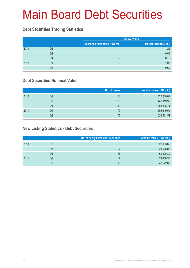# Main Board Debt Securities

#### **Debt Securities Trading Statistics**

|      |    |                                | <b>Turnover value</b>   |
|------|----|--------------------------------|-------------------------|
|      |    | Exchange fund notes (HK\$ mil) | Market total (HK\$ mil) |
| 2010 | Q2 | $\overline{\phantom{0}}$       | 1.22                    |
|      | Q3 | $\overline{\phantom{0}}$       | 0.05                    |
|      | Q4 | $\overline{\phantom{0}}$       | 0.10                    |
| 2011 | Q1 | $\overline{\phantom{0}}$       | 1.96                    |
|      | Q2 | -                              | 0.60                    |

#### **Debt Securities Nominal Value**

|      |    | No. of issues | Nominal value (HK\$ mil.) |
|------|----|---------------|---------------------------|
| 2010 | Q2 | 158           | 426,338.89                |
|      | Q3 | 160           | 440,113.92                |
|      | Q4 | 169           | 488,418.71                |
| 2011 | Q1 | 170           | 506,219.59                |
|      | Q2 | 173           | 523,451.54                |

### **New Listing Statistics - Debt Securities**

|      |    | No. of newly listed debt securities | Amount raised (HK\$ mil.) |
|------|----|-------------------------------------|---------------------------|
| 2010 | Q2 | 6                                   | 28,133.65                 |
|      | Q3 |                                     | 21,025.02                 |
|      | Q4 | 16                                  | 60,126.80                 |
| 2011 | Q1 |                                     | 24,958.35                 |
|      | Q2 | 13                                  | 43,572.09                 |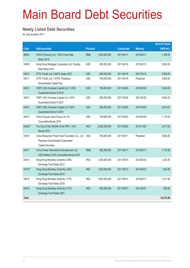# Main Board Debt Securities

#### **Newly Listed Debt Securities**

for 2nd quarter 2011

|              |                                                                                                                   |                  |               |                     |                 | <b>Amount raised</b> |
|--------------|-------------------------------------------------------------------------------------------------------------------|------------------|---------------|---------------------|-----------------|----------------------|
| Code         | <b>Debt securities</b>                                                                                            | <b>Principal</b> |               | <b>Listing date</b> | <b>Maturity</b> | (HK\$ mil.)          |
| 86003        | HKCG (Finance) Ltd. 1.40% Fixed Rate<br><b>Notes 2016</b>                                                         | <b>RMB</b>       | 1,000,000,000 | 2011/04/11          | 2016/04/11      | 1,188.50             |
| 04509        | Hong Kong Mortgage Corporation Ltd. Floating<br>Rate Notes 2013                                                   | <b>USD</b>       | 450,000,000   | 2011/04/18          | 2013/04/15      | 3,504.35             |
| 04510        | CITIC Pacific Ltd. 6.625% Notes 2021                                                                              | <b>USD</b>       | 500,000,000   | 2011/04/18          | 2021/04/15      | 3,900.00             |
| 04511        | CITIC Pacific Ltd. 7.875% Perpetual<br>Subordinated Capital Sec                                                   | <b>USD</b>       | 750,000,000   | 2011/04/18          | Perpetual       | 5,850.00             |
| 04512        | CNPC (HK) Overseas Capital Ltd. 3.125%<br><b>Guaranteed Senior N 2016</b>                                         | <b>USD</b>       | 700,000,000   | 2011/04/29          | 2016/04/28      | 5,403.65             |
| 04513        | CNPC (HK) Overseas Capital Ltd. 4.50%<br><b>Guaranteed Senior N 2021</b>                                          | <b>USD</b>       | 650,000,000   | 2011/04/29          | 2021/04/28      | 4,954.25             |
| 04514        | CNPC (HK) Overseas Capital Ltd. 5.95%<br>Guaranteed Senior N 2041                                                 | <b>USD</b>       | 500,000,000   | 2011/04/29          | 2041/04/28      | 3,814.67             |
| 04515        | China Huiyuan Juice Group Ltd. 4%<br>Convertible Bonds 2016                                                       | <b>USD</b>       | 150,000,000   | 2011/05/03          | 2016/04/29      | 1,170.00             |
| 04206 #      | The Govt of the HKSAR of the PRC 1.43%<br><b>Bonds 2015</b>                                                       | <b>HKD</b>       | 2,500,000,000 | 2011/05/05          | 2015/12/02      | 2,477.00             |
| 04516        | China Resources Power East Foundation Co., Ltd.<br>Perpetual Subordinated Guaranteed<br><b>Capital Securities</b> | <b>USD</b>       | 750,000,000   | 2011/05/11          | Perpetual       | 5,850.00             |
| 04517        | China Power International Development Ltd.<br>USD Settled 2.25% Convertible Bonds 2016                            | <b>RMB</b>       | 982,000,000   | 2011/05/17          | 2016/05/17      | 1,174.96             |
| 04014        | Hong Kong Monetary Authority 0.59%<br>Exchange Fund Notes 2013                                                    | <b>HKD</b>       | 1,200,000,000 | 2011/05/19          | 2013/05/20      | 1,202.40             |
| 04191#       | Hong Kong Monetary Authority 2.46%<br>Exchange Fund Notes 2014                                                    | <b>HKD</b>       | 1,200,000,000 | 2011/06/13          | 2014/06/23      | 1,264.80             |
| 04015        | Hong Kong Monetary Authority 1.57%<br>Exchange Fund Notes 2016                                                    | <b>HKD</b>       | 1,000,000,000 | 2011/06/14          | 2016/06/13      | 1,011.90             |
| 04016        | Hong Kong Monetary Authority 2.31%<br>Exchange Fund Notes 2021                                                    | <b>HKD</b>       | 800,000,000   | 2011/06/21          | 2021/06/21      | 805.60               |
| <b>Total</b> |                                                                                                                   |                  |               |                     |                 | 43,572.09            |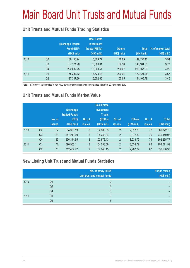# Main Board Unit Trusts and Mutual Funds

### **Unit Trusts and Mutual Funds Trading Statistics**

|      |                | <b>Exchange Traded</b><br>Fund (ETF)<br>(HK\$ mil.) | <b>Real Estate</b><br><b>Investment</b><br><b>Trusts (REITs)</b><br>(HK\$ mil.) | <b>Others</b><br>(HK\$ mil.) | <b>Total</b><br>(HK\$ mil.) | % of market total<br>(HK\$ mil.) |
|------|----------------|-----------------------------------------------------|---------------------------------------------------------------------------------|------------------------------|-----------------------------|----------------------------------|
| 2010 | Q <sub>2</sub> | 136,150.74                                          | 10,809.77                                                                       | 176.89                       | 147, 137. 40                | 3.94                             |
|      | Q <sub>3</sub> | 137,121.96                                          | 10,860.01                                                                       | 182.56                       | 148.164.53                  | 3.77                             |
|      | Q4             | 222,632.25                                          | 13,000.51                                                                       | 234.47                       | 235,867.23                  | 4.29                             |
| 2011 | Q <sub>1</sub> | 158,281.12                                          | 13,623.13                                                                       | 220.01                       | 172,124.26                  | 3.67                             |
|      | Q <sub>2</sub> | 127,347.26                                          | 16,652.86                                                                       | 105.65                       | 144,105.78                  | 3.45                             |

Note: 1. Turnover value traded in non-HKD currency securities have been included start from 29 November 2010

### **Unit Trusts and Mutual Funds Market Value**

|      |                | No. of<br><b>issues</b> | <b>Exchange</b><br><b>Traded Funds</b><br>(ETF)<br>(HK\$ mil.) | No. of<br><b>issues</b> | <b>Real Estate</b><br><b>Investment</b><br><b>Trusts</b><br>(REITs)<br>(HK\$ mil.) | No. of<br><b>issues</b> | <b>Others</b><br>(HK\$ mil.) | No. of<br><b>issues</b> | <b>Total</b><br>(HK\$ mil.) |
|------|----------------|-------------------------|----------------------------------------------------------------|-------------------------|------------------------------------------------------------------------------------|-------------------------|------------------------------|-------------------------|-----------------------------|
| 2010 | Q <sub>2</sub> | 62                      | 584,399.19                                                     | 8                       | 82,806.33                                                                          | $\overline{2}$          | 2,617.20                     | 72                      | 669,822.73                  |
|      | Q <sub>3</sub> | 66                      | 647,219.69                                                     | 8                       | 95,248.94                                                                          | $\overline{2}$          | 2,972.33                     | 76                      | 745,440.96                  |
|      | Q4             | 69                      | 696,344.55                                                     | 8                       | 102,876.43                                                                         | $\overline{2}$          | 3,034.79                     | 79                      | 802,255.77                  |
| 2011 | Q <sub>1</sub> | 72                      | 690,953.11                                                     | 8                       | 104,083.69                                                                         | $\overline{2}$          | 3,034.79                     | 82                      | 798,071.59                  |
|      | Q <sub>2</sub> | 76                      | 712,469.72                                                     | 9                       | 137,043.45                                                                         | $\overline{2}$          | 2,987.22                     | 87                      | 852,500.38                  |

#### **New Listing Unit Trust and Mutual Funds Statistics**

|      |                | No. of newly listed<br>unit trust and mutual funds | <b>Funds raised</b><br>(HK\$ mil.) |
|------|----------------|----------------------------------------------------|------------------------------------|
| 2010 | Q2             |                                                    |                                    |
|      | Q <sub>3</sub> |                                                    |                                    |
|      | Q4             |                                                    |                                    |
| 2011 | Q1             |                                                    |                                    |
|      | Q2             |                                                    |                                    |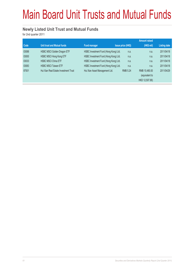# Main Board Unit Trusts and Mutual Funds

#### **Newly Listed Unit Trust and Mutual Funds**

for 2nd quarter 2011

|                                       |                                |                 | <b>Amount raised</b>                                                                                                                                                                          |                     |
|---------------------------------------|--------------------------------|-----------------|-----------------------------------------------------------------------------------------------------------------------------------------------------------------------------------------------|---------------------|
| <b>Unit trust and Mutual funds</b>    | <b>Fund manager</b>            |                 | (HK\$ mil)                                                                                                                                                                                    | <b>Listing date</b> |
| <b>HSBC MSCI Golden Dragon ETF</b>    |                                | n.a.            | n.a.                                                                                                                                                                                          | 2011/04/18          |
| HSBC MSCI Hong Kong ETF               |                                | n.a.            | n.a.                                                                                                                                                                                          | 2011/04/18          |
| <b>HSBC MSCI China ETF</b>            |                                | n.a.            | n.a.                                                                                                                                                                                          | 2011/04/18          |
| <b>HSBC MSCI Taiwan ETF</b>           |                                | n.a.            | n.a.                                                                                                                                                                                          | 2011/04/18          |
| Hui Xian Real Estate Investment Trust | Hui Xian Asset Management Ltd. | <b>RMB 5.24</b> | RMB 10.480.00                                                                                                                                                                                 | 2011/04/29          |
|                                       |                                |                 | (equivalent to                                                                                                                                                                                |                     |
|                                       |                                |                 | HKD 12,507.88)                                                                                                                                                                                |                     |
|                                       |                                |                 | <b>Issue price (HK\$)</b><br>HSBC Investment Fund (Hong Kong) Ltd.<br>HSBC Investment Fund (Hong Kong) Ltd.<br>HSBC Investment Fund (Hong Kong) Ltd.<br>HSBC Investment Fund (Hong Kong) Ltd. |                     |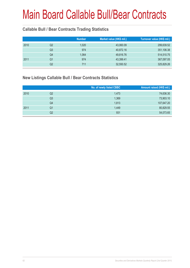#### **Callable Bull / Bear Contracts Trading Statistics**

|      |    | <b>Number</b> | Market value (HK\$ mil.) | Turnover value (HK\$ mil.) |
|------|----|---------------|--------------------------|----------------------------|
| 2010 | Q2 | 1,020         | 43,060.09                | 299,639.52                 |
|      | Q3 | 974           | 40,872.16                | 351,106.38                 |
|      | Q4 | 1,064         | 49,816.76                | 514,510.75                 |
| 2011 | Q1 | 974           | 43,399.41                | 367,097.05                 |
|      | Q2 | 711           | 32,550.52                | 325,829.26                 |

### **New Listings Callable Bull / Bear Contracts Statistics**

|      |    | No. of newly listed CBBC | Amount raised (HK\$ mil.) |
|------|----|--------------------------|---------------------------|
| 2010 | Q2 | 1,473                    | 74,636.30                 |
|      | Q3 | 1,369                    | 73,903.10                 |
|      | Q4 | 1,813                    | 107,647.20                |
| 2011 | Q1 | 1,449                    | 80,829.55                 |
|      | Q2 | 931                      | 54,073.65                 |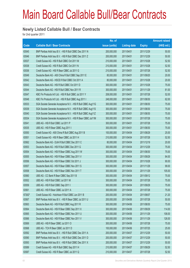#### **Newly Listed Callable Bull / Bear Contracts**

for 2nd quarter 2011

|        |                                                               | No. of        |                     |               | <b>Amount raised</b> |
|--------|---------------------------------------------------------------|---------------|---------------------|---------------|----------------------|
| Code   | <b>Callable Bull / Bear Contracts</b>                         | issue (units) | <b>Listing date</b> | <b>Expiry</b> | $(HK$$ mil.)         |
| 63545  | BNP Paribas Arbit Issu B.V. - HSI R Bull CBBC Dec 2011 N      | 200,000,000   | 2011/04/01          | 2011/12/29    | 50.00                |
| 63546  | BNP Paribas Arbit Issu B.V. - HSI R Bull CBBC Dec 2011 Z      | 200,000,000   | 2011/04/01          | 2011/12/29    | 50.00                |
| 63537  | Credit Suisse AG - HSI R Bull CBBC Oct 2011 M                 | 210,000,000   | 2011/04/01          | 2011/10/28    | 52.50                |
| 63538  | Credit Suisse AG - HSI R Bull CBBC Oct 2011 N                 | 210,000,000   | 2011/04/01          | 2011/10/28    | 52.50                |
| 63536  | Credit Suisse AG - HSI R Bear CBBC Jul 2011 G                 | 210,000,000   | 2011/04/01          | 2011/07/28    | 52.50                |
| 63549  | Deutsche Bank AG - A50 China R Bull CBBC Sep 2011 E           | 80,000,000    | 2011/04/01          | 2011/09/20    | 20.00                |
| 63542  | Deutsche Bank AG - HSCEI R Bull CBBC Oct 2011 A               | 80,000,000    | 2011/04/01          | 2011/10/28    | 20.00                |
| 63543  | Deutsche Bank AG - HSI R Bull CBBC Oct 2011 D                 | 300,000,000   | 2011/04/01          | 2011/10/28    | 75.00                |
| 63544  | Deutsche Bank AG - HSI R Bull CBBC Nov 2011 R                 | 300,000,000   | 2011/04/01          | 2011/11/29    | 81.00                |
| 63547  | KBC Fin Products Int'l Ltd. - HSI R Bull CBBC Jul 2011 Y      | 208,000,000   | 2011/04/01          | 2011/07/28    | 52.00                |
| 63548  | KBC Fin Products Int'l Ltd. - HSI R Bull CBBC Aug 2011 I      | 248,000,000   | 2011/04/01          | 2011/08/30    | 62.00                |
| 63533  | SGA Societe Generale Acceptance N.V. - HSI R Bull CBBC Aug11G | 300,000,000   | 2011/04/01          | 2011/08/30    | 75.00                |
| 63539  | SGA Societe Generale Acceptance N.V. - HSI R Bull CBBC Aug11S | 300,000,000   | 2011/04/01          | 2011/08/30    | 75.00                |
| 63540  | SGA Societe Generale Acceptance N.V. - HSI R Bull CBBC Aug11Z | 300,000,000   | 2011/04/01          | 2011/08/30    | 75.00                |
| 63534  | SGA Societe Generale Acceptance N.V. - HSI R Bear CBBC Jul11M | 300,000,000   | 2011/04/01          | 2011/07/28    | 75.00                |
| 63541  | UBS AG - HSI R Bull CBBC Jul 2011 P                           | 300,000,000   | 2011/04/01          | 2011/07/28    | 75.00                |
| 63535  | UBS AG - HSI R Bear CBBC Aug 2011 I                           | 300,000,000   | 2011/04/01          | 2011/08/30    | 75.00                |
| 63550  | Credit Suisse AG - A50 China R Bull CBBC Aug 2011 B           | 100,000,000   | 2011/04/04          | 2011/08/29    | 25.00                |
| 63551  | Credit Suisse AG - HSI R Bear CBBC Jul 2011 H                 | 210,000,000   | 2011/04/04          | 2011/07/28    | 52.50                |
| 63562  | Deutsche Bank AG - DJIA R Bull CBBC Dec 2011 C                | 80,000,000    | 2011/04/04          | 2011/12/19    | 20.00                |
| 63553  | Deutsche Bank AG - HSI R Bull CBBC Dec 2011 G                 | 300,000,000   | 2011/04/04          | 2011/12/29    | 75.00                |
| 63554  | Deutsche Bank AG - HSI R Bear CBBC Aug 2011 W                 | 300,000,000   | 2011/04/04          | 2011/08/30    | 75.00                |
| 63555  | Deutsche Bank AG - HSI R Bear CBBC Sep 2011 V                 | 300,000,000   | 2011/04/04          | 2011/09/29    | 84.00                |
| 63556  | Deutsche Bank AG - HSI R Bear CBBC Oct 2011 J                 | 300,000,000   | 2011/04/04          | 2011/10/28    | 90.00                |
| 63557  | Deutsche Bank AG - HSI R Bear CBBC Nov 2011 S                 | 300,000,000   | 2011/04/04          | 2011/11/29    | 99.00                |
| 63558  | Deutsche Bank AG - HSI R Bear CBBC Nov 2011 T                 | 300,000,000   | 2011/04/04          | 2011/11/29    | 105.00               |
| 63560  | UBS AG - CC Bank R Bear CBBC Sep 2011 B                       | 300,000,000   | 2011/04/04          | 2011/09/12    | 75.00                |
| 63552  | UBS AG - HSI R Bull CBBC Jul 2011 M                           | 300,000,000   | 2011/04/04          | 2011/07/28    | 75.00                |
| 63559  | UBS AG - HSI R Bull CBBC Sep 2011 I                           | 300,000,000   | 2011/04/04          | 2011/09/29    | 75.00                |
| 63561  | UBS AG - HSI R Bear CBBC Jul 2011 A                           | 300,000,000   | 2011/04/04          | 2011/07/28    | 75.00                |
| 67262# | Credit Suisse AG - Hutchison R Bull CBBC Jun 2011 B           | 200,000,000   | 2011/04/04          | 2011/06/07    | 21.20                |
| 63567  | BNP Paribas Arbit Issu B.V. - HSI R Bear CBBC Jul 2011 U      | 200,000,000   | 2011/04/06          | 2011/07/28    | 50.00                |
| 63563  | Deutsche Bank AG - HSI R Bull CBBC Aug 2011 R                 | 300,000,000   | 2011/04/06          | 2011/08/30    | 75.00                |
| 63564  | Deutsche Bank AG - HSI R Bear CBBC Sep 2011 X                 | 300,000,000   | 2011/04/06          | 2011/09/29    | 114.00               |
| 63565  | Deutsche Bank AG - HSI R Bear CBBC Nov 2011 U                 | 300,000,000   | 2011/04/06          | 2011/11/29    | 108.00               |
| 63566  | Deutsche Bank AG - HSI R Bear CBBC Nov 2011 V                 | 300,000,000   | 2011/04/06          | 2011/11/29    | 126.00               |
| 63569  | UBS AG - HSI R Bear CBBC Jul 2011 O                           | 300,000,000   | 2011/04/06          | 2011/07/28    | 75.00                |
| 63568  | UBS AG - TCH R Bear CBBC Jul 2011 D                           | 100,000,000   | 2011/04/06          | 2011/07/25    | 25.00                |
| 63592  | BNP Paribas Arbit Issu B.V. - HSI R Bull CBBC Dec 2011 A      | 200,000,000   | 2011/04/07          | 2011/12/29    | 50.00                |
| 63590  | BNP Paribas Arbit Issu B.V. - HSI R Bull CBBC Dec 2011 D      | 200,000,000   | 2011/04/07          | 2011/12/29    | 50.00                |
| 63593  | BNP Paribas Arbit Issu B.V. - HSI R Bull CBBC Dec 2011 X      | 200,000,000   | 2011/04/07          | 2011/12/29    | 50.00                |
| 63589  | Credit Suisse AG - HSI R Bull CBBC Sep 2011 H                 | 210,000,000   | 2011/04/07          | 2011/09/29    | 52.50                |
| 63587  | Credit Suisse AG - HSI R Bear CBBC Jul 2011 Q                 | 210,000,000   | 2011/04/07          | 2011/07/28    | 52.50                |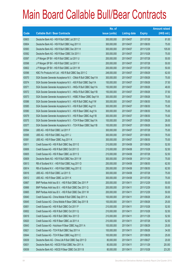|       |                                                                | No. of        |                     |               | <b>Amount raised</b> |
|-------|----------------------------------------------------------------|---------------|---------------------|---------------|----------------------|
| Code  | <b>Callable Bull / Bear Contracts</b>                          | issue (units) | <b>Listing date</b> | <b>Expiry</b> | $(HK$$ mil.)         |
| 63603 | Deutsche Bank AG - HSI R Bull CBBC Jul 2011 Z                  | 300,000,000   | 2011/04/07          | 2011/07/28    | 81.00                |
| 63604 | Deutsche Bank AG - HSI R Bull CBBC Aug 2011 X                  | 300,000,000   | 2011/04/07          | 2011/08/30    | 75.00                |
| 63583 | Deutsche Bank AG - HSI R Bull CBBC Dec 2011 H                  | 300,000,000   | 2011/04/07          | 2011/12/29    | 105.00               |
| 63582 | Deutsche Bank AG - HSI R Bear CBBC Oct 2011 I                  | 300,000,000   | 2011/04/07          | 2011/10/28    | 75.00                |
| 63597 | J P Morgan SP BV - HSI R Bull CBBC Jul 2011 U                  | 200,000,000   | 2011/04/07          | 2011/07/28    | 50.00                |
| 63598 | J P Morgan SP BV - HSI R Bull CBBC Jul 2011 V                  | 200,000,000   | 2011/04/07          | 2011/07/28    | 50.00                |
| 63602 | J P Morgan SP BV - HSI R Bull CBBC Jul 2011 W                  | 200,000,000   | 2011/04/07          | 2011/07/28    | 50.00                |
| 63596 | KBC Fin Products Int'l Ltd. - HSI R Bull CBBC Sep 2011 C       | 248,000,000   | 2011/04/07          | 2011/09/29    | 62.00                |
| 63570 | SGA Societe Generale Acceptance N.V. - CMob R Bull CBBC Sep11A | 300,000,000   | 2011/04/07          | 2011/09/26    | 75.00                |
| 63574 | SGA Societe Generale Acceptance N.V. - A50 R Bull CBBC Sep11A  | 150,000,000   | 2011/04/07          | 2011/09/26    | 37.50                |
| 63571 | SGA Societe Generale Acceptance N.V. - HKEx R Bull CBBC Sep11A | 150,000,000   | 2011/04/07          | 2011/09/26    | 48.00                |
| 63572 | SGA Societe Generale Acceptance N.V. - HKEx R Bull CBBC Sep11B | 150,000,000   | 2011/04/07          | 2011/09/26    | 37.50                |
| 63573 | SGA Societe Generale Acceptance N.V. - HSBC R Bear CBBC Sep11A | 300,000,000   | 2011/04/07          | 2011/09/26    | 75.00                |
| 63586 | SGA Societe Generale Acceptance N.V. - HSI R Bull CBBC Aug11W  | 300,000,000   | 2011/04/07          | 2011/08/30    | 75.00                |
| 63585 | SGA Societe Generale Acceptance N.V. - HSI R Bull CBBC Aug11X  | 300,000,000   | 2011/04/07          | 2011/08/30    | 75.00                |
| 63580 | SGA Societe Generale Acceptance N.V. - HSI R Bear CBBC Aug11A  | 300,000,000   | 2011/04/07          | 2011/08/30    | 75.00                |
| 63579 | SGA Societe Generale Acceptance N.V. - HSI R Bear CBBC Aug11B  | 300,000,000   | 2011/04/07          | 2011/08/30    | 75.00                |
| 63575 | SGA Societe Generale Acceptance N.V. - TCH R Bear CBBC Sep11A  | 100,000,000   | 2011/04/07          | 2011/09/26    | 28.00                |
| 63577 | SGA Societe Generale Acceptance N.V. - TCH R Bear CBBC Sep11B  | 100,000,000   | 2011/04/07          | 2011/09/26    | 39.00                |
| 63594 | UBS AG - HSI R Bull CBBC Jul 2011 F                            | 300,000,000   | 2011/04/07          | 2011/07/28    | 75.00                |
| 63595 | UBS AG - HSI R Bull CBBC Aug 2011 J                            | 300,000,000   | 2011/04/07          | 2011/08/30    | 75.00                |
| 63581 | UBS AG - HSI R Bear CBBC Aug 2011 K                            | 300,000,000   | 2011/04/07          | 2011/08/30    | 75.00                |
| 63611 | Credit Suisse AG - HSI R Bull CBBC Sep 2011 E                  | 210,000,000   | 2011/04/08          | 2011/09/29    | 52.50                |
| 63606 | Credit Suisse AG - HSI R Bull CBBC Oct 2011 O                  | 210,000,000   | 2011/04/08          | 2011/10/28    | 52.50                |
| 63605 | Credit Suisse AG - HSI R Bear CBBC Jul 2011 S                  | 210,000,000   | 2011/04/08          | 2011/07/28    | 52.50                |
| 63609 | Deutsche Bank AG - HSI R Bull CBBC Nov 2011 W                  | 300,000,000   | 2011/04/08          | 2011/11/29    | 75.00                |
| 63613 | RB of Scotland N.V. - HSI R Bull CBBC Aug 2011 D               | 250,000,000   | 2011/04/08          | 2011/08/30    | 62.50                |
| 63614 | RB of Scotland N.V. - HSI R Bull CBBC Aug 2011 E               | 250,000,000   | 2011/04/08          | 2011/08/30    | 62.50                |
| 63616 | UBS AG - HSI R Bull CBBC Jul 2011 S                            | 300,000,000   | 2011/04/08          | 2011/07/28    | 75.00                |
| 63612 | UBS AG - HSI R Bear CBBC Jul 2011 K                            | 300,000,000   | 2011/04/08          | 2011/07/28    | 75.00                |
| 63667 | BNP Paribas Arbit Issu B.V. - HSI R Bull CBBC Dec 2011 P       | 200,000,000   | 2011/04/11          | 2011/12/29    | 50.00                |
| 63666 | BNP Paribas Arbit Issu B.V. - HSI R Bull CBBC Dec 2011 Q       | 200,000,000   | 2011/04/11          | 2011/12/29    | 50.00                |
| 63665 | BNP Paribas Arbit Issu B.V. - HSI R Bull CBBC Dec 2011 W       | 200,000,000   | 2011/04/11          | 2011/12/29    | 50.00                |
| 63640 | Credit Suisse AG - China Mobile R Bull CBBC Sep 2011 A         | 100,000,000   | 2011/04/11          | 2011/09/26    | 25.00                |
| 63645 | Credit Suisse AG - China Mobile R Bear CBBC Sep 2011 B         | 100,000,000   | 2011/04/11          | 2011/09/26    | 25.00                |
| 63651 | Credit Suisse AG - HSI R Bull CBBC Oct 2011 P                  | 210,000,000   | 2011/04/11          | 2011/10/28    | 52.50                |
| 63652 | Credit Suisse AG - HSI R Bull CBBC Oct 2011 Q                  | 210,000,000   | 2011/04/11          | 2011/10/28    | 52.50                |
| 63619 | Credit Suisse AG - HSI R Bull CBBC Nov 2011 D                  | 210,000,000   | 2011/04/11          | 2011/11/29    | 52.50                |
| 63620 | Credit Suisse AG - HSI R Bear CBBC Jul 2011 A                  | 210,000,000   | 2011/04/11          | 2011/07/28    | 52.50                |
| 63643 | Credit Suisse AG - Hutchison R Bear CBBC Aug 2011 A            | 100,000,000   | 2011/04/11          | 2011/08/29    | 25.00                |
| 63621 | Credit Suisse AG - TCH R Bull CBBC Sep 2011 A                  | 100,000,000   | 2011/04/11          | 2011/09/26    | 34.00                |
| 63644 | Credit Suisse AG - TCH R Bear CBBC Aug 2011 C                  | 100,000,000   | 2011/04/11          | 2011/08/29    | 25.00                |
| 63639 | Deutsche Bank AG - China Life R Bull CBBC Sep 2011 D           | 80,000,000    | 2011/04/11          | 2011/09/27    | 20.00                |
| 63631 | Deutsche Bank AG - HSCEI R Bull CBBC Nov 2011 A                | 80,000,000    | 2011/04/11          | 2011/11/29    | 20.00                |
| 63636 | Deutsche Bank AG - HSCEI R Bear CBBC Oct 2011 B                | 80,000,000    | 2011/04/11          | 2011/10/28    | 23.20                |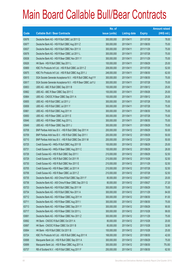|       |                                                               | No. of        |                     |               | <b>Amount raised</b> |
|-------|---------------------------------------------------------------|---------------|---------------------|---------------|----------------------|
| Code  | <b>Callable Bull / Bear Contracts</b>                         | issue (units) | <b>Listing date</b> | <b>Expiry</b> | $(HK$$ mil.)         |
| 63676 | Deutsche Bank AG - HSI R Bull CBBC Jul 2011 Q                 | 300,000,000   | 2011/04/11          | 2011/07/28    | 78.00                |
| 63677 | Deutsche Bank AG - HSI R Bull CBBC Aug 2011 Z                 | 300,000,000   | 2011/04/11          | 2011/08/30    | 75.00                |
| 63637 | Deutsche Bank AG - HSI R Bull CBBC Nov 2011 X                 | 300,000,000   | 2011/04/11          | 2011/11/29    | 75.00                |
| 63678 | Deutsche Bank AG - HSI R Bear CBBC Jul 2011 L                 | 300,000,000   | 2011/04/11          | 2011/07/28    | 75.00                |
| 63638 | Deutsche Bank AG - HSI R Bear CBBC Nov 2011 Y                 | 300,000,000   | 2011/04/11          | 2011/11/29    | 75.00                |
| 63626 | HK Bank - HSI R Bull CBBC Sep 2011 L                          | 100,000,000   | 2011/04/11          | 2011/09/29    | 25.00                |
| 63669 | KBC Fin Products Int'l Ltd. - HSI R Bull CBBC Jul 2011 Z      | 208,000,000   | 2011/04/11          | 2011/07/28    | 52.00                |
| 63675 | KBC Fin Products Int'l Ltd. - HSI R Bull CBBC Aug 2011 J      | 248,000,000   | 2011/04/11          | 2011/08/30    | 62.00                |
| 63615 | SGA Societe Generale Acceptance N.V. - HSI R Bull CBBC Aug11Y | 300,000,000   | 2011/04/11          | 2011/08/30    | 75.00                |
| 63617 | SGA Societe Generale Acceptance N.V. - HSI R Bear CBBC Jul11J | 300,000,000   | 2011/04/11          | 2011/07/28    | 75.00                |
| 63653 | UBS AG - ABC R Bull CBBC Sep 2011 B                           | 100,000,000   | 2011/04/11          | 2011/09/12    | 25.00                |
| 63662 | UBS AG - ABC R Bear CBBC Sep 2011 C                           | 100,000,000   | 2011/04/11          | 2011/09/26    | 25.00                |
| 63664 | UBS AG - CNOOC R Bear CBBC Sep 2011 A                         | 100,000,000   | 2011/04/11          | 2011/09/12    | 25.00                |
| 63655 | UBS AG - HSI R Bull CBBC Jul 2011 J                           | 300,000,000   | 2011/04/11          | 2011/07/28    | 75.00                |
| 63658 | UBS AG - HSI R Bull CBBC Jul 2011 Y                           | 300,000,000   | 2011/04/11          | 2011/07/28    | 75.00                |
| 63661 | UBS AG - HSI R Bull CBBC Aug 2011 H                           | 300,000,000   | 2011/04/11          | 2011/08/30    | 75.00                |
| 63650 | UBS AG - HSI R Bear CBBC Jul 2011 E                           | 300,000,000   | 2011/04/11          | 2011/07/28    | 75.00                |
| 63646 | UBS AG - HSI R Bear CBBC Aug 2011 L                           | 300,000,000   | 2011/04/11          | 2011/08/30    | 75.00                |
| 63649 | UBS AG - HSI R Bear CBBC Sep 2011 J                           | 300,000,000   | 2011/04/11          | 2011/09/29    | 75.00                |
| 63708 | BNP Paribas Arbit Issu B.V. - HSI R Bull CBBC Sep 2011 H      | 200,000,000   | 2011/04/12          | 2011/09/29    | 50.00                |
| 63709 | BNP Paribas Arbit Issu B.V. - HSI R Bull CBBC Sep 2011 I      | 200,000,000   | 2011/04/12          | 2011/09/29    | 50.00                |
| 63710 | BNP Paribas Arbit Issu B.V. - HSI R Bull CBBC Dec 2011 M      | 200,000,000   | 2011/04/12          | 2011/12/29    | 50.00                |
| 63725 | Credit Suisse AG - HKEx R Bull CBBC Aug 2011 B                | 100,000,000   | 2011/04/12          | 2011/08/29    | 25.00                |
| 63731 | Credit Suisse AG - HKEx R Bear CBBC Aug 2011 C                | 100,000,000   | 2011/04/12          | 2011/08/29    | 26.00                |
| 63726 | Credit Suisse AG - HSI R Bull CBBC Sep 2011 I                 | 210,000,000   | 2011/04/12          | 2011/09/29    | 52.50                |
| 63729 | Credit Suisse AG - HSI R Bull CBBC Oct 2011 R                 | 210,000,000   | 2011/04/12          | 2011/10/28    | 52.50                |
| 63730 | Credit Suisse AG - HSI R Bull CBBC Nov 2011 E                 | 210,000,000   | 2011/04/12          | 2011/11/29    | 52.50                |
| 63705 | Credit Suisse AG - HSI R Bear CBBC Jul 2011 H                 | 210,000,000   | 2011/04/12          | 2011/07/28    | 52.50                |
| 63706 | Credit Suisse AG - HSI R Bear CBBC Jul 2011 Z                 | 210,000,000   | 2011/04/12          | 2011/07/28    | 52.50                |
| 63735 | Deutsche Bank AG - A50 China R Bull CBBC Sep 2011 F           | 80,000,000    | 2011/04/12          | 2011/09/27    | 20.00                |
| 63736 | Deutsche Bank AG - A50 China R Bear CBBC Sep 2011 G           | 80,000,000    | 2011/04/12          | 2011/09/27    | 27.20                |
| 63733 | Deutsche Bank AG - HSI R Bull CBBC Sep 2011 W                 | 300,000,000   | 2011/04/12          | 2011/09/29    | 75.00                |
| 63734 | Deutsche Bank AG - HSI R Bull CBBC Nov 2011 A                 | 300,000,000   | 2011/04/12          | 2011/11/29    | 84.00                |
| 63712 | Deutsche Bank AG - HSI R Bear CBBC Aug 2011 H                 | 300,000,000   | 2011/04/12          | 2011/08/30    | 81.00                |
| 63711 | Deutsche Bank AG - HSI R Bear CBBC Aug 2011 I                 | 300,000,000   | 2011/04/12          | 2011/08/30    | 75.00                |
| 63713 | Deutsche Bank AG - HSI R Bear CBBC Sep 2011 Y                 | 300,000,000   | 2011/04/12          | 2011/09/29    | 90.00                |
| 63717 | Deutsche Bank AG - HSI R Bear CBBC Oct 2011 L                 | 300,000,000   | 2011/04/12          | 2011/10/28    | 99.00                |
| 63691 | Deutsche Bank AG - HSI R Bear CBBC Nov 2011 Z                 | 300,000,000   | 2011/04/12          | 2011/11/29    | 75.00                |
| 63692 | HK Bank - CNOOC R Bull CBBC Oct 2011 A                        | 80,000,000    | 2011/04/12          | 2011/10/28    | 20.00                |
| 63697 | HK Bank - CNOOC R Bear CBBC Oct 2011 B                        | 80,000,000    | 2011/04/12          | 2011/10/28    | 32.80                |
| 63694 | HK Bank - HSI R Bull CBBC Oct 2011 B                          | 100,000,000   | 2011/04/12          | 2011/10/28    | 25.00                |
| 63724 | KBC Fin Products Int'l Ltd. - HSI R Bull CBBC Aug 2011 K      | 168,000,000   | 2011/04/12          | 2011/08/30    | 42.00                |
| 63698 | Macquarie Bank Ltd. - HSI R Bull CBBC Sep 2011 A              | 300,000,000   | 2011/04/12          | 2011/09/29    | 75.00                |
| 63699 | Macquarie Bank Ltd. - HSI R Bear CBBC Aug 2011 A              | 300,000,000   | 2011/04/12          | 2011/08/30    | 75.00                |
| 63737 | RB of Scotland N.V. - HSI R Bull CBBC Aug 2011 F              | 250,000,000   | 2011/04/12          | 2011/08/30    | 62.50                |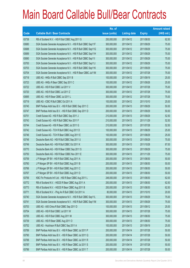|       |                                                               | No. of        |                     |               | <b>Amount raised</b> |
|-------|---------------------------------------------------------------|---------------|---------------------|---------------|----------------------|
| Code  | <b>Callable Bull / Bear Contracts</b>                         | issue (units) | <b>Listing date</b> | <b>Expiry</b> | $(HK$$ mil.)         |
| 63738 | RB of Scotland N.V. - HSI R Bull CBBC Aug 2011 G              | 250,000,000   | 2011/04/12          | 2011/08/30    | 62.50                |
| 63680 | SGA Societe Generale Acceptance N.V. - HSI R Bull CBBC Sep11F | 300,000,000   | 2011/04/12          | 2011/09/29    | 75.00                |
| 63688 | SGA Societe Generale Acceptance N.V. - HSI R Bull CBBC Sep11G | 300,000,000   | 2011/04/12          | 2011/09/29    | 75.00                |
| 63689 | SGA Societe Generale Acceptance N.V. - HSI R Bull CBBC Sep11H | 300,000,000   | 2011/04/12          | 2011/09/29    | 75.00                |
| 63690 | SGA Societe Generale Acceptance N.V. - HSI R Bull CBBC Sep11I | 300,000,000   | 2011/04/12          | 2011/09/29    | 75.00                |
| 63700 | SGA Societe Generale Acceptance N.V. - HSI R Bull CBBC Sep11J | 300,000,000   | 2011/04/12          | 2011/09/29    | 75.00                |
| 63703 | SGA Societe Generale Acceptance N.V. - HSI R Bull CBBC Sep11K | 300,000,000   | 2011/04/12          | 2011/09/29    | 75.00                |
| 63704 | SGA Societe Generale Acceptance N.V. - HSI R Bear CBBC Jul11M | 300,000,000   | 2011/04/12          | 2011/07/28    | 75.00                |
| 63718 | UBS AG - HKEx R Bull CBBC Sep 2011 B                          | 100,000,000   | 2011/04/12          | 2011/09/19    | 25.00                |
| 63723 | UBS AG - HKEx R Bear CBBC Sep 2011 C                          | 100,000,000   | 2011/04/12          | 2011/09/26    | 25.00                |
| 63722 | UBS AG - HSI R Bull CBBC Jul 2011 V                           | 300,000,000   | 2011/04/12          | 2011/07/28    | 75.00                |
| 63720 | UBS AG - HSI R Bull CBBC Jul 2011 Z                           | 300,000,000   | 2011/04/12          | 2011/07/28    | 75.00                |
| 63695 | UBS AG - HSI R Bear CBBC Jul 2011 L                           | 300,000,000   | 2011/04/12          | 2011/07/28    | 75.00                |
| 63719 | UBS AG - ICBC R Bull CBBC Oct 2011 A                          | 100,000,000   | 2011/04/12          | 2011/10/10    | 25.00                |
| 63745 | BNP Paribas Arbit Issu B.V. - HSI R Bull CBBC Sep 2011 C      | 200,000,000   | 2011/04/13          | 2011/09/29    | 50.00                |
| 63747 | BNP Paribas Arbit Issu B.V. - HSI R Bull CBBC Sep 2011 D      | 200,000,000   | 2011/04/13          | 2011/09/29    | 50.00                |
| 63751 | Credit Suisse AG - HSI R Bull CBBC Sep 2011 J                 | 210,000,000   | 2011/04/13          | 2011/09/29    | 52.50                |
| 63743 | Credit Suisse AG - HSI R Bull CBBC Nov 2011 F                 | 210,000,000   | 2011/04/13          | 2011/11/29    | 52.50                |
| 63744 | Credit Suisse AG - HSI R Bear CBBC Jul 2011 G                 | 210,000,000   | 2011/04/13          | 2011/07/28    | 52.50                |
| 63742 | Credit Suisse AG - TCH R Bull CBBC Aug 2011 D                 | 100,000,000   | 2011/04/13          | 2011/08/29    | 25.00                |
| 63746 | Credit Suisse AG - TCH R Bear CBBC Aug 2011 E                 | 100,000,000   | 2011/04/13          | 2011/08/29    | 25.00                |
| 63748 | Deutsche Bank AG - HSI R Bull CBBC Sep 2011 U                 | 300,000,000   | 2011/04/13          | 2011/09/29    | 75.00                |
| 63749 | Deutsche Bank AG - HSI R Bull CBBC Oct 2011 K                 | 300,000,000   | 2011/04/13          | 2011/10/28    | 87.00                |
| 63770 | Deutsche Bank AG - HSI R Bear CBBC Sep 2011 S                 | 300,000,000   | 2011/04/13          | 2011/09/29    | 75.00                |
| 63750 | Deutsche Bank AG - HSI R Bear CBBC Nov 2011 E                 | 300,000,000   | 2011/04/13          | 2011/11/29    | 75.00                |
| 63759 | J P Morgan SP BV - HSI R Bull CBBC Aug 2011 A                 | 200,000,000   | 2011/04/13          | 2011/08/30    | 50.00                |
| 63760 | J P Morgan SP BV - HSI R Bull CBBC Aug 2011 B                 | 200,000,000   | 2011/04/13          | 2011/08/30    | 50.00                |
| 63766 | J P Morgan SP BV - HSI R Bull CBBC Aug 2011 C                 | 200,000,000   | 2011/04/13          | 2011/08/30    | 50.00                |
| 63767 | J P Morgan SP BV - HSI R Bull CBBC Aug 2011 D                 | 200,000,000   | 2011/04/13          | 2011/08/30    | 50.00                |
| 63756 | KBC Fin Products Int'l Ltd. - HSI R Bear CBBC Aug 2011 L      | 248,000,000   | 2011/04/13          | 2011/08/30    | 62.00                |
| 63772 | RB of Scotland N.V. - HSCEI R Bear CBBC Aug 2011 A            | 250,000,000   | 2011/04/13          | 2011/08/30    | 62.50                |
| 63773 | RB of Scotland N.V. - HSCEI R Bear CBBC Aug 2011 B            | 250,000,000   | 2011/04/13          | 2011/08/30    | 62.50                |
| 63771 | RB of Scotland N.V. - Ping An R Bull CBBC Oct 2011 A          | 80,000,000    | 2011/04/13          | 2011/10/10    | 20.00                |
| 63740 | SGA Societe Generale Acceptance N.V. - HSI R Bull CBBC Sep11L | 300,000,000   | 2011/04/13          | 2011/09/29    | 75.00                |
| 63741 | SGA Societe Generale Acceptance N.V. - HSI R Bull CBBC Sep11M | 300,000,000   | 2011/04/13          | 2011/09/29    | 75.00                |
| 63753 | UBS AG - A50 China R Bull CBBC Sep 2011 D                     | 100,000,000   | 2011/04/13          | 2011/09/12    | 25.00                |
| 63754 | UBS AG - HSI R Bull CBBC Jul 2011 W                           | 300,000,000   | 2011/04/13          | 2011/07/28    | 75.00                |
| 63755 | UBS AG - HSI R Bull CBBC Aug 2011 M                           | 300,000,000   | 2011/04/13          | 2011/08/30    | 75.00                |
| 63739 | UBS AG - HSI R Bear CBBC Aug 2011 O                           | 300,000,000   | 2011/04/13          | 2011/08/30    | 75.00                |
| 63752 | UBS AG - Hutchison R Bull CBBC Sep 2011 A                     | 100,000,000   | 2011/04/13          | 2011/09/19    | 25.00                |
| 63789 | BNP Paribas Arbit Issu B.V. - HSI R Bear CBBC Jul 2011 P      | 200,000,000   | 2011/04/14          | 2011/07/28    | 50.00                |
| 63790 | BNP Paribas Arbit Issu B.V. - HSI R Bear CBBC Jul 2011 Q      | 200,000,000   | 2011/04/14          | 2011/07/28    | 50.00                |
| 63788 | BNP Paribas Arbit Issu B.V. - HSI R Bear CBBC Jul 2011 R      | 200,000,000   | 2011/04/14          | 2011/07/28    | 50.00                |
| 63787 | BNP Paribas Arbit Issu B.V. - HSI R Bear CBBC Jul 2011 S      | 200,000,000   | 2011/04/14          | 2011/07/28    | 50.00                |
| 63786 | BNP Paribas Arbit Issu B.V. - HSI R Bear CBBC Jul 2011 T      | 200,000,000   | 2011/04/14          | 2011/07/28    | 50.00                |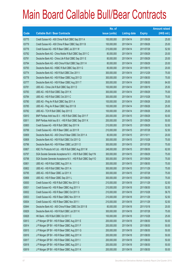|       |                                                               | No. of        |                     |               | <b>Amount raised</b> |
|-------|---------------------------------------------------------------|---------------|---------------------|---------------|----------------------|
| Code  | <b>Callable Bull / Bear Contracts</b>                         | issue (units) | <b>Listing date</b> | <b>Expiry</b> | $(HK$$ mil.)         |
| 63775 | Credit Suisse AG - A50 China R Bull CBBC Sep 2011 A           | 100,000,000   | 2011/04/14          | 2011/09/26    | 25.00                |
| 63779 | Credit Suisse AG - A50 China R Bear CBBC Sep 2011 B           | 100,000,000   | 2011/04/14          | 2011/09/26    | 25.00                |
| 63776 | Credit Suisse AG - HSI R Bear CBBC Jul 2011 W                 | 210,000,000   | 2011/04/14          | 2011/07/28    | 52.50                |
| 63792 | Deutsche Bank AG - China Mobile R Bull CBBC Sep 2011 C        | 80,000,000    | 2011/04/14          | 2011/09/29    | 20.00                |
| 63791 | Deutsche Bank AG - China Life R Bull CBBC Sep 2011 E          | 80,000,000    | 2011/04/14          | 2011/09/29    | 20.00                |
| 63794 | Deutsche Bank AG - A50 China R Bull CBBC Sep 2011 H           | 80,000,000    | 2011/04/14          | 2011/09/29    | 20.00                |
| 63793 | Deutsche Bank AG - HSBC R Bull CBBC Sep 2011 G                | 80,000,000    | 2011/04/14          | 2011/09/15    | 20.00                |
| 63774 | Deutsche Bank AG - HSI R Bull CBBC Dec 2011 I                 | 300,000,000   | 2011/04/14          | 2011/12/29    | 75.00                |
| 63778 | Deutsche Bank AG - HSI R Bear CBBC Aug 2011 D                 | 300,000,000   | 2011/04/14          | 2011/08/30    | 75.00                |
| 63777 | Deutsche Bank AG - HSI R Bear CBBC Aug 2011 T                 | 300,000,000   | 2011/04/14          | 2011/08/30    | 84.00                |
| 63781 | UBS AG - China Life R Bull CBBC Sep 2011 D                    | 100,000,000   | 2011/04/14          | 2011/09/19    | 25.50                |
| 63783 | UBS AG - HSI R Bull CBBC Sep 2011 K                           | 300,000,000   | 2011/04/14          | 2011/09/29    | 75.00                |
| 63784 | UBS AG - HSI R Bull CBBC Oct 2011 C                           | 300,000,000   | 2011/04/14          | 2011/10/28    | 75.00                |
| 63780 | UBS AG - Ping An R Bull CBBC Sep 2011 A                       | 100,000,000   | 2011/04/14          | 2011/09/26    | 25.00                |
| 63785 | UBS AG - Ping An R Bear CBBC Sep 2011 B                       | 100,000,000   | 2011/04/14          | 2011/09/26    | 25.00                |
| 63782 | UBS AG - TCH R Bull CBBC Sep 2011 E                           | 100,000,000   | 2011/04/14          | 2011/09/26    | 25.00                |
| 63810 | BNP Paribas Arbit Issu B.V. - HSI R Bull CBBC Sep 2011 F      | 200,000,000   | 2011/04/15          | 2011/09/29    | 50.00                |
| 63811 | BNP Paribas Arbit Issu B.V. - HSI R Bull CBBC Sep 2011 K      | 200,000,000   | 2011/04/15          | 2011/09/29    | 50.00                |
| 63800 | Credit Suisse AG - HSI R Bull CBBC Sep 2011 N                 | 210,000,000   | 2011/04/15          | 2011/09/29    | 52.50                |
| 63799 | Credit Suisse AG - HSI R Bear CBBC Jul 2011 R                 | 210,000,000   | 2011/04/15          | 2011/07/28    | 52.50                |
| 63809 | Deutsche Bank AG - A50 China R Bear CBBC Oct 2011 A           | 80,000,000    | 2011/04/15          | 2011/10/11    | 20.00                |
| 63808 | Deutsche Bank AG - HSI R Bull CBBC Oct 2011 Q                 | 300,000,000   | 2011/04/15          | 2011/10/28    | 75.00                |
| 63796 | Deutsche Bank AG - HSI R Bear CBBC Jul 2011 O                 | 300,000,000   | 2011/04/15          | 2011/07/28    | 75.00                |
| 63807 | KBC Fin Products Int'l Ltd. - HSI R Bull CBBC Aug 2011 M      | 248,000,000   | 2011/04/15          | 2011/08/30    | 62.00                |
| 63797 | SGA Societe Generale Acceptance N.V. - HSI R Bull CBBC Sep11N | 300,000,000   | 2011/04/15          | 2011/09/29    | 75.00                |
| 63798 | SGA Societe Generale Acceptance N.V. - HSI R Bull CBBC Sep110 | 300,000,000   | 2011/04/15          | 2011/09/29    | 75.00                |
| 63801 | UBS AG - HSI R Bull CBBC Aug 2011 A                           | 300,000,000   | 2011/04/15          | 2011/08/30    | 75.00                |
| 63802 | UBS AG - HSI R Bull CBBC Nov 2011 A                           | 300,000,000   | 2011/04/15          | 2011/11/29    | 75.00                |
| 63795 | UBS AG - HSI R Bear CBBC Jul 2011 X                           | 300,000,000   | 2011/04/15          | 2011/07/28    | 75.00                |
| 63806 | UBS AG - HSI R Bear CBBC Sep 2011 L                           | 300,000,000   | 2011/04/15          | 2011/09/29    | 75.00                |
| 63830 | Credit Suisse AG - HSI R Bull CBBC Nov 2011 G                 | 210,000,000   | 2011/04/18          | 2011/11/29    | 52.50                |
| 63831 | Credit Suisse AG - HSI R Bear CBBC Aug 2011 V                 | 210,000,000   | 2011/04/18          | 2011/08/30    | 52.50                |
| 63832 | Credit Suisse AG - HSI R Bear CBBC Oct 2011 S                 | 210,000,000   | 2011/04/18          | 2011/10/28    | 56.70                |
| 63833 | Credit Suisse AG - HSI R Bear CBBC Nov 2011 H                 | 210,000,000   | 2011/04/18          | 2011/11/29    | 52.50                |
| 63834 | Credit Suisse AG - HSI R Bear CBBC Nov 2011 I                 | 210,000,000   | 2011/04/18          | 2011/11/29    | 52.50                |
| 63844 | Deutsche Bank AG - A50 China R Bear CBBC Oct 2011 B           | 80,000,000    | 2011/04/18          | 2011/10/18    | 20.00                |
| 63829 | Deutsche Bank AG - HSI R Bull CBBC Jul 2011 K                 | 300,000,000   | 2011/04/18          | 2011/07/28    | 75.00                |
| 63828 | HK Bank - HSI R Bull CBBC Oct 2011 C                          | 100,000,000   | 2011/04/18          | 2011/10/28    | 25.00                |
| 63813 | J P Morgan SP BV - HSI R Bear CBBC Aug 2011 E                 | 200,000,000   | 2011/04/18          | 2011/08/30    | 50.00                |
| 63814 | J P Morgan SP BV - HSI R Bear CBBC Aug 2011 F                 | 200,000,000   | 2011/04/18          | 2011/08/30    | 50.00                |
| 63815 | J P Morgan SP BV - HSI R Bear CBBC Aug 2011 G                 | 200,000,000   | 2011/04/18          | 2011/08/30    | 50.00                |
| 63816 | J P Morgan SP BV - HSI R Bear CBBC Aug 2011 H                 | 200,000,000   | 2011/04/18          | 2011/08/30    | 50.00                |
| 63817 | J P Morgan SP BV - HSI R Bear CBBC Aug 2011 I                 | 200,000,000   | 2011/04/18          | 2011/08/30    | 50.00                |
| 63818 | J P Morgan SP BV - HSI R Bear CBBC Aug 2011 J                 | 200,000,000   | 2011/04/18          | 2011/08/30    | 50.00                |
| 63819 | J P Morgan SP BV - HSI R Bear CBBC Aug 2011 K                 | 200,000,000   | 2011/04/18          | 2011/08/30    | 50.00                |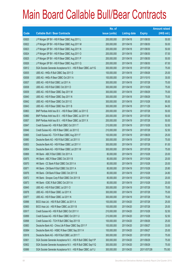|       |                                                               | No. of        |                     |               | <b>Amount raised</b> |
|-------|---------------------------------------------------------------|---------------|---------------------|---------------|----------------------|
| Code  | <b>Callable Bull / Bear Contracts</b>                         | issue (units) | <b>Listing date</b> | <b>Expiry</b> | $(HK$$ mil.)         |
| 63820 | J P Morgan SP BV - HSI R Bear CBBC Aug 2011 L                 | 200,000,000   | 2011/04/18          | 2011/08/30    | 50.00                |
| 63822 | J P Morgan SP BV - HSI R Bear CBBC Aug 2011 M                 | 200,000,000   | 2011/04/18          | 2011/08/30    | 50.00                |
| 63823 | J P Morgan SP BV - HSI R Bear CBBC Aug 2011 N                 | 200,000,000   | 2011/04/18          | 2011/08/30    | 50.00                |
| 63824 | J P Morgan SP BV - HSI R Bear CBBC Aug 2011 O                 | 200,000,000   | 2011/04/18          | 2011/08/30    | 57.00                |
| 63825 | J P Morgan SP BV - HSI R Bear CBBC Aug 2011 P                 | 200,000,000   | 2011/04/18          | 2011/08/30    | 50.00                |
| 63826 | J P Morgan SP BV - HSI R Bear CBBC Aug 2011 Q                 | 200,000,000   | 2011/04/18          | 2011/08/30    | 67.00                |
| 63812 | SGA Societe Generale Acceptance N.V. - HSI R Bear CBBC Jul11G | 300,000,000   | 2011/04/18          | 2011/07/28    | 75.00                |
| 63835 | UBS AG - HKEx R Bull CBBC Sep 2011 D                          | 100,000,000   | 2011/04/18          | 2011/09/26    | 25.00                |
| 63836 | UBS AG - HKEx R Bear CBBC Oct 2011 A                          | 100,000,000   | 2011/04/18          | 2011/10/10    | 30.00                |
| 63837 | UBS AG - HSI R Bull CBBC Jul 2011 A                           | 300,000,000   | 2011/04/18          | 2011/07/28    | 75.00                |
| 63838 | UBS AG - HSI R Bull CBBC Oct 2011 D                           | 300,000,000   | 2011/04/18          | 2011/10/28    | 75.00                |
| 63839 | UBS AG - HSI R Bear CBBC Sep 2011 M                           | 300,000,000   | 2011/04/18          | 2011/09/29    | 75.00                |
| 63840 | UBS AG - HSI R Bear CBBC Sep 2011 N                           | 300,000,000   | 2011/04/18          | 2011/09/29    | 75.00                |
| 63842 | UBS AG - HSI R Bear CBBC Oct 2011 E                           | 300,000,000   | 2011/04/18          | 2011/10/28    | 85.50                |
| 63843 | UBS AG - HSI R Bear CBBC Nov 2011 B                           | 300,000,000   | 2011/04/18          | 2011/11/29    | 84.00                |
| 63863 | BNP Paribas Arbit Issu B.V. - HSI R Bear CBBC Jul 2011 E      | 200,000,000   | 2011/04/19          | 2011/07/28    | 50.00                |
| 63860 | BNP Paribas Arbit Issu B.V. - HSI R Bear CBBC Jul 2011 W      | 200,000,000   | 2011/04/19          | 2011/07/28    | 50.00                |
| 63857 | BNP Paribas Arbit Issu B.V. - HSI R Bear CBBC Jul 2011 X      | 200,000,000   | 2011/04/19          | 2011/07/28    | 50.00                |
| 63847 | Credit Suisse AG - HSI R Bull CBBC Oct 2011 T                 | 210,000,000   | 2011/04/19          | 2011/10/28    | 52.50                |
| 63846 | Credit Suisse AG - HSI R Bear CBBC Jul 2011 E                 | 210,000,000   | 2011/04/19          | 2011/07/28    | 52.50                |
| 63865 | Credit Suisse AG - TCH R Bear CBBC Aug 2011 F                 | 100,000,000   | 2011/04/19          | 2011/08/29    | 25.00                |
| 63880 | Deutsche Bank AG - HSI R Bull CBBC Jul 2011 X                 | 300,000,000   | 2011/04/19          | 2011/07/28    | 75.00                |
| 63853 | Deutsche Bank AG - HSI R Bear CBBC Jul 2011 V                 | 300,000,000   | 2011/04/19          | 2011/07/28    | 81.00                |
| 63854 | Deutsche Bank AG - HSI R Bear CBBC Jul 2011 W                 | 300,000,000   | 2011/04/19          | 2011/07/28    | 75.00                |
| 63869 | HK Bank - ABC R Bull CBBC Oct 2011 A                          | 80,000,000    | 2011/04/19          | 2011/10/28    | 20.00                |
| 63875 | HK Bank - ABC R Bear CBBC Oct 2011 B                          | 80,000,000    | 2011/04/19          | 2011/10/28    | 20.00                |
| 63870 | HK Bank - CC Bank R Bull CBBC Oct 2011 A                      | 80,000,000    | 2011/04/19          | 2011/10/28    | 20.00                |
| 63871 | HK Bank - CM Bank R Bull CBBC Oct 2011 A                      | 80,000,000    | 2011/04/19          | 2011/10/28    | 20.80                |
| 63876 | HK Bank - CM Bank R Bear CBBC Oct 2011 B                      | 80,000,000    | 2011/04/19          | 2011/10/28    | 24.80                |
| 63872 | HK Bank - Sinopec Corp R Bull CBBC Oct 2011 B                 | 80,000,000    | 2011/04/19          | 2011/10/28    | 20.00                |
| 63873 | HK Bank - ICBC R Bull CBBC Oct 2011 A                         | 80,000,000    | 2011/04/19          | 2011/10/28    | 20.00                |
| 63845 | UBS AG - HSI R Bull CBBC Jul 2011 O                           | 300,000,000   | 2011/04/19          | 2011/07/28    | 75.00                |
| 63878 | UBS AG - HSI R Bear CBBC Jul 2011 K                           | 300,000,000   | 2011/04/19          | 2011/07/28    | 75.00                |
| 63877 | UBS AG - HSI R Bear CBBC Jul 2011 N                           | 300,000,000   | 2011/04/19          | 2011/07/28    | 75.00                |
| 63896 | BOCI Asia Ltd. - HSI R Bull CBBC Jul 2011 A                   | 100,000,000   | 2011/04/20          | 2011/07/28    | 25.00                |
| 63900 | BOCI Asia Ltd. - HSI R Bear CBBC Jul 2011 B                   | 100,000,000   | 2011/04/20          | 2011/07/28    | 25.00                |
| 63917 | Credit Suisse AG - HSI R Bull CBBC Oct 2011 V                 | 210,000,000   | 2011/04/20          | 2011/10/28    | 52.50                |
| 63899 | Credit Suisse AG - HSI R Bear CBBC Oct 2011 U                 | 210,000,000   | 2011/04/20          | 2011/10/28    | 52.50                |
| 63898 | Credit Suisse AG - TCH R Bull CBBC Sep 2011 B                 | 100,000,000   | 2011/04/20          | 2011/09/26    | 25.00                |
| 63883 | Deutsche Bank AG - China Life R Bear CBBC Sep 2011 F          | 100,000,000   | 2011/04/20          | 2011/09/27    | 33.00                |
| 63884 | Deutsche Bank AG - HSBC R Bear CBBC Sep 2011 H                | 100,000,000   | 2011/04/20          | 2011/09/27    | 25.00                |
| 63918 | Deutsche Bank AG - HSI R Bull CBBC Jul 2011 T                 | 300,000,000   | 2011/04/20          | 2011/07/28    | 75.00                |
| 63901 | SGA Societe Generale Acceptance N.V. - HSI R Bull CBBC Sep11P | 300,000,000   | 2011/04/20          | 2011/09/29    | 75.00                |
| 63902 | SGA Societe Generale Acceptance N.V. - HSI R Bull CBBC Sep11Q | 300,000,000   | 2011/04/20          | 2011/09/29    | 75.00                |
| 63886 | SGA Societe Generale Acceptance N.V. - HSI R Bear CBBC Jul11J | 300,000,000   | 2011/04/20          | 2011/07/28    | 75.00                |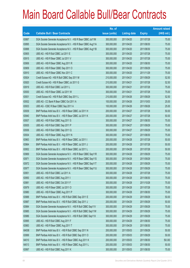|       |                                                               | No. of        |                     |               | <b>Amount raised</b> |
|-------|---------------------------------------------------------------|---------------|---------------------|---------------|----------------------|
| Code  | <b>Callable Bull / Bear Contracts</b>                         | issue (units) | <b>Listing date</b> | <b>Expiry</b> | $(HK$$ mil.)         |
| 63887 | SGA Societe Generale Acceptance N.V. - HSI R Bear CBBC Jul11M | 300,000,000   | 2011/04/20          | 2011/07/28    | 75.00                |
| 63895 | SGA Societe Generale Acceptance N.V. - HSI R Bear CBBC Aug11A | 300,000,000   | 2011/04/20          | 2011/08/30    | 75.00                |
| 63888 | SGA Societe Generale Acceptance N.V. - HSI R Bear CBBC Aug11B | 300,000,000   | 2011/04/20          | 2011/08/30    | 75.00                |
| 63905 | UBS AG - HSI R Bull CBBC Jul 2011 E                           | 300,000,000   | 2011/04/20          | 2011/07/28    | 75.00                |
| 63915 | UBS AG - HSI R Bear CBBC Jul 2011 V                           | 300,000,000   | 2011/04/20          | 2011/07/28    | 75.00                |
| 63906 | UBS AG - HSI R Bear CBBC Aug 2011 R                           | 300,000,000   | 2011/04/20          | 2011/08/30    | 75.00                |
| 63909 | UBS AG - HSI R Bear CBBC Sep 2011 O                           | 300,000,000   | 2011/04/20          | 2011/09/29    | 75.00                |
| 63910 | UBS AG - HSI R Bear CBBC Nov 2011 C                           | 300,000,000   | 2011/04/20          | 2011/11/29    | 75.00                |
| 63924 | Credit Suisse AG - HSI R Bull CBBC Sep 2011 M                 | 210,000,000   | 2011/04/21          | 2011/09/29    | 52.50                |
| 63920 | Credit Suisse AG - HSI R Bear CBBC Jul 2011 G                 | 210,000,000   | 2011/04/21          | 2011/07/28    | 52.50                |
| 63919 | UBS AG - HSI R Bull CBBC Jul 2011 L                           | 300,000,000   | 2011/04/21          | 2011/07/28    | 75.00                |
| 63930 | UBS AG - HSI R Bear CBBC Jul 2011 W                           | 300,000,000   | 2011/04/21          | 2011/07/28    | 75.00                |
| 63931 | Credit Suisse AG - HSI R Bull CBBC Sep 2011 L                 | 210,000,000   | 2011/04/26          | 2011/09/29    | 52.50                |
| 63932 | UBS AG - CC Bank R Bear CBBC Oct 2011 A                       | 100,000,000   | 2011/04/26          | 2011/10/03    | 25.00                |
| 63933 | UBS AG - ICBC R Bear CBBC Sep 2011 A                          | 100,000,000   | 2011/04/26          | 2011/09/26    | 25.00                |
| 63939 | BNP Paribas Arbit Issu B.V. - HSI R Bear CBBC Jul 2011 H      | 200,000,000   | 2011/04/27          | 2011/07/28    | 50.00                |
| 63940 | BNP Paribas Arbit Issu B.V. - HSI R Bear CBBC Jul 2011 K      | 200,000,000   | 2011/04/27          | 2011/07/28    | 50.00                |
| 63937 | UBS AG - HSI R Bull CBBC Aug 2011 S                           | 300,000,000   | 2011/04/27          | 2011/08/30    | 75.00                |
| 63935 | UBS AG - HSI R Bull CBBC Sep 2011 P                           | 300,000,000   | 2011/04/27          | 2011/09/29    | 75.00                |
| 63936 | UBS AG - HSI R Bull CBBC Sep 2011 Q                           | 300,000,000   | 2011/04/27          | 2011/09/29    | 75.00                |
| 63934 | UBS AG - HSI R Bear CBBC Aug 2011 N                           | 300,000,000   | 2011/04/27          | 2011/08/30    | 75.00                |
| 63963 | BNP Paribas Arbit Issu B.V. - HSI R Bear CBBC Jul 2011 I      | 200,000,000   | 2011/04/28          | 2011/07/28    | 50.00                |
| 63964 | BNP Paribas Arbit Issu B.V. - HSI R Bear CBBC Jul 2011 J      | 200,000,000   | 2011/04/28          | 2011/07/28    | 50.00                |
| 63952 | BNP Paribas Arbit Issu B.V. - HSI R Bear CBBC Jul 2011 L      | 200,000,000   | 2011/04/28          | 2011/07/28    | 50.00                |
| 63969 | SGA Societe Generale Acceptance N.V. - HSI R Bear CBBC Sep11R | 300,000,000   | 2011/04/28          | 2011/09/29    | 75.00                |
| 63971 | SGA Societe Generale Acceptance N.V. - HSI R Bear CBBC Sep11S | 300,000,000   | 2011/04/28          | 2011/09/29    | 75.00                |
| 63972 | SGA Societe Generale Acceptance N.V. - HSI R Bear CBBC Sep11T | 300,000,000   | 2011/04/28          | 2011/09/29    | 75.00                |
| 63977 | SGA Societe Generale Acceptance N.V. - HSI R Bear CBBC Sep11U | 300,000,000   | 2011/04/28          | 2011/09/29    | 75.00                |
| 63951 | UBS AG - HSI R Bull CBBC Jul 2011 A                           | 300,000,000   | 2011/04/28          | 2011/07/28    | 75.00                |
| 63950 | UBS AG - HSI R Bull CBBC Aug 2011 I                           | 300,000,000   | 2011/04/28          | 2011/08/30    | 75.00                |
| 63981 | UBS AG - HSI R Bull CBBC Oct 2011 F                           | 300,000,000   | 2011/04/28          | 2011/10/28    | 75.00                |
| 63979 | UBS AG - HSI R Bear CBBC Jul 2011 O                           | 300,000,000   | 2011/04/28          | 2011/07/28    | 75.00                |
| 63980 | UBS AG - HSI R Bear CBBC Aug 2011 P                           | 300,000,000   | 2011/04/28          | 2011/08/30    | 75.00                |
| 63988 | BNP Paribas Arbit Issu B.V. - HSI R Bull CBBC Sep 2011 E      | 200,000,000   | 2011/04/29          | 2011/09/29    | 50.00                |
| 63987 | BNP Paribas Arbit Issu B.V. - HSI R Bull CBBC Sep 2011 J      | 200,000,000   | 2011/04/29          | 2011/09/29    | 50.00                |
| 63984 | SGA Societe Generale Acceptance N.V. - HSI R Bull CBBC Sep11V | 300,000,000   | 2011/04/29          | 2011/09/29    | 75.00                |
| 63985 | SGA Societe Generale Acceptance N.V. - HSI R Bull CBBC Sep11W | 300,000,000   | 2011/04/29          | 2011/09/29    | 75.00                |
| 63986 | SGA Societe Generale Acceptance N.V. - HSI R Bull CBBC Sep11X | 300,000,000   | 2011/04/29          | 2011/09/29    | 75.00                |
| 63995 | UBS AG - HSI R Bull CBBC Aug 2011 F                           | 300,000,000   | 2011/04/29          | 2011/08/30    | 75.00                |
| 63983 | UBS AG - HSI R Bear CBBC Aug 2011 T                           | 300,000,000   | 2011/04/29          | 2011/08/30    | 75.00                |
| 64008 | BNP Paribas Arbit Issu B.V. - HSI R Bull CBBC Sep 2011 N      | 200,000,000   | 2011/05/03          | 2011/09/29    | 50.00                |
| 63999 | BNP Paribas Arbit Issu B.V. - HSI R Bull CBBC Sep 2011 O      | 200,000,000   | 2011/05/03          | 2011/09/29    | 50.00                |
| 64010 | BNP Paribas Arbit Issu B.V. - HSI R Bear CBBC Aug 2011 K      | 200,000,000   | 2011/05/03          | 2011/08/30    | 50.00                |
| 64013 | BNP Paribas Arbit Issu B.V. - HSI R Bear CBBC Aug 2011 L      | 200,000,000   | 2011/05/03          | 2011/08/30    | 50.00                |
| 63997 | UBS AG - HSI R Bull CBBC Aug 2011 K                           | 300,000,000   | 2011/05/03          | 2011/08/30    | 75.00                |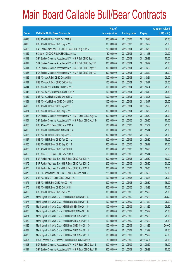|       |                                                               | No. of        |                     |               | <b>Amount raised</b> |
|-------|---------------------------------------------------------------|---------------|---------------------|---------------|----------------------|
| Code  | <b>Callable Bull / Bear Contracts</b>                         | issue (units) | <b>Listing date</b> | <b>Expiry</b> | $(HK$$ mil.)         |
| 63998 | UBS AG - HSI R Bull CBBC Oct 2011 G                           | 300,000,000   | 2011/05/03          | 2011/10/28    | 75.00                |
| 63996 | UBS AG - HSI R Bear CBBC Sep 2011 R                           | 300,000,000   | 2011/05/03          | 2011/09/29    | 75.00                |
| 64023 | BNP Paribas Arbit Issu B.V. - HSI R Bear CBBC Aug 2011 M      | 200,000,000   | 2011/05/04          | 2011/08/30    | 50.00                |
| 64022 | HK Bank - CNOOC R Bull CBBC Nov 2011 A                        | 80,000,000    | 2011/05/04          | 2011/11/18    | 20.00                |
| 64019 | SGA Societe Generale Acceptance N.V. - HSI R Bull CBBC Sep11J | 300,000,000   | 2011/05/04          | 2011/09/29    | 75.00                |
| 64017 | SGA Societe Generale Acceptance N.V. - HSI R Bull CBBC Sep11K | 300,000,000   | 2011/05/04          | 2011/09/29    | 75.00                |
| 64014 | SGA Societe Generale Acceptance N.V. - HSI R Bull CBBC Sep11Y | 300,000,000   | 2011/05/04          | 2011/09/29    | 75.00                |
| 64016 | SGA Societe Generale Acceptance N.V. - HSI R Bull CBBC Sep11Z | 300,000,000   | 2011/05/04          | 2011/09/29    | 75.00                |
| 64032 | UBS AG - AIA R Bull CBBC Oct 2011 B                           | 100,000,000   | 2011/05/04          | 2011/10/24    | 25.00                |
| 64031 | UBS AG - AIA R Bear CBBC Oct 2011 A                           | 100,000,000   | 2011/05/04          | 2011/10/17    | 30.00                |
| 64044 | UBS AG - COVS R Bull CBBC Oct 2011 B                          | 100,000,000   | 2011/05/04          | 2011/10/24    | 25.00                |
| 64043 | UBS AG - COVS R Bear CBBC Oct 2011 A                          | 100,000,000   | 2011/05/04          | 2011/10/10    | 25.50                |
| 64052 | UBS AG - CUni R Bull CBBC Oct 2011 D                          | 100,000,000   | 2011/05/04          | 2011/10/03    | 32.00                |
| 64051 | UBS AG - CUni R Bear CBBC Oct 2011 C                          | 100,000,000   | 2011/05/04          | 2011/10/17    | 25.00                |
| 64028 | UBS AG - HSI R Bull CBBC Sep 2011 S                           | 300,000,000   | 2011/05/04          | 2011/09/29    | 75.00                |
| 64034 | UBS AG - HSI R Bear CBBC Aug 2011 Q                           | 300,000,000   | 2011/05/04          | 2011/08/30    | 75.00                |
| 64053 | SGA Societe Generale Acceptance N.V. - HSI R Bear CBBC Aug11A | 300,000,000   | 2011/05/05          | 2011/08/30    | 75.00                |
| 64054 | SGA Societe Generale Acceptance N.V. - HSI R Bear CBBC Aug11B | 300,000,000   | 2011/05/05          | 2011/08/30    | 75.00                |
| 64058 | UBS AG - ABC R Bear CBBC Nov 2011 A                           | 100,000,000   | 2011/05/05          | 2011/11/07    | 25.00                |
| 64066 | UBS AG - HSBC R Bull CBBC Nov 2011 A                          | 100,000,000   | 2011/05/05          | 2011/11/14    | 25.00                |
| 64056 | UBS AG - HSI R Bull CBBC Sep 2011 U                           | 300,000,000   | 2011/05/05          | 2011/09/29    | 75.00                |
| 64067 | UBS AG - HSI R Bear CBBC Aug 2011 L                           | 300,000,000   | 2011/05/05          | 2011/08/30    | 75.00                |
| 64055 | UBS AG - HSI R Bear CBBC Sep 2011 T                           | 300,000,000   | 2011/05/05          | 2011/09/29    | 75.00                |
| 64068 | UBS AG - HSI R Bear CBBC Oct 2011 H                           | 300,000,000   | 2011/05/05          | 2011/10/28    | 75.00                |
| 64059 | UBS AG - TCH R Bear CBBC Nov 2011 A                           | 100,000,000   | 2011/05/05          | 2011/11/14    | 37.50                |
| 64074 | BNP Paribas Arbit Issu B.V. - HSI R Bear CBBC Aug 2011 N      | 200,000,000   | 2011/05/06          | 2011/08/30    | 50.00                |
| 64075 | BNP Paribas Arbit Issu B.V. - HSI R Bear CBBC Aug 2011 O      | 200,000,000   | 2011/05/06          | 2011/08/30    | 50.00                |
| 64076 | BNP Paribas Arbit Issu B.V. - HSI R Bear CBBC Aug 2011 P      | 200,000,000   | 2011/05/06          | 2011/08/30    | 50.00                |
| 64073 | KBC Fin Products Int'l Ltd. - HSI R Bear CBBC Sep 2011 D      | 228,000,000   | 2011/05/06          | 2011/09/29    | 57.00                |
| 64072 | UBS AG - HSCEI R Bear CBBC Oct 2011 A                         | 100,000,000   | 2011/05/06          | 2011/10/28    | 25.00                |
| 64071 | UBS AG - HSI R Bull CBBC Aug 2011 M                           | 300,000,000   | 2011/05/06          | 2011/08/30    | 75.00                |
| 64070 | UBS AG - HSI R Bear CBBC Oct 2011 I                           | 300,000,000   | 2011/05/06          | 2011/10/28    | 75.00                |
| 64069 | UBS AG - HSI R Bear CBBC Nov 2011 D                           | 300,000,000   | 2011/05/06          | 2011/11/29    | 75.00                |
| 64077 | Merrill Lynch Int'l & Co. C.V. - HSI R Bull CBBC Nov 2011 A   | 100,000,000   | 2011/05/09          | 2011/11/29    | 26.50                |
| 64078 | Merrill Lynch Int'l & Co. C.V. - HSI R Bull CBBC Nov 2011 B   | 100,000,000   | 2011/05/09          | 2011/11/29    | 26.00                |
| 64079 | Merrill Lynch Int'l & Co. C.V. - HSI R Bull CBBC Nov 2011 C   | 100,000,000   | 2011/05/09          | 2011/11/29    | 25.50                |
| 64080 | Merrill Lynch Int'l & Co. C.V. - HSI R Bull CBBC Nov 2011 D   | 100,000,000   | 2011/05/09          | 2011/11/29    | 25.00                |
| 64081 | Merrill Lynch Int'l & Co. C.V. - HSI R Bear CBBC Nov 2011 E   | 100,000,000   | 2011/05/09          | 2011/11/29    | 25.00                |
| 64082 | Merrill Lynch Int'l & Co. C.V. - HSI R Bear CBBC Nov 2011 F   | 100,000,000   | 2011/05/09          | 2011/11/29    | 25.50                |
| 64085 | Merrill Lynch Int'l & Co. C.V. - HSI R Bear CBBC Nov 2011 G   | 100,000,000   | 2011/05/09          | 2011/11/29    | 26.00                |
| 64087 | Merrill Lynch Int'l & Co. C.V. - HSI R Bear CBBC Nov 2011 H   | 100,000,000   | 2011/05/09          | 2011/11/29    | 26.50                |
| 64088 | Merrill Lynch Int'l & Co. C.V. - HSI R Bear CBBC Nov 2011 I   | 100,000,000   | 2011/05/09          | 2011/11/29    | 27.00                |
| 64097 | RB of Scotland N.V. - Yanzhou Coal R Bull CBBC Feb 2012 A     | 80,000,000    | 2011/05/09          | 2012/02/27    | 20.00                |
| 64093 | SGA Societe Generale Acceptance N.V. - HSI R Bear CBBC Sep11L | 300,000,000   | 2011/05/09          | 2011/09/29    | 75.00                |
| 64094 | SGA Societe Generale Acceptance N.V. - HSI R Bear CBBC Sep11M | 300,000,000   | 2011/05/09          | 2011/09/29    | 75.00                |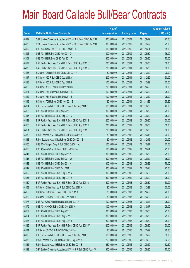|       |                                                               | No. of        |                     |               | <b>Amount raised</b> |
|-------|---------------------------------------------------------------|---------------|---------------------|---------------|----------------------|
| Code  | <b>Callable Bull / Bear Contracts</b>                         | issue (units) | <b>Listing date</b> | <b>Expiry</b> | $(HK$$ mil.)         |
| 64099 | SGA Societe Generale Acceptance N.V. - HSI R Bear CBBC Sep11N | 300,000,000   | 2011/05/09          | 2011/09/29    | 75.00                |
| 64100 | SGA Societe Generale Acceptance N.V. - HSI R Bear CBBC Sep110 | 300,000,000   | 2011/05/09          | 2011/09/29    | 75.00                |
| 64102 | UBS AG - China Life R Bull CBBC Oct 2011 A                    | 100,000,000   | 2011/05/09          | 2011/10/24    | 58.00                |
| 64096 | UBS AG - HSI R Bull CBBC Aug 2011 O                           | 300,000,000   | 2011/05/09          | 2011/08/30    | 75.00                |
| 64101 | UBS AG - HSI R Bear CBBC Aug 2011 A                           | 300,000,000   | 2011/05/09          | 2011/08/30    | 75.00                |
| 64127 | BNP Paribas Arbit Issu B.V. - HSI R Bear CBBC Aug 2011 Q      | 200,000,000   | 2011/05/11          | 2011/08/30    | 50.00                |
| 64130 | BNP Paribas Arbit Issu B.V. - HSI R Bear CBBC Aug 2011 R      | 200,000,000   | 2011/05/11          | 2011/08/30    | 50.00                |
| 64116 | HK Bank - China Life R Bull CBBC Dec 2011 A                   | 80,000,000    | 2011/05/11          | 2011/12/29    | 20.00                |
| 64117 | HK Bank - A50 R Bull CBBC Dec 2011 A                          | 200,000,000   | 2011/05/11          | 2011/12/29    | 50.00                |
| 64118 | HK Bank - A50 R Bull CBBC Dec 2011 B                          | 100,000,000   | 2011/05/11          | 2011/12/29    | 25.00                |
| 64120 | HK Bank - A50 R Bear CBBC Dec 2011 C                          | 200,000,000   | 2011/05/11          | 2011/12/29    | 50.00                |
| 64121 | HK Bank - HSI R Bear CBBC Dec 2011 A                          | 100,000,000   | 2011/05/11          | 2011/12/29    | 25.00                |
| 64122 | HK Bank - HSI R Bear CBBC Dec 2011 B                          | 100,000,000   | 2011/05/11          | 2011/12/29    | 25.00                |
| 64119 | HK Bank - TCH R Bear CBBC Nov 2011 B                          | 80,000,000    | 2011/05/11          | 2011/11/29    | 35.20                |
| 64124 | KBC Fin Products Int'l Ltd. - HSI R Bear CBBC Aug 2011 O      | 168,000,000   | 2011/05/11          | 2011/08/30    | 42.00                |
| 64123 | UBS AG - HSI R Bull CBBC Aug 2011 H                           | 300,000,000   | 2011/05/11          | 2011/08/30    | 75.00                |
| 64115 | UBS AG - HSI R Bear CBBC Sep 2011 V                           | 300,000,000   | 2011/05/11          | 2011/09/29    | 75.00                |
| 64149 | BNP Paribas Arbit Issu B.V. - HSI R Bear CBBC Aug 2011 S      | 200,000,000   | 2011/05/12          | 2011/08/30    | 50.00                |
| 64150 | BNP Paribas Arbit Issu B.V. - HSI R Bear CBBC Aug 2011 T      | 200,000,000   | 2011/05/12          | 2011/08/30    | 50.00                |
| 64151 | BNP Paribas Arbit Issu B.V. - HSI R Bear CBBC Aug 2011 U      | 200,000,000   | 2011/05/12          | 2011/08/30    | 50.00                |
| 64132 | RB of Scotland N.V. - DJIA R Bull CBBC Dec 2011 A             | 80,000,000    | 2011/05/12          | 2011/12/16    | 20.00                |
| 64133 | RB of Scotland N.V. - DJIA R Bear CBBC Dec 2011 B             | 80,000,000    | 2011/05/12          | 2011/12/16    | 20.00                |
| 64156 | UBS AG - Sinopec Corp R Bull CBBC Oct 2011 A                  | 100,000,000   | 2011/05/12          | 2011/10/17    | 25.00                |
| 64155 | UBS AG - A50 China R Bear CBBC Oct 2011 A                     | 100,000,000   | 2011/05/12          | 2011/10/24    | 25.00                |
| 64147 | UBS AG - HSI R Bull CBBC Aug 2011 N                           | 300,000,000   | 2011/05/12          | 2011/08/30    | 75.00                |
| 64143 | UBS AG - HSI R Bull CBBC Sep 2011 W                           | 300,000,000   | 2011/05/12          | 2011/09/29    | 75.00                |
| 64148 | UBS AG - HSI R Bull CBBC Sep 2011 X                           | 300,000,000   | 2011/05/12          | 2011/09/29    | 75.00                |
| 64142 | UBS AG - HSI R Bull CBBC Oct 2011 J                           | 300,000,000   | 2011/05/12          | 2011/10/28    | 75.00                |
| 64152 | UBS AG - HSI R Bear CBBC Sep 2011 Y                           | 300,000,000   | 2011/05/12          | 2011/09/29    | 75.00                |
| 64154 | UBS AG - HSI R Bear CBBC Sep 2011 Z                           | 300,000,000   | 2011/05/12          | 2011/09/29    | 75.00                |
| 64180 | BNP Paribas Arbit Issu B.V. - HSI R Bear CBBC Aug 2011 V      | 200,000,000   | 2011/05/13          | 2011/08/30    | 50.00                |
| 64163 | HK Bank - China Shenhua R Bull CBBC Dec 2011 A                | 80,000,000    | 2011/05/13          | 2011/12/29    | 20.00                |
| 64159 | HK Bank - Hutchison R Bear CBBC Dec 2011 A                    | 80,000,000    | 2011/05/13          | 2011/12/29    | 20.00                |
| 64162 | HK Bank - SHK Ppt R Bull CBBC Dec 2011 B                      | 80,000,000    | 2011/05/13          | 2011/12/29    | 20.00                |
| 64178 | UBS AG - China Mobile R Bull CBBC Oct 2011 A                  | 100,000,000   | 2011/05/13          | 2011/10/24    | 25.00                |
| 64179 | UBS AG - CNOOC R Bull CBBC Oct 2011 A                         | 100,000,000   | 2011/05/13          | 2011/10/17    | 25.00                |
| 64157 | UBS AG - HSI R Bull CBBC Aug 2011 S                           | 300,000,000   | 2011/05/13          | 2011/08/30    | 75.00                |
| 64164 | UBS AG - HSI R Bear CBBC Aug 2011 P                           | 300,000,000   | 2011/05/13          | 2011/08/30    | 75.00                |
| 64167 | UBS AG - HSI R Bear CBBC Aug 2011 T                           | 300,000,000   | 2011/05/13          | 2011/08/30    | 75.00                |
| 64186 | BNP Paribas Arbit Issu B.V. - HSI R Bear CBBC Aug 2011 W      | 200,000,000   | 2011/05/16          | 2011/08/30    | 50.00                |
| 64181 | HK Bank - CNOOC R Bull CBBC Dec 2011 A                        | 80,000,000    | 2011/05/16          | 2011/12/29    | 20.80                |
| 64195 | KBC Fin Products Int'l Ltd. - HSI R Bear CBBC Sep 2011 E      | 128,000,000   | 2011/05/16          | 2011/09/29    | 32.00                |
| 64183 | RB of Scotland N.V. - HSI R Bear CBBC Sep 2011 A              | 250,000,000   | 2011/05/16          | 2011/09/29    | 62.50                |
| 64185 | RB of Scotland N.V. - HSI R Bear CBBC Sep 2011 B              | 250,000,000   | 2011/05/16          | 2011/09/29    | 62.50                |
| 64192 | SGA Societe Generale Acceptance N.V. - HSI R Bull CBBC Aug11W | 300,000,000   | 2011/05/16          | 2011/08/30    | 75.00                |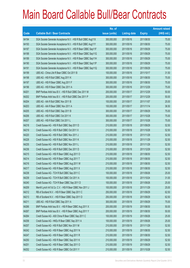|       |                                                               | No. of        |                     |               | <b>Amount raised</b> |
|-------|---------------------------------------------------------------|---------------|---------------------|---------------|----------------------|
| Code  | <b>Callable Bull / Bear Contracts</b>                         | issue (units) | <b>Listing date</b> | <b>Expiry</b> | (HK\$ mil.)          |
| 64194 | SGA Societe Generale Acceptance N.V. - HSI R Bull CBBC Aug11X | 300,000,000   | 2011/05/16          | 2011/08/30    | 75.00                |
| 64193 | SGA Societe Generale Acceptance N.V. - HSI R Bull CBBC Aug11Y | 300,000,000   | 2011/05/16          | 2011/08/30    | 75.00                |
| 64187 | SGA Societe Generale Acceptance N.V. - HSI R Bear CBBC Sep11F | 300,000,000   | 2011/05/16          | 2011/09/29    | 75.00                |
| 64188 | SGA Societe Generale Acceptance N.V. - HSI R Bear CBBC Sep11G | 300,000,000   | 2011/05/16          | 2011/09/29    | 75.00                |
| 64189 | SGA Societe Generale Acceptance N.V. - HSI R Bear CBBC Sep11H | 300,000,000   | 2011/05/16          | 2011/09/29    | 75.00                |
| 64190 | SGA Societe Generale Acceptance N.V. - HSI R Bear CBBC Sep11P | 300,000,000   | 2011/05/16          | 2011/09/29    | 75.00                |
| 64191 | SGA Societe Generale Acceptance N.V. - HSI R Bear CBBC Sep11Q | 300,000,000   | 2011/05/16          | 2011/09/29    | 75.00                |
| 64199 | UBS AG - China Life R Bear CBBC Oct 2011 B                    | 100,000,000   | 2011/05/16          | 2011/10/17    | 31.50                |
| 64198 | UBS AG - HSI R Bull CBBC Aug 2011 K                           | 300,000,000   | 2011/05/16          | 2011/08/30    | 75.00                |
| 64197 | UBS AG - HSI R Bear CBBC Aug 2011 F                           | 300,000,000   | 2011/05/16          | 2011/08/30    | 75.00                |
| 64196 | UBS AG - HSI R Bear CBBC Dec 2011 A                           | 300,000,000   | 2011/05/16          | 2011/12/29    | 75.00                |
| 64201 | BNP Paribas Arbit Issu B.V. - HSI R Bull CBBC Dec 2011 M      | 200,000,000   | 2011/05/17          | 2011/12/29    | 50.00                |
| 64202 | BNP Paribas Arbit Issu B.V. - HSI R Bull CBBC Dec 2011 P      | 200,000,000   | 2011/05/17          | 2011/12/29    | 50.00                |
| 64204 | UBS AG - AIA R Bull CBBC Nov 2011 B                           | 100,000,000   | 2011/05/17          | 2011/11/07    | 25.00                |
| 64203 | UBS AG - AIA R Bear CBBC Nov 2011 A                           | 100,000,000   | 2011/05/17          | 2011/11/14    | 36.50                |
| 64205 | UBS AG - HSI R Bull CBBC Sep 2011 B                           | 300,000,000   | 2011/05/17          | 2011/09/29    | 75.00                |
| 64206 | UBS AG - HSI R Bull CBBC Oct 2011 K                           | 300,000,000   | 2011/05/17          | 2011/10/28    | 75.00                |
| 64207 | UBS AG - HSI R Bull CBBC Oct 2011 L                           | 300,000,000   | 2011/05/17          | 2011/10/28    | 75.00                |
| 64218 | Credit Suisse AG - HSI R Bull CBBC Sep 2011 D                 | 210,000,000   | 2011/05/18          | 2011/09/29    | 52.50                |
| 64219 | Credit Suisse AG - HSI R Bull CBBC Oct 2011 X                 | 210,000,000   | 2011/05/18          | 2011/10/28    | 52.50                |
| 64220 | Credit Suisse AG - HSI R Bull CBBC Nov 2011 J                 | 210,000,000   | 2011/05/18          | 2011/11/29    | 52.50                |
| 64228 | Credit Suisse AG - HSI R Bull CBBC Nov 2011 K                 | 210,000,000   | 2011/05/18          | 2011/11/29    | 52.50                |
| 64235 | Credit Suisse AG - HSI R Bull CBBC Nov 2011 L                 | 210,000,000   | 2011/05/18          | 2011/11/29    | 52.50                |
| 64236 | Credit Suisse AG - HSI R Bull CBBC Dec 2011 D                 | 210,000,000   | 2011/05/18          | 2011/12/29    | 52.50                |
| 64215 | Credit Suisse AG - HSI R Bear CBBC Aug 2011 O                 | 210,000,000   | 2011/05/18          | 2011/08/30    | 52.50                |
| 64214 | Credit Suisse AG - HSI R Bear CBBC Aug 2011 T                 | 210,000,000   | 2011/05/18          | 2011/08/30    | 52.50                |
| 64216 | Credit Suisse AG - HSI R Bear CBBC Aug 2011 W                 | 210,000,000   | 2011/05/18          | 2011/08/30    | 52.50                |
| 64217 | Credit Suisse AG - HSI R Bear CBBC Aug 2011 X                 | 210,000,000   | 2011/05/18          | 2011/08/30    | 52.50                |
| 64238 | Credit Suisse AG - TCH R Bull CBBC Sep 2011 C                 | 100,000,000   | 2011/05/18          | 2011/09/26    | 25.00                |
| 64239 | Credit Suisse AG - TCH R Bull CBBC Oct 2011 A                 | 100,000,000   | 2011/05/18          | 2011/10/24    | 31.00                |
| 64240 | Credit Suisse AG - TCH R Bear CBBC Sep 2011 D                 | 100,000,000   | 2011/05/18          | 2011/09/26    | 25.00                |
| 64209 | Merrill Lynch Int'l & Co. C.V. - HSI R Bear CBBC Nov 2011 J   | 100,000,000   | 2011/05/18          | 2011/11/29    | 25.00                |
| 64212 | RB of Scotland N.V. - HSI R Bear CBBC Sep 2011 C              | 250,000,000   | 2011/05/18          | 2011/09/29    | 62.50                |
| 64213 | RB of Scotland N.V. - HSI R Bear CBBC Sep 2011 D              | 250,000,000   | 2011/05/18          | 2011/09/29    | 62.50                |
| 64211 | UBS AG - HSI R Bull CBBC Sep 2011 A                           | 300,000,000   | 2011/05/18          | 2011/09/29    | 75.00                |
| 64266 | BNP Paribas Arbit Issu B.V. - HSI R Bear CBBC Aug 2011 X      | 200,000,000   | 2011/05/19          | 2011/08/30    | 50.00                |
| 64267 | BNP Paribas Arbit Issu B.V. - HSI R Bear CBBC Aug 2011 Y      | 200,000,000   | 2011/05/19          | 2011/08/30    | 50.00                |
| 64264 | Credit Suisse AG - A50 China R Bear CBBC Sep 2011 C           | 100,000,000   | 2011/05/19          | 2011/09/26    | 25.00                |
| 64258 | Credit Suisse AG - HKEx R Bear CBBC Sep 2011 A                | 100,000,000   | 2011/05/19          | 2011/09/26    | 25.00                |
| 64257 | Credit Suisse AG - HSI R Bull CBBC Nov 2011 M                 | 210,000,000   | 2011/05/19          | 2011/11/29    | 52.50                |
| 64242 | Credit Suisse AG - HSI R Bear CBBC Aug 2011 N                 | 210,000,000   | 2011/05/19          | 2011/08/30    | 52.50                |
| 64247 | Credit Suisse AG - HSI R Bear CBBC Aug 2011 R                 | 210,000,000   | 2011/05/19          | 2011/08/30    | 52.50                |
| 64250 | Credit Suisse AG - HSI R Bear CBBC Sep 2011 K                 | 210,000,000   | 2011/05/19          | 2011/09/29    | 52.50                |
| 64251 | Credit Suisse AG - HSI R Bear CBBC Sep 2011 O                 | 210,000,000   | 2011/05/19          | 2011/09/29    | 52.50                |
| 64252 | Credit Suisse AG - HSI R Bear CBBC Oct 2011 Y                 | 210,000,000   | 2011/05/19          | 2011/10/28    | 52.50                |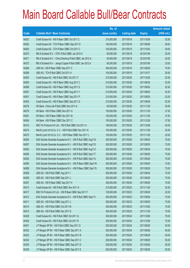|       |                                                               | No. of        |                     |               | <b>Amount raised</b> |
|-------|---------------------------------------------------------------|---------------|---------------------|---------------|----------------------|
| Code  | <b>Callable Bull / Bear Contracts</b>                         | issue (units) | <b>Listing date</b> | <b>Expiry</b> | $(HK$$ mil.)         |
| 64253 | Credit Suisse AG - HSI R Bear CBBC Oct 2011 Z                 | 210,000,000   | 2011/05/19          | 2011/10/28    | 52.50                |
| 64262 | Credit Suisse AG - TCH R Bear CBBC Sep 2011 E                 | 100,000,000   | 2011/05/19          | 2011/09/26    | 29.00                |
| 64263 | Credit Suisse AG - TCH R Bear CBBC Oct 2011 C                 | 100,000,000   | 2011/05/19          | 2011/10/24    | 39.00                |
| 64270 | RB of Scotland N.V. - CPIC R Bull CBBC Jan 2012 A             | 80,000,000    | 2011/05/19          | 2012/01/09    | 20.00                |
| 64271 | RB of Scotland N.V. - China Shenhua R Bull CBBC Jan 2012 A    | 80,000,000    | 2011/05/19          | 2012/01/09    | 20.00                |
| 64273 | RB of Scotland N.V. - Jiangxi Copper R Bull CBBC Jan 2012 A   | 80,000,000    | 2011/05/19          | 2012/01/09    | 20.00                |
| 64268 | UBS AG - HSI R Bear CBBC Sep 2011 C                           | 300,000,000   | 2011/05/19          | 2011/09/29    | 75.00                |
| 64269 | UBS AG - TCH R Bull CBBC Oct 2011 A                           | 100,000,000   | 2011/05/19          | 2011/10/17    | 26.50                |
| 64303 | Credit Suisse AG - HSI R Bull CBBC Oct 2011 F                 | 210,000,000   | 2011/05/20          | 2011/10/28    | 52.50                |
| 64300 | Credit Suisse AG - HSI R Bear CBBC Aug 2011 C                 | 210,000,000   | 2011/05/20          | 2011/08/30    | 52.50                |
| 64296 | Credit Suisse AG - HSI R Bear CBBC Aug 2011 S                 | 210,000,000   | 2011/05/20          | 2011/08/30    | 52.50                |
| 64297 | Credit Suisse AG - HSI R Bear CBBC Aug 2011 Y                 | 210,000,000   | 2011/05/20          | 2011/08/30    | 52.50                |
| 64301 | Credit Suisse AG - HSI R Bear CBBC Sep 2011 P                 | 210,000,000   | 2011/05/20          | 2011/09/29    | 52.50                |
| 64302 | Credit Suisse AG - HSI R Bear CBBC Sep 2011 Q                 | 210,000,000   | 2011/05/20          | 2011/09/29    | 52.50                |
| 64276 | HK Bank - China Life R Bull CBBC Nov 2011 A                   | 80,000,000    | 2011/05/20          | 2011/11/29    | 25.60                |
| 64279 | HK Bank - HSI R Bear CBBC Nov 2011 A                          | 150,000,000   | 2011/05/20          | 2011/11/29    | 37.50                |
| 64281 | HK Bank - HSI R Bear CBBC Nov 2011 B                          | 150,000,000   | 2011/05/20          | 2011/11/29    | 37.50                |
| 64284 | HK Bank - HSI R Bear CBBC Dec 2011 C                          | 150,000,000   | 2011/05/20          | 2011/12/29    | 37.50                |
| 64310 | KBC Fin Products Int'l Ltd. - HSI R Bull CBBC Oct 2011 A      | 168,000,000   | 2011/05/20          | 2011/10/28    | 42.00                |
| 64274 | Merrill Lynch Int'l & Co. C.V. - HSI R Bull CBBC Nov 2011 K   | 100,000,000   | 2011/05/20          | 2011/11/29    | 25.00                |
| 64275 | Merrill Lynch Int'l & Co. C.V. - HSI R Bear CBBC Nov 2011 L   | 100,000,000   | 2011/05/20          | 2011/11/29    | 25.00                |
| 64294 | SGA Societe Generale Acceptance N.V. - HSI R Bull CBBC Aug11G | 300,000,000   | 2011/05/20          | 2011/08/30    | 75.00                |
| 64287 | SGA Societe Generale Acceptance N.V. - HSI R Bull CBBC Aug11S | 300,000,000   | 2011/05/20          | 2011/08/30    | 75.00                |
| 64293 | SGA Societe Generale Acceptance N.V. - HSI R Bull CBBC Aug11Z | 300,000,000   | 2011/05/20          | 2011/08/30    | 75.00                |
| 64290 | SGA Societe Generale Acceptance N.V. - HSI R Bull CBBC Sep11T | 300,000,000   | 2011/05/20          | 2011/09/29    | 75.00                |
| 64292 | SGA Societe Generale Acceptance N.V. - HSI R Bull CBBC Sep11U | 300,000,000   | 2011/05/20          | 2011/09/29    | 75.00                |
| 64285 | SGA Societe Generale Acceptance N.V. - HSI R Bear CBBC Sep11R | 300,000,000   | 2011/05/20          | 2011/09/29    | 75.00                |
| 64288 | SGA Societe Generale Acceptance N.V. - HSI R Bear CBBC Sep11S | 300,000,000   | 2011/05/20          | 2011/09/29    | 75.00                |
| 64308 | UBS AG - HSI R Bull CBBC Aug 2011 I                           | 300,000,000   | 2011/05/20          | 2011/08/30    | 75.00                |
| 64309 | UBS AG - HSI R Bull CBBC Sep 2011 J                           | 300,000,000   | 2011/05/20          | 2011/09/29    | 75.00                |
| 64307 | UBS AG - HSI R Bear CBBC Sep 2011 H                           | 300,000,000   | 2011/05/20          | 2011/09/29    | 75.00                |
| 64313 | Credit Suisse AG - HSI R Bull CBBC Nov 2011 N                 | 210,000,000   | 2011/05/23          | 2011/11/29    | 52.50                |
| 64317 | KBC Fin Products Int'l Ltd. - HSI R Bear CBBC Sep 2011 F      | 128,000,000   | 2011/05/23          | 2011/09/29    | 32.00                |
| 64312 | SGA Societe Generale Acceptance N.V. - HSI R Bull CBBC Sep11V | 300,000,000   | 2011/05/23          | 2011/09/29    | 75.00                |
| 64311 | UBS AG - HSI R Bull CBBC Aug 2011 J                           | 300,000,000   | 2011/05/23          | 2011/08/30    | 75.00                |
| 64314 | UBS AG - HSI R Bull CBBC Oct 2011 M                           | 300,000,000   | 2011/05/23          | 2011/10/28    | 75.00                |
| 64315 | UBS AG - HSI R Bull CBBC Nov 2011 E                           | 300,000,000   | 2011/05/23          | 2011/11/29    | 75.00                |
| 64329 | Credit Suisse AG - HSI R Bull CBBC Oct 2011 Q                 | 300,000,000   | 2011/05/24          | 2011/10/28    | 75.00                |
| 64326 | Credit Suisse AG - HSI R Bull CBBC Oct 2011 R                 | 300,000,000   | 2011/05/24          | 2011/10/28    | 75.00                |
| 64341 | J P Morgan SP BV - HSI R Bull CBBC Sep 2011 G                 | 200,000,000   | 2011/05/24          | 2011/09/29    | 50.00                |
| 64332 | J P Morgan SP BV - HSI R Bear CBBC Sep 2011 A                 | 200,000,000   | 2011/05/24          | 2011/09/29    | 50.00                |
| 64333 | JP Morgan SP BV - HSIR Bear CBBC Sep 2011 B                   | 200,000,000   | 2011/05/24          | 2011/09/29    | 50.00                |
| 64334 | JP Morgan SP BV - HSIR Bear CBBC Sep 2011 C                   | 200,000,000   | 2011/05/24          | 2011/09/29    | 50.00                |
| 64335 | JP Morgan SP BV - HSIR Bear CBBC Sep 2011 D                   | 200,000,000   | 2011/05/24          | 2011/09/29    | 50.00                |
| 64339 | J P Morgan SP BV - HSI R Bear CBBC Sep 2011 E                 | 200,000,000   | 2011/05/24          | 2011/09/29    | 50.00                |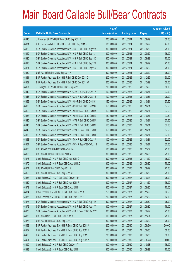|       |                                                                | No. of        |                     |               | <b>Amount raised</b> |
|-------|----------------------------------------------------------------|---------------|---------------------|---------------|----------------------|
| Code  | <b>Callable Bull / Bear Contracts</b>                          | issue (units) | <b>Listing date</b> | <b>Expiry</b> | (HK\$ mil.)          |
| 64340 | J P Morgan SP BV - HSI R Bear CBBC Sep 2011 F                  | 200,000,000   | 2011/05/24          | 2011/09/29    | 50.00                |
| 64331 | KBC Fin Products Int'l Ltd. - HSI R Bull CBBC Sep 2011 G       | 188,000,000   | 2011/05/24          | 2011/09/29    | 47.00                |
| 64325 | SGA Societe Generale Acceptance N.V. - HSI R Bull CBBC Aug11W  | 300,000,000   | 2011/05/24          | 2011/08/30    | 75.00                |
| 64319 | SGA Societe Generale Acceptance N.V. - HSI R Bull CBBC Sep11J  | 300,000,000   | 2011/05/24          | 2011/09/29    | 75.00                |
| 64320 | SGA Societe Generale Acceptance N.V. - HSI R Bull CBBC Sep11K  | 300,000,000   | 2011/05/24          | 2011/09/29    | 75.00                |
| 64318 | SGA Societe Generale Acceptance N.V. - HSI R Bull CBBC Sep11W  | 300,000,000   | 2011/05/24          | 2011/09/29    | 75.00                |
| 64324 | SGA Societe Generale Acceptance N.V. - HSI R Bull CBBC Sep11X  | 300,000,000   | 2011/05/24          | 2011/09/29    | 75.00                |
| 64330 | UBS AG - HSI R Bull CBBC Sep 2011 K                            | 300,000,000   | 2011/05/24          | 2011/09/29    | 75.00                |
| 64361 | BNP Paribas Arbit Issu B.V. - HSI R Bull CBBC Dec 2011 Q       | 200,000,000   | 2011/05/25          | 2011/12/29    | 50.00                |
| 64362 | BNP Paribas Arbit Issu B.V. - HSI R Bull CBBC Dec 2011 W       | 200,000,000   | 2011/05/25          | 2011/12/29    | 50.00                |
| 64367 | J P Morgan SP BV - HSI R Bull CBBC Sep 2011 H                  | 200,000,000   | 2011/05/25          | 2011/09/29    | 50.00                |
| 64342 | SGA Societe Generale Acceptance N.V - CLife R Bull CBBC Oct11A | 100,000,000   | 2011/05/25          | 2011/10/31    | 37.00                |
| 64343 | SGA Societe Generale Acceptance N.V - CLife R Bull CBBC Oct11B | 100,000,000   | 2011/05/25          | 2011/10/31    | 26.00                |
| 64359 | SGA Societe Generale Acceptance N.V. - A50 R Bull CBBC Oct11C  | 150,000,000   | 2011/05/25          | 2011/10/31    | 37.50                |
| 64360 | SGA Societe Generale Acceptance N.V. - A50 R Bull CBBC Oct11D  | 150,000,000   | 2011/05/25          | 2011/10/31    | 37.50                |
| 64355 | SGA Societe Generale Acceptance N.V. - A50 R Bear CBBC Oct11A  | 150,000,000   | 2011/05/25          | 2011/10/31    | 37.50                |
| 64358 | SGA Societe Generale Acceptance N.V. - A50 R Bear CBBC Oct11B  | 150,000,000   | 2011/05/25          | 2011/10/31    | 37.50                |
| 64345 | SGA Societe Generale Acceptance N.V. - HWL R Bull CBBC Oct11A  | 150,000,000   | 2011/05/25          | 2011/10/31    | 37.50                |
| 64348 | SGA Societe Generale Acceptance N.V. - HWL R Bull CBBC Oct11B  | 150,000,000   | 2011/05/25          | 2011/10/31    | 37.50                |
| 64349 | SGA Societe Generale Acceptance N.V. - HWL R Bear CBBC Oct11C  | 150,000,000   | 2011/05/25          | 2011/10/31    | 37.50                |
| 64350 | SGA Societe Generale Acceptance N.V. - HWL R Bear CBBC Oct11D  | 150,000,000   | 2011/05/25          | 2011/10/31    | 37.50                |
| 64353 | SGA Societe Generale Acceptance N.V. - TCH R Bull CBBC Oct11A  | 100,000,000   | 2011/05/25          | 2011/10/31    | 32.00                |
| 64354 | SGA Societe Generale Acceptance N.V. - TCH R Bear CBBC Oct11B  | 100,000,000   | 2011/05/25          | 2011/10/31    | 35.00                |
| 64366 | UBS AG - COVS R Bull CBBC Nov 2011 A                           | 100,000,000   | 2011/05/25          | 2011/11/07    | 25.00                |
| 64363 | UBS AG - HSI R Bull CBBC Oct 2011 N                            | 300,000,000   | 2011/05/25          | 2011/10/28    | 75.00                |
| 64373 | Credit Suisse AG - HSI R Bull CBBC Nov 2011 O                  | 300,000,000   | 2011/05/26          | 2011/11/29    | 75.00                |
| 64370 | Credit Suisse AG - HSI R Bear CBBC Aug 2011 Z                  | 300,000,000   | 2011/05/26          | 2011/08/30    | 75.00                |
| 64374 | UBS AG - HSI R Bull CBBC Sep 2011 P                            | 300,000,000   | 2011/05/26          | 2011/09/29    | 75.00                |
| 64368 | UBS AG - HSI R Bear CBBC Aug 2011 M                            | 300,000,000   | 2011/05/26          | 2011/08/30    | 75.00                |
| 64388 | Credit Suisse AG - HSI R Bull CBBC Oct 2011 P                  | 300,000,000   | 2011/05/27          | 2011/10/28    | 75.00                |
| 64389 | Credit Suisse AG - HSI R Bull CBBC Nov 2011 P                  | 300,000,000   | 2011/05/27          | 2011/11/29    | 75.00                |
| 64379 | Credit Suisse AG - HSI R Bear CBBC Aug 2011 I                  | 300,000,000   | 2011/05/27          | 2011/08/30    | 75.00                |
| 64384 | RB of Scotland N.V. - HSCEI R Bull CBBC Nov 2011 A             | 250,000,000   | 2011/05/27          | 2011/11/29    | 62.50                |
| 64385 | RB of Scotland N.V. - HSCEI R Bull CBBC Nov 2011 B             | 250,000,000   | 2011/05/27          | 2011/11/29    | 62.50                |
| 64377 | SGA Societe Generale Acceptance N.V. - HSI R Bull CBBC Aug11M  | 300,000,000   | 2011/05/27          | 2011/08/30    | 75.00                |
| 64376 | SGA Societe Generale Acceptance N.V. - HSI R Bull CBBC Aug11Y  | 300,000,000   | 2011/05/27          | 2011/08/30    | 75.00                |
| 64375 | SGA Societe Generale Acceptance N.V. - HSI R Bear CBBC Sep11Y  | 300,000,000   | 2011/05/27          | 2011/09/29    | 75.00                |
| 64383 | UBS AG - HKEx R Bull CBBC Nov 2011 A                           | 100,000,000   | 2011/05/27          | 2011/11/21    | 25.00                |
| 64378 | UBS AG - HSI R Bear CBBC Sep 2011 Q                            | 300,000,000   | 2011/05/27          | 2011/09/29    | 75.00                |
| 64458 | BNP Paribas Arbit Issu B.V. - HSI R Bear CBBC Aug 2011 A       | 200,000,000   | 2011/05/30          | 2011/08/30    | 50.00                |
| 64452 | BNP Paribas Arbit Issu B.V. - HSI R Bear CBBC Aug 2011 F       | 200,000,000   | 2011/05/30          | 2011/08/30    | 50.00                |
| 64460 | BNP Paribas Arbit Issu B.V. - HSI R Bear CBBC Aug 2011 I       | 200,000,000   | 2011/05/30          | 2011/08/30    | 50.00                |
| 64451 | BNP Paribas Arbit Issu B.V. - HSI R Bear CBBC Aug 2011 Z       | 200,000,000   | 2011/05/30          | 2011/08/30    | 50.00                |
| 64399 | Credit Suisse AG - HSI R Bull CBBC Oct 2011 T                  | 300,000,000   | 2011/05/30          | 2011/10/28    | 75.00                |
| 64398 | Credit Suisse AG - HSI R Bear CBBC Sep 2011 I                  | 300,000,000   | 2011/05/30          | 2011/09/29    | 75.00                |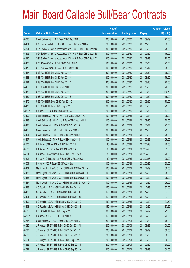|        |                                                               | No. of        |                     |               | <b>Amount raised</b> |
|--------|---------------------------------------------------------------|---------------|---------------------|---------------|----------------------|
| Code   | <b>Callable Bull / Bear Contracts</b>                         | issue (units) | <b>Listing date</b> | <b>Expiry</b> | (HK\$ mil.)          |
| 64396  | Credit Suisse AG - HSI R Bear CBBC Sep 2011 U                 | 300,000,000   | 2011/05/30          | 2011/09/29    | 75.00                |
| 64461  | KBC Fin Products Int'l Ltd. - HSI R Bear CBBC Nov 2011 A      | 208,000,000   | 2011/05/30          | 2011/11/29    | 52.00                |
| 64391  | SGA Societe Generale Acceptance N.V. - HSI R Bear CBBC Sep11Q | 300,000,000   | 2011/05/30          | 2011/09/29    | 75.00                |
| 64392  | SGA Societe Generale Acceptance N.V. - HSI R Bear CBBC Sep11R | 300,000,000   | 2011/05/30          | 2011/09/29    | 75.00                |
| 64390  | SGA Societe Generale Acceptance N.V. - HSI R Bear CBBC Sep11Z | 300,000,000   | 2011/05/30          | 2011/09/29    | 75.00                |
| 64476  | UBS AG - A50 China R Bull CBBC Oct 2011 C                     | 100,000,000   | 2011/05/30          | 2011/10/03    | 25.00                |
| 64475  | UBS AG - A50 China R Bear CBBC Oct 2011 B                     | 100,000,000   | 2011/05/30          | 2011/10/17    | 25.00                |
| 64467  | UBS AG - HSI R Bull CBBC Aug 2011 H                           | 300,000,000   | 2011/05/30          | 2011/08/30    | 75.00                |
| 64468  | UBS AG - HSI R Bull CBBC Aug 2011 N                           | 300,000,000   | 2011/05/30          | 2011/08/30    | 75.00                |
| 64394  | UBS AG - HSI R Bull CBBC Aug 2011 O                           | 300,000,000   | 2011/05/30          | 2011/08/30    | 75.00                |
| 64465  | UBS AG - HSI R Bull CBBC Oct 2011 O                           | 300,000,000   | 2011/05/30          | 2011/10/28    | 76.50                |
| 64462  | UBS AG - HSI R Bull CBBC Nov 2011 F                           | 300,000,000   | 2011/05/30          | 2011/11/29    | 136.50               |
| 64469  | UBS AG - HSI R Bull CBBC Dec 2011 B                           | 300,000,000   | 2011/05/30          | 2011/12/29    | 75.00                |
| 64470  | UBS AG - HSI R Bear CBBC Aug 2011 G                           | 300,000,000   | 2011/05/30          | 2011/08/30    | 75.00                |
| 64473  | UBS AG - HSI R Bear CBBC Sep 2011 S                           | 300,000,000   | 2011/05/30          | 2011/09/29    | 75.00                |
| 68322# | HK Bank - HSI R Bull CBBC Sep 2011 A                          | 200,000,000   | 2011/05/30          | 2011/08/30    | 14.80                |
| 64499  | Credit Suisse AG - A50 China R Bull CBBC Oct 2011 A           | 100,000,000   | 2011/05/31          | 2011/10/24    | 25.00                |
| 64498  | Credit Suisse AG - A50 China R Bear CBBC Sep 2011 D           | 100,000,000   | 2011/05/31          | 2011/09/26    | 25.00                |
| 64496  | Credit Suisse AG - HKEx R Bull CBBC Oct 2011 A                | 100,000,000   | 2011/05/31          | 2011/10/24    | 25.00                |
| 64495  | Credit Suisse AG - HSI R Bull CBBC Nov 2011 Q                 | 300,000,000   | 2011/05/31          | 2011/11/29    | 75.00                |
| 64494  | Credit Suisse AG - HSI R Bear CBBC Sep 2011 J                 | 300,000,000   | 2011/05/31          | 2011/09/29    | 75.00                |
| 64497  | Credit Suisse AG - TCH R Bear CBBC Sep 2011 F                 | 100,000,000   | 2011/05/31          | 2011/09/26    | 25.00                |
| 64500  | HK Bank - CM Bank R Bull CBBC Feb 2012 A                      | 80,000,000    | 2011/05/31          | 2012/02/28    | 20.00                |
| 64503  | HK Bank - CNOOC R Bear CBBC Feb 2012 A                        | 80,000,000    | 2011/05/31          | 2012/02/28    | 32.80                |
| 64501  | HK Bank - Sinopec Corp R Bear CBBC Feb 2012 A                 | 80,000,000    | 2011/05/31          | 2012/02/28    | 20.00                |
| 64502  | HK Bank - China Shenhua R Bear CBBC Feb 2012 A                | 80,000,000    | 2011/05/31          | 2012/02/28    | 20.00                |
| 64504  | HK Bank - A50 R Bear CBBC Feb 2012 A                          | 100,000,000   | 2011/05/31          | 2012/02/28    | 25.00                |
| 64481  | Merrill Lynch Int'l & Co. C.V. - HSI R Bull CBBC Dec 2011 A   | 100,000,000   | 2011/05/31          | 2011/12/29    | 30.00                |
| 64483  | Merrill Lynch Int'l & Co. C.V. - HSI R Bull CBBC Dec 2011 B   | 100,000,000   | 2011/05/31          | 2011/12/29    | 25.00                |
| 64486  | Merrill Lynch Int'l & Co. C.V. - HSI R Bull CBBC Dec 2011 C   | 100,000,000   | 2011/05/31          | 2011/12/29    | 25.00                |
| 64487  | Merrill Lynch Int'l & Co. C.V. - HSI R Bear CBBC Dec 2011 D   | 100,000,000   | 2011/05/31          | 2011/12/29    | 25.00                |
| 64488  | CC Rabobank B.A. - HSI R Bull CBBC Dec 2011 A                 | 150,000,000   | 2011/05/31          | 2011/12/29    | 37.50                |
| 64490  | CC Rabobank B.A. - HSI R Bull CBBC Dec 2011 B                 | 150,000,000   | 2011/05/31          | 2011/12/29    | 37.50                |
| 64491  | CC Rabobank B.A. - HSI R Bull CBBC Dec 2011 C                 | 150,000,000   | 2011/05/31          | 2011/12/29    | 37.50                |
| 64492  | CC Rabobank B.A. - HSI R Bear CBBC Dec 2011 D                 | 150,000,000   | 2011/05/31          | 2011/12/29    | 37.50                |
| 64493  | CC Rabobank B.A. - HSI R Bear CBBC Dec 2011 E                 | 150,000,000   | 2011/05/31          | 2011/12/29    | 37.50                |
| 64505  | UBS AG - HSI R Bear CBBC Sep 2011 U                           | 300,000,000   | 2011/05/31          | 2011/09/29    | 75.00                |
| 66806# | HK Bank - A50 R Bull CBBC Jul 2011 B                          | 150,000,000   | 2011/05/31          | 2011/07/29    | 22.05                |
| 64516  | Credit Suisse AG - HSI R Bear CBBC Sep 2011 N                 | 300,000,000   | 2011/06/01          | 2011/09/29    | 75.00                |
| 64526  | J P Morgan SP BV - HSI R Bull CBBC Sep 2011 M                 | 200,000,000   | 2011/06/01          | 2011/09/29    | 50.00                |
| 64527  | J P Morgan SP BV - HSI R Bull CBBC Sep 2011 N                 | 200,000,000   | 2011/06/01          | 2011/09/29    | 50.00                |
| 64528  | J P Morgan SP BV - HSI R Bull CBBC Sep 2011 O                 | 200,000,000   | 2011/06/01          | 2011/09/29    | 50.00                |
| 64521  | J P Morgan SP BV - HSI R Bear CBBC Sep 2011 I                 | 200,000,000   | 2011/06/01          | 2011/09/29    | 50.00                |
| 64522  | J P Morgan SP BV - HSI R Bear CBBC Sep 2011 J                 | 200,000,000   | 2011/06/01          | 2011/09/29    | 50.00                |
| 64524  | JP Morgan SP BV - HSI R Bear CBBC Sep 2011 K                  | 200,000,000   | 2011/06/01          | 2011/09/29    | 50.00                |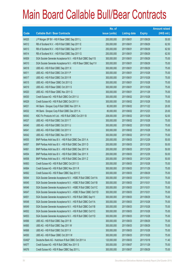|        |                                                                | No. of        |                     |               | <b>Amount raised</b> |
|--------|----------------------------------------------------------------|---------------|---------------------|---------------|----------------------|
| Code   | <b>Callable Bull / Bear Contracts</b>                          | issue (units) | <b>Listing date</b> | <b>Expiry</b> | (HK\$ mil.)          |
| 64525  | J P Morgan SP BV - HSI R Bear CBBC Sep 2011 L                  | 200,000,000   | 2011/06/01          | 2011/09/29    | 50.00                |
| 64512  | RB of Scotland N.V. - HSI R Bull CBBC Sep 2011 E               | 250,000,000   | 2011/06/01          | 2011/09/29    | 62.50                |
| 64513  | RB of Scotland N.V. - HSI R Bull CBBC Sep 2011 F               | 250,000,000   | 2011/06/01          | 2011/09/29    | 62.50                |
| 64514  | RB of Scotland N.V. - HSI R Bull CBBC Sep 2011 G               | 250,000,000   | 2011/06/01          | 2011/09/29    | 62.50                |
| 64509  | SGA Societe Generale Acceptance N.V. - HSI R Bull CBBC Sep11S  | 300,000,000   | 2011/06/01          | 2011/09/29    | 75.00                |
| 64510  | SGA Societe Generale Acceptance N.V. - HSI R Bear CBBC Sep11V  | 300,000,000   | 2011/06/01          | 2011/09/29    | 75.00                |
| 64518  | UBS AG - HSI R Bull CBBC Sep 2011 X                            | 300,000,000   | 2011/06/01          | 2011/09/29    | 75.00                |
| 64511  | UBS AG - HSI R Bull CBBC Oct 2011 P                            | 300,000,000   | 2011/06/01          | 2011/10/28    | 75.00                |
| 64517  | UBS AG - HSI R Bull CBBC Oct 2011 R                            | 300,000,000   | 2011/06/01          | 2011/10/28    | 75.00                |
| 64515  | UBS AG - HSI R Bear CBBC Oct 2011 Q                            | 300,000,000   | 2011/06/01          | 2011/10/28    | 75.00                |
| 64519  | UBS AG - HSI R Bear CBBC Oct 2011 S                            | 300,000,000   | 2011/06/01          | 2011/10/28    | 75.00                |
| 64520  | UBS AG - HSI R Bear CBBC Nov 2011 G                            | 300,000,000   | 2011/06/01          | 2011/11/29    | 75.00                |
| 64530  | Credit Suisse AG - HSI R Bull CBBC Oct 2011 U                  | 300,000,000   | 2011/06/02          | 2011/10/28    | 75.00                |
| 64529  | Credit Suisse AG - HSI R Bull CBBC Oct 2011 V                  | 300,000,000   | 2011/06/02          | 2011/10/28    | 75.00                |
| 64531  | HK Bank - Sinopec Corp R Bull CBBC Nov 2011 A                  | 80,000,000    | 2011/06/02          | 2011/11/22    | 20.00                |
| 64532  | HK Bank - Sinopec Corp R Bull CBBC Dec 2011 A                  | 80,000,000    | 2011/06/02          | 2011/12/23    | 20.00                |
| 64543  | KBC Fin Products Int'l Ltd. - HSI R Bull CBBC Oct 2011 B       | 208,000,000   | 2011/06/02          | 2011/10/28    | 52.00                |
| 64537  | UBS AG - HSI R Bull CBBC Oct 2011 T                            | 300,000,000   | 2011/06/02          | 2011/10/28    | 75.00                |
| 64540  | UBS AG - HSI R Bull CBBC Oct 2011 U                            | 300,000,000   | 2011/06/02          | 2011/10/28    | 75.00                |
| 64541  | UBS AG - HSI R Bull CBBC Oct 2011 V                            | 300,000,000   | 2011/06/02          | 2011/10/28    | 75.00                |
| 64542  | UBS AG - HSI R Bull CBBC Nov 2011 H                            | 300,000,000   | 2011/06/02          | 2011/11/29    | 75.00                |
| 64555  | BNP Paribas Arbit Issu B.V. - HSI R Bull CBBC Dec 2011 A       | 200,000,000   | 2011/06/03          | 2011/12/29    | 50.00                |
| 64557  | BNP Paribas Arbit Issu B.V. - HSI R Bull CBBC Dec 2011 D       | 200,000,000   | 2011/06/03          | 2011/12/29    | 50.00                |
| 64561  | BNP Paribas Arbit Issu B.V. - HSI R Bull CBBC Dec 2011 N       | 200,000,000   | 2011/06/03          | 2011/12/29    | 50.00                |
| 64554  | BNP Paribas Arbit Issu B.V. - HSI R Bull CBBC Dec 2011 X       | 200,000,000   | 2011/06/03          | 2011/12/29    | 50.00                |
| 64558  | BNP Paribas Arbit Issu B.V. - HSI R Bull CBBC Dec 2011 Z       | 200,000,000   | 2011/06/03          | 2011/12/29    | 50.00                |
| 64563  | Credit Suisse AG - HSI R Bull CBBC Oct 2011 O                  | 300,000,000   | 2011/06/03          | 2011/10/28    | 75.00                |
| 64564  | Credit Suisse AG - HSI R Bull CBBC Nov 2011 R                  | 300,000,000   | 2011/06/03          | 2011/11/29    | 75.00                |
| 64562  | Credit Suisse AG - HSI R Bear CBBC Sep 2011 E                  | 300,000,000   | 2011/06/03          | 2011/09/29    | 75.00                |
| 64544  | SGA Societe Generale Acceptance N.V. - HSBC R Bull CBBC Oct11A | 300,000,000   | 2011/06/03          | 2011/10/31    | 75.00                |
| 64545  | SGA Societe Generale Acceptance N.V. - HSBC R Bull CBBC Oct11B | 300,000,000   | 2011/06/03          | 2011/10/31    | 75.00                |
| 64546  | SGA Societe Generale Acceptance N.V. - HSBC R Bull CBBC Oct11C | 300,000,000   | 2011/06/03          | 2011/10/31    | 75.00                |
| 64547  | SGA Societe Generale Acceptance N.V. - HSBC R Bear CBBC Oct11D | 300,000,000   | 2011/06/03          | 2011/10/31    | 75.00                |
| 64551  | SGA Societe Generale Acceptance N.V. - HSI R Bull CBBC Sep11I  | 300,000,000   | 2011/06/03          | 2011/09/29    | 75.00                |
| 64548  | SGA Societe Generale Acceptance N.V. - HSI R Bull CBBC Oct11A  | 300,000,000   | 2011/06/03          | 2011/10/28    | 75.00                |
| 64549  | SGA Societe Generale Acceptance N.V. - HSI R Bull CBBC Oct11B  | 300,000,000   | 2011/06/03          | 2011/10/28    | 75.00                |
| 64552  | SGA Societe Generale Acceptance N.V. - HSI R Bull CBBC Oct11C  | 300,000,000   | 2011/06/03          | 2011/10/28    | 75.00                |
| 64553  | SGA Societe Generale Acceptance N.V. - HSI R Bull CBBC Oct11D  | 300,000,000   | 2011/06/03          | 2011/10/28    | 75.00                |
| 64566  | UBS AG - HSI R Bull CBBC Sep 2011 B                            | 300,000,000   | 2011/06/03          | 2011/09/29    | 75.00                |
| 64565  | UBS AG - HSI R Bull CBBC Sep 2011 W                            | 300,000,000   | 2011/06/03          | 2011/09/29    | 75.00                |
| 64568  | UBS AG - HSI R Bull CBBC Oct 2011 X                            | 300,000,000   | 2011/06/03          | 2011/10/28    | 75.00                |
| 64550  | UBS AG - HSI R Bear CBBC Oct 2011 W                            | 300,000,000   | 2011/06/03          | 2011/10/28    | 75.00                |
| 63492# | Deutsche Bank AG - Hutchison R Bull CBBC Oct 2011 A            | 120,000,000   | 2011/06/03          | 2011/10/18    | 11.40                |
| 64577  | Credit Suisse AG - HSI R Bull CBBC Nov 2011 S                  | 300,000,000   | 2011/06/07          | 2011/11/29    | 75.00                |
| 64576  | Credit Suisse AG - HSI R Bear CBBC Sep 2011 L                  | 300,000,000   | 2011/06/07          | 2011/09/29    | 75.00                |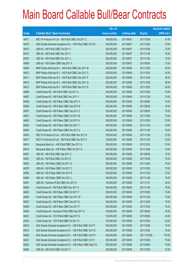|       |                                                               | No. of        |                     |               | <b>Amount raised</b> |
|-------|---------------------------------------------------------------|---------------|---------------------|---------------|----------------------|
| Code  | <b>Callable Bull / Bear Contracts</b>                         | issue (units) | <b>Listing date</b> | <b>Expiry</b> | (HK\$ mil.)          |
| 64571 | KBC Fin Products Int'l Ltd. - HSI R Bull CBBC Oct 2011 C      | 188,000,000   | 2011/06/07          | 2011/10/28    | 47.00                |
| 64570 | SGA Societe Generale Acceptance N.V. - HSI R Bull CBBC Oct11E | 300,000,000   | 2011/06/07          | 2011/10/28    | 75.00                |
| 64572 | UBS AG - HSI R Bull CBBC Oct 2011 Y                           | 300,000,000   | 2011/06/07          | 2011/10/28    | 75.00                |
| 64573 | UBS AG - HSI R Bull CBBC Nov 2011 I                           | 300,000,000   | 2011/06/07          | 2011/11/29    | 75.00                |
| 64575 | UBS AG - HSI R Bull CBBC Nov 2011 J                           | 300,000,000   | 2011/06/07          | 2011/11/29    | 75.00                |
| 64569 | UBS AG - HSI R Bear CBBC Sep 2011 A                           | 300,000,000   | 2011/06/07          | 2011/09/29    | 75.00                |
| 64608 | BNP Paribas Arbit Issu B.V. - HSI R Bull CBBC Dec 2011 M      | 200,000,000   | 2011/06/08          | 2011/12/29    | 50.00                |
| 64610 | BNP Paribas Arbit Issu B.V. - HSI R Bull CBBC Dec 2011 O      | 200,000,000   | 2011/06/08          | 2011/12/29    | 50.00                |
| 64611 | BNP Paribas Arbit Issu B.V. - HSI R Bull CBBC Dec 2011 P      | 200,000,000   | 2011/06/08          | 2011/12/29    | 50.00                |
| 64613 | BNP Paribas Arbit Issu B.V. - HSI R Bull CBBC Dec 2011 Q      | 200,000,000   | 2011/06/08          | 2011/12/29    | 50.00                |
| 64612 | BNP Paribas Arbit Issu B.V. - HSI R Bull CBBC Dec 2011 R      | 200,000,000   | 2011/06/08          | 2011/12/29    | 50.00                |
| 64606 | Credit Suisse AG - HSI R Bull CBBC Oct 2011 X                 | 300,000,000   | 2011/06/08          | 2011/10/28    | 75.00                |
| 64607 | Credit Suisse AG - HSI R Bull CBBC Nov 2011 V                 | 300,000,000   | 2011/06/08          | 2011/11/29    | 75.00                |
| 64596 | Credit Suisse AG - HSI R Bear CBBC Sep 2011 H                 | 300,000,000   | 2011/06/08          | 2011/09/29    | 75.00                |
| 64580 | Credit Suisse AG - HSI R Bear CBBC Sep 2011 M                 | 300,000,000   | 2011/06/08          | 2011/09/29    | 75.00                |
| 64597 | Credit Suisse AG - HSI R Bear CBBC Sep 2011 Z                 | 300,000,000   | 2011/06/08          | 2011/09/29    | 75.00                |
| 64601 | Credit Suisse AG - HSI R Bear CBBC Oct 2011 M                 | 300,000,000   | 2011/06/08          | 2011/10/28    | 75.00                |
| 64600 | Credit Suisse AG - HSI R Bear CBBC Oct 2011 N                 | 300,000,000   | 2011/06/08          | 2011/10/28    | 75.00                |
| 64604 | Credit Suisse AG - HSI R Bear CBBC Nov 2011 T                 | 300,000,000   | 2011/06/08          | 2011/11/29    | 75.00                |
| 64605 | Credit Suisse AG - HSI R Bear CBBC Nov 2011 U                 | 300,000,000   | 2011/06/08          | 2011/11/29    | 75.00                |
| 64616 | KBC Fin Products Int'l Ltd. - HSI R Bull CBBC Nov 2011 B      | 108,000,000   | 2011/06/08          | 2011/11/29    | 27.00                |
| 64617 | KBC Fin Products Int'l Ltd. - HSI R Bull CBBC Nov 2011 C      | 128,000,000   | 2011/06/08          | 2011/11/29    | 32.00                |
| 64614 | Macquarie Bank Ltd. - HSI R Bull CBBC Dec 2011 A              | 300,000,000   | 2011/06/08          | 2011/12/30    | 75.00                |
| 64615 | Macquarie Bank Ltd. - HSI R Bear CBBC Oct 2011 A              | 300,000,000   | 2011/06/08          | 2011/10/28    | 75.00                |
| 64587 | UBS AG - HSI R Bull CBBC Sep 2011 C                           | 300,000,000   | 2011/06/08          | 2011/09/29    | 75.00                |
| 64591 | UBS AG - HSI R Bull CBBC Oct 2011 D                           | 300,000,000   | 2011/06/08          | 2011/10/28    | 75.00                |
| 64593 | UBS AG - HSI R Bear CBBC Oct 2011 G                           | 300,000,000   | 2011/06/08          | 2011/10/28    | 75.00                |
| 64578 | UBS AG - HSI R Bear CBBC Oct 2011 Z                           | 300,000,000   | 2011/06/08          | 2011/10/28    | 75.00                |
| 64585 | UBS AG - HSI R Bear CBBC Nov 2011 K                           | 300,000,000   | 2011/06/08          | 2011/11/29    | 75.00                |
| 64586 | UBS AG - HSI R Bear CBBC Nov 2011 L                           | 300,000,000   | 2011/06/08          | 2011/11/29    | 75.00                |
| 64581 | UBS AG - Hutchison R Bull CBBC Nov 2011 A                     | 100,000,000   | 2011/06/08          | 2011/11/21    | 25.00                |
| 64629 | Credit Suisse AG - HSI R Bull CBBC Nov 2011 X                 | 300,000,000   | 2011/06/09          | 2011/11/29    | 75.00                |
| 64625 | Credit Suisse AG - HSI R Bear CBBC Oct 2011 F                 | 300,000,000   | 2011/06/09          | 2011/10/28    | 75.00                |
| 64626 | Credit Suisse AG - HSI R Bear CBBC Nov 2011 W                 | 300,000,000   | 2011/06/09          | 2011/11/29    | 75.00                |
| 64627 | Credit Suisse AG - HSI R Bear CBBC Dec 2011 E                 | 300,000,000   | 2011/06/09          | 2011/12/29    | 75.00                |
| 64628 | Credit Suisse AG - HSI R Bear CBBC Dec 2011 F                 | 300,000,000   | 2011/06/09          | 2011/12/29    | 75.00                |
| 64630 | Credit Suisse AG - Hutchison R Bull CBBC Sep 2011 A           | 100,000,000   | 2011/06/09          | 2011/09/26    | 25.00                |
| 64631 | Credit Suisse AG - TCH R Bull CBBC Sep 2011 G                 | 100,000,000   | 2011/06/09          | 2011/09/26    | 25.00                |
| 64632 | Credit Suisse AG - TCH R Bull CBBC Oct 2011 D                 | 100,000,000   | 2011/06/09          | 2011/10/24    | 25.00                |
| 64618 | SGA Societe Generale Acceptance N.V. - HSI R Bull CBBC Oct11F | 300,000,000   | 2011/06/09          | 2011/10/28    | 75.00                |
| 64619 | SGA Societe Generale Acceptance N.V. - HSI R Bull CBBC Oct11G | 300,000,000   | 2011/06/09          | 2011/10/28    | 75.00                |
| 64620 | SGA Societe Generale Acceptance N.V. - HSI R Bull CBBC Oct11H | 300,000,000   | 2011/06/09          | 2011/10/28    | 75.00                |
| 64621 | SGA Societe Generale Acceptance N.V. - HSI R Bull CBBC Oct111 | 300,000,000   | 2011/06/09          | 2011/10/28    | 75.00                |
| 64622 | SGA Societe Generale Acceptance N.V. - HSI R Bear CBBC Sep11Q | 300,000,000   | 2011/06/09          | 2011/09/29    | 75.00                |
| 64624 | UBS AG - HSI R Bull CBBC Oct 2011 F                           | 300,000,000   | 2011/06/09          | 2011/10/28    | 75.00                |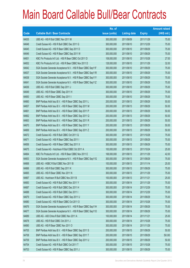|       |                                                               | No. of        |                     |               | <b>Amount raised</b> |
|-------|---------------------------------------------------------------|---------------|---------------------|---------------|----------------------|
| Code  | <b>Callable Bull / Bear Contracts</b>                         | issue (units) | <b>Listing date</b> | <b>Expiry</b> | (HK\$ mil.)          |
| 64635 | UBS AG - HSI R Bull CBBC Nov 2011 M                           | 300,000,000   | 2011/06/09          | 2011/11/29    | 75.00                |
| 64648 | Credit Suisse AG - HSI R Bull CBBC Dec 2011 G                 | 300,000,000   | 2011/06/10          | 2011/12/29    | 75.00                |
| 64645 | Credit Suisse AG - HSI R Bear CBBC Sep 2011 D                 | 300,000,000   | 2011/06/10          | 2011/09/29    | 75.00                |
| 64646 | Credit Suisse AG - HSI R Bear CBBC Sep 2011 W                 | 300,000,000   | 2011/06/10          | 2011/09/29    | 75.00                |
| 64651 | KBC Fin Products Int'l Ltd. - HSI R Bear CBBC Oct 2011 D      | 108,000,000   | 2011/06/10          | 2011/10/28    | 27.00                |
| 64652 | KBC Fin Products Int'l Ltd. - HSI R Bear CBBC Nov 2011 D      | 128,000,000   | 2011/06/10          | 2011/11/29    | 32.00                |
| 64642 | SGA Societe Generale Acceptance N.V. - HSI R Bear CBBC Sep11F | 300,000,000   | 2011/06/10          | 2011/09/29    | 75.00                |
| 64637 | SGA Societe Generale Acceptance N.V. - HSI R Bear CBBC Sep11R | 300,000,000   | 2011/06/10          | 2011/09/29    | 75.00                |
| 64638 | SGA Societe Generale Acceptance N.V. - HSI R Bear CBBC Sep11Y | 300,000,000   | 2011/06/10          | 2011/09/29    | 75.00                |
| 64641 | SGA Societe Generale Acceptance N.V. - HSI R Bear CBBC Sep11Z | 300,000,000   | 2011/06/10          | 2011/09/29    | 75.00                |
| 64636 | UBS AG - HSI R Bull CBBC Sep 2011 J                           | 300,000,000   | 2011/06/10          | 2011/09/29    | 75.00                |
| 64649 | UBS AG - HSI R Bear CBBC Sep 2011 H                           | 300,000,000   | 2011/06/10          | 2011/09/29    | 75.00                |
| 64650 | UBS AG - HSI R Bear CBBC Sep 2011 I                           | 300,000,000   | 2011/06/10          | 2011/09/29    | 75.00                |
| 64660 | BNP Paribas Arbit Issu B.V. - HSI R Bear CBBC Sep 2011 L      | 200,000,000   | 2011/06/13          | 2011/09/29    | 50.00                |
| 64657 | BNP Paribas Arbit Issu B.V. - HSI R Bear CBBC Sep 2011 M      | 200,000,000   | 2011/06/13          | 2011/09/29    | 50.00                |
| 64661 | BNP Paribas Arbit Issu B.V. - HSI R Bear CBBC Sep 2011 P      | 200,000,000   | 2011/06/13          | 2011/09/29    | 50.00                |
| 64662 | BNP Paribas Arbit Issu B.V. - HSI R Bear CBBC Sep 2011 Q      | 200,000,000   | 2011/06/13          | 2011/09/29    | 50.00                |
| 64663 | BNP Paribas Arbit Issu B.V. - HSI R Bear CBBC Sep 2011 R      | 200,000,000   | 2011/06/13          | 2011/09/29    | 50.00                |
| 64670 | BNP Paribas Arbit Issu B.V. - HSI R Bear CBBC Sep 2011 Y      | 200,000,000   | 2011/06/13          | 2011/09/29    | 50.00                |
| 64669 | BNP Paribas Arbit Issu B.V. - HSI R Bear CBBC Sep 2011 Z      | 200,000,000   | 2011/06/13          | 2011/09/29    | 50.00                |
| 64672 | Credit Suisse AG - HSI R Bull CBBC Oct 2011 Q                 | 300,000,000   | 2011/06/13          | 2011/10/28    | 75.00                |
| 64671 | Credit Suisse AG - HSI R Bear CBBC Sep 2011 I                 | 300,000,000   | 2011/06/13          | 2011/09/29    | 75.00                |
| 64656 | Credit Suisse AG - HSI R Bear CBBC Sep 2011 X                 | 300,000,000   | 2011/06/13          | 2011/09/29    | 75.00                |
| 64675 | Credit Suisse AG - Hutchison R Bull CBBC Oct 2011 A           | 100,000,000   | 2011/06/13          | 2011/10/24    | 25.00                |
| 64664 | KBC Fin Products Int'l Ltd. - HSI R Bear CBBC Nov 2011 E      | 168,000,000   | 2011/06/13          | 2011/11/29    | 42.00                |
| 64653 | SGA Societe Generale Acceptance N.V. - HSI R Bear CBBC Sep11G | 300,000,000   | 2011/06/13          | 2011/09/29    | 75.00                |
| 64668 | UBS AG - HSBC R Bull CBBC Nov 2011 B                          | 100,000,000   | 2011/06/13          | 2011/11/14    | 25.00                |
| 64666 | UBS AG - HSI R Bull CBBC Sep 2011 K                           | 300,000,000   | 2011/06/13          | 2011/09/29    | 75.00                |
| 64665 | UBS AG - HSI R Bear CBBC Nov 2011 N                           | 300,000,000   | 2011/06/13          | 2011/11/29    | 75.00                |
| 64667 | UBS AG - Hutchison R Bull CBBC Nov 2011 B                     | 100,000,000   | 2011/06/13          | 2011/11/21    | 25.00                |
| 64683 | Credit Suisse AG - HSI R Bull CBBC Nov 2011 Y                 | 300,000,000   | 2011/06/14          | 2011/11/29    | 75.00                |
| 64687 | Credit Suisse AG - HSI R Bull CBBC Dec 2011 H                 | 300,000,000   | 2011/06/14          | 2011/12/29    | 75.00                |
| 64688 | Credit Suisse AG - HSI R Bull CBBC Dec 2011 I                 | 300,000,000   | 2011/06/14          | 2011/12/29    | 75.00                |
| 64679 | Credit Suisse AG - HSI R Bear CBBC Sep 2011 U                 | 300,000,000   | 2011/06/14          | 2011/09/29    | 75.00                |
| 64680 | Credit Suisse AG - HSI R Bear CBBC Oct 2011 O                 | 300,000,000   | 2011/06/14          | 2011/10/28    | 75.00                |
| 64676 | SGA Societe Generale Acceptance N.V. - HSI R Bear CBBC Sep11H | 300,000,000   | 2011/06/14          | 2011/09/29    | 75.00                |
| 64677 | SGA Societe Generale Acceptance N.V. - HSI R Bear CBBC Sep110 | 300,000,000   | 2011/06/14          | 2011/09/29    | 75.00                |
| 64689 | UBS AG - A50 China R Bull CBBC Nov 2011 A                     | 100,000,000   | 2011/06/14          | 2011/11/21    | 25.00                |
| 64678 | UBS AG - HSI R Bull CBBC Oct 2011 J                           | 300,000,000   | 2011/06/14          | 2011/10/28    | 75.00                |
| 64690 | UBS AG - HSI R Bear CBBC Nov 2011 O                           | 300,000,000   | 2011/06/14          | 2011/11/29    | 75.00                |
| 64705 | BNP Paribas Arbit Issu B.V. - HSI R Bear CBBC Sep 2011 S      | 200,000,000   | 2011/06/15          | 2011/09/29    | 50.00                |
| 64708 | BNP Paribas Arbit Issu B.V. - HSI R Bear CBBC Sep 2011 T      | 200,000,000   | 2011/06/15          | 2011/09/29    | 50.00                |
| 64709 | BNP Paribas Arbit Issu B.V. - HSI R Bear CBBC Sep 2011 U      | 200,000,000   | 2011/06/15          | 2011/09/29    | 50.00                |
| 64704 | Credit Suisse AG - HSI R Bull CBBC Oct 2011 T                 | 300,000,000   | 2011/06/15          | 2011/10/28    | 75.00                |
| 64703 | Credit Suisse AG - HSI R Bear CBBC Sep 2011 J                 | 300,000,000   | 2011/06/15          | 2011/09/29    | 75.00                |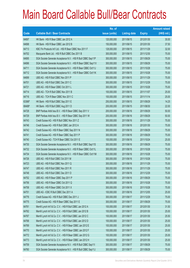|        |                                                               | No. of        |                     |               | <b>Amount raised</b> |
|--------|---------------------------------------------------------------|---------------|---------------------|---------------|----------------------|
| Code   | <b>Callable Bull / Bear Contracts</b>                         | issue (units) | <b>Listing date</b> | <b>Expiry</b> | $(HK$$ mil.)         |
| 64697  | HK Bank - HSI R Bear CBBC Jan 2012 A                          | 120,000,000   | 2011/06/15          | 2012/01/30    | 30.00                |
| 64698  | HK Bank - HSI R Bear CBBC Jan 2012 B                          | 150,000,000   | 2011/06/15          | 2012/01/30    | 37.50                |
| 64713  | KBC Fin Products Int'l Ltd. - HSI R Bear CBBC Nov 2011 F      | 128,000,000   | 2011/06/15          | 2011/11/29    | 32.00                |
| 64702  | Macquarie Bank Ltd. - HSI R Bull CBBC Dec 2011 B              | 300,000,000   | 2011/06/15          | 2011/12/30    | 75.00                |
| 64695  | SGA Societe Generale Acceptance N.V. - HSI R Bull CBBC Sep11P | 300,000,000   | 2011/06/15          | 2011/09/29    | 75.00                |
| 64696  | SGA Societe Generale Acceptance N.V. - HSI R Bear CBBC Sep11V | 300,000,000   | 2011/06/15          | 2011/09/29    | 75.00                |
| 64711  | SGA Societe Generale Acceptance N.V. - HSI R Bear CBBC Oct11J | 300,000,000   | 2011/06/15          | 2011/10/28    | 75.00                |
| 64712  | SGA Societe Generale Acceptance N.V. - HSI R Bear CBBC Oct11K | 300,000,000   | 2011/06/15          | 2011/10/28    | 75.00                |
| 64699  | UBS AG - HSI R Bull CBBC Nov 2011 P                           | 300,000,000   | 2011/06/15          | 2011/11/29    | 75.00                |
| 64701  | UBS AG - HSI R Bull CBBC Dec 2011 C                           | 300,000,000   | 2011/06/15          | 2011/12/29    | 75.00                |
| 64721  | UBS AG - HSI R Bear CBBC Oct 2011 L                           | 300,000,000   | 2011/06/15          | 2011/10/28    | 75.00                |
| 64714  | UBS AG - TCH R Bull CBBC Nov 2011 B                           | 100,000,000   | 2011/06/15          | 2011/11/07    | 25.00                |
| 64716  | UBS AG - TCH R Bear CBBC Nov 2011 C                           | 100,000,000   | 2011/06/15          | 2011/11/14    | 25.00                |
| 63366# | HK Bank - HSI R Bull CBBC Sep 2011 E                          | 250,000,000   | 2011/06/15          | 2011/09/29    | 14.25                |
| 68488# | HK Bank - HSI R Bull CBBC Aug 2011 D                          | 200,000,000   | 2011/06/15          | 2011/08/30    | 22.00                |
| 64728  | BNP Paribas Arbit Issu B.V. - HSI R Bear CBBC Sep 2011 V      | 200,000,000   | 2011/06/16          | 2011/09/29    | 50.00                |
| 64729  | BNP Paribas Arbit Issu B.V. - HSI R Bear CBBC Sep 2011 W      | 200,000,000   | 2011/06/16          | 2011/09/29    | 50.00                |
| 64743  | Credit Suisse AG - HSI R Bull CBBC Nov 2011 Z                 | 300,000,000   | 2011/06/16          | 2011/11/29    | 75.00                |
| 64746  | Credit Suisse AG - HSI R Bull CBBC Jan 2012 A                 | 300,000,000   | 2011/06/16          | 2012/01/30    | 75.00                |
| 64742  | Credit Suisse AG - HSI R Bear CBBC Sep 2011 N                 | 300,000,000   | 2011/06/16          | 2011/09/29    | 75.00                |
| 64741  | Credit Suisse AG - HSI R Bear CBBC Sep 2011 P                 | 300,000,000   | 2011/06/16          | 2011/09/29    | 75.00                |
| 64740  | Credit Suisse AG - TCH R Bear CBBC Oct 2011 E                 | 100,000,000   | 2011/06/16          | 2011/10/24    | 25.00                |
| 64730  | SGA Societe Generale Acceptance N.V. - HSI R Bull CBBC Sep11S | 300,000,000   | 2011/06/16          | 2011/09/29    | 75.00                |
| 64732  | SGA Societe Generale Acceptance N.V. - HSI R Bear CBBC Oct11L | 300,000,000   | 2011/06/16          | 2011/10/28    | 75.00                |
| 64734  | SGA Societe Generale Acceptance N.V. - HSI R Bear CBBC Oct11M | 300,000,000   | 2011/06/16          | 2011/10/28    | 75.00                |
| 64726  | UBS AG - HSI R Bull CBBC Oct 2011 M                           | 300,000,000   | 2011/06/16          | 2011/10/28    | 75.00                |
| 64723  | UBS AG - HSI R Bull CBBC Nov 2011 Q                           | 300,000,000   | 2011/06/16          | 2011/11/29    | 75.00                |
| 64747  | UBS AG - HSI R Bull CBBC Nov 2011 R                           | 300,000,000   | 2011/06/16          | 2011/11/29    | 75.00                |
| 64748  | UBS AG - HSI R Bull CBBC Dec 2011 D                           | 300,000,000   | 2011/06/16          | 2011/12/29    | 75.00                |
| 64752  | UBS AG - HSI R Bear CBBC Sep 2011 P                           | 300,000,000   | 2011/06/16          | 2011/09/29    | 75.00                |
| 64756  | UBS AG - HSI R Bear CBBC Oct 2011 Q                           | 300,000,000   | 2011/06/16          | 2011/10/28    | 75.00                |
| 64758  | UBS AG - HSI R Bear CBBC Oct 2011 X                           | 300,000,000   | 2011/06/16          | 2011/10/28    | 75.00                |
| 64751  | UBS AG - ICBC R Bull CBBC Dec 2011 A                          | 100,000,000   | 2011/06/16          | 2011/12/05    | 25.00                |
| 64776  | Credit Suisse AG - HSI R Bull CBBC Dec 2011 J                 | 300,000,000   | 2011/06/17          | 2011/12/29    | 75.00                |
| 64775  | Credit Suisse AG - HSI R Bear CBBC Sep 2011 E                 | 300,000,000   | 2011/06/17          | 2011/09/29    | 75.00                |
| 64761  | Merrill Lynch Int'l & Co. C.V. - HSI R Bull CBBC Jan 2012 A   | 100,000,000   | 2011/06/17          | 2012/01/30    | 31.50                |
| 64762  | Merrill Lynch Int'l & Co. C.V. - HSI R Bull CBBC Jan 2012 B   | 100,000,000   | 2011/06/17          | 2012/01/30    | 25.00                |
| 64767  | Merrill Lynch Int'l & Co. C.V. - HSI R Bull CBBC Jan 2012 C   | 100,000,000   | 2011/06/17          | 2012/01/30    | 25.50                |
| 64768  | Merrill Lynch Int'l & Co. C.V. - HSI R Bull CBBC Jan 2012 D   | 100,000,000   | 2011/06/17          | 2012/01/30    | 25.00                |
| 64769  | Merrill Lynch Int'l & Co. C.V. - HSI R Bear CBBC Jan 2012 E   | 100,000,000   | 2011/06/17          | 2012/01/30    | 25.00                |
| 64770  | Merrill Lynch Int'l & Co. C.V. - HSI R Bear CBBC Jan 2012 F   | 100,000,000   | 2011/06/17          | 2012/01/30    | 25.00                |
| 64772  | Merrill Lynch Int'l & Co. C.V. - HSI R Bear CBBC Jan 2012 G   | 100,000,000   | 2011/06/17          | 2012/01/30    | 25.00                |
| 64773  | Merrill Lynch Int'l & Co. C.V. - HSI R Bear CBBC Jan 2012 H   | 100,000,000   | 2011/06/17          | 2012/01/30    | 25.00                |
| 64759  | SGA Societe Generale Acceptance N.V. - HSI R Bull CBBC Sep11I | 300,000,000   | 2011/06/17          | 2011/09/29    | 75.00                |
| 64760  | SGA Societe Generale Acceptance N.V. - HSI R Bull CBBC Sep11J | 300,000,000   | 2011/06/17          | 2011/09/29    | 75.00                |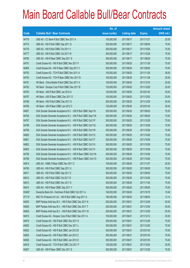|        |                                                               | No. of        |                     |               | <b>Amount raised</b> |
|--------|---------------------------------------------------------------|---------------|---------------------|---------------|----------------------|
| Code   | <b>Callable Bull / Bear Contracts</b>                         | issue (units) | <b>Listing date</b> | <b>Expiry</b> | (HK\$ mil.)          |
| 64779  | UBS AG - CC Bank R Bull CBBC Nov 2011 A                       | 100,000,000   | 2011/06/17          | 2011/11/21    | 25.00                |
| 64774  | UBS AG - HSI R Bull CBBC Sep 2011 Q                           | 300,000,000   | 2011/06/17          | 2011/09/29    | 75.00                |
| 64778  | UBS AG - HSI R Bull CBBC Oct 2011 V                           | 300,000,000   | 2011/06/17          | 2011/10/28    | 75.00                |
| 64777  | UBS AG - HSI R Bull CBBC Oct 2011 W                           | 300,000,000   | 2011/06/17          | 2011/10/28    | 75.00                |
| 64780  | UBS AG - HSI R Bear CBBC Sep 2011 S                           | 300,000,000   | 2011/06/17          | 2011/09/29    | 75.00                |
| 64791  | Credit Suisse AG - HSI R Bull CBBC Nov 2011 F                 | 300,000,000   | 2011/06/20          | 2011/11/29    | 75.00                |
| 64809  | Credit Suisse AG - HSI R Bear CBBC Sep 2011 V                 | 300,000,000   | 2011/06/20          | 2011/09/29    | 75.00                |
| 64792  | Credit Suisse AG - TCH R Bull CBBC Nov 2011 A                 | 100,000,000   | 2011/06/20          | 2011/11/28    | 36.00                |
| 64793  | Credit Suisse AG - TCH R Bear CBBC Nov 2011 B                 | 100,000,000   | 2011/06/20          | 2011/11/28    | 25.00                |
| 64781  | HK Bank - China Mobile R Bull CBBC Dec 2011 A                 | 100,000,000   | 2011/06/20          | 2011/12/16    | 25.00                |
| 64782  | HK Bank - Sinopec Corp R Bull CBBC Dec 2011 B                 | 120,000,000   | 2011/06/20          | 2011/12/28    | 30.00                |
| 64783  | HK Bank - A50 R Bull CBBC Jan 2012 A                          | 120,000,000   | 2011/06/20          | 2012/01/20    | 30.00                |
| 64787  | HK Bank - A50 R Bear CBBC Dec 2011 D                          | 100,000,000   | 2011/06/20          | 2011/12/02    | 25.00                |
| 64788  | HK Bank - HSI R Bull CBBC Dec 2011 D                          | 200,000,000   | 2011/06/20          | 2011/12/29    | 50.00                |
| 64789  | HK Bank - HSI R Bear CBBC Jan 2012 C                          | 120,000,000   | 2011/06/20          | 2012/01/30    | 30.00                |
| 64807  | SGA Societe Generale Acceptance N.V. - HSI R Bull CBBC Sep11K | 300,000,000   | 2011/06/20          | 2011/09/29    | 75.00                |
| 64794  | SGA Societe Generale Acceptance N.V. - HSI R Bull CBBC Sep11W | 300,000,000   | 2011/06/20          | 2011/09/29    | 75.00                |
| 64797  | SGA Societe Generale Acceptance N.V. - HSI R Bull CBBC Oct11P | 300,000,000   | 2011/06/20          | 2011/10/28    | 75.00                |
| 64798  | SGA Societe Generale Acceptance N.V. - HSI R Bull CBBC Oct11Q | 300,000,000   | 2011/06/20          | 2011/10/28    | 75.00                |
| 64799  | SGA Societe Generale Acceptance N.V. - HSI R Bull CBBC Oct11R | 300,000,000   | 2011/06/20          | 2011/10/28    | 75.00                |
| 64800  | SGA Societe Generale Acceptance N.V. - HSI R Bull CBBC Oct11S | 300,000,000   | 2011/06/20          | 2011/10/28    | 75.00                |
| 64801  | SGA Societe Generale Acceptance N.V. - HSI R Bull CBBC Oct11T | 300,000,000   | 2011/06/20          | 2011/10/28    | 75.00                |
| 64802  | SGA Societe Generale Acceptance N.V. - HSI R Bull CBBC Oct11U | 300,000,000   | 2011/06/20          | 2011/10/28    | 75.00                |
| 64803  | SGA Societe Generale Acceptance N.V. - HSI R Bull CBBC Oct11V | 300,000,000   | 2011/06/20          | 2011/10/28    | 75.00                |
| 64795  | SGA Societe Generale Acceptance N.V. - HSI R Bear CBBC Oct11N | 300,000,000   | 2011/06/20          | 2011/10/28    | 75.00                |
| 64796  | SGA Societe Generale Acceptance N.V. - HSI R Bear CBBC Oct110 | 300,000,000   | 2011/06/20          | 2011/10/28    | 75.00                |
| 64814  | UBS AG - HSBC R Bear CBBC Nov 2011 C                          | 100,000,000   | 2011/06/20          | 2011/11/07    | 25.00                |
| 64790  | UBS AG - HSI R Bull CBBC Sep 2011 U                           | 300,000,000   | 2011/06/20          | 2011/09/29    | 75.00                |
| 64811  | UBS AG - HSI R Bull CBBC Sep 2011 Z                           | 300,000,000   | 2011/06/20          | 2011/09/29    | 75.00                |
| 64812  | UBS AG - HSI R Bull CBBC Oct 2011 D                           | 300,000,000   | 2011/06/20          | 2011/10/28    | 75.00                |
| 64813  | UBS AG - HSI R Bull CBBC Nov 2011 S                           | 300,000,000   | 2011/06/20          | 2011/11/29    | 75.00                |
| 64810  | UBS AG - HSI R Bear CBBC Sep 2011 Y                           | 300,000,000   | 2011/06/20          | 2011/09/29    | 75.00                |
| 63492# | Deutsche Bank AG - Hutchison R Bull CBBC Oct 2011 A           | 160,000,000   | 2011/06/20          | 2011/10/18    | 10.40                |
| 67713# | KBC Fin Products Int'l Ltd. - HSI R Bull CBBC Aug 2011 A      | 180,000,000   | 2011/06/20          | 2011/08/30    | 13.14                |
| 64830  | BNP Paribas Arbit Issu B.V. - HSI R Bull CBBC Dec 2011 N      | 200,000,000   | 2011/06/21          | 2011/12/29    | 50.00                |
| 64828  | BNP Paribas Arbit Issu B.V. - HSI R Bull CBBC Dec 2011 T      | 200,000,000   | 2011/06/21          | 2011/12/29    | 50.00                |
| 64829  | BNP Paribas Arbit Issu B.V. - HSI R Bull CBBC Dec 2011 W      | 200,000,000   | 2011/06/21          | 2011/12/29    | 50.00                |
| 64815  | Credit Suisse AG - Sinopec Corp R Bull CBBC Dec 2011 A        | 100,000,000   | 2011/06/21          | 2011/12/12    | 25.00                |
| 64819  | Credit Suisse AG - HSI R Bull CBBC Dec 2011 K                 | 300,000,000   | 2011/06/21          | 2011/12/29    | 75.00                |
| 64820  | Credit Suisse AG - HSI R Bull CBBC Dec 2011 L                 | 300,000,000   | 2011/06/21          | 2011/12/29    | 75.00                |
| 64822  | Credit Suisse AG - HSI R Bull CBBC Jan 2012 B                 | 300,000,000   | 2011/06/21          | 2012/01/30    | 75.00                |
| 64825  | Credit Suisse AG - HSI R Bull CBBC Jan 2012 C                 | 300,000,000   | 2011/06/21          | 2012/01/30    | 75.00                |
| 64826  | Credit Suisse AG - HSI R Bull CBBC Jan 2012 D                 | 300,000,000   | 2011/06/21          | 2012/01/30    | 75.00                |
| 64816  | Credit Suisse AG - TCH R Bull CBBC Oct 2011 F                 | 100,000,000   | 2011/06/21          | 2011/10/24    | 25.00                |
| 64827  | UBS AG - HSI R Bear CBBC Dec 2011 E                           | 300,000,000   | 2011/06/21          | 2011/12/29    | 75.00                |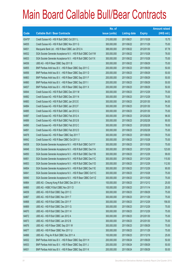|        |                                                               | No. of        |                     |               | <b>Amount raised</b> |
|--------|---------------------------------------------------------------|---------------|---------------------|---------------|----------------------|
| Code   | <b>Callable Bull / Bear Contracts</b>                         | issue (units) | <b>Listing date</b> | <b>Expiry</b> | (HK\$ mil.)          |
| 63470# | Credit Suisse AG - HSI R Bull CBBC Oct 2011 L                 | 210,000,000   | 2011/06/21          | 2011/10/28    | 15.75                |
| 64835  | Credit Suisse AG - HSI R Bull CBBC Nov 2011 G                 | 300,000,000   | 2011/06/22          | 2011/11/29    | 75.00                |
| 64831  | Macquarie Bank Ltd. - HSI R Bear CBBC Jan 2012 A              | 388,000,000   | 2011/06/22          | 2012/01/30    | 97.78                |
| 64832  | SGA Societe Generale Acceptance N.V. - HSI R Bull CBBC Oct11W | 300,000,000   | 2011/06/22          | 2011/10/28    | 78.00                |
| 64833  | SGA Societe Generale Acceptance N.V. - HSI R Bull CBBC Oct11X | 300,000,000   | 2011/06/22          | 2011/10/28    | 75.00                |
| 64836  | UBS AG - HSI R Bear CBBC Sep 2011 B                           | 300,000,000   | 2011/06/22          | 2011/09/29    | 75.00                |
| 64855  | BNP Paribas Arbit Issu B.V. - HSI R Bear CBBC Sep 2011 C      | 200,000,000   | 2011/06/23          | 2011/09/29    | 50.00                |
| 64856  | BNP Paribas Arbit Issu B.V. - HSI R Bear CBBC Sep 2011 D      | 200,000,000   | 2011/06/23          | 2011/09/29    | 50.00                |
| 64863  | BNP Paribas Arbit Issu B.V. - HSI R Bear CBBC Sep 2011 F      | 200,000,000   | 2011/06/23          | 2011/09/29    | 50.00                |
| 64860  | BNP Paribas Arbit Issu B.V. - HSI R Bear CBBC Sep 2011 I      | 200,000,000   | 2011/06/23          | 2011/09/29    | 50.00                |
| 64837  | BNP Paribas Arbit Issu B.V. - HSI R Bear CBBC Sep 2011 X      | 200,000,000   | 2011/06/23          | 2011/09/29    | 50.00                |
| 64844  | Credit Suisse AG - HSI R Bull CBBC Dec 2011 M                 | 300,000,000   | 2011/06/23          | 2011/12/29    | 75.00                |
| 64882  | Credit Suisse AG - HSI R Bull CBBC Dec 2011 N                 | 300,000,000   | 2011/06/23          | 2011/12/29    | 75.00                |
| 64883  | Credit Suisse AG - HSI R Bull CBBC Jan 2012 E                 | 300,000,000   | 2011/06/23          | 2012/01/30    | 84.00                |
| 64884  | Credit Suisse AG - HSI R Bull CBBC Jan 2012 F                 | 300,000,000   | 2011/06/23          | 2012/01/30    | 75.00                |
| 64885  | Credit Suisse AG - HSI R Bull CBBC Jan 2012 G                 | 300,000,000   | 2011/06/23          | 2012/01/30    | 75.00                |
| 64887  | Credit Suisse AG - HSI R Bull CBBC Feb 2012 A                 | 300,000,000   | 2011/06/23          | 2012/02/28    | 96.00                |
| 64889  | Credit Suisse AG - HSI R Bull CBBC Feb 2012 B                 | 300,000,000   | 2011/06/23          | 2012/02/28    | 90.00                |
| 64890  | Credit Suisse AG - HSI R Bull CBBC Feb 2012 C                 | 300,000,000   | 2011/06/23          | 2012/02/28    | 78.00                |
| 64891  | Credit Suisse AG - HSI R Bull CBBC Feb 2012 D                 | 300,000,000   | 2011/06/23          | 2012/02/28    | 75.00                |
| 64878  | Credit Suisse AG - HSI R Bear CBBC Sep 2011 T                 | 300,000,000   | 2011/06/23          | 2011/09/29    | 75.00                |
| 64842  | Credit Suisse AG - HSI R Bear CBBC Oct 2011 U                 | 300,000,000   | 2011/06/23          | 2011/10/28    | 75.00                |
| 64838  | SGA Societe Generale Acceptance N.V. - HSI R Bull CBBC Oct11Y | 300,000,000   | 2011/06/23          | 2011/10/28    | 75.00                |
| 64848  | SGA Societe Generale Acceptance N.V. - HSI R Bull CBBC Dec11A | 300,000,000   | 2011/06/23          | 2011/12/29    | 123.00               |
| 64850  | SGA Societe Generale Acceptance N.V. - HSI R Bull CBBC Dec11B | 300,000,000   | 2011/06/23          | 2011/12/29    | 99.00                |
| 64851  | SGA Societe Generale Acceptance N.V. - HSI R Bull CBBC Dec11C | 300,000,000   | 2011/06/23          | 2011/12/29    | 115.50               |
| 64853  | SGA Societe Generale Acceptance N.V. - HSI R Bull CBBC Dec11D | 300,000,000   | 2011/06/23          | 2011/12/29    | 112.50               |
| 64854  | SGA Societe Generale Acceptance N.V. - HSI R Bull CBBC Dec11E | 300,000,000   | 2011/06/23          | 2011/12/29    | 90.00                |
| 64841  | SGA Societe Generale Acceptance N.V. - HSI R Bear CBBC Oct11C | 300,000,000   | 2011/06/23          | 2011/10/28    | 75.00                |
| 64840  | SGA Societe Generale Acceptance N.V. - HSI R Bear CBBC Oct11Z | 300,000,000   | 2011/06/23          | 2011/10/28    | 75.00                |
| 64864  | UBS AG - Cheung Kong R Bull CBBC Dec 2011 A                   | 100,000,000   | 2011/06/23          | 2011/12/12    | 25.00                |
| 64865  | UBS AG - HSBC R Bull CBBC Nov 2011 D                          | 100,000,000   | 2011/06/23          | 2011/11/14    | 25.00                |
| 64839  | UBS AG - HSI R Bull CBBC Sep 2011 C                           | 300,000,000   | 2011/06/23          | 2011/09/29    | 75.00                |
| 64867  | UBS AG - HSI R Bull CBBC Nov 2011 T                           | 300,000,000   | 2011/06/23          | 2011/11/29    | 75.00                |
| 64868  | UBS AG - HSI R Bull CBBC Dec 2011 F                           | 300,000,000   | 2011/06/23          | 2011/12/29    | 156.00               |
| 64869  | UBS AG - HSI R Bull CBBC Dec 2011 G                           | 300,000,000   | 2011/06/23          | 2011/12/29    | 75.00                |
| 64870  | UBS AG - HSI R Bull CBBC Dec 2011 H                           | 300,000,000   | 2011/06/23          | 2011/12/29    | 75.00                |
| 64872  | UBS AG - HSI R Bull CBBC Jan 2012 A                           | 300,000,000   | 2011/06/23          | 2012/01/30    | 75.00                |
| 64873  | UBS AG - HSI R Bull CBBC Jan 2012 B                           | 300,000,000   | 2011/06/23          | 2012/01/30    | 75.00                |
| 64876  | UBS AG - HSI R Bear CBBC Sep 2011 W                           | 300,000,000   | 2011/06/23          | 2011/09/29    | 75.00                |
| 64877  | UBS AG - HSI R Bear CBBC Nov 2011 U                           | 300,000,000   | 2011/06/23          | 2011/11/29    | 75.00                |
| 64866  | UBS AG - Ping An R Bull CBBC Dec 2011 A                       | 100,000,000   | 2011/06/23          | 2011/12/19    | 25.00                |
| 64932  | BNP Paribas Arbit Issu B.V. - HSI R Bear CBBC Sep 2011 H      | 200,000,000   | 2011/06/24          | 2011/09/29    | 50.00                |
| 64933  | BNP Paribas Arbit Issu B.V. - HSI R Bear CBBC Sep 2011 J      | 200,000,000   | 2011/06/24          | 2011/09/29    | 50.00                |
| 64931  | BNP Paribas Arbit Issu B.V. - HSI R Bear CBBC Sep 2011 K      | 200,000,000   | 2011/06/24          | 2011/09/29    | 50.00                |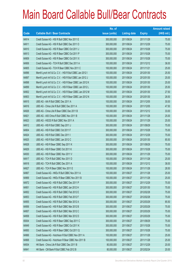|       |                                                             | No. of        |                     |               | <b>Amount raised</b> |
|-------|-------------------------------------------------------------|---------------|---------------------|---------------|----------------------|
| Code  | <b>Callable Bull / Bear Contracts</b>                       | issue (units) | <b>Listing date</b> | <b>Expiry</b> | $(HK$$ mil.)         |
| 64914 | Credit Suisse AG - HSI R Bull CBBC Nov 2011 E               | 300,000,000   | 2011/06/24          | 2011/11/29    | 75.00                |
| 64911 | Credit Suisse AG - HSI R Bull CBBC Dec 2011 O               | 300,000,000   | 2011/06/24          | 2011/12/29    | 75.00                |
| 64910 | Credit Suisse AG - HSI R Bear CBBC Oct 2011 J               | 300,000,000   | 2011/06/24          | 2011/10/28    | 75.00                |
| 64913 | Credit Suisse AG - HSI R Bear CBBC Oct 2011 P               | 300,000,000   | 2011/06/24          | 2011/10/28    | 75.00                |
| 64909 | Credit Suisse AG - HSI R Bear CBBC Oct 2011 X               | 300,000,000   | 2011/06/24          | 2011/10/28    | 75.00                |
| 64906 | Credit Suisse AG - TCH R Bull CBBC Dec 2011 A               | 100,000,000   | 2011/06/24          | 2011/12/12    | 36.00                |
| 64905 | Credit Suisse AG - TCH R Bear CBBC Nov 2011 C               | 100,000,000   | 2011/06/24          | 2011/11/21    | 25.00                |
| 64896 | Merrill Lynch Int'l & Co. C.V. - HSI R Bull CBBC Jan 2012 I | 100,000,000   | 2011/06/24          | 2012/01/30    | 25.50                |
| 64897 | Merrill Lynch Int'l & Co. C.V. - HSI R Bull CBBC Jan 2012 J | 100,000,000   | 2011/06/24          | 2012/01/30    | 25.00                |
| 64898 | Merrill Lynch Int'l & Co. C.V. - HSI R Bear CBBC Jan 2012 K | 100,000,000   | 2011/06/24          | 2012/01/30    | 25.00                |
| 64899 | Merrill Lynch Int'l & Co. C.V. - HSI R Bear CBBC Jan 2012 L | 100,000,000   | 2011/06/24          | 2012/01/30    | 25.50                |
| 64902 | Merrill Lynch Int'l & Co. C.V. - HSI R Bear CBBC Jan 2012 M | 100,000,000   | 2011/06/24          | 2012/01/30    | 27.50                |
| 64903 | Merrill Lynch Int'l & Co. C.V. - HSI R Bear CBBC Jan 2012 N | 100,000,000   | 2011/06/24          | 2012/01/30    | 28.50                |
| 64915 | UBS AG - AIA R Bull CBBC Dec 2011 A                         | 100,000,000   | 2011/06/24          | 2011/12/05    | 30.00                |
| 64916 | UBS AG - China Life R Bull CBBC Dec 2011 A                  | 100,000,000   | 2011/06/24          | 2011/12/05    | 47.50                |
| 64926 | UBS AG - China Life R Bear CBBC Dec 2011 B                  | 100,000,000   | 2011/06/24          | 2011/12/12    | 33.00                |
| 64921 | UBS AG - A50 China R Bull CBBC Nov 2011 B                   | 100,000,000   | 2011/06/24          | 2011/11/28    | 25.00                |
| 64923 | UBS AG - HSCEI R Bull CBBC Nov 2011 A                       | 100,000,000   | 2011/06/24          | 2011/11/29    | 25.00                |
| 64912 | UBS AG - HSI R Bull CBBC Sep 2011 J                         | 300,000,000   | 2011/06/24          | 2011/09/29    | 75.00                |
| 64904 | UBS AG - HSI R Bull CBBC Oct 2011 F                         | 300,000,000   | 2011/06/24          | 2011/10/28    | 75.00                |
| 64924 | UBS AG - HSI R Bull CBBC Dec 2011 I                         | 300,000,000   | 2011/06/24          | 2011/12/29    | 75.00                |
| 64925 | UBS AG - HSI R Bull CBBC Jan 2012 C                         | 300,000,000   | 2011/06/24          | 2012/01/30    | 85.50                |
| 64928 | UBS AG - HSI R Bear CBBC Sep 2011 K                         | 300,000,000   | 2011/06/24          | 2011/09/29    | 75.00                |
| 64929 | UBS AG - HSI R Bear CBBC Oct 2011 K                         | 300,000,000   | 2011/06/24          | 2011/10/28    | 75.00                |
| 64930 | UBS AG - HSI R Bear CBBC Nov 2011 V                         | 300,000,000   | 2011/06/24          | 2011/11/29    | 75.00                |
| 64917 | UBS AG - TCH R Bull CBBC Nov 2011 D                         | 100,000,000   | 2011/06/24          | 2011/11/28    | 25.00                |
| 64918 | UBS AG - TCH R Bull CBBC Dec 2011 A                         | 100,000,000   | 2011/06/24          | 2011/12/12    | 38.00                |
| 64927 | UBS AG - TCH R Bear CBBC Nov 2011 E                         | 100,000,000   | 2011/06/24          | 2011/11/28    | 28.50                |
| 64967 | Credit Suisse AG - HKEx R Bull CBBC Nov 2011 A              | 100,000,000   | 2011/06/27          | 2011/11/28    | 25.00                |
| 64969 | Credit Suisse AG - HKEx R Bear CBBC Nov 2011 B              | 100,000,000   | 2011/06/27          | 2011/11/28    | 25.00                |
| 64972 | Credit Suisse AG - HSI R Bull CBBC Dec 2011 P               | 300,000,000   | 2011/06/27          | 2011/12/29    | 75.00                |
| 64951 | Credit Suisse AG - HSI R Bull CBBC Jan 2012 H               | 300,000,000   | 2011/06/27          | 2012/01/30    | 75.00                |
| 64952 | Credit Suisse AG - HSI R Bull CBBC Feb 2012 E               | 300,000,000   | 2011/06/27          | 2012/02/28    | 75.00                |
| 64953 | Credit Suisse AG - HSI R Bull CBBC Feb 2012 F               | 300,000,000   | 2011/06/27          | 2012/02/28    | 75.00                |
| 64955 | Credit Suisse AG - HSI R Bull CBBC Mar 2012 A               | 300,000,000   | 2011/06/27          | 2012/03/29    | 85.50                |
| 64956 | Credit Suisse AG - HSI R Bull CBBC Mar 2012 B               | 300,000,000   | 2011/06/27          | 2012/03/29    | 75.00                |
| 64957 | Credit Suisse AG - HSI R Bull CBBC Mar 2012 C               | 300,000,000   | 2011/06/27          | 2012/03/29    | 75.00                |
| 64958 | Credit Suisse AG - HSI R Bull CBBC Mar 2012 D               | 300,000,000   | 2011/06/27          | 2012/03/29    | 75.00                |
| 65004 | Credit Suisse AG - HSI R Bear CBBC Sep 2011 C               | 300,000,000   | 2011/06/27          | 2011/09/29    | 75.00                |
| 64949 | Credit Suisse AG - HSI R Bear CBBC Oct 2011 K               | 300,000,000   | 2011/06/27          | 2011/10/28    | 75.00                |
| 64950 | Credit Suisse AG - HSI R Bear CBBC Oct 2011 Q               | 300,000,000   | 2011/06/27          | 2011/10/28    | 75.00                |
| 64966 | Credit Suisse AG - Hutchison R Bull CBBC Nov 2011 A         | 100,000,000   | 2011/06/27          | 2011/11/28    | 25.00                |
| 64968 | Credit Suisse AG - Hutchison R Bear CBBC Nov 2011 B         | 100,000,000   | 2011/06/27          | 2011/11/28    | 25.00                |
| 64934 | HK Bank - China Life R Bull CBBC Dec 2011 B                 | 80,000,000    | 2011/06/27          | 2011/12/29    | 20.00                |
| 64941 | HK Bank - CM Bank R Bull CBBC Feb 2012 B                    | 80,000,000    | 2011/06/27          | 2012/02/24    | 20.00                |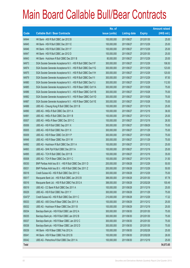|        |                                                               | No. of        |                     |               | <b>Amount raised</b> |
|--------|---------------------------------------------------------------|---------------|---------------------|---------------|----------------------|
| Code   | <b>Callable Bull / Bear Contracts</b>                         | issue (units) | <b>Listing date</b> | <b>Expiry</b> | (HK\$ mil.)          |
| 64944  | HK Bank - A50 R Bull CBBC Jan 2012 B                          | 100,000,000   | 2011/06/27          | 2012/01/30    | 25.00                |
| 64945  | HK Bank - HSI R Bull CBBC Dec 2011 E                          | 100,000,000   | 2011/06/27          | 2011/12/29    | 25.00                |
| 64946  | HK Bank - HSI R Bull CBBC Dec 2011 F                          | 100,000,000   | 2011/06/27          | 2011/12/29    | 25.00                |
| 64947  | HK Bank - HSI R Bull CBBC Jan 2012 D                          | 100,000,000   | 2011/06/27          | 2012/01/30    | 25.00                |
| 64943  | HK Bank - Hutchison R Bull CBBC Dec 2011 B                    | 80,000,000    | 2011/06/27          | 2011/12/29    | 20.00                |
| 64973  | SGA Societe Generale Acceptance N.V. - HSI R Bull CBBC Dec11F | 300,000,000   | 2011/06/27          | 2011/12/29    | 106.50               |
| 64974  | SGA Societe Generale Acceptance N.V. - HSI R Bull CBBC Dec11G | 300,000,000   | 2011/06/27          | 2011/12/29    | 123.00               |
| 64975  | SGA Societe Generale Acceptance N.V. - HSI R Bull CBBC Dec11H | 300,000,000   | 2011/06/27          | 2011/12/29    | 120.00               |
| 64979  | SGA Societe Generale Acceptance N.V. - HSI R Bull CBBC Dec11I | 300,000,000   | 2011/06/27          | 2011/12/29    | 97.50                |
| 64980  | SGA Societe Generale Acceptance N.V. - HSI R Bull CBBC Dec11J | 300,000,000   | 2011/06/27          | 2011/12/29    | 112.50               |
| 64985  | SGA Societe Generale Acceptance N.V. - HSI R Bear CBBC Oct11A | 300,000,000   | 2011/06/27          | 2011/10/28    | 75.00                |
| 64986  | SGA Societe Generale Acceptance N.V. - HSI R Bear CBBC Oct11B | 300,000,000   | 2011/06/27          | 2011/10/28    | 75.00                |
| 64982  | SGA Societe Generale Acceptance N.V. - HSI R Bear CBBC Oct11D | 300,000,000   | 2011/06/27          | 2011/10/28    | 75.00                |
| 64987  | SGA Societe Generale Acceptance N.V. - HSI R Bear CBBC Oct11E | 300,000,000   | 2011/06/27          | 2011/10/28    | 75.00                |
| 64988  | UBS AG - Cheung Kong R Bull CBBC Dec 2011 B                   | 100,000,000   | 2011/06/27          | 2011/12/19    | 25.00                |
| 64990  | UBS AG - HKEx R Bull CBBC Dec 2011 A                          | 100,000,000   | 2011/06/27          | 2011/12/19    | 36.00                |
| 64991  | UBS AG - HKEx R Bull CBBC Dec 2011 B                          | 100,000,000   | 2011/06/27          | 2011/12/12    | 25.00                |
| 65007  | UBS AG - HKEx R Bear CBBC Dec 2011 C                          | 100,000,000   | 2011/06/27          | 2011/12/19    | 26.50                |
| 65006  | UBS AG - HSI R Bull CBBC Sep 2011 X                           | 300,000,000   | 2011/06/27          | 2011/09/29    | 75.00                |
| 65005  | UBS AG - HSI R Bull CBBC Nov 2011 X                           | 300,000,000   | 2011/06/27          | 2011/11/29    | 75.00                |
| 65009  | UBS AG - HSI R Bear CBBC Oct 2011 P                           | 300,000,000   | 2011/06/27          | 2011/10/28    | 75.00                |
| 64948  | UBS AG - HSI R Bear CBBC Nov 2011 W                           | 300,000,000   | 2011/06/27          | 2011/11/29    | 75.00                |
| 64992  | UBS AG - Hutchison R Bull CBBC Dec 2011 A                     | 100,000,000   | 2011/06/27          | 2011/12/12    | 25.00                |
| 64993  | UBS AG - SHK Ppt R Bull CBBC Dec 2011 A                       | 100,000,000   | 2011/06/27          | 2011/12/19    | 25.00                |
| 64995  | UBS AG - TCH R Bull CBBC Dec 2011 B                           | 100,000,000   | 2011/06/27          | 2011/12/19    | 35.00                |
| 65008  | UBS AG - TCH R Bear CBBC Dec 2011 C                           | 100,000,000   | 2011/06/27          | 2011/12/19    | 31.50                |
| 65030  | BNP Paribas Arbit Issu B.V. - HSI R Bull CBBC Dec 2011 D      | 200,000,000   | 2011/06/28          | 2011/12/29    | 50.00                |
| 65031  | BNP Paribas Arbit Issu B.V. - HSI R Bull CBBC Dec 2011 Z      | 200,000,000   | 2011/06/28          | 2011/12/29    | 50.00                |
| 65018  | Credit Suisse AG - HSI R Bull CBBC Dec 2011 Q                 | 300,000,000   | 2011/06/28          | 2011/12/29    | 75.00                |
| 65017  | Macquarie Bank Ltd. - HSI R Bull CBBC Jan 2012 B              | 388,000,000   | 2011/06/28          | 2012/01/30    | 97.78                |
| 65016  | Macquarie Bank Ltd. - HSI R Bull CBBC Feb 2012 A              | 388,000,000   | 2011/06/28          | 2012/02/28    | 100.49               |
| 65019  | UBS AG - CC Bank R Bull CBBC Dec 2011 A                       | 100,000,000   | 2011/06/28          | 2011/12/19    | 25.00                |
| 65029  | UBS AG - HSI R Bull CBBC Nov 2011 Y                           | 300,000,000   | 2011/06/28          | 2011/11/29    | 75.00                |
| 63472# | Credit Suisse AG - HSI R Bull CBBC Dec 2011 C                 | 210,000,000   | 2011/06/28          | 2011/12/29    | 17.22                |
| 65033  | UBS AG - A50 China R Bear CBBC Dec 2011 A                     | 100,000,000   | 2011/06/29          | 2011/12/12    | 25.00                |
| 65032  | UBS AG - Hutchison R Bear CBBC Dec 2011 B                     | 100,000,000   | 2011/06/29          | 2011/12/19    | 25.00                |
| 65034  | Barclays Bank plc - HSI R Bull CBBC Jan 2012 A                | 300,000,000   | 2011/06/30          | 2012/01/30    | 75.00                |
| 65035  | Barclays Bank plc - HSI R Bull CBBC Jan 2012 B                | 300,000,000   | 2011/06/30          | 2012/01/30    | 75.00                |
| 65037  | Barclays Bank plc - HSI R Bear CBBC Jan 2012 C                | 300,000,000   | 2011/06/30          | 2012/01/30    | 75.00                |
| 65038  | Barclays Bank plc - HSI R Bear CBBC Jan 2012 D                | 300,000,000   | 2011/06/30          | 2012/01/30    | 75.00                |
| 65039  | HK Bank - HSI R Bear CBBC Feb 2012 A                          | 100,000,000   | 2011/06/30          | 2012/02/28    | 25.00                |
| 65041  | HK Bank - HSI R Bear CBBC Feb 2012 B                          | 100,000,000   | 2011/06/30          | 2012/02/28    | 26.00                |
| 65042  | UBS AG - Petrochina R Bull CBBC Dec 2011 A                    | 100,000,000   | 2011/06/30          | 2011/12/19    | 25.00                |
| Total  |                                                               |               |                     |               | 54,073.65            |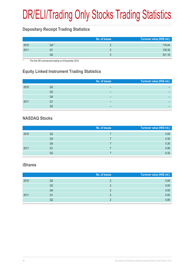# DR/ELI/Trading Only Stocks Trading Statistics

### **Depositary Receipt Trading Statistics**

|      |      | No. of issues | Turnover value (HK\$ mil.) |
|------|------|---------------|----------------------------|
| 2010 | Q4 * |               | 119.44                     |
| 2011 |      |               | 139.30                     |
|      |      |               | 331.18                     |

The first DR commenced trading on 8 December 2010

### **Equity Linked Instrument Trading Statistics**

|      |    | No. of issues | Turnover value (HK\$ mil.) |
|------|----|---------------|----------------------------|
| 2010 | Q2 | –             |                            |
|      | Q3 | –             |                            |
|      | Q4 | –             |                            |
| 2011 | Q1 |               |                            |
|      |    | –             | -                          |

### **NASDAQ Stocks**

|      |    | No. of issues | Turnover value (HK\$ mil.) |
|------|----|---------------|----------------------------|
| 2010 | Q2 |               | 0.05                       |
|      | Q3 |               | 0.30                       |
|      | Q4 |               | 0.30                       |
| 2011 | Q1 |               | 0.06                       |
|      | Q2 |               | 0.32                       |

#### **iShares**

|      |    | No. of issues | Turnover value (HK\$ mil.) |
|------|----|---------------|----------------------------|
| 2010 | Q2 |               | 0.00                       |
|      | Q3 |               | 0.00                       |
|      | Q4 |               | 0.00                       |
| 2011 | Q1 |               | 0.00                       |
|      | Q2 |               | 0.00                       |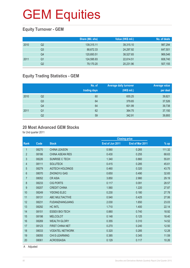### **Equity Turnover - GEM**

|      |    | Share (Mil. shs) | Value (HK\$ mil.) | No. of deals |
|------|----|------------------|-------------------|--------------|
| 2010 | Q2 | 139,315.11       | 39,315.10         | 987,294      |
|      | Q3 | 88,672.33        | 24,297.92         | 647,501      |
|      | Q4 | 120,693.51       | 38,527.65         | 969,546      |
| 2011 | Q1 | 124,595.93       | 22,614.51         | 608,740      |
|      | Q2 | 79,170.20        | 20,231.96         | 507,155      |

### **Equity Trading Statistics - GEM**

|      |                | No. of<br>trading days | <b>Average daily turnover</b><br>(HK\$ mil.) | <b>Average value</b><br>per deal |
|------|----------------|------------------------|----------------------------------------------|----------------------------------|
| 2010 | Q <sub>2</sub> | 60                     | 655.25                                       | 39,821                           |
|      | Q <sub>3</sub> | 64                     | 379.65                                       | 37,526                           |
|      | Q4             | 64                     | 601.99                                       | 39,738                           |
| 2011 | Q <sub>1</sub> | 62                     | 364.75                                       | 37,150                           |
|      | Q2             | 59                     | 342.91                                       | 39,893                           |

#### **20 Most Advanced GEM Stocks**

for 2nd quarter 2011

|                |       |                        |                 | <b>Closing price</b> |        |
|----------------|-------|------------------------|-----------------|----------------------|--------|
| <b>Rank</b>    | Code  | <b>Stock</b>           | End of Jun 2011 | End of Mar 2011      | $%$ up |
| 1              | 08270 | <b>CHINA LEASON</b>    | 0.560           | 0.265                | 111.32 |
| $\overline{2}$ | 08186 | <b>CHINA ASEAN RES</b> | 0.430           | 0.255                | 68.63  |
| 3              | 08226 | <b>SUNRISE C TECH</b>  | 1.340           | 0.860                | 55.81  |
| 4              | 08111 | <b>SOLUTECK</b>        | 0.415           | 0.285                | 45.61  |
| 5              | 08279 | <b>AGTECH HOLDINGS</b> | 0.460           | 0.320                | 43.75  |
| 6              | 08070 | <b>ZHONGYU GAS</b>     | 0.650           | 0.490                | 32.65  |
| $\overline{7}$ | 08052 | <b>CRASIA</b>          | 3.850           | 2.980                | 29.19  |
| 8              | 08233 | <b>CIG PORTS</b>       | 0.117           | 0.091                | 28.57  |
| 9              | 08207 | <b>CREDIT CHINA</b>    | 1.560           | 1.220                | 27.87  |
| 10             | 08249 | <b>YIDONG ELEC</b>     | 0.230           | 0.180                | 27.78  |
| 11             | 08131 | <b>ABC MULTIACTIVE</b> | 0.540           | 0.425                | 27.06  |
| 12             | 08231 | <b>FUDANZHANGJIANG</b> | 2.030           | 1.650                | 23.03  |
| 13             | 08292 | <b>HC INTL</b>         | 1.710           | 1.400                | 22.14  |
| 14             | 08151 | <b>ESSEX BIO-TECH</b>  | 0.880           | 0.740                | 18.92  |
| 15             | 08198 | <b>MELCOLOT</b>        | 0.148           | 0.125                | 18.40  |
| 16             | 08269 | <b>WEALTH GLORY</b>    | 0.355           | 0.310                | 14.52  |
| 17             | 08123 | <b>FIRST CHINA NET</b> | 0.270           | 0.240                | 12.50  |
| 18             | 08033 | <b>VODATEL NETWORK</b> | 0.320           | 0.285                | 12.28  |
| 19             | 08055 | <b>CHI E-LEARNING</b>  | 0.385           | 0.345                | 11.59  |
| 20             | 08061 | <b>ACROSSASIA</b>      | 0.129           | 0.117                | 10.26  |
|                |       |                        |                 |                      |        |

A Adjusted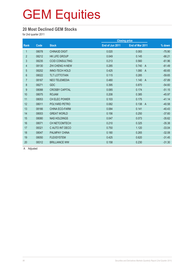#### **20 Most Declined GEM Stocks**

for 2nd quarter 2011

|                |       |                        |                 | <b>Closing price</b>    |          |
|----------------|-------|------------------------|-----------------|-------------------------|----------|
| Rank           | Code  | <b>Stock</b>           | End of Jun 2011 | End of Mar 2011         | % down   |
| $\mathbf{1}$   | 08078 | <b>CHINA3D DIGIT</b>   | 0.020           | 0.083                   | $-75.90$ |
| $\overline{2}$ | 08212 | <b>HK LIFE GROUP</b>   | 0.049           | 0.145                   | $-66.21$ |
| 3              | 08235 | <b>CCID CONSULTING</b> | 0.213           | 0.560                   | $-61.96$ |
| 4              | 08130 | <b>ZHI CHENG H-NEW</b> | 0.285           | 0.740<br>$\overline{A}$ | $-61.49$ |
| $\overline{5}$ | 08202 | <b>INNO-TECH HOLD</b>  | 0.425           | 1.080<br>$\overline{A}$ | $-60.65$ |
| 6              | 08022 | <b>TLT LOTTOTAIN</b>   | 0.115           | 0.285                   | $-59.65$ |
| 7              | 08167 | <b>NEO TELEMEDIA</b>   | 0.480           | 1.140<br>$\overline{A}$ | $-57.89$ |
| $\bf 8$        | 08271 | <b>GDC</b>             | 0.395           | 0.870                   | $-54.60$ |
| 9              | 08088 | <b>CROSBY CAPITAL</b>  | 0.085           | 0.174                   | $-51.15$ |
| 10             | 08075 | <b>ROJAM</b>           | 0.208           | 0.385                   | $-45.97$ |
| 11             | 08053 | CH ELEC POWER          | 0.103           | 0.175                   | $-41.14$ |
| 12             | 08011 | POLYARD PETRO          | 0.082           | 0.138<br>$\overline{A}$ | $-40.58$ |
| 13             | 08166 | <b>CHINA ECO-FARM</b>  | 0.084           | 0.141                   | $-40.43$ |
| 14             | 08003 | <b>GREAT WORLD</b>     | 0.156           | 0.250                   | $-37.60$ |
| 15             | 08080 | <b>NAS HOLDINGS</b>    | 0.047           | 0.073                   | $-35.62$ |
| 16             | 08071 | CH NETCOMTECH          | 0.210           | 0.325                   | $-35.38$ |
| 17             | 08321 | C AUTO INT DECO        | 0.750           | 1.120                   | $-33.04$ |
| 18             | 08047 | <b>PALMPAY CHINA</b>   | 0.180           | 0.265                   | $-32.08$ |
| 19             | 08050 | <b>FLEXSYSTEM</b>      | 0.425           | 0.620                   | $-31.45$ |
| 20             | 08312 | <b>BRILLIANCE WW</b>   | 0.158           | 0.230                   | $-31.30$ |

A Adjusted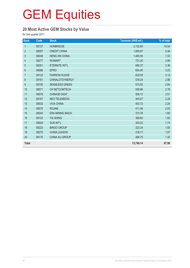### **20 Most Active GEM Stocks by Value**

for 2nd quarter 2011

| Rank             | Code  | <b>Stock</b>           | Turnover (HK\$ mil.) | % of total |
|------------------|-------|------------------------|----------------------|------------|
| $\mathbf{1}$     | 08137 | <b>HONBRIDGE</b>       | 2,132.65             | 10.54      |
| $\overline{2}$   | 08207 | <b>CREDIT CHINA</b>    | 1,893.67             | 9.36       |
| 3                | 08046 | <b>HENG XIN CHINA</b>  | 1,483.50             | 7.33       |
| 4                | 08277 | <b>WUMART</b>          | 721.20               | 3.56       |
| 5                | 08351 | ETERNITE INT'L         | 680.37               | 3.36       |
| $\boldsymbol{6}$ | 08086 | <b>EPRO</b>            | 654.00               | 3.23       |
| $\overline{7}$   | 08132 | <b>FAIRSON HLDGS</b>   | 632.09               | 3.12       |
| 8                | 08161 | <b>CHINALOTSYNERGY</b> | 578.24               | 2.86       |
| $\boldsymbol{9}$ | 08150 | <b>SEAMLESS GREEN</b>  | 573.92               | 2.84       |
| 10               | 08071 | CH NETCOMTECH          | 558.96               | 2.76       |
| 11               | 08078 | <b>CHINA3D DIGIT</b>   | 508.12               | 2.51       |
| 12               | 08167 | <b>NEO TELEMEDIA</b>   | 463.57               | 2.29       |
| 13               | 08032 | <b>VIVA CHINA</b>      | 453.73               | 2.24       |
| 14               | 08075 | <b>ROJAM</b>           | 411.46               | 2.03       |
| 15               | 08043 | <b>ERA MINING MACH</b> | 373.78               | 1.85       |
| 16               | 08103 | <b>TAI SHING</b>       | 368.60               | 1.82       |
| 17               | 08029 | <b>SUN INT'L</b>       | 353.02               | 1.74       |
| 18               | 08220 | <b>BINGO GROUP</b>     | 323.34               | 1.60       |
| 19               | 08270 | <b>CHINA LEASON</b>    | 318.17               | 1.57       |
| 20               | 08176 | CHINA AU GROUP         | 266.75               | 1.32       |
| <b>Total</b>     |       |                        | 13,749.14            | 67.96      |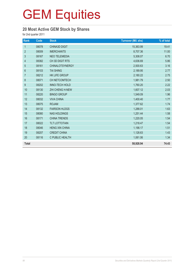### **20 Most Active GEM Stock by Shares**

for 2nd quarter 2011

| Rank           | Code  | <b>Stock</b>           | <b>Turnover (Mil. shs)</b> | % of total |
|----------------|-------|------------------------|----------------------------|------------|
| $\mathbf{1}$   | 08078 | <b>CHINA3D DIGIT</b>   | 15,363.99                  | 19.41      |
| $\overline{2}$ | 08009 | <b>IMERCHANTS</b>      | 8,707.36                   | 11.00      |
| 3              | 08167 | <b>NEO TELEMEDIA</b>   | 5,308.07                   | 6.70       |
| 4              | 08382 | CH 3D DIGIT RTS        | 4,636.69                   | 5.86       |
| 5              | 08161 | <b>CHINALOTSYNERGY</b> | 2,500.63                   | 3.16       |
| $\,6\,$        | 08103 | <b>TAI SHING</b>       | 2,189.95                   | 2.77       |
| $\overline{7}$ | 08212 | HK LIFE GROUP          | 2,180.22                   | 2.75       |
| $\,8\,$        | 08071 | CH NETCOMTECH          | 1,981.79                   | 2.50       |
| 9              | 08202 | <b>INNO-TECH HOLD</b>  | 1,760.20                   | 2.22       |
| 10             | 08130 | ZHI CHENG H-NEW        | 1,607.12                   | 2.03       |
| 11             | 08220 | <b>BINGO GROUP</b>     | 1,549.09                   | 1.96       |
| 12             | 08032 | <b>VIVA CHINA</b>      | 1,400.40                   | 1.77       |
| 13             | 08075 | <b>ROJAM</b>           | 1,377.62                   | 1.74       |
| 14             | 08132 | <b>FAIRSON HLDGS</b>   | 1,288.01                   | 1.63       |
| 15             | 08080 | <b>NAS HOLDINGS</b>    | 1,251.44                   | 1.58       |
| 16             | 08171 | <b>CHINA TRENDS</b>    | 1,220.05                   | 1.54       |
| 17             | 08022 | <b>TLT LOTTOTAIN</b>   | 1,218.47                   | 1.54       |
| 18             | 08046 | <b>HENG XIN CHINA</b>  | 1,198.17                   | 1.51       |
| 19             | 08207 | <b>CREDIT CHINA</b>    | 1,128.63                   | 1.43       |
| 20             | 08116 | C PUBLIC HEALTH        | 1,061.06                   | 1.34       |
| <b>Total</b>   |       |                        | 58,928.94                  | 74.43      |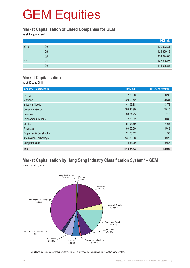#### **Market Capitalisation of Listed Companies for GEM**

as at the quarter end

|      |                | HK\$ mil.  |
|------|----------------|------------|
| 2010 | Q2             | 130,902.34 |
|      | Q <sub>3</sub> | 129,859.18 |
|      | Q4             | 134,674.08 |
| 2011 | Q1             | 137,835.27 |
|      | Q2             | 111,535.83 |

#### **Market Capitalisation**

as at 30 June 2011

| <b>Industry Classification</b> | HK\$ mil.  | HK\$% of totalmil. |
|--------------------------------|------------|--------------------|
| Energy                         | 998.90     | 0.90               |
| <b>Materials</b>               | 22,652.42  | 20.31              |
| <b>Industrial Goods</b>        | 4,195.88   | 3.76               |
| <b>Consumer Goods</b>          | 16,844.99  | 15.10              |
| <b>Services</b>                | 8,004.25   | 7.18               |
| Telecommunications             | 988.62     | 0.89               |
| <b>Utilities</b>               | 5,195.69   | 4.66               |
| <b>Financials</b>              | 6,055.29   | 5.43               |
| Properties & Construction      | 2,176.12   | 1.95               |
| Information Technology         | 43,785.58  | 39.26              |
| Conglomerates                  | 638.09     | 0.57               |
| <b>Total</b>                   | 111,535.83 | 100.00             |

#### **Market Capitalisation by Hang Seng Industry Classification System\* – GEM** Quarter-end figures



Hang Seng Industry Classification System (HSICS) is provided by Hang Seng Indexes Company Limited.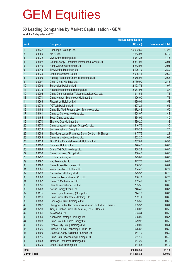#### **50 Leading Companies by Market Capitalisation - GEM**

as at the 2nd quarter end 2011

|                     |       |                                                           | <b>Market capitalisation</b> |                   |
|---------------------|-------|-----------------------------------------------------------|------------------------------|-------------------|
| Rank                |       | <b>Company</b>                                            | (HK\$ mil.)                  | % of market total |
| $\mathbf 1$         | 08137 | Honbridge Holdings Ltd.                                   | 15,932.59                    | 14.28             |
| $\overline{2}$      | 08086 | ePRO Ltd.                                                 | 7,243.98                     | 6.49              |
| $\mathfrak{S}$      | 08032 | Viva China Holdings Ltd.                                  | 4,961.28                     | 4.45              |
| 4                   | 08192 | Global Energy Resources International Group Ltd.          | 3,387.96                     | 3.04              |
| 5                   | 08046 | Heng Xin China Holdings Ltd.                              | 3,282.96                     | 2.94              |
| $6\phantom{1}6$     | 08043 | ERA Mining Machinery Ltd.                                 | 3,126.19                     | 2.80              |
| $\overline{7}$      | 08035 | Binhai Investment Co. Ltd.                                | 2,996.41                     | 2.69              |
| $\,8\,$             | 08096 | Ruifeng Petroleum Chemical Holdings Ltd.                  | 2,965.02                     | 2.66              |
| 9                   | 08207 | Credit China Holdings Ltd.                                | 2,730.00                     | 2.45              |
| 10                  | 08008 | Sunevision Holdings Ltd.                                  | 2,193.73                     | 1.97              |
| 11                  | 08075 | Rojam Entertainment Holdings Ltd.                         | 2,087.96                     | 1.87              |
| 12                  | 08206 | China Communication Telecom Services Co. Ltd.             | 1,911.52                     | 1.71              |
| 13                  | 08071 | China Netcom Technology Holdings Ltd.                     | 1,906.00                     | 1.71              |
| 14                  | 08066 | Phoenitron Holdings Ltd.                                  | 1,699.91                     | 1.52              |
| 15                  | 08279 | AGTech Holdings Ltd.                                      | 1,697.21                     | 1.52              |
| 16                  | 08158 | China Bio-Med Regeneration Technology Ltd.                | 1,672.48                     | 1.50              |
| 17                  | 08161 | China LotSynergy Holdings Ltd.                            | 1,608.07                     | 1.44              |
| 18                  | 08155 | South China Land Ltd.                                     | 1,564.99                     | 1.40              |
| 19                  | 08070 | Zhongyu Gas Holdings Ltd.                                 | 1,539.20                     | 1.38              |
| 20                  | 08270 | China Leason Investment Group Co. Ltd.                    | 1,446.76                     | 1.30              |
| 21                  | 08029 | Sun International Group Ltd.                              | 1,419.23                     | 1.27              |
| 22                  | 08058 | Shandong Luoxin Pharmacy Stock Co. Ltd. - H Shares        | 1,347.75                     | 1.21              |
| 23                  | 08083 | China Innovationpay Group Ltd.                            | 1,202.20                     | 1.08              |
| 24                  | 08123 | First China Financial Network Holdings Ltd.               | 1,087.82                     | 0.98              |
| 25                  | 08190 | Combest Holdings Ltd.                                     | 976.46                       | 0.88              |
| 26                  | 08299 | Grand T G Gold Holdings Ltd.                              | 968.29                       | 0.87              |
| 27                  | 08156 | China Vanguard Group Ltd.                                 | 950.46                       | 0.85              |
| 28                  | 08292 | HC International, Inc.                                    | 929.02                       | 0.83              |
| 29                  | 08167 | Neo Telemedia Ltd.                                        | 927.75                       | 0.83              |
| 30                  | 08186 | China Asean Resources Ltd.                                | 906.55                       | 0.81              |
| 31                  | 08005 | Yuxing InfoTech Holdings Ltd.                             | 884.45                       | 0.79              |
| 32                  | 08228 | National Arts Holdings Ltd.                               | 873.37                       | 0.78              |
| 33                  | 08306 | China Nonferrous Metals Co. Ltd.                          | 866.13                       | 0.78              |
| 34                  | 08087 | China 33 Media Group Ltd.                                 | 862.42                       | 0.77              |
| 35                  | 08351 | Eternite International Co. Ltd.                           | 765.55                       | 0.69              |
| 36                  | 08203 | Kaisun Energy Group Ltd.                                  | 748.49                       | 0.67              |
| 37                  | 08175 | China Digital Licensing (Group) Ltd.                      | 744.10                       | 0.67              |
| 38                  | 08116 | China Public Healthcare (Holding) Ltd.                    | 732.71                       | 0.66              |
| 39                  | 08153 | Code Agriculture (Holdings) Ltd.                          | 705.59                       | 0.63              |
| 40                  | 08102 | Shanghai Fudan Microelectronics Group Co. Ltd. - H Shares | 683.37                       | 0.61              |
| 41                  | 08290 | Tianjin Tianlian Public Utilities Co., Ltd. - H Shares    | 660.08                       | 0.59              |
| 42                  | 08061 | AcrossAsia Ltd.                                           | 653.34                       | 0.59              |
| 43                  | 08080 | North Asia Strategic Holdings Ltd.                        | 638.09                       | 0.57              |
| 44                  | 08128 | China Ground Source Energy Ltd.                           | 629.92                       | 0.56              |
| 45                  | 08325 | Oriental City Group Holdings Ltd.                         | 600.00                       | 0.54              |
| 46                  | 08226 | Sunrise (China) Technology Group Ltd.                     | 576.82                       | 0.52              |
| 47                  | 08109 | Creative Energy Solutions Holdings Ltd.                   | 554.40                       | 0.50              |
| 48                  | 08016 | China Data Broadcasting Holdings Ltd.                     | 551.10                       | 0.49              |
| 49                  | 08163 | Merdeka Resources Holdings Ltd.                           | 547.29                       | 0.49              |
| 50                  | 08220 | Bingo Group Holdings Ltd.                                 | 541.65                       | 0.49              |
|                     |       |                                                           |                              |                   |
| <b>Total</b>        |       |                                                           | 90,488.60                    | 81.13             |
| <b>Market Total</b> |       |                                                           | 111,535.83                   | 100.00            |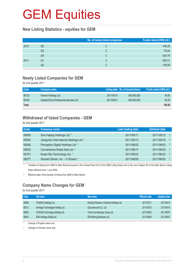#### **New Listing Statistics - equities for GEM**

|      |    | No. of newly listed companies | Funds raised (HK\$ mil.) |
|------|----|-------------------------------|--------------------------|
| 2010 | Q2 |                               | 146.25                   |
|      | Q3 |                               | 78.24                    |
|      | Q4 |                               | 424.79                   |
| 2011 | Q1 |                               | 452.01                   |
|      | Q2 |                               | 139.50                   |

#### **Newly Listed Companies for GEM**

for 2nd quarter 2011

| <b>Code</b>  | Company name                            |            | Listing date No. of issued shares | Funds raised (HK\$ mil.) |
|--------------|-----------------------------------------|------------|-----------------------------------|--------------------------|
| 08132        | Fairson Holdings Ltd.                   | 2011/05/18 | 550,000,000                       | 49.50                    |
| 08193        | GreaterChina Professional Services Ltd. | 2011/05/31 | 500,000,000                       | 90.00                    |
| <b>Total</b> |                                         |            |                                   | 139.50                   |

### **Withdrawal of listed Companies - GEM**

for 2nd quarter 2011

| <b>Code</b> | <b>Company name</b>                     | <b>Last trading date</b> | <b>Delisted date</b>             |  |
|-------------|-----------------------------------------|--------------------------|----------------------------------|--|
| 08065       | Sino Haijing Holdings Ltd. *            | 2011/05/11               | -S<br>2011/05/12                 |  |
| 08305       | Jiangchen International Holdings Ltd. * | 2011/05/13               | -S<br>2011/05/16                 |  |
| 08248       | Perception Digital Holdings Ltd. *      | 2011/06/02               | -S<br>2011/06/03                 |  |
| 08052       | Convenience Retail Asia Ltd. *          | 2011/06/17               | -S<br>2011/06/20                 |  |
| 08151       | Essex Bio-Technology Ltd. *             | 2011/06/22               | $\hat{\mathbf{S}}$<br>2011/06/23 |  |
| 08277       | Wumart Stores, Inc. - H Shares *        | 2011/06/29               | $\hat{\mathbf{S}}$<br>2011/06/30 |  |

\* Transfers of listing from GEM to Main Board pursuant to the revised Rule 9.24 of the GEM Listing Rules and to the new Chapter 9A of the Main Board Listing Rules effective from 1 July 2008.

§ Effective date of the transfer of listing from GEM to Main Board.

### **Company Name Changes for GEM**

for 2nd quarter 2011

| Code  | Old name                           | New name                                 | <b>Effective date</b> | <b>Adoption date</b> |
|-------|------------------------------------|------------------------------------------|-----------------------|----------------------|
| 08096 | ThinSoft (Holdings) Inc.           | Ruifeng Petroleum Chemical Holdings Ltd. | 2011/03/11            | 2011/04/15           |
| 08213 | Armitage Technologies Holding Ltd. | Epicurean and Co., Ltd.                  | 2011/03/15            | 2011/04/19           |
| 08083 | SYSCAN Technology Holdings Ltd.    | China Innovationpay Group Ltd.           | 2011/05/02            | 2011/06/07           |
| 08043 | <b>ERA Holdings Global Ltd.</b>    | ERA Mining Machinery Ltd.                | 2011/05/09            | 2011/06/27           |

\* Change of English name only

# Change of Chinese name only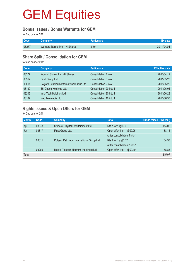#### **Bonus Issues / Bonus Warrants for GEM**

for 2nd quarter 2011

| Code  | Company                        | <b>Particulars</b> | Ex-date    |
|-------|--------------------------------|--------------------|------------|
| 08277 | Wumart Stores, Inc. - H Shares | 3 for 1            | 2011/04/04 |

#### **Share Split / Consolidation for GEM**

for 2nd quarter 2011

| <b>Code</b> | <b>Company</b>                             | <b>Particulars</b>      | <b>Effective date</b> |
|-------------|--------------------------------------------|-------------------------|-----------------------|
| 08277       | Wumart Stores, Inc. - H Shares             | Consolidation 4 into 1  | 2011/04/12            |
| 08317       | Finet Group Ltd.                           | Consolidation 5 into 1  | 2011/05/20            |
| 08011       | Polyard Petroleum International Group Ltd. | Consolidation 2 into 1  | 2011/05/20            |
| 08130       | Zhi Cheng Holdings Ltd.                    | Consolidation 20 into 1 | 2011/06/01            |
| 08202       | Inno-Tech Holdings Ltd.                    | Consolidation 20 into 1 | 2011/06/28            |
| 08167       | Neo Telemedia Ltd.                         | Consolidation 10 into 1 | 2011/06/30            |

### **Rights Issues & Open Offers for GEM**

for 2nd quarter 2011

| <b>Month</b> | Code  | Company                                    | <b>Ratio</b>                   | Funds raised (HK\$ mil.) |
|--------------|-------|--------------------------------------------|--------------------------------|--------------------------|
| Apr          | 08078 | China 3D Digital Entertainment Ltd.        | Rts 7 for 1 @\$0.015           | 114.02                   |
| Jun          | 08317 | Finet Group Ltd.                           | Open offer 4 for 1 @\$0.25     | 88.16                    |
|              |       |                                            | (after consolidation 5 into 1) |                          |
|              | 08011 | Polyard Petroleum International Group Ltd. | Rts 1 for 1 $@$0.12$           | 54.93                    |
|              |       |                                            | (after consolidation 2 into 1) |                          |
|              | 08266 | Mobile Telecom Network (Holdings) Ltd.     | Open offer 1 for 1 @\$0.10     | 58.86                    |
| <b>Total</b> |       |                                            |                                | 315.97                   |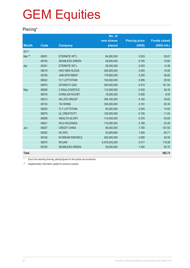### **Placing\***

|              |       |                        | No. of        |                      |                     |
|--------------|-------|------------------------|---------------|----------------------|---------------------|
|              |       |                        | new shares    | <b>Placing price</b> | <b>Funds raised</b> |
| <b>Month</b> | Code  | <b>Company</b>         | placed        | (HK\$)               | (HK\$ mil.)         |
| 2011         |       |                        |               |                      |                     |
| Mar **       | 08351 | ETERNITE INT'L         | 64,500,000    | 0.553                | 35.67               |
|              | 08150 | <b>SEAMLESS GREEN</b>  | 28,000,000    | 0.700                | 19.60               |
| Apr          | 08351 | ETERNITE INT'L         | 26,000,000    | 0.553                | 14.38               |
|              | 08019 | <b>HAO WEN HLDGS</b>   | 300,000,000   | 0.055                | 16.50               |
|              | 08165 | <b>JIAN EPAYMENT</b>   | 179,600,000   | 0.205                | 36.82               |
|              | 08022 | <b>TLT LOTTOTAIN</b>   | 100,000,000   | 0.295                | 29.50               |
|              | 08070 | <b>ZHONGYU GAS</b>     | 394,000,000   | 0.410                | 161.54              |
| May          | 08089 | <b>C RAILLOGISTICS</b> | 112,000,000   | 0.430                | 48.16               |
|              | 08016 | <b>CHINA DATACAST</b>  | 16,000,000    | 0.500                | 8.00                |
|              | 08212 | <b>HK LIFE GROUP</b>   | 356,160,000   | 0.100                | 35.62               |
|              | 08103 | <b>TAI SHING</b>       | 393,500,000   | 0.161                | 63.35               |
|              | 08022 | <b>TLT LOTTOTAIN</b>   | 65,000,000    | 0.245                | 15.93               |
|              | 08079 | <b>UL CREATIVITY</b>   | 105,000,000   | 0.105                | 11.03               |
|              | 08269 | <b>WEALTH GLORY</b>    | 110,400,000   | 0.370                | 40.85               |
|              | 08021 | <b>WLS HOLDINGS</b>    | 118,380,000   | 0.188                | 22.26               |
| Jun          | 08207 | <b>CREDIT CHINA</b>    | 90,000,000    | 1.750                | 157.50              |
|              | 08292 | <b>HC INTL</b>         | 53,809,685    | 1.500                | 80.71               |
|              | 08100 | <b>M DREAM INWORLD</b> | 400,000,000   | 0.065                | 26.00               |
|              | 08075 | <b>ROJAM</b>           | 6,918,343,209 | 0.017                | 118.58              |
|              | 08150 | <b>SEAMLESS GREEN</b>  | 35,000,000    | 1.450                | 50.75               |
| <b>Total</b> |       |                        |               |                      | 992.73              |

Due to the reporting time-lag, placing figures for the quarter are provisional.

\*\* Supplementary information update for previous quarters.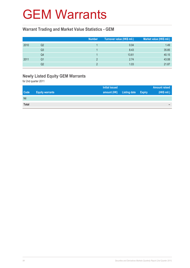### GEM Warrants

#### **Warrant Trading and Market Value Statistics - GEM**

|      |                | <b>Number</b> | Turnover value (HK\$ mil.) | Market value (HK\$ mil.) |
|------|----------------|---------------|----------------------------|--------------------------|
| 2010 | Q2             |               | 0.04                       | 1.49                     |
|      | Q3             |               | 8.43                       | 35.85                    |
|      | Q4             |               | 13.61                      | 40.15                    |
| 2011 | Q1             |               | 2.74                       | 43.08                    |
|      | Q <sub>2</sub> |               | 1.03                       | 21.87                    |

### **Newly Listed Equity GEM Warrants**

for 2nd quarter 2011

|              |                        | <b>Initial issued</b> |                     |               | <b>Amount raised</b> |
|--------------|------------------------|-----------------------|---------------------|---------------|----------------------|
| <b>Code</b>  | <b>Equity warrants</b> | amount (HK)           | <b>Listing date</b> | <b>Expiry</b> | (HK\$ mil.)          |
| Nil          |                        |                       |                     |               |                      |
| <b>Total</b> |                        |                       |                     |               | $\sim$               |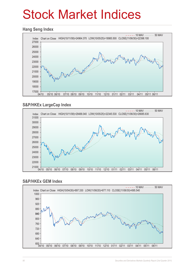## Stock Market Indices

#### **Hang Seng Index**



### **S&P/HKEx LargeCap Index**



#### **S&P/HKEx GEM Index**

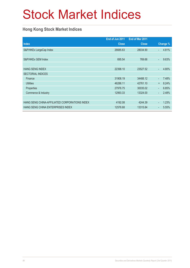## Stock Market Indices

### **Hong Kong Stock Market Indices**

|                                               | End of Jun 2011 | End of Mar 2011 |                          |          |
|-----------------------------------------------|-----------------|-----------------|--------------------------|----------|
| <b>Index</b>                                  | <b>Close</b>    | <b>Close</b>    |                          | Change % |
| S&P/HKEx LargeCap Index                       | 26685.63        | 28034.90        | ÷.                       | 4.81%    |
|                                               |                 |                 |                          |          |
| S&P/HKEx GEM Index                            | 695.54          | 769.66          | ÷,                       | 9.63%    |
|                                               |                 |                 |                          |          |
| <b>HANG SENG INDEX</b>                        | 22398.10        | 23527.52        | ä,                       | 4.80%    |
| <b>SECTORIAL INDICES</b>                      |                 |                 |                          |          |
| Finance                                       | 31908.19        | 34488.12        | $\overline{\phantom{0}}$ | 7.48%    |
| <b>Utilities</b>                              | 46286.11        | 42761.10        | $\ddot{}$                | 8.24%    |
| Properties                                    | 27976.75        | 30035.02        | $\blacksquare$           | 6.85%    |
| Commerce & Industry                           | 12993.33        | 13324.00        | $\overline{\phantom{0}}$ | 2.48%    |
|                                               |                 |                 |                          |          |
| HANG SENG CHINA-AFFILIATED CORPORATIONS INDEX | 4192.08         | 4244.39         | ٠                        | 1.23%    |
| HANG SENG CHINA ENTERPRISES INDEX             | 12576.68        | 13315.84        | $\overline{\phantom{a}}$ | 5.55%    |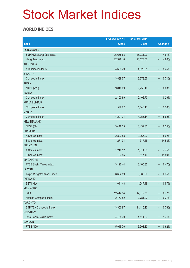## Stock Market Indices

### **WORLD INDICES**

|                                 | End of Jun 2011 | End of Mar 2011 |                          |          |
|---------------------------------|-----------------|-----------------|--------------------------|----------|
| <b>Index</b>                    | <b>Close</b>    | <b>Close</b>    |                          | Change % |
| <b>HONG KONG</b>                |                 |                 |                          |          |
| S&P/HKEx LargeCap Index         | 26,685.63       | 28,034.90       | $\Box$                   | 4.81%    |
| Hang Seng Index                 | 22,398.10       | 23,527.52       | $\overline{\phantom{a}}$ | 4.80%    |
| <b>AUSTRALIA</b>                |                 |                 |                          |          |
| All Ordinaries Index            | 4,659.79        | 4,928.61        | $\overline{\phantom{a}}$ | 5.45%    |
| <b>JAKARTA</b>                  |                 |                 |                          |          |
| Composite Index                 | 3,888.57        | 3,678.67        | $\ddot{}$                | 5.71%    |
| <b>JAPAN</b>                    |                 |                 |                          |          |
| Nikkei (225)                    | 9,816.09        | 9,755.10        | $\ddot{}$                | 0.63%    |
| <b>KOREA</b>                    |                 |                 |                          |          |
| Composite Index                 | 2,100.69        | 2,106.70        | $\overline{\phantom{a}}$ | 0.29%    |
| <b>KUALA LUMPUR</b>             |                 |                 |                          |          |
| Composite Index                 | 1,579.07        | 1,545.13        | $\ddot{}$                | 2.20%    |
| <b>MANILA</b>                   |                 |                 |                          |          |
| Composite Index                 | 4,291.21        | 4,055.14        | $\ddot{}$                | 5.82%    |
| <b>NEW ZEALAND</b>              |                 |                 |                          |          |
| <b>NZSE (50)</b>                | 3,448.35        | 3,439.85        | $\ddot{}$                | 0.25%    |
| <b>SHANGHAI</b>                 |                 |                 |                          |          |
| A Shares Index                  | 2,893.53        | 3,065.92        | $\overline{\phantom{a}}$ | 5.62%    |
| <b>B</b> Shares Index           | 271.31          | 317.45          | $\blacksquare$           | 14.53%   |
| <b>SHENZHEN</b>                 |                 |                 |                          |          |
| A Shares Index                  | 1,210.12        | 1,311.83        | ÷,                       | 7.75%    |
| <b>B</b> Shares Index           | 723.45          | 817.49          | ÷                        | 11.50%   |
| <b>SINGAPORE</b>                |                 |                 |                          |          |
| <b>FTSE Straits Times Index</b> | 3,120.44        | 3,105.85        | $\ddot{}$                | 0.47%    |
| <b>TAIWAN</b>                   |                 |                 |                          |          |
| Taipei Weighted Stock Index     | 8,652.59        | 8,683.30        | ٠                        | 0.35%    |
| <b>THAILAND</b>                 |                 |                 |                          |          |
| <b>SET Index</b>                | 1,041.48        | 1,047.48        | ٠                        | 0.57%    |
| <b>NEW YORK</b>                 |                 |                 |                          |          |
| <b>DJIA</b>                     | 12,414.34       | 12,319.73       | $\ddagger$               | 0.77%    |
| Nasdaq Composite Index          | 2,773.52        | 2,781.07        | $\overline{\phantom{a}}$ | 0.27%    |
| <b>TORONTO</b>                  |                 |                 |                          |          |
| S&P/TSX Composite Index         | 13,300.87       | 14,116.10       | $\blacksquare$           | 5.78%    |
| <b>GERMANY</b>                  |                 |                 |                          |          |
| DAX Capital Value Index         | 4,184.30        | 4,114.03        | $\ddot{}$                | 1.71%    |
| <b>LONDON</b>                   |                 |                 |                          |          |
| FTSE (100)                      | 5,945.70        | 5,908.80        | $\ddagger$               | 0.62%    |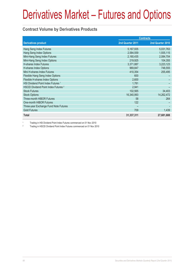#### **Contract Volume by Derivatives Products**

|                                                 | <b>Contracts</b> |                  |  |
|-------------------------------------------------|------------------|------------------|--|
| <b>Derivatives product</b>                      | 2nd Quarter 2011 | 2nd Quarter 2010 |  |
| Hang Seng Index Futures                         | 5,167,935        | 5,031,763        |  |
| Hang Seng Index Options                         | 2,584,559        | 1,935,115        |  |
| Mini-Hang Seng Index Futures                    | 2,160,435        | 2,084,704        |  |
| Mini-Hang Seng Index Options                    | 219,925          | 104,355          |  |
| H-shares Index Futures                          | 3,371,887        | 3,223,123        |  |
| H-shares Index Options                          | 969,847          | 748,555          |  |
| Mini H-shares Index Futures                     | 410,354          | 255,495          |  |
| Flexible Hang Seng Index Options                | 600              |                  |  |
| Flexible H-shares Index Options                 | 2,600            |                  |  |
| HSI Dividend Point Index Futures <sup>1</sup>   | 1,781            |                  |  |
| HSCEI Dividend Point Index Futures <sup>2</sup> | 2,941            |                  |  |
| <b>Stock Futures</b>                            | 102,565          | 34,403           |  |
| <b>Stock Options</b>                            | 16,340,993       | 14,262,472       |  |
| <b>Three-month HIBOR Futures</b>                | 58               | 264              |  |
| One-month HIBOR Futures                         | 122              |                  |  |
| Three-year Exchange Fund Note Futures           |                  |                  |  |
| <b>Gold Futures</b>                             | 709              | 1,439            |  |
| <b>Total</b>                                    | 31,337,311       | 27,681,688       |  |

1 Trading in HSI Dividend Point Index Futures commenced on 01 Nov 2010

2 Trading in HSCEI Dividend Point Index Futures commenced on 01 Nov 2010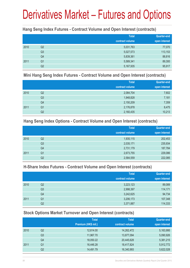#### **Hang Seng Index Futures - Contract Volume and Open Interest (contracts)**

|      |                | <b>Total</b>    | Quarter-end   |
|------|----------------|-----------------|---------------|
|      |                | contract volume | open interest |
| 2010 | Q2             | 5,031,763       | 77,070        |
|      | Q <sub>3</sub> | 5,027,573       | 113,153       |
|      | Q4             | 5,839,361       | 88,816        |
| 2011 | Q <sub>1</sub> | 5,589,341       | 89,300        |
|      | Q <sub>2</sub> | 5,167,935       | 95,917        |

#### **Mini Hang Seng Index Futures - Contract Volume and Open Interest (contracts)**

|      |                | <b>Total</b>    | Quarter-end   |
|------|----------------|-----------------|---------------|
|      |                | contract volume | open interest |
| 2010 | Q2             | 2,084,704       | 7,602         |
|      | Q <sub>3</sub> | 1,948,828       | 7,181         |
|      | Q4             | 2,150,209       | 7,359         |
| 2011 | Q <sub>1</sub> | 2,176,878       | 8,475         |
|      | Q2             | 2,160,435       | 10,213        |

#### **Hang Seng Index Options - Contract Volume and Open Interest (contracts)**

|      |                | <b>Total</b>    | Quarter-end   |
|------|----------------|-----------------|---------------|
|      |                | contract volume | open interest |
| 2010 | Q2             | 1,935,115       | 202,453       |
|      | Q <sub>3</sub> | 2,035,171       | 235,934       |
|      | Q4             | 2,731,179       | 187,784       |
| 2011 | Q <sub>1</sub> | 2,673,755       | 229,086       |
|      | Q2             | 2,584,559       | 222,085       |

#### **H-Share Index Futures - Contract Volume and Open Interest (contracts)**

|      |                | <b>Total</b>    | <b>Quarter-end</b> |
|------|----------------|-----------------|--------------------|
|      |                | contract volume | open interest      |
| 2010 | Q <sub>2</sub> | 3,223,123       | 89,089             |
|      | Q <sub>3</sub> | 2,998,397       | 114,171            |
|      | Q4             | 3,242,625       | 94,734             |
| 2011 | Q <sub>1</sub> | 3,206,173       | 107,348            |
|      | Q2             | 3,371,887       | 114,333            |

### **Stock Options Market Turnover and Open Interest (contracts)**

|      |                | <b>Total</b>        | <b>Total</b>    | Quarter-end   |
|------|----------------|---------------------|-----------------|---------------|
|      |                | Premium (HK\$ mil.) | contract volume | open interest |
| 2010 | Q <sub>2</sub> | 12,614.00           | 14,262,472      | 5,163,995     |
|      | Q <sub>3</sub> | 11,967.70           | 13,877,094      | 5,090,926     |
|      | Q4             | 18,050.22           | 20,445,628      | 5,381,215     |
| 2011 | Q1             | 16,446.28           | 18,417,824      | 5,912,772     |
|      | Q2             | 14,491.79           | 16,340,993      | 5,622,028     |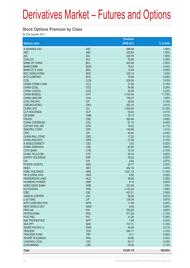#### **Stock Options Premium by Class**

for 2nd Quarter 2011

|                           |                 | Premium     |            |
|---------------------------|-----------------|-------------|------------|
| <b>Options class</b>      |                 | (HK\$ mil.) | % of total |
| X ISHARES A50             | A <sub>50</sub> | 286.50      | 1.98%      |
| <b>ABC</b>                | <b>ABC</b>      | 225.54      | 1.56%      |
| AIA                       | <b>AIA</b>      | 228.78      | 1.58%      |
| <b>CHALCO</b>             | <b>ALC</b>      | 55.09       | 0.38%      |
| <b>BANK OF CHINA</b>      | <b>BCL</b>      | 420.48      | 2.90%      |
| <b>BANKCOMM</b>           | <b>BCM</b>      | 78.63       | 0.54%      |
| <b>BANK OF E ASIA</b>     | <b>BEA</b>      | 12.64       | 0.09%      |
| <b>BOC HONG KONG</b>      | <b>BOC</b>      | 239.12      | 1.65%      |
| <b>BYD COMPANY</b>        | <b>BYD</b>      | 70.69       | 0.49%      |
| <b>CCB</b>                | <b>CCB</b>      | 526.56      | 3.63%      |
| <b>CHINA COMM CONS</b>    | CCC             | 27.48       | 0.19%      |
| <b>CHINA COAL</b>         | <b>CCE</b>      | 56.66       | 0.39%      |
| <b>CHINA COSCO</b>        | <b>CCS</b>      | 32.95       | 0.23%      |
| <b>CHINA MOBILE</b>       | <b>CHT</b>      | 1,704.44    | 11.76%     |
| <b>CHINA UNICOM</b>       | <b>CHU</b>      | 156.37      | 1.08%      |
| <b>CITIC PACIFIC</b>      | <b>CIT</b>      | 26.02       | 0.18%      |
| <b>CHEUNG KONG</b>        | <b>CKH</b>      | 552.16      | 3.81%      |
| <b>CHINA LIFE</b>         | <b>CLI</b>      | 1,934.49    | 13.35%     |
| <b>CLP HOLDINGS</b>       | <b>CLP</b>      | 59.93       | 0.41%      |
| <b>CM BANK</b>            | <b>CMB</b>      | 76.15       | 0.53%      |
| <b>CNOOC</b>              | <b>CNC</b>      | 563.94      | 3.89%      |
| <b>CHINA OVERSEAS</b>     | COL             | 67.10       | 0.46%      |
| <b>CATHAY PAC AIR</b>     | <b>CPA</b>      | 16.43       | 0.11%      |
| SINOPEC CORP              | <b>CPC</b>      | 146.66      | 1.01%      |
| <b>CPIC</b>               | <b>CPI</b>      | 40.40       | 0.28%      |
| <b>CHINA RAIL CONS</b>    | <b>CRC</b>      | 17.22       | 0.12%      |
| <b>CHINA RAILWAY</b>      | <b>CRG</b>      | 21.95       | 0.15%      |
| X WISECSI300ETF           | CS <sub>3</sub> | 3.42        | 0.02%      |
| <b>CHINA SHENHUA</b>      | <b>CSE</b>      | 93.82       | 0.65%      |
| <b>CITIC BANK</b>         | <b>CTB</b>      | 15.10       | 0.10%      |
| <b>CHINA TELECOM</b>      | <b>CTC</b>      | 93.74       | 0.65%      |
| <b>ESPRIT HOLDINGS</b>    | <b>ESP</b>      | 28.42       | 0.20%      |
| <b>FIH</b>                | <b>FIH</b>      | 9.64        | 0.07%      |
| <b>POWER ASSETS</b>       | <b>HEH</b>      | 35.77       | 0.25%      |
| <b>HKEX</b>               | <b>HEX</b>      | 492.18      | 3.40%      |
| <b>HSBC HOLDINGS</b>      | <b>HKB</b>      | 1,621.18    | 11.19%     |
| <b>HK &amp; CHINA GAS</b> | <b>HKG</b>      | 8.82        | 0.06%      |
| <b>HENDERSON LAND</b>     | <b>HLD</b>      | 39.92       | 0.28%      |
| <b>HUANENG POWER</b>      | <b>HNP</b>      | 9.15        | 0.06%      |
| <b>HANG SENG BANK</b>     | <b>HSB</b>      | 223.93      | 1.55%      |
| <b>HUTCHISON</b>          | <b>HWL</b>      | 1,143.23    | 7.89%      |
| <b>ICBC</b>               | <b>ICB</b>      | 433.21      | 2.99%      |
| <b>JIANGXI COPPER</b>     | <b>JXC</b>      | 96.65       | 0.67%      |
| LI & FUNG                 | LIF.            | 126.24      | 0.87%      |
| <b>MTR CORPORATION</b>    | <b>MTR</b>      | 11.99       | 0.08%      |
| <b>NEW WORLD DEV</b>      | <b>NWD</b>      | 8.49        | 0.06%      |
| <b>PING AN</b>            | PAI             | 532.85      | 3.68%      |
| <b>PETROCHINA</b>         | <b>PEC</b>      | 311.24      | 2.15%      |
| PICC P&C                  | <b>PIC</b>      | 41.26       | 0.28%      |
| <b>R&amp;F PROPERTIES</b> | <b>RFP</b>      | 7.65        | 0.05%      |
| <b>SHK PPT</b>            | <b>SHK</b>      | 747.31      | 5.16%      |
| <b>SWIRE PACIFIC A</b>    | <b>SWA</b>      | 45.06       | 0.31%      |
| <b>TENCENT</b>            | <b>TCH</b>      | 540.17      | 3.73%      |
| <b>TRACKER FUND</b>       | <b>TRF</b>      | 9.11        | 0.06%      |
| <b>WHARF HOLDINGS</b>     | <b>WHL</b>      | 49.66       | 0.34%      |
| YANZHOU COAL              | <b>YZC</b>      | 50.17       | 0.35%      |
| <b>ZIJIN MINING</b>       | <b>ZJM</b>      | 18.06       | 0.12%      |
| <b>Total</b>              |                 | 14,491.79   | 100.00%    |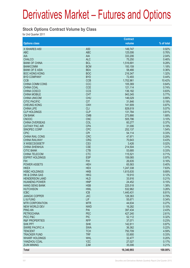#### **Stock Options Contract Volume by Class**

for 2nd Quarter 2011

|                                     |                          | <b>Contract</b>  |                |
|-------------------------------------|--------------------------|------------------|----------------|
| <b>Options class</b>                |                          | volume           | % of total     |
| X ISHARES A50                       | A50                      | 149,747          | 0.92%          |
| <b>ABC</b>                          | <b>ABC</b>               | 125,006          | 0.76%          |
| <b>AIA</b>                          | <b>AIA</b>               | 333,206          | 2.04%          |
| <b>CHALCO</b>                       | <b>ALC</b>               | 75,250           | 0.46%          |
| <b>BANK OF CHINA</b>                | <b>BCL</b>               | 1,516,691        | 9.28%          |
| <b>BANKCOMM</b>                     | <b>BCM</b>               | 193,159          | 1.18%          |
| <b>BANK OF E ASIA</b>               | <b>BEA</b>               | 58,466           | 0.36%          |
| <b>BOC HONG KONG</b>                | <b>BOC</b>               | 216,347          | 1.32%          |
| <b>BYD COMPANY</b>                  | <b>BYD</b>               | 72,493           | 0.44%          |
| <b>CCB</b>                          | <b>CCB</b>               | 1,702,961        | 10.42%         |
| <b>CHINA COMM CONS</b>              | CCC                      | 105,369          | 0.64%          |
| <b>CHINA COAL</b>                   | <b>CCE</b>               | 121,114          | 0.74%          |
| <b>CHINA COSCO</b>                  | <b>CCS</b>               | 136,182          | 0.83%          |
| <b>CHINA MOBILE</b>                 | <b>CHT</b>               | 943,345          | 5.77%          |
| <b>CHINA UNICOM</b>                 | <b>CHU</b>               | 146,029          | 0.89%          |
| <b>CITIC PACIFIC</b>                | <b>CIT</b>               | 31,846           | 0.19%          |
| <b>CHEUNG KONG</b>                  | <b>CKH</b>               | 141,909          | 0.87%          |
| <b>CHINA LIFE</b>                   | <b>CLI</b>               | 828,619          | 5.07%          |
| <b>CLP HOLDINGS</b>                 | <b>CLP</b>               | 131,784          | 0.81%          |
| <b>CM BANK</b>                      | <b>CMB</b>               | 273,866          | 1.68%          |
| <b>CNOOC</b>                        | <b>CNC</b>               | 505,796          | 3.10%          |
| <b>CHINA OVERSEAS</b>               | COL                      | 60,277           | 0.37%          |
| <b>CATHAY PAC AIR</b>               | <b>CPA</b>               | 31,006           | 0.19%          |
| <b>SINOPEC CORP</b>                 | <b>CPC</b>               | 252,137          | 1.54%          |
| <b>CPIC</b>                         | <b>CPI</b>               | 54,114           | 0.33%          |
| <b>CHINA RAIL CONS</b>              | <b>CRC</b>               | 47,971           | 0.29%          |
| <b>CHINA RAILWAY</b>                | <b>CRG</b>               | 70,643           | 0.43%          |
| X WISECSI300ETF                     | CS <sub>3</sub>          | 3,426            | 0.02%          |
| <b>CHINA SHENHUA</b>                | <b>CSE</b>               | 214,504          | 1.31%          |
| <b>CITIC BANK</b>                   | <b>CTB</b>               | 53,685           | 0.33%          |
| <b>CHINA TELECOM</b>                | <b>CTC</b>               | 115,521          | 0.71%          |
| <b>ESPRIT HOLDINGS</b>              | <b>ESP</b>               | 159,065          | 0.97%          |
| <b>FIH</b>                          | <b>FIH</b>               | 26,635           | 0.16%          |
| <b>POWER ASSETS</b>                 | <b>HEH</b>               | 65,563           | 0.40%          |
| <b>HKEX</b>                         | <b>HEX</b>               | 1,247,338        | 7.63%          |
| <b>HSBC HOLDINGS</b>                | <b>HKB</b>               | 1,615,635        | 9.89%          |
| <b>HK &amp; CHINA GAS</b>           | <b>HKG</b>               | 19,910           | 0.12%          |
| <b>HENDERSON LAND</b>               | <b>HLD</b>               | 33,916           | 0.21%          |
| <b>HUANENG POWER</b>                | <b>HNP</b>               | 24,452           | 0.15%          |
| <b>HANG SENG BANK</b>               | <b>HSB</b>               | 225,518          | 1.38%          |
| <b>HUTCHISON</b>                    | <b>HWL</b>               | 532,962          | 3.26%          |
| <b>ICBC</b>                         | <b>ICB</b>               | 1,440,431        | 8.81%          |
| <b>JIANGXI COPPER</b>               | <b>JXC</b><br><b>LIF</b> | 128,363          | 0.79%          |
| LI & FUNG<br><b>MTR CORPORATION</b> | <b>MTR</b>               | 55,671<br>44,634 | 0.34%<br>0.27% |
| <b>NEW WORLD DEV</b>                | <b>NWD</b>               | 16,282           | 0.10%          |
| <b>PING AN</b>                      | PAI                      | 397,434          | 2.43%          |
| <b>PETROCHINA</b>                   | PEC                      | 427,240          | 2.61%          |
| PICC P&C                            | <b>PIC</b>               | 52,112           | 0.32%          |
| <b>R&amp;F PROPERTIES</b>           | <b>RFP</b>               | 37,071           | 0.23%          |
| <b>SHK PPT</b>                      | <b>SHK</b>               | 142,811          | 0.87%          |
| <b>SWIRE PACIFIC A</b>              | <b>SWA</b>               | 36,362           | 0.22%          |
| <b>TENCENT</b>                      | <b>TCH</b>               | 750,709          | 4.59%          |
| <b>TRACKER FUND</b>                 | <b>TRF</b>               | 53,900           | 0.33%          |
| <b>WHARF HOLDINGS</b>               | <b>WHL</b>               | 32,477           | 0.20%          |
| YANZHOU COAL                        | <b>YZC</b>               | 27,027           | 0.17%          |
| <b>ZIJIN MINING</b>                 | <b>ZJM</b>               | 35,006           | 0.21%          |
| <b>Total</b>                        |                          | 16,340,993       | 100.00%        |
|                                     |                          |                  |                |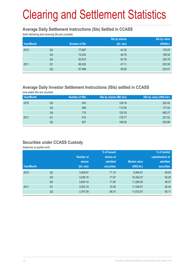# Clearing and Settlement Statistics

#### **Average Daily Settlement Instructions (SIs) Settled in CCASS**

(both delivering and receiving SIs are counted)

|            |                |                      | Sis by value<br>Sis by shares |            |  |
|------------|----------------|----------------------|-------------------------------|------------|--|
| Year/Month |                | <b>Number of SIs</b> | (bil. shs)                    | (HK\$bil.) |  |
| 2010       | Q <sub>2</sub> | 77,887               | 44.35                         | 176.97     |  |
|            | Q <sub>3</sub> | 74,032               | 46.78                         | 169.54     |  |
|            | Q4             | 92,915               | 54.76                         | 234.79     |  |
| 2011       | Q <sub>1</sub> | 86,292               | 47.11                         | 202.59     |  |
|            | Q2             | 87,498               | 49.00                         | 233.07     |  |

### **Average Daily Investor Settlement Instructions (ISIs) settled in CCASS**

(one sided ISIs are counted)

| Year/Month |    | <b>Number of ISIs</b> | ISIs by shares (Mil shs) | ISIs by value (HK\$ mil.) |
|------------|----|-----------------------|--------------------------|---------------------------|
| 2010       | Q2 | 543                   | 129.16                   | 252.42                    |
|            | Q3 | 499                   | 115.92                   | 177.54                    |
|            | Q4 | 715                   | 120.35                   | 480.27                    |
| 2011       | Q1 | 516                   | 178.77                   | 227.52                    |
|            | Q2 | 527                   | 108.05                   | 323.66                    |

### **Securities under CCASS Custody**

(balances at quarter end)

|            |                |                  | % of issued       |                     | % of market       |
|------------|----------------|------------------|-------------------|---------------------|-------------------|
|            |                | <b>Number of</b> | shares of         |                     | capitalisation of |
|            |                | shares           | admitted          | <b>Market value</b> | admitted          |
| Year/Month |                | (bil. shs)       | <b>securities</b> | (HK\$ bil.)         | <b>securities</b> |
| 2010       | Q <sub>2</sub> | 3,409.67         | 71.10             | 8,904.81            | 48.93             |
|            | Q <sub>3</sub> | 3,538.16         | 71.67             | 10,442.07           | 50.28             |
|            | Q4             | 3,834.10         | 71.80             | 11,294.50           | 49.57             |
| 2011       | Q <sub>1</sub> | 3,933.19         | 72.49             | 11,539.57           | 50.44             |
|            | Q <sub>2</sub> | 3,707.09         | 69.37             | 11,612.87           | 50.11             |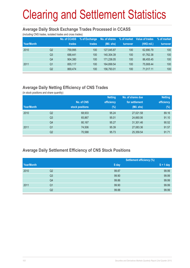# Clearing and Settlement Statistics

#### **Average Daily Stock Exchange Trades Processed in CCASS**

(including CNS trades, isolated trades and cross trades)

| Year/Month |                | <b>No. of CCASS</b><br>trades | % of Exchange<br>trades | No. of shares<br>(Mil. shs) | % of market<br>turnover | Value of trades<br>(HK\$ mil.) | % of market<br>turnover |
|------------|----------------|-------------------------------|-------------------------|-----------------------------|-------------------------|--------------------------------|-------------------------|
| 2010       | Q2             | 759.995                       | 100                     | 127.045.87                  | 100                     | 62.890.79                      | 100                     |
|            | Q <sub>3</sub> | 688.441                       | 100                     | 140.304.39                  | 100                     | 61,762.38                      | 100                     |
|            | Q4             | 904.380                       | 100                     | 171,236.05                  | 100                     | 86.455.45                      | 100                     |
| 2011       | Q <sub>1</sub> | 855.117                       | 100                     | 164,899.54                  | 100                     | 75.908.44                      | 100                     |
|            | Q2             | 869.474                       | 100                     | 156,793.01                  | 100                     | 71.017.11                      | 100                     |

### **Average Daily Netting Efficiency of CNS Trades**

(in stock positions and share quantity)

|            |                |                 | <b>Netting</b> | No. of shares due | <b>Netting</b> |
|------------|----------------|-----------------|----------------|-------------------|----------------|
|            |                | No. of CNS      | efficiency     | for settlement    | efficiency     |
| Year/Month |                | stock positions | $(\%)$         | (Mil. shs)        | $(\%)$         |
| 2010       | Q <sub>2</sub> | 68,933          | 95.24          | 27,021.58         | 89.16          |
|            | Q <sub>3</sub> | 65,867          | 95.01          | 24,660.06         | 91.10          |
|            | Q4             | 80,167          | 95.27          | 31,301.46         | 90.52          |
| 2011       | Q1             | 74,506          | 95.39          | 27,083.36         | 91.57          |
|            | Q2             | 70,588          | 95.73          | 25,359.54         | 91.71          |

### **Average Daily Settlement Efficiency of CNS Stock Positions**

|            |                |       | <b>Settlement efficiency (%)</b> |  |  |
|------------|----------------|-------|----------------------------------|--|--|
| Year/Month |                | S day | $S + 1$ day                      |  |  |
| 2010       | Q2             | 99.87 | 99.99                            |  |  |
|            | Q <sub>3</sub> | 99.90 | 99.99                            |  |  |
|            | Q4             | 99.86 | 99.99                            |  |  |
| 2011       | Q1             | 99.90 | 99.99                            |  |  |
|            | Q2             | 99.88 | 99.99                            |  |  |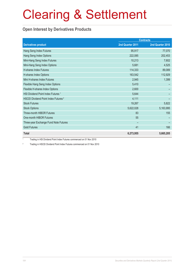# Clearing & Settlement

### **Open Interest by Derivatives Products**

|                                                 | <b>Contracts</b> |                  |  |
|-------------------------------------------------|------------------|------------------|--|
| <b>Derivatives product</b>                      | 2nd Quarter 2011 | 2nd Quarter 2010 |  |
| Hang Seng Index Futures                         | 95,917           | 77,070           |  |
| Hang Seng Index Options                         | 222,085          | 202,453          |  |
| Mini-Hang Seng Index Futures                    | 10,213           | 7,602            |  |
| Mini-Hang Seng Index Options                    | 5,681            | 4,525            |  |
| <b>H-shares Index Futures</b>                   | 114,333          | 89,089           |  |
| H-shares Index Options                          | 163,542          | 112,929          |  |
| Mini H-shares Index Futures                     | 2,945            | 1,399            |  |
| Flexible Hang Seng Index Options                | 5,410            |                  |  |
| Flexible H-shares Index Options                 | 2,600            |                  |  |
| HSI Dividend Point Index Futures <sup>1</sup>   | 5,644            |                  |  |
| HSCEI Dividend Point Index Futures <sup>2</sup> | 4,111            |                  |  |
| <b>Stock Futures</b>                            | 19,267           | 5,822            |  |
| <b>Stock Options</b>                            | 5,622,028        | 5,163,995        |  |
| Three-month HIBOR Futures                       | 83               | 155              |  |
| One-month HIBOR Futures                         | 55               |                  |  |
| Three-year Exchange Fund Note Futures           |                  |                  |  |
| <b>Gold Futures</b>                             | 41               | 166              |  |
| <b>Total</b>                                    | 6,273,955        | 5,665,205        |  |

1 Trading in HSI Dividend Point Index Futures commenced on 01 Nov 2010

2 Trading in HSCEI Dividend Point Index Futures commenced on 01 Nov 2010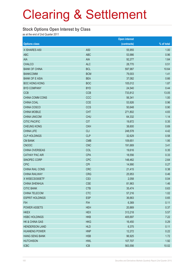# Clearing & Settlement

#### **Stock Options Open Interest by Class**

as at the end of 2nd Quarter 2011

|                        |                 | <b>Open interest</b> |            |
|------------------------|-----------------|----------------------|------------|
| <b>Options class</b>   |                 | (contracts)          | % of total |
| X ISHARES A50          | A50             | 55,955               | 1.00       |
| <b>ABC</b>             | <b>ABC</b>      | 53,986               | 0.96       |
| <b>AIA</b>             | <b>AIA</b>      | 92,277               | 1.64       |
| <b>CHALCO</b>          | <b>ALC</b>      | 28,770               | 0.51       |
| <b>BANK OF CHINA</b>   | <b>BCL</b>      | 597,987              | 10.64      |
| <b>BANKCOMM</b>        | <b>BCM</b>      | 79,003               | 1.41       |
| <b>BANK OF E ASIA</b>  | <b>BEA</b>      | 37,082               | 0.66       |
| <b>BOC HONG KONG</b>   | <b>BOC</b>      | 105,012              | 1.87       |
| <b>BYD COMPANY</b>     | <b>BYD</b>      | 24,540               | 0.44       |
| <b>CCB</b>             | <b>CCB</b>      | 733,812              | 13.05      |
| CHINA COMM CONS        | CCC             | 56,341               | 1.00       |
| CHINA COAL             | <b>CCE</b>      | 53,926               | 0.96       |
| CHINA COSCO            | <b>CCS</b>      | 50,648               | 0.90       |
| <b>CHINA MOBILE</b>    | <b>CHT</b>      | 271,802              | 4.83       |
| <b>CHINA UNICOM</b>    | <b>CHU</b>      | 64,332               | 1.14       |
| <b>CITIC PACIFIC</b>   | <b>CIT</b>      | 19,872               | 0.35       |
| <b>CHEUNG KONG</b>     | <b>CKH</b>      | 38,600               | 0.69       |
| <b>CHINA LIFE</b>      | <b>CLI</b>      | 248,578              | 4.42       |
| <b>CLP HOLDINGS</b>    | <b>CLP</b>      | 32,629               | 0.58       |
| <b>CM BANK</b>         | <b>CMB</b>      | 109,651              | 1.95       |
| <b>CNOOC</b>           | <b>CNC</b>      | 191,669              | 3.41       |
| CHINA OVERSEAS         | COL             | 19,616               | 0.35       |
| <b>CATHAY PAC AIR</b>  | <b>CPA</b>      | 18,556               | 0.33       |
| SINOPEC CORP           | <b>CPC</b>      | 148,462              | 2.64       |
| <b>CPIC</b>            | <b>CPI</b>      | 14,990               | 0.27       |
| CHINA RAIL CONS        | <b>CRC</b>      | 21,415               | 0.38       |
| <b>CHINA RAILWAY</b>   | <b>CRG</b>      | 25,953               | 0.46       |
| X WISECSI300ETF        | CS <sub>3</sub> | 2,058                | 0.04       |
| <b>CHINA SHENHUA</b>   | <b>CSE</b>      | 81,963               | 1.46       |
| <b>CITIC BANK</b>      | <b>CTB</b>      | 35,474               | 0.63       |
| CHINA TELECOM          | <b>CTC</b>      | 57,216               | 1.02       |
| <b>ESPRIT HOLDINGS</b> | <b>ESP</b>      | 36,663               | 0.65       |
| <b>FIH</b>             | <b>FIH</b>      | 6,369                | 0.11       |
| <b>POWER ASSETS</b>    | <b>HEH</b>      | 20,869               | 0.37       |
| <b>HKEX</b>            | <b>HEX</b>      | 313,218              | 5.57       |
| <b>HSBC HOLDINGS</b>   | <b>HKB</b>      | 405,697              | 7.22       |
| HK & CHINA GAS         | <b>HKG</b>      | 16,450               | 0.29       |
| <b>HENDERSON LAND</b>  | <b>HLD</b>      | 6,375                | 0.11       |
| <b>HUANENG POWER</b>   | <b>HNP</b>      | 12,272               | 0.22       |
| <b>HANG SENG BANK</b>  | <b>HSB</b>      | 96,925               | 1.72       |
| <b>HUTCHISON</b>       | <b>HWL</b>      | 107,707              | 1.92       |
| <b>ICBC</b>            | ICB             | 563,556              | 10.02      |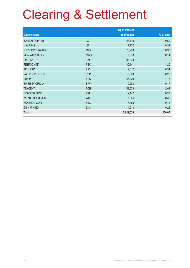# Clearing & Settlement

|                           |            | <b>Open interest</b> |            |
|---------------------------|------------|----------------------|------------|
| <b>Options class</b>      |            | (contracts)          | % of total |
| <b>JIANGXI COPPER</b>     | <b>JXC</b> | 28,110               | 0.50       |
| LI & FUNG                 | LIF        | 17,772               | 0.32       |
| <b>MTR CORPORATION</b>    | <b>MTR</b> | 20,928               | 0.37       |
| <b>NEW WORLD DEV</b>      | <b>NWD</b> | 7,933                | 0.14       |
| <b>PING AN</b>            | PAI        | 96,878               | 1.72       |
| <b>PETROCHINA</b>         | PEC        | 180,141              | 3.20       |
| PICC P&C                  | <b>PIC</b> | 19,012               | 0.34       |
| <b>R&amp;F PROPERTIES</b> | <b>RFP</b> | 15,800               | 0.28       |
| <b>SHK PPT</b>            | <b>SHK</b> | 66,200               | 1.18       |
| <b>SWIRE PACIFIC A</b>    | <b>SWA</b> | 9,298                | 0.17       |
| <b>TENCENT</b>            | <b>TCH</b> | 151,038              | 2.69       |
| <b>TRACKER FUND</b>       | <b>TRF</b> | 12,142               | 0.22       |
| <b>WHARF HOLDINGS</b>     | <b>WHL</b> | 17,004               | 0.30       |
| YANZHOU COAL              | <b>YZC</b> | 7,483                | 0.13       |
| <b>ZIJIN MINING</b>       | <b>ZJM</b> | 14,013               | 0.25       |
| <b>Total</b>              |            | 5,622,028            | 100.00     |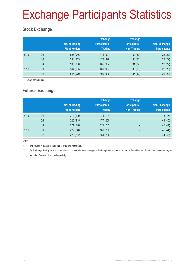# Exchange Participants Statistics

### **Stock Exchange**

|      |                | No. of Trading<br><b>Right Holders</b> | <b>Exchange</b><br><b>Participants -</b><br><b>Trading</b> | <b>Exchange</b><br><b>Participants -</b><br>Non-Trading | Non-Exchange<br><b>Participants</b> |
|------|----------------|----------------------------------------|------------------------------------------------------------|---------------------------------------------------------|-------------------------------------|
| 2010 | Q <sub>2</sub> | 523 (946)                              | 471 (891)                                                  | 30(33)                                                  | 22(22)                              |
|      | Q <sub>3</sub> | 530 (953)                              | 478 (898)                                                  | 30(33)                                                  | 22(22)                              |
|      | Q4             | 538 (960)                              | 485 (904)                                                  | 31(34)                                                  | 22(22)                              |
| 2011 | Q <sub>1</sub> | 544 (965)                              | 489 (907)                                                  | 33(36)                                                  | 22(22)                              |
|      | Q2             | 547 (970)                              | 490 (906)                                                  | 35(42)                                                  | 22(22)                              |

( ) No. of trading rights

### **Futures Exchange**

|      |                | No. of Trading<br><b>Right Holders</b> | <b>Exchange</b><br><b>Participants -</b><br><b>Trading</b> | <b>Exchange</b><br><b>Participants -</b><br><b>Non-Trading</b> | Non-Exchange<br><b>Participants</b> |
|------|----------------|----------------------------------------|------------------------------------------------------------|----------------------------------------------------------------|-------------------------------------|
| 2010 | Q <sub>2</sub> | 214 (239)                              | 171 (194)                                                  | $\overline{\phantom{0}}$                                       | 43 (45)                             |
|      | Q <sub>3</sub> | 220 (245)                              | 177 (200)                                                  | -                                                              | 43 (45)                             |
|      | Q4             | 221 (246)                              | 179 (202)                                                  | $\qquad \qquad$                                                | 42 (44)                             |
| 2011 | Q <sub>1</sub> | 222 (246)                              | 180 (202)                                                  | $\overline{\phantom{0}}$                                       | 42 (44)                             |
|      | Q <sub>2</sub> | 228 (252)                              | 184 (206)                                                  | -                                                              | 44 (46)                             |

Notes:

(1) The figures in blanket is the number of trading rights held.

(2) An Exchange Participant is a corporation who may trade on or through the Exchange and is licensed under the Securities and Futures Ordinance to carry on securities/futures/options dealing activity.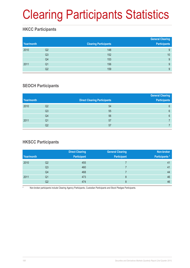# Clearing Participants Statistics

## **HKCC Participants**

| Year/month |                | <b>Clearing Participants</b> | <b>General Clearing</b><br><b>Participants</b> |
|------------|----------------|------------------------------|------------------------------------------------|
| 2010       | Q <sub>2</sub> | 148                          | 9                                              |
|            | Q <sub>3</sub> | 152                          | 10                                             |
|            | Q4             | 153                          | 9                                              |
| 2011       | Q <sub>1</sub> | 156                          | 9                                              |
|            | Q2             | 159                          | 9                                              |

#### **SEOCH Participants**

|            |                |                                     | <b>General Clearing</b> |
|------------|----------------|-------------------------------------|-------------------------|
| Year/month |                | <b>Direct Clearing Participants</b> | <b>Participants</b>     |
| 2010       | Q <sub>2</sub> | 54                                  | 6                       |
|            | Q3             | 55                                  | 6                       |
|            | Q4             | 56                                  | 6                       |
| 2011       | Q1             | 57                                  |                         |
|            | Q2             | 57                                  |                         |

## **HKSCC Participants**

|            |    | <b>Direct Clearing</b> | <b>General Clearing</b> | Non-broker           |
|------------|----|------------------------|-------------------------|----------------------|
| Year/month |    | <b>Participant</b>     | <b>Participant</b>      | <b>Participants*</b> |
| 2010       | Q2 | 455                    |                         | 41                   |
|            | Q3 | 460                    |                         | 41                   |
|            | Q4 | 468                    |                         | 44                   |
| 2011       | Q1 | 473                    | 8                       | 46                   |
|            | Q2 | 474                    |                         | 46                   |

Non-broker participants include Clearing Agency Participants, Custodian Participants and Stock Pledgee Participants.